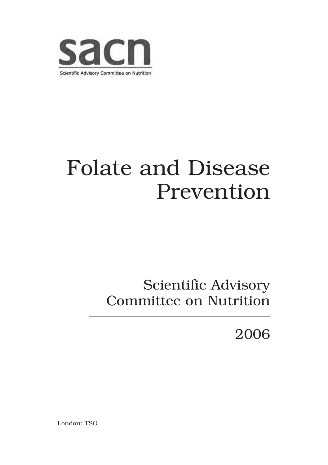

# Folate and Disease Prevention

## Scientific Advisory Committee on Nutrition

2006

London: TSO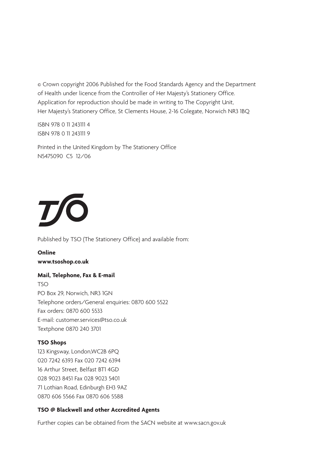© Crown copyright 2006 Published for the Food Standards Agency and the Department of Health under licence from the Controller of Her Majesty's Stationery Office. Application for reproduction should be made in writing to The Copyright Unit, Her Majesty's Stationery Office, St Clements House, 2-16 Colegate, Norwich NR3 1BQ

ISBN 978 0 11 243111 4 ISBN 978 0 11 243111 9

Printed in the United Kingdom by The Stationery Office N5475090 C5 12/06



Published by TSO (The Stationery Office) and available from:

**Online www.tsoshop.co.uk**

### **Mail, Telephone, Fax & E-mail**

TSO PO Box 29, Norwich, NR3 1GN Telephone orders/General enquiries: 0870 600 5522 Fax orders: 0870 600 5533 E-mail: customer.services@tso.co.uk Textphone 0870 240 3701

#### **TSO Shops**

123 Kingsway, London,WC2B 6PQ 020 7242 6393 Fax 020 7242 6394 16 Arthur Street, Belfast BT1 4GD 028 9023 8451 Fax 028 9023 5401 71 Lothian Road, Edinburgh EH3 9AZ 0870 606 5566 Fax 0870 606 5588

#### **TSO @ Blackwell and other Accredited Agents**

Further copies can be obtained from the SACN website at www.sacn.gov.uk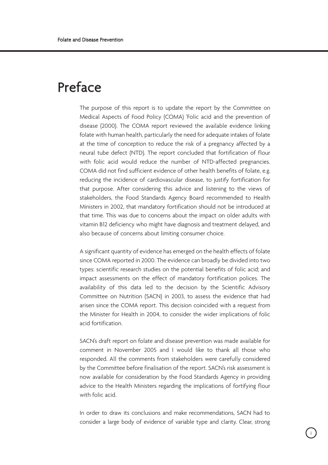## Preface

The purpose of this report is to update the report by the Committee on Medical Aspects of Food Policy (COMA) 'Folic acid and the prevention of disease (2000). The COMA report reviewed the available evidence linking folate with human health, particularly the need for adequate intakes of folate at the time of conception to reduce the risk of a pregnancy affected by a neural tube defect (NTD). The report concluded that fortification of flour with folic acid would reduce the number of NTD-affected pregnancies. COMA did not find sufficient evidence of other health benefits of folate, e.g. reducing the incidence of cardiovascular disease, to justify fortification for that purpose. After considering this advice and listening to the views of stakeholders, the Food Standards Agency Board recommended to Health Ministers in 2002, that mandatory fortification should not be introduced at that time. This was due to concerns about the impact on older adults with vitamin B12 deficiency who might have diagnosis and treatment delayed, and also because of concerns about limiting consumer choice.

A significant quantity of evidence has emerged on the health effects of folate since COMA reported in 2000. The evidence can broadly be divided into two types: scientific research studies on the potential benefits of folic acid; and impact assessments on the effect of mandatory fortification polices. The availability of this data led to the decision by the Scientific Advisory Committee on Nutrition (SACN) in 2003, to assess the evidence that had arisen since the COMA report. This decision coincided with a request from the Minister for Health in 2004, to consider the wider implications of folic acid fortification.

SACN's draft report on folate and disease prevention was made available for comment in November 2005 and I would like to thank all those who responded. All the comments from stakeholders were carefully considered by the Committee before finalisation of the report. SACN's risk assessment is now available for consideration by the Food Standards Agency in providing advice to the Health Ministers regarding the implications of fortifying flour with folic acid.

In order to draw its conclusions and make recommendations, SACN had to consider a large body of evidence of variable type and clarity. Clear, strong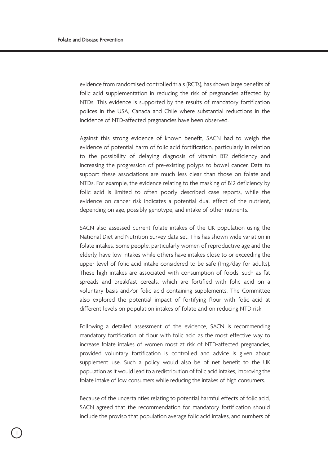evidence from randomised controlled trials (RCTs), has shown large benefits of folic acid supplementation in reducing the risk of pregnancies affected by NTDs. This evidence is supported by the results of mandatory fortification polices in the USA, Canada and Chile where substantial reductions in the incidence of NTD-affected pregnancies have been observed.

Against this strong evidence of known benefit, SACN had to weigh the evidence of potential harm of folic acid fortification, particularly in relation to the possibility of delaying diagnosis of vitamin B12 deficiency and increasing the progression of pre-existing polyps to bowel cancer. Data to support these associations are much less clear than those on folate and NTDs. For example, the evidence relating to the masking of B12 deficiency by folic acid is limited to often poorly described case reports, while the evidence on cancer risk indicates a potential dual effect of the nutrient, depending on age, possibly genotype, and intake of other nutrients.

SACN also assessed current folate intakes of the UK population using the National Diet and Nutrition Survey data set. This has shown wide variation in folate intakes. Some people, particularly women of reproductive age and the elderly, have low intakes while others have intakes close to or exceeding the upper level of folic acid intake considered to be safe (1mg/day for adults). These high intakes are associated with consumption of foods, such as fat spreads and breakfast cereals, which are fortified with folic acid on a voluntary basis and/or folic acid containing supplements. The Committee also explored the potential impact of fortifying flour with folic acid at different levels on population intakes of folate and on reducing NTD risk.

Following a detailed assessment of the evidence, SACN is recommending mandatory fortification of flour with folic acid as the most effective way to increase folate intakes of women most at risk of NTD-affected pregnancies, provided voluntary fortification is controlled and advice is given about supplement use. Such a policy would also be of net benefit to the UK population as it would lead to a redistribution of folic acid intakes, improving the folate intake of low consumers while reducing the intakes of high consumers.

Because of the uncertainties relating to potential harmful effects of folic acid, SACN agreed that the recommendation for mandatory fortification should include the proviso that population average folic acid intakes, and numbers of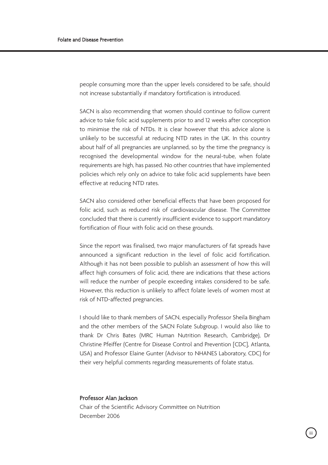people consuming more than the upper levels considered to be safe, should not increase substantially if mandatory fortification is introduced.

SACN is also recommending that women should continue to follow current advice to take folic acid supplements prior to and 12 weeks after conception to minimise the risk of NTDs. It is clear however that this advice alone is unlikely to be successful at reducing NTD rates in the UK. In this country about half of all pregnancies are unplanned, so by the time the pregnancy is recognised the developmental window for the neural-tube, when folate requirements are high, has passed. No other countries that have implemented policies which rely only on advice to take folic acid supplements have been effective at reducing NTD rates.

SACN also considered other beneficial effects that have been proposed for folic acid, such as reduced risk of cardiovascular disease. The Committee concluded that there is currently insufficient evidence to support mandatory fortification of flour with folic acid on these grounds.

Since the report was finalised, two major manufacturers of fat spreads have announced a significant reduction in the level of folic acid fortification. Although it has not been possible to publish an assessment of how this will affect high consumers of folic acid, there are indications that these actions will reduce the number of people exceeding intakes considered to be safe. However, this reduction is unlikely to affect folate levels of women most at risk of NTD-affected pregnancies.

I should like to thank members of SACN, especially Professor Sheila Bingham and the other members of the SACN Folate Subgroup. I would also like to thank Dr Chris Bates (MRC Human Nutrition Research, Cambridge), Dr Christine Pfeiffer (Centre for Disease Control and Prevention [CDC], Atlanta, USA) and Professor Elaine Gunter (Advisor to NHANES Laboratory, CDC) for their very helpful comments regarding measurements of folate status.

#### Professor Alan Jackson

Chair of the Scientific Advisory Committee on Nutrition December 2006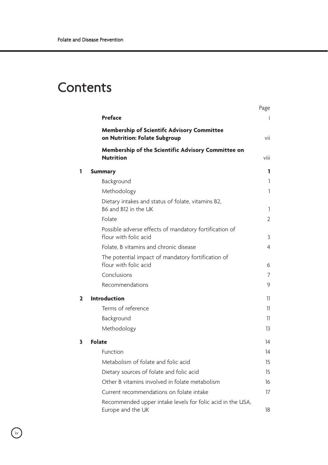## **Contents**

|   |                                                                                    | Page           |
|---|------------------------------------------------------------------------------------|----------------|
|   | Preface                                                                            | Ť.             |
|   | <b>Membership of Scientifc Advisory Committee</b><br>on Nutrition: Folate Subgroup | vii            |
|   | Membership of the Scientific Advisory Committee on<br><b>Nutrition</b>             | viii           |
| 1 | <b>Summary</b>                                                                     | 1              |
|   | Background                                                                         | 1              |
|   | Methodology                                                                        | 1              |
|   | Dietary intakes and status of folate, vitamins B2,<br>B6 and B12 in the UK         | 1              |
|   | Folate                                                                             | $\overline{2}$ |
|   | Possible adverse effects of mandatory fortification of<br>flour with folic acid    | 3              |
|   | Folate. B vitamins and chronic disease                                             | $\overline{4}$ |
|   | The potential impact of mandatory fortification of<br>flour with folic acid        | 6              |
|   | Conclusions                                                                        | 7              |
|   | Recommendations                                                                    | 9              |
| 2 | <b>Introduction</b>                                                                | 11             |
|   | Terms of reference                                                                 | 11             |
|   | Background                                                                         | 11             |
|   | Methodology                                                                        | 13             |
| 3 | Folate                                                                             | 14             |
|   | Function                                                                           | 14             |
|   | Metabolism of folate and folic acid                                                | 15             |
|   | Dietary sources of folate and folic acid                                           | 15             |
|   | Other B vitamins involved in folate metabolism                                     | 16             |
|   | Current recommendations on folate intake                                           | 17             |
|   | Recommended upper intake levels for folic acid in the USA,<br>Europe and the UK    | 18             |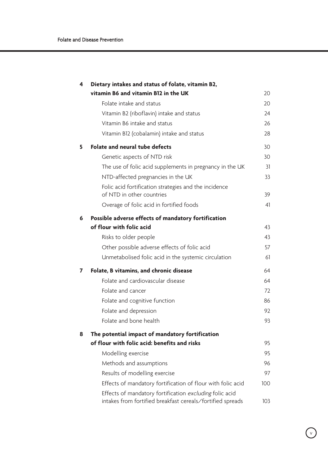| 4 | Dietary intakes and status of folate, vitamin B2,                                                                     |     |
|---|-----------------------------------------------------------------------------------------------------------------------|-----|
|   | vitamin B6 and vitamin B12 in the UK                                                                                  | 20  |
|   | Folate intake and status                                                                                              | 20  |
|   | Vitamin B2 (riboflavin) intake and status                                                                             | 24  |
|   | Vitamin B6 intake and status                                                                                          | 26  |
|   | Vitamin B12 (cobalamin) intake and status                                                                             | 28  |
| 5 | <b>Folate and neural tube defects</b>                                                                                 | 30  |
|   | Genetic aspects of NTD risk                                                                                           | 30  |
|   | The use of folic acid supplements in pregnancy in the UK                                                              | 31  |
|   | NTD-affected pregnancies in the UK                                                                                    | 33  |
|   | Folic acid fortification strategies and the incidence                                                                 |     |
|   | of NTD in other countries                                                                                             | 39  |
|   | Overage of folic acid in fortified foods                                                                              | 41  |
| 6 | Possible adverse effects of mandatory fortification                                                                   |     |
|   | of flour with folic acid                                                                                              | 43  |
|   | Risks to older people                                                                                                 | 43  |
|   | Other possible adverse effects of folic acid                                                                          | 57  |
|   | Unmetabolised folic acid in the systemic circulation                                                                  | 61  |
| 7 | Folate, B vitamins, and chronic disease                                                                               | 64  |
|   | Folate and cardiovascular disease                                                                                     | 64  |
|   | Folate and cancer                                                                                                     | 72  |
|   | Folate and cognitive function                                                                                         | 86  |
|   | Folate and depression                                                                                                 | 92  |
|   | Folate and bone health                                                                                                | 93  |
| 8 | The potential impact of mandatory fortification                                                                       |     |
|   | of flour with folic acid: benefits and risks                                                                          | 95  |
|   | Modelling exercise                                                                                                    | 95  |
|   | Methods and assumptions                                                                                               | 96  |
|   | Results of modelling exercise                                                                                         | 97  |
|   | Effects of mandatory fortification of flour with folic acid                                                           | 100 |
|   | Effects of mandatory fortification excluding folic acid<br>intakes from fortified breakfast cereals/fortified spreads | 103 |

 $\sqrt{2}$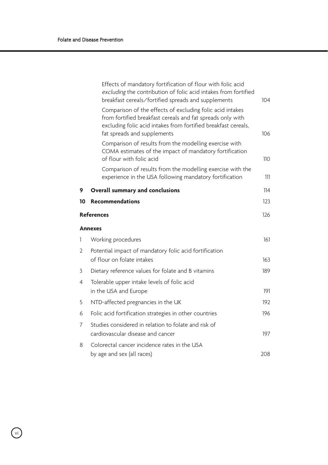|            | Effects of mandatory fortification of flour with folic acid<br>excluding the contribution of folic acid intakes from fortified<br>breakfast cereals/fortified spreads and supplements                                    | 104 |
|------------|--------------------------------------------------------------------------------------------------------------------------------------------------------------------------------------------------------------------------|-----|
|            | Comparison of the effects of excluding folic acid intakes<br>from fortified breakfast cereals and fat spreads only with<br>excluding folic acid intakes from fortified breakfast cereals,<br>fat spreads and supplements | 106 |
|            | Comparison of results from the modelling exercise with<br>COMA estimates of the impact of mandatory fortification<br>of flour with folic acid                                                                            | 110 |
|            | Comparison of results from the modelling exercise with the<br>experience in the USA following mandatory fortification                                                                                                    | 111 |
| 9          | <b>Overall summary and conclusions</b>                                                                                                                                                                                   | 114 |
| 10         | <b>Recommendations</b>                                                                                                                                                                                                   | 123 |
| References |                                                                                                                                                                                                                          | 126 |
|            | <b>Annexes</b>                                                                                                                                                                                                           |     |
| 1          | Working procedures                                                                                                                                                                                                       | 161 |
| 2          | Potential impact of mandatory folic acid fortification<br>of flour on folate intakes                                                                                                                                     | 163 |
| 3          | Dietary reference values for folate and B vitamins                                                                                                                                                                       | 189 |
| 4          | Tolerable upper intake levels of folic acid<br>in the USA and Europe                                                                                                                                                     | 191 |
| 5          | NTD-affected pregnancies in the UK                                                                                                                                                                                       | 192 |
| 6          | Folic acid fortification strategies in other countries                                                                                                                                                                   | 196 |
| 7          | Studies considered in relation to folate and risk of<br>cardiovascular disease and cancer                                                                                                                                | 197 |
| 8          | Colorectal cancer incidence rates in the USA<br>by age and sex (all races)                                                                                                                                               | 208 |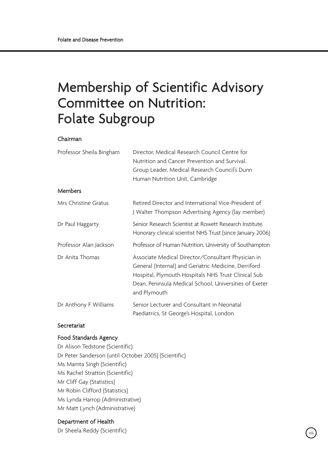## Membership of Scientific Advisory Committee on Nutrition: Folate Subgroup

#### Chairman

| Professor Sheila Bingham | Director, Medical Research Council Centre for<br>Nutrition and Cancer Prevention and Survival.<br>Group Leader, Medical Research Council's Dunn                                                                                             |  |
|--------------------------|---------------------------------------------------------------------------------------------------------------------------------------------------------------------------------------------------------------------------------------------|--|
|                          | Human Nutrition Unit, Cambridge                                                                                                                                                                                                             |  |
| <b>Members</b>           |                                                                                                                                                                                                                                             |  |
| Mrs Christine Gratus     | Retired Director and International Vice-President of<br>J Walter Thompson Advertising Agency (lay member)                                                                                                                                   |  |
| Dr Paul Haggarty         | Senior Research Scientist at Rowett Research Institute.<br>Honorary clinical scientist NHS Trust (since January 2006)                                                                                                                       |  |
| Professor Alan Jackson   | Professor of Human Nutrition, University of Southampton                                                                                                                                                                                     |  |
| Dr Anita Thomas          | Associate Medical Director/Consultant Physician in<br>General (Internal) and Geriatric Medicine, Derriford<br>Hospital, Plymouth Hospitals NHS Trust Clinical Sub<br>Dean, Peninsula Medical School, Universities of Exeter<br>and Plymouth |  |
| Dr Anthony F Williams    | Senior Lecturer and Consultant in Neonatal<br>Paediatrics, St George's Hospital, London                                                                                                                                                     |  |

#### Secretariat

#### Food Standards Agency

Dr Alison Tedstone (Scientific) Dr Peter Sanderson (until October 2005) (Scientific) Ms Mamta Singh (Scientific) Ms Rachel Stratton (Scientific) Mr Cliff Gay (Statistics) Mr Robin Clifford (Statistics) Ms Lynda Harrop (Administrative) Mr Matt Lynch (Administrative)

#### Department of Health

Dr Sheela Reddy (Scientific)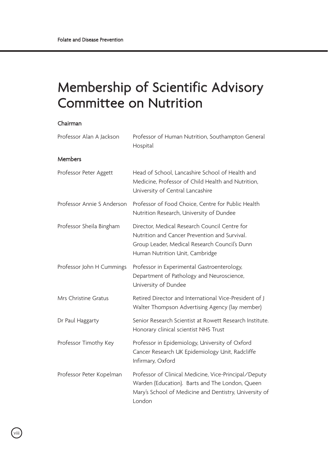## Membership of Scientific Advisory Committee on Nutrition

#### Chairman

| Professor Alan A Jackson   | Professor of Human Nutrition, Southampton General<br>Hospital                                                                                                                      |
|----------------------------|------------------------------------------------------------------------------------------------------------------------------------------------------------------------------------|
| <b>Members</b>             |                                                                                                                                                                                    |
| Professor Peter Aggett     | Head of School, Lancashire School of Health and<br>Medicine. Professor of Child Health and Nutrition.<br>University of Central Lancashire                                          |
| Professor Annie S Anderson | Professor of Food Choice, Centre for Public Health<br>Nutrition Research, University of Dundee                                                                                     |
| Professor Sheila Bingham   | Director, Medical Research Council Centre for<br>Nutrition and Cancer Prevention and Survival.<br>Group Leader, Medical Research Council's Dunn<br>Human Nutrition Unit, Cambridge |
| Professor John H Cummings  | Professor in Experimental Gastroenterology,<br>Department of Pathology and Neuroscience,<br>University of Dundee                                                                   |
| Mrs Christine Gratus       | Retired Director and International Vice-President of I<br>Walter Thompson Advertising Agency (lay member)                                                                          |
| Dr Paul Haggarty           | Senior Research Scientist at Rowett Research Institute.<br>Honorary clinical scientist NHS Trust                                                                                   |
| Professor Timothy Key      | Professor in Epidemiology, University of Oxford<br>Cancer Research UK Epidemiology Unit, Radcliffe<br>Infirmary, Oxford                                                            |
| Professor Peter Kopelman   | Professor of Clinical Medicine, Vice-Principal/Deputy<br>Warden (Education). Barts and The London, Queen<br>Mary's School of Medicine and Dentistry, University of<br>London       |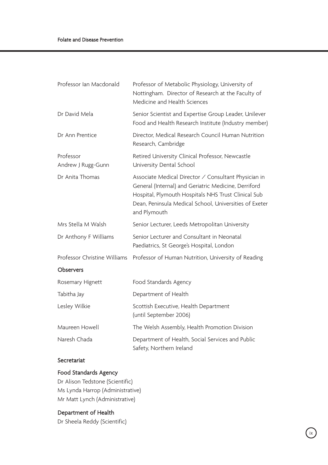| Professor of Metabolic Physiology, University of<br>Nottingham. Director of Research at the Faculty of<br>Medicine and Health Sciences                                                                                                        |
|-----------------------------------------------------------------------------------------------------------------------------------------------------------------------------------------------------------------------------------------------|
| Senior Scientist and Expertise Group Leader, Unilever<br>Food and Health Research Institute (Industry member)                                                                                                                                 |
| Director, Medical Research Council Human Nutrition<br>Research, Cambridge                                                                                                                                                                     |
| Retired University Clinical Professor, Newcastle<br>University Dental School                                                                                                                                                                  |
| Associate Medical Director / Consultant Physician in<br>General (Internal) and Geriatric Medicine, Derriford<br>Hospital, Plymouth Hospitals NHS Trust Clinical Sub<br>Dean, Peninsula Medical School, Universities of Exeter<br>and Plymouth |
| Senior Lecturer, Leeds Metropolitan University                                                                                                                                                                                                |
| Senior Lecturer and Consultant in Neonatal<br>Paediatrics, St George's Hospital, London                                                                                                                                                       |
| Professor Christine Williams<br>Professor of Human Nutrition, University of Reading                                                                                                                                                           |
|                                                                                                                                                                                                                                               |
| Food Standards Agency                                                                                                                                                                                                                         |
| Department of Health                                                                                                                                                                                                                          |
| Scottish Executive, Health Department<br>(until September 2006)                                                                                                                                                                               |
| The Welsh Assembly, Health Promotion Division                                                                                                                                                                                                 |
| Department of Health, Social Services and Public<br>Safety, Northern Ireland                                                                                                                                                                  |
|                                                                                                                                                                                                                                               |

### Secretariat

## Food Standards Agency

Dr Alison Tedstone (Scientific) Ms Lynda Harrop (Administrative) Mr Matt Lynch (Administrative)

### Department of Health

Dr Sheela Reddy (Scientific)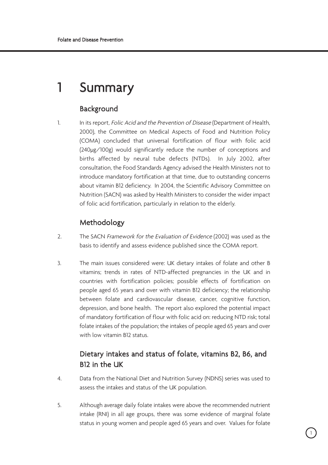## 1 Summary

## Background

1. In its report, *Folic Acid and the Prevention of Disease* (Department of Health, 2000), the Committee on Medical Aspects of Food and Nutrition Policy (COMA) concluded that universal fortification of flour with folic acid (240µg/100g) would significantly reduce the number of conceptions and births affected by neural tube defects (NTDs). In July 2002, after consultation, the Food Standards Agency advised the Health Ministers not to introduce mandatory fortification at that time, due to outstanding concerns about vitamin B12 deficiency. In 2004, the Scientific Advisory Committee on Nutrition (SACN) was asked by Health Ministers to consider the wider impact of folic acid fortification, particularly in relation to the elderly.

## Methodology

- 2. The SACN Framework for the Evaluation of Evidence (2002) was used as the basis to identify and assess evidence published since the COMA report.
- 3. The main issues considered were: UK dietary intakes of folate and other B vitamins; trends in rates of NTD-affected pregnancies in the UK and in countries with fortification policies; possible effects of fortification on people aged 65 years and over with vitamin B12 deficiency; the relationship between folate and cardiovascular disease, cancer, cognitive function, depression, and bone health. The report also explored the potential impact of mandatory fortification of flour with folic acid on: reducing NTD risk; total folate intakes of the population; the intakes of people aged 65 years and over with low vitamin B12 status.

## Dietary intakes and status of folate, vitamins B2, B6, and B12 in the UK

- 4. Data from the National Diet and Nutrition Survey (NDNS) series was used to assess the intakes and status of the UK population.
- 5. Although average daily folate intakes were above the recommended nutrient intake (RNI) in all age groups, there was some evidence of marginal folate status in young women and people aged 65 years and over. Values for folate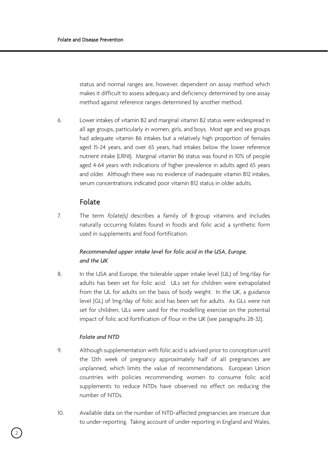status and normal ranges are, however, dependent on assay method which makes it difficult to assess adequacy and deficiency determined by one assay method against reference ranges determined by another method.

6. Lower intakes of vitamin B2 and marginal vitamin B2 status were widespread in all age groups, particularly in women, girls, and boys. Most age and sex groups had adequate vitamin B6 intakes but a relatively high proportion of females aged 15-24 years, and over 65 years, had intakes below the lower reference nutrient intake (LRNI). Marginal vitamin B6 status was found in 10% of people aged 4-64 years with indications of higher prevalence in adults aged 65 years and older. Although there was no evidence of inadequate vitamin B12 intakes, serum concentrations indicated poor vitamin B12 status in older adults.

## Folate

7. The term folate(s) describes a family of B-group vitamins and includes naturally occurring folates found in foods and folic acid, a synthetic form used in supplements and food fortification.

## *Recommended upper intake level for folic acid in the USA, Europe, and the UK*

8. In the USA and Europe, the tolerable upper intake level (UL) of 1mg/day for adults has been set for folic acid. ULs set for children were extrapolated from the UL for adults on the basis of body weight. In the UK, a guidance level (GL) of 1mg/day of folic acid has been set for adults. As GLs were not set for children, ULs were used for the modelling exercise on the potential impact of folic acid fortification of flour in the UK (see paragraphs 28-32).

#### *Folate and NTD*

- 9. Although supplementation with folic acid is advised prior to conception until the 12th week of pregnancy approximately half of all pregnancies are unplanned, which limits the value of recommendations. European Union countries with policies recommending women to consume folic acid supplements to reduce NTDs have observed no effect on reducing the number of NTDs.
- 10. Available data on the number of NTD-affected pregnancies are insecure due to under-reporting. Taking account of under-reporting in England and Wales,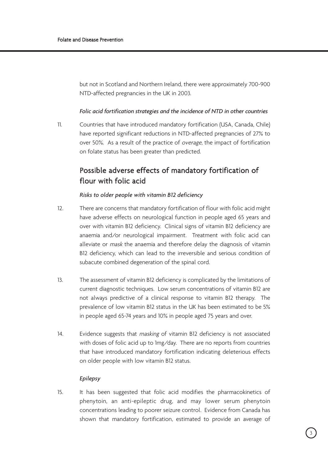but not in Scotland and Northern Ireland, there were approximately 700-900 NTD-affected pregnancies in the UK in 2003.

#### *Folic acid fortification strategies and the incidence of NTD in other countries*

11. Countries that have introduced mandatory fortification (USA, Canada, Chile) have reported significant reductions in NTD-affected pregnancies of 27% to over 50%. As a result of the practice of overage, the impact of fortification on folate status has been greater than predicted.

## Possible adverse effects of mandatory fortification of flour with folic acid

#### *Risks to older people with vitamin B12 deficiency*

- 12. There are concerns that mandatory fortification of flour with folic acid might have adverse effects on neurological function in people aged 65 years and over with vitamin B12 deficiency. Clinical signs of vitamin B12 deficiency are anaemia and/or neurological impairment. Treatment with folic acid can alleviate or mask the anaemia and therefore delay the diagnosis of vitamin B12 deficiency, which can lead to the irreversible and serious condition of subacute combined degeneration of the spinal cord.
- 13. The assessment of vitamin B12 deficiency is complicated by the limitations of current diagnostic techniques. Low serum concentrations of vitamin B12 are not always predictive of a clinical response to vitamin B12 therapy. The prevalence of low vitamin B12 status in the UK has been estimated to be 5% in people aged 65-74 years and 10% in people aged 75 years and over.
- 14. Evidence suggests that *masking* of vitamin B12 deficiency is not associated with doses of folic acid up to 1mg/day. There are no reports from countries that have introduced mandatory fortification indicating deleterious effects on older people with low vitamin B12 status.

#### *Epilepsy*

15. It has been suggested that folic acid modifies the pharmacokinetics of phenytoin, an anti-epileptic drug, and may lower serum phenytoin concentrations leading to poorer seizure control. Evidence from Canada has shown that mandatory fortification, estimated to provide an average of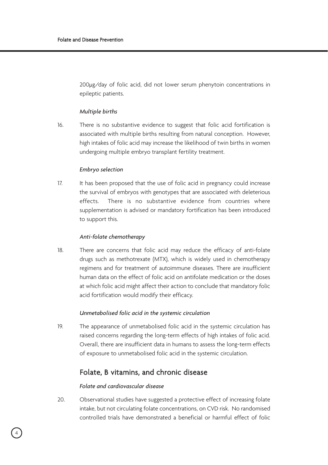200µg/day of folic acid, did not lower serum phenytoin concentrations in epileptic patients.

#### *Multiple births*

16. There is no substantive evidence to suggest that folic acid fortification is associated with multiple births resulting from natural conception. However, high intakes of folic acid may increase the likelihood of twin births in women undergoing multiple embryo transplant fertility treatment.

#### *Embryo selection*

17. It has been proposed that the use of folic acid in pregnancy could increase the survival of embryos with genotypes that are associated with deleterious effects. There is no substantive evidence from countries where supplementation is advised or mandatory fortification has been introduced to support this.

#### *Anti-folate chemotherapy*

18. There are concerns that folic acid may reduce the efficacy of anti-folate drugs such as methotrexate (MTX), which is widely used in chemotherapy regimens and for treatment of autoimmune diseases. There are insufficient human data on the effect of folic acid on antifolate medication or the doses at which folic acid might affect their action to conclude that mandatory folic acid fortification would modify their efficacy.

#### *Unmetabolised folic acid in the systemic circulation*

19. The appearance of unmetabolised folic acid in the systemic circulation has raised concerns regarding the long-term effects of high intakes of folic acid. Overall, there are insufficient data in humans to assess the long-term effects of exposure to unmetabolised folic acid in the systemic circulation.

### Folate, B vitamins, and chronic disease

#### *Folate and cardiovascular disease*

20. Observational studies have suggested a protective effect of increasing folate intake, but not circulating folate concentrations, on CVD risk. No randomised controlled trials have demonstrated a beneficial or harmful effect of folic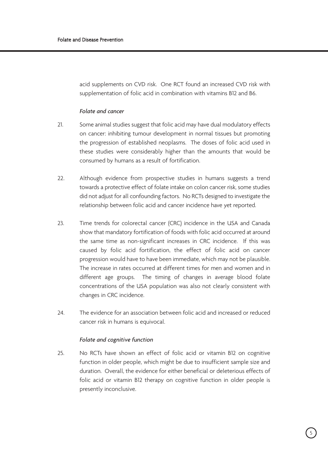acid supplements on CVD risk. One RCT found an increased CVD risk with supplementation of folic acid in combination with vitamins B12 and B6.

#### *Folate and cancer*

- 21. Some animal studies suggest that folic acid may have dual modulatory effects on cancer: inhibiting tumour development in normal tissues but promoting the progression of established neoplasms. The doses of folic acid used in these studies were considerably higher than the amounts that would be consumed by humans as a result of fortification.
- 22. Although evidence from prospective studies in humans suggests a trend towards a protective effect of folate intake on colon cancer risk, some studies did not adjust for all confounding factors. No RCTs designed to investigate the relationship between folic acid and cancer incidence have yet reported.
- 23. Time trends for colorectal cancer (CRC) incidence in the USA and Canada show that mandatory fortification of foods with folic acid occurred at around the same time as non-significant increases in CRC incidence. If this was caused by folic acid fortification, the effect of folic acid on cancer progression would have to have been immediate, which may not be plausible. The increase in rates occurred at different times for men and women and in different age groups. The timing of changes in average blood folate concentrations of the USA population was also not clearly consistent with changes in CRC incidence.
- 24. The evidence for an association between folic acid and increased or reduced cancer risk in humans is equivocal.

#### *Folate and cognitive function*

25. No RCTs have shown an effect of folic acid or vitamin B12 on cognitive function in older people, which might be due to insufficient sample size and duration. Overall, the evidence for either beneficial or deleterious effects of folic acid or vitamin B12 therapy on cognitive function in older people is presently inconclusive.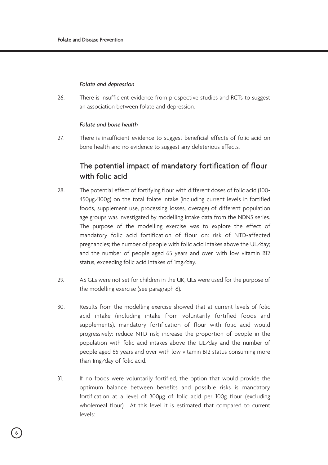#### *Folate and depression*

26. There is insufficient evidence from prospective studies and RCTs to suggest an association between folate and depression.

#### *Folate and bone health*

27. There is insufficient evidence to suggest beneficial effects of folic acid on bone health and no evidence to suggest any deleterious effects.

## The potential impact of mandatory fortification of flour with folic acid

- 28. The potential effect of fortifying flour with different doses of folic acid (100- 450µg/100g) on the total folate intake (including current levels in fortified foods, supplement use, processing losses, overage) of different population age groups was investigated by modelling intake data from the NDNS series. The purpose of the modelling exercise was to explore the effect of mandatory folic acid fortification of flour on: risk of NTD-affected pregnancies; the number of people with folic acid intakes above the UL/day; and the number of people aged 65 years and over, with low vitamin B12 status, exceeding folic acid intakes of 1mg/day.
- 29. AS GLs were not set for children in the UK, ULs were used for the purpose of the modelling exercise (see paragraph 8).
- 30. Results from the modelling exercise showed that at current levels of folic acid intake (including intake from voluntarily fortified foods and supplements), mandatory fortification of flour with folic acid would progressively: reduce NTD risk; increase the proportion of people in the population with folic acid intakes above the UL/day and the number of people aged 65 years and over with low vitamin B12 status consuming more than 1mg/day of folic acid.
- 31. If no foods were voluntarily fortified, the option that would provide the optimum balance between benefits and possible risks is mandatory fortification at a level of 300µg of folic acid per 100g flour (excluding wholemeal flour). At this level it is estimated that compared to current levels: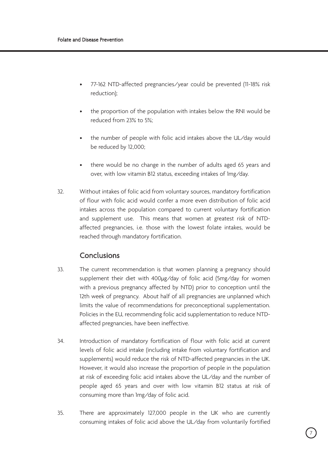- 77-162 NTD-affected pregnancies/year could be prevented (11-18% risk reduction);
- the proportion of the population with intakes below the RNI would be reduced from 23% to 5%;
- the number of people with folic acid intakes above the UL/day would be reduced by 12,000;
- there would be no change in the number of adults aged 65 years and over, with low vitamin B12 status, exceeding intakes of 1mg/day.
- 32. Without intakes of folic acid from voluntary sources, mandatory fortification of flour with folic acid would confer a more even distribution of folic acid intakes across the population compared to current voluntary fortification and supplement use. This means that women at greatest risk of NTDaffected pregnancies, i.e. those with the lowest folate intakes, would be reached through mandatory fortification.

## Conclusions

- 33. The current recommendation is that women planning a pregnancy should supplement their diet with 400µg/day of folic acid (5mg/day for women with a previous pregnancy affected by NTD) prior to conception until the 12th week of pregnancy. About half of all pregnancies are unplanned which limits the value of recommendations for preconceptional supplementation. Policies in the EU, recommending folic acid supplementation to reduce NTDaffected pregnancies, have been ineffective.
- 34. Introduction of mandatory fortification of flour with folic acid at current levels of folic acid intake (including intake from voluntary fortification and supplements) would reduce the risk of NTD-affected pregnancies in the UK. However, it would also increase the proportion of people in the population at risk of exceeding folic acid intakes above the UL/day and the number of people aged 65 years and over with low vitamin B12 status at risk of consuming more than 1mg/day of folic acid.
- 35. There are approximately 127,000 people in the UK who are currently consuming intakes of folic acid above the UL/day from voluntarily fortified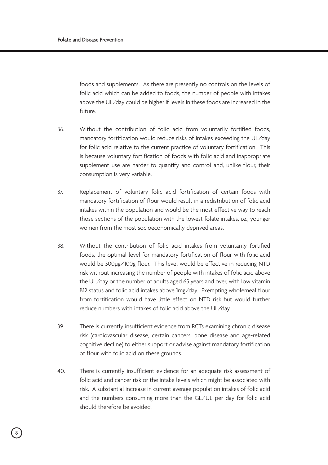foods and supplements. As there are presently no controls on the levels of folic acid which can be added to foods, the number of people with intakes above the UL/day could be higher if levels in these foods are increased in the future.

- 36. Without the contribution of folic acid from voluntarily fortified foods, mandatory fortification would reduce risks of intakes exceeding the UL/day for folic acid relative to the current practice of voluntary fortification. This is because voluntary fortification of foods with folic acid and inappropriate supplement use are harder to quantify and control and, unlike flour, their consumption is very variable.
- 37. Replacement of voluntary folic acid fortification of certain foods with mandatory fortification of flour would result in a redistribution of folic acid intakes within the population and would be the most effective way to reach those sections of the population with the lowest folate intakes, i.e., younger women from the most socioeconomically deprived areas.
- 38. Without the contribution of folic acid intakes from voluntarily fortified foods, the optimal level for mandatory fortification of flour with folic acid would be 300µg/100g flour. This level would be effective in reducing NTD risk without increasing the number of people with intakes of folic acid above the UL/day or the number of adults aged 65 years and over, with low vitamin B12 status and folic acid intakes above 1mg/day. Exempting wholemeal flour from fortification would have little effect on NTD risk but would further reduce numbers with intakes of folic acid above the UL/day.
- 39. There is currently insufficient evidence from RCTs examining chronic disease risk (cardiovascular disease, certain cancers, bone disease and age-related cognitive decline) to either support or advise against mandatory fortification of flour with folic acid on these grounds.
- 40. There is currently insufficient evidence for an adequate risk assessment of folic acid and cancer risk or the intake levels which might be associated with risk. A substantial increase in current average population intakes of folic acid and the numbers consuming more than the GL/UL per day for folic acid should therefore be avoided.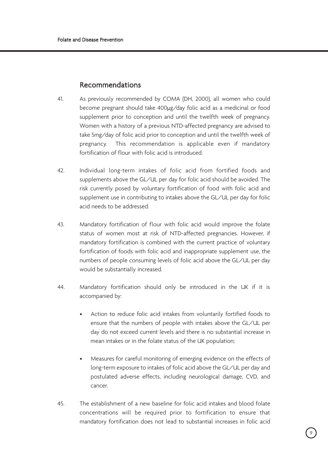### Recommendations

- 41. As previously recommended by COMA (DH, 2000), all women who could become pregnant should take 400µg/day folic acid as a medicinal or food supplement prior to conception and until the twelfth week of pregnancy. Women with a history of a previous NTD-affected pregnancy are advised to take 5mg/day of folic acid prior to conception and until the twelfth week of pregnancy. This recommendation is applicable even if mandatory fortification of flour with folic acid is introduced.
- 42. Individual long-term intakes of folic acid from fortified foods and supplements above the GL/UL per day for folic acid should be avoided. The risk currently posed by voluntary fortification of food with folic acid and supplement use in contributing to intakes above the GL/UL per day for folic acid needs to be addressed.
- 43. Mandatory fortification of flour with folic acid would improve the folate status of women most at risk of NTD-affected pregnancies. However, if mandatory fortification is combined with the current practice of voluntary fortification of foods with folic acid and inappropriate supplement use, the numbers of people consuming levels of folic acid above the GL/UL per day would be substantially increased.
- 44. Mandatory fortification should only be introduced in the UK if it is accompanied by:
	- Action to reduce folic acid intakes from voluntarily fortified foods to ensure that the numbers of people with intakes above the GL/UL per day do not exceed current levels and there is no substantial increase in mean intakes or in the folate status of the UK population;
	- Measures for careful monitoring of emerging evidence on the effects of long-term exposure to intakes of folic acid above the GL/UL per day and postulated adverse effects, including neurological damage, CVD, and cancer.
- 45. The establishment of a new baseline for folic acid intakes and blood folate concentrations will be required prior to fortification to ensure that mandatory fortification does not lead to substantial increases in folic acid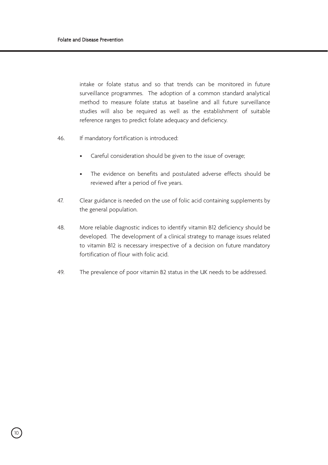intake or folate status and so that trends can be monitored in future surveillance programmes. The adoption of a common standard analytical method to measure folate status at baseline and all future surveillance studies will also be required as well as the establishment of suitable reference ranges to predict folate adequacy and deficiency.

- 46. If mandatory fortification is introduced:
	- Careful consideration should be given to the issue of overage;
	- The evidence on benefits and postulated adverse effects should be reviewed after a period of five years.
- 47. Clear guidance is needed on the use of folic acid containing supplements by the general population.
- 48. More reliable diagnostic indices to identify vitamin B12 deficiency should be developed. The development of a clinical strategy to manage issues related to vitamin B12 is necessary irrespective of a decision on future mandatory fortification of flour with folic acid.
- 49. The prevalence of poor vitamin B2 status in the UK needs to be addressed.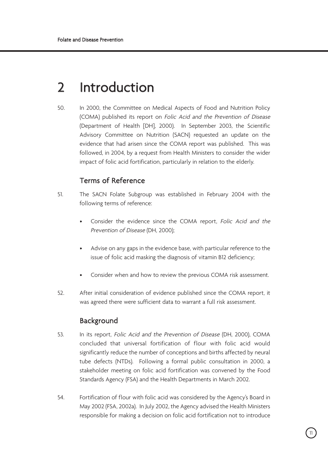## 2 Introduction

50. In 2000, the Committee on Medical Aspects of Food and Nutrition Policy (COMA) published its report on Folic Acid and the Prevention of Disease (Department of Health [DH], 2000). In September 2003, the Scientific Advisory Committee on Nutrition (SACN) requested an update on the evidence that had arisen since the COMA report was published. This was followed, in 2004, by a request from Health Ministers to consider the wider impact of folic acid fortification, particularly in relation to the elderly.

## Terms of Reference

- 51. The SACN Folate Subgroup was established in February 2004 with the following terms of reference:
	- Consider the evidence since the COMA report, Folic Acid and the Prevention of Disease (DH, 2000);
	- Advise on any gaps in the evidence base, with particular reference to the issue of folic acid masking the diagnosis of vitamin B12 deficiency;
	- Consider when and how to review the previous COMA risk assessment.
- 52. After initial consideration of evidence published since the COMA report, it was agreed there were sufficient data to warrant a full risk assessment.

## Background

- 53. In its report, Folic Acid and the Prevention of Disease (DH, 2000), COMA concluded that universal fortification of flour with folic acid would significantly reduce the number of conceptions and births affected by neural tube defects (NTDs). Following a formal public consultation in 2000, a stakeholder meeting on folic acid fortification was convened by the Food Standards Agency (FSA) and the Health Departments in March 2002.
- 54. Fortification of flour with folic acid was considered by the Agency's Board in May 2002 (FSA, 2002a). In July 2002, the Agency advised the Health Ministers responsible for making a decision on folic acid fortification not to introduce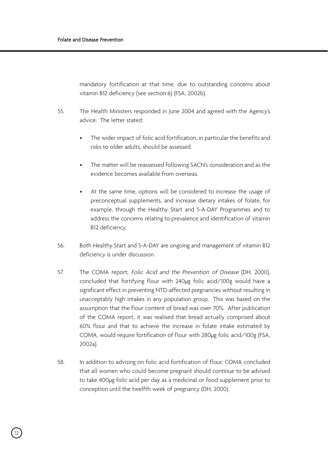mandatory fortification at that time, due to outstanding concerns about vitamin B12 deficiency (see section 6) (FSA, 2002b).

- 55. The Health Ministers responded in June 2004 and agreed with the Agency's advice. The letter stated:
	- The wider impact of folic acid fortification, in particular the benefits and risks to older adults, should be assessed.
	- The matter will be reassessed following SACN's consideration and as the evidence becomes available from overseas.
	- At the same time, options will be considered to increase the usage of preconceptual supplements, and increase dietary intakes of folate, for example, through the Healthy Start and 5-A-DAY Programmes and to address the concerns relating to prevalence and identification of vitamin B12 deficiency.
- 56. Both Healthy Start and 5-A-DAY are ongoing and management of vitamin B12 deficiency is under discussion.
- 57. The COMA report, Folic Acid and the Prevention of Disease (DH, 2000). concluded that fortifying flour with 240µg folic acid/100g would have a significant effect in preventing NTD-affected pregnancies without resulting in unacceptably high intakes in any population group. This was based on the assumption that the flour content of bread was over 70%. After publication of the COMA report, it was realised that bread actually comprised about 60% flour and that to achieve the increase in folate intake estimated by COMA, would require fortification of flour with 280µg folic acid/100g (FSA, 2002a).
- 58. In addition to advising on folic acid fortification of flour, COMA concluded that all women who could become pregnant should continue to be advised to take 400µg folic acid per day as a medicinal or food supplement prior to conception until the twelfth week of pregnancy (DH, 2000).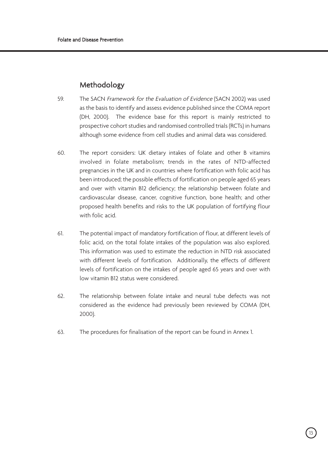## Methodology

- 59. The SACN Framework for the Evaluation of Evidence (SACN 2002) was used as the basis to identify and assess evidence published since the COMA report (DH, 2000). The evidence base for this report is mainly restricted to prospective cohort studies and randomised controlled trials (RCTs) in humans although some evidence from cell studies and animal data was considered.
- 60. The report considers: UK dietary intakes of folate and other B vitamins involved in folate metabolism; trends in the rates of NTD-affected pregnancies in the UK and in countries where fortification with folic acid has been introduced; the possible effects of fortification on people aged 65 years and over with vitamin B12 deficiency; the relationship between folate and cardiovascular disease, cancer, cognitive function, bone health; and other proposed health benefits and risks to the UK population of fortifying flour with folic acid.
- 61. The potential impact of mandatory fortification of flour, at different levels of folic acid, on the total folate intakes of the population was also explored. This information was used to estimate the reduction in NTD risk associated with different levels of fortification. Additionally, the effects of different levels of fortification on the intakes of people aged 65 years and over with low vitamin B12 status were considered.
- 62. The relationship between folate intake and neural tube defects was not considered as the evidence had previously been reviewed by COMA (DH, 2000).
- 63. The procedures for finalisation of the report can be found in Annex 1.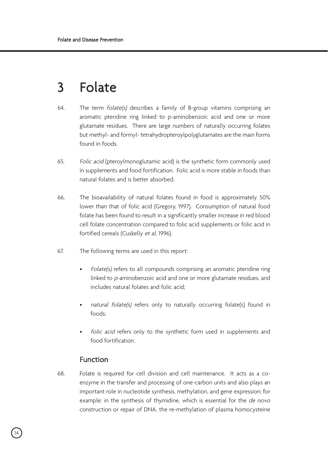## 3 Folate

- 64. The term folate(s) describes a family of B-group vitamins comprising an aromatic pteridine ring linked to p-aminobenzoic acid and one or more glutamate residues. There are large numbers of naturally occurring folates but methyl- and formyl- tetrahydropteroylpolyglutamates are the main forms found in foods.
- 65. Folic acid (pteroylmonoglutamic acid) is the synthetic form commonly used in supplements and food fortification. Folic acid is more stable in foods than natural folates and is better absorbed.
- 66. The bioavailability of natural folates found in food is approximately 50% lower than that of folic acid (Gregory, 1997). Consumption of natural food folate has been found to result in a significantly smaller increase in red blood cell folate concentration compared to folic acid supplements or folic acid in fortified cereals (Cuskelly et al, 1996).
- 67. The following terms are used in this report:
	- Folate(s) refers to all compounds comprising an aromatic pteridine ring linked to p-aminobenzoic acid and one or more glutamate residues, and includes natural folates and folic acid;
	- natural folate(s) refers only to naturally occurring folate(s) found in foods;
	- folic acid refers only to the synthetic form used in supplements and food fortification.

## Function

68. Folate is required for cell division and cell maintenance. It acts as a coenzyme in the transfer and processing of one-carbon units and also plays an important role in nucleotide synthesis, methylation, and gene expression; for example: in the synthesis of thymidine, which is essential for the de novo construction or repair of DNA, the re-methylation of plasma homocysteine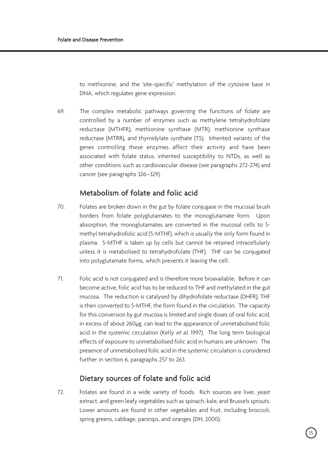to methionine, and the 'site-specific' methylation of the cytosine base in DNA, which regulates gene expression.

69. The complex metabolic pathways governing the functions of folate are controlled by a number of enzymes such as methylene tetrahydrofolate reductase (MTHFR), methionine synthase (MTR), methionine synthase reductase (MTRR), and thymidylate synthate (TS). Inherited variants of the genes controlling these enzymes affect their activity and have been associated with folate status, inherited susceptibility to NTDs, as well as other conditions such as cardiovascular disease (see paragraphs 272-274) and cancer (see paragraphs 326–329).

## Metabolism of folate and folic acid

- 70. Folates are broken down in the gut by folate conjugase in the mucosal brush borders from folate polyglutamates to the monoglutamate form. Upon absorption, the monoglutamates are converted in the mucosal cells to 5 methyl tetrahydrofolic acid (5-MTHF), which is usually the only form found in plasma. 5-MTHF is taken up by cells but cannot be retained intracellularly unless it is metabolised to tetrahydrofolate (THF). THF can be conjugated into polyglutamate forms, which prevents it leaving the cell.
- 71. Folic acid is not conjugated and is therefore more bioavailable. Before it can become active, folic acid has to be reduced to THF and methylated in the gut mucosa. The reduction is catalysed by dihydrofolate reductase (DHFR); THF is then converted to 5-MTHF, the form found in the circulation. The capacity for this conversion by gut mucosa is limited and single doses of oral folic acid, in excess of about 260µg, can lead to the appearance of unmetabolised folic acid in the systemic circulation (Kelly et al, 1997). The long term biological effects of exposure to unmetabolised folic acid in humans are unknown. The presence of unmetabolised folic acid in the systemic circulation is considered further in section 6, paragraphs 257 to 263.

## Dietary sources of folate and folic acid

72. Folates are found in a wide variety of foods. Rich sources are liver, yeast extract, and green leafy vegetables such as spinach, kale, and Brussels sprouts. Lower amounts are found in other vegetables and fruit, including broccoli, spring greens, cabbage, parsnips, and oranges (DH, 2000).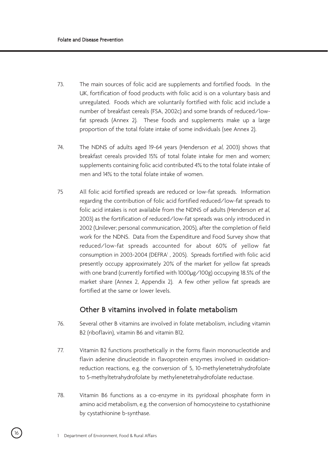- 73. The main sources of folic acid are supplements and fortified foods. In the UK, fortification of food products with folic acid is on a voluntary basis and unregulated. Foods which are voluntarily fortified with folic acid include a number of breakfast cereals (FSA, 2002c) and some brands of reduced/lowfat spreads (Annex 2). These foods and supplements make up a large proportion of the total folate intake of some individuals (see Annex 2).
- 74. The NDNS of adults aged 19-64 years (Henderson et al, 2003) shows that breakfast cereals provided 15% of total folate intake for men and women; supplements containing folic acid contributed 4% to the total folate intake of men and 14% to the total folate intake of women.
- 75 All folic acid fortified spreads are reduced or low-fat spreads. Information regarding the contribution of folic acid fortified reduced/low-fat spreads to folic acid intakes is not available from the NDNS of adults (Henderson et al, 2003) as the fortification of reduced/low-fat spreads was only introduced in 2002 (Unilever; personal communication, 2005), after the completion of field work for the NDNS. Data from the Expenditure and Food Survey show that reduced/low-fat spreads accounted for about 60% of yellow fat consumption in 2003-2004 (DEFRA<sup>1</sup>, 2005). Spreads fortified with folic acid presently occupy approximately 20% of the market for yellow fat spreads with one brand (currently fortified with 1000µg/100g) occupying 18.5% of the market share (Annex 2, Appendix 2). A few other yellow fat spreads are fortified at the same or lower levels.

## Other B vitamins involved in folate metabolism

- 76. Several other B vitamins are involved in folate metabolism, including vitamin B2 (riboflavin), vitamin B6 and vitamin B12.
- 77. Vitamin B2 functions prosthetically in the forms flavin mononucleotide and flavin adenine dinucleotide in flavoprotein enzymes involved in oxidationreduction reactions, e.g. the conversion of 5, 10-methylenetetrahydrofolate to 5-methyltetrahydrofolate by methylenetetrahydrofolate reductase.
- 78. Vitamin B6 functions as a co-enzyme in its pyridoxal phosphate form in amino acid metabolism, e.g. the conversion of homocysteine to cystathionine by cystathionine b-synthase.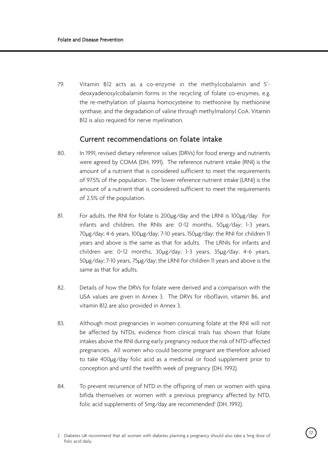79. Vitamin B12 acts as a co-enzyme in the methylcobalamin and 5' deoxyadenosylcobalamin forms in the recycling of folate co-enzymes, e.g. the re-methylation of plasma homocysteine to methionine by methionine synthase, and the degradation of valine through methylmalonyl CoA. Vitamin B12 is also required for nerve myelination.

## Current recommendations on folate intake

- 80. In 1991, revised dietary reference values (DRVs) for food energy and nutrients were agreed by COMA (DH, 1991). The reference nutrient intake (RNI) is the amount of a nutrient that is considered sufficient to meet the requirements of 97.5% of the population. The lower reference nutrient intake (LRNI) is the amount of a nutrient that is considered sufficient to meet the requirements of 2.5% of the population.
- 81. For adults, the RNI for folate is 200µg/day and the LRNI is 100µg/day. For infants and children, the RNIs are: 0-12 months, 50µg/day; 1-3 years, 70µg/day; 4-6 years, 100µg/day; 7-10 years, 150µg/day; the RNI for children 11 years and above is the same as that for adults. The LRNIs for infants and children are: 0-12 months, 30µg/day; 1-3 years, 35µg/day; 4-6 years, 50µg/day; 7-10 years, 75µg/day; the LRNI for children 11 years and above is the same as that for adults.
- 82. Details of how the DRVs for folate were derived and a comparison with the USA values are given in Annex 3. The DRVs for riboflavin, vitamin B6, and vitamin B12 are also provided in Annex 3.
- 83. Although most pregnancies in women consuming folate at the RNI will not be affected by NTDs, evidence from clinical trials has shown that folate intakes above the RNI during early pregnancy reduce the risk of NTD-affected pregnancies. All women who could become pregnant are therefore advised to take 400µg/day folic acid as a medicinal or food supplement prior to conception and until the twelfth week of pregnancy (DH, 1992).
- 84. To prevent recurrence of NTD in the offspring of men or women with spina bifida themselves or women with a previous pregnancy affected by NTD, folic acid supplements of 5mg/day are recommended<sup>2</sup> (DH, 1992).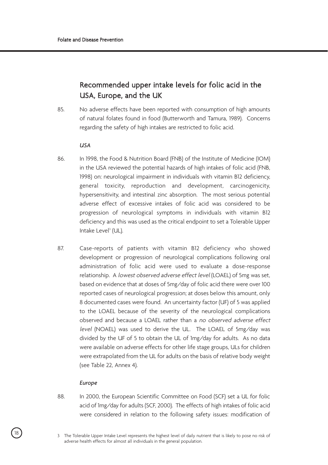## Recommended upper intake levels for folic acid in the USA, Europe, and the UK

85. No adverse effects have been reported with consumption of high amounts of natural folates found in food (Butterworth and Tamura, 1989). Concerns regarding the safety of high intakes are restricted to folic acid.

#### *USA*

- 86. In 1998, the Food & Nutrition Board (FNB) of the Institute of Medicine (IOM) in the USA reviewed the potential hazards of high intakes of folic acid (FNB, 1998) on: neurological impairment in individuals with vitamin B12 deficiency, general toxicity, reproduction and development, carcinogenicity, hypersensitivity, and intestinal zinc absorption. The most serious potential adverse effect of excessive intakes of folic acid was considered to be progression of neurological symptoms in individuals with vitamin B12 deficiency and this was used as the critical endpoint to set a Tolerable Upper Intake Level<sup>3</sup> (UL).
- 87. Case-reports of patients with vitamin B12 deficiency who showed development or progression of neurological complications following oral administration of folic acid were used to evaluate a dose-response relationship. A lowest observed adverse effect level (LOAEL) of 5mg was set, based on evidence that at doses of 5mg/day of folic acid there were over 100 reported cases of neurological progression; at doses below this amount, only 8 documented cases were found. An uncertainty factor (UF) of 5 was applied to the LOAEL because of the severity of the neurological complications observed and because a LOAEL rather than a no observed adverse effect level (NOAEL) was used to derive the UL. The LOAEL of 5mg/day was divided by the UF of 5 to obtain the UL of 1mg/day for adults. As no data were available on adverse effects for other life stage groups, ULs for children were extrapolated from the UL for adults on the basis of relative body weight (see Table 22, Annex 4).

#### *Europe*

88. In 2000, the European Scientific Committee on Food (SCF) set a UL for folic acid of 1mg/day for adults (SCF, 2000). The effects of high intakes of folic acid were considered in relation to the following safety issues: modification of

<sup>18</sup> 3 The Tolerable Upper Intake Level represents the highest level of daily nutrient that is likely to pose no risk of adverse health effects for almost all individuals in the general population.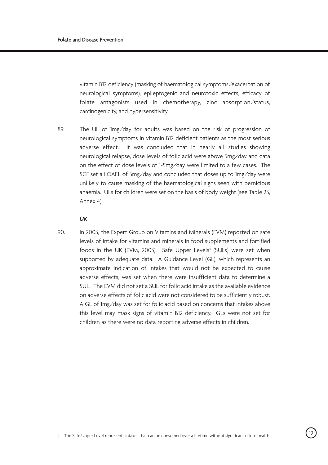vitamin B12 deficiency (masking of haematological symptoms/exacerbation of neurological symptoms), epileptogenic and neurotoxic effects, efficacy of folate antagonists used in chemotherapy, zinc absorption/status, carcinogenicity, and hypersensitivity.

89. The UL of 1mg/day for adults was based on the risk of progression of neurological symptoms in vitamin B12 deficient patients as the most serious adverse effect. It was concluded that in nearly all studies showing neurological relapse, dose levels of folic acid were above 5mg/day and data on the effect of dose levels of 1-5mg/day were limited to a few cases. The SCF set a LOAEL of 5mg/day and concluded that doses up to 1mg/day were unlikely to cause masking of the haematological signs seen with pernicious anaemia. ULs for children were set on the basis of body weight (see Table 23, Annex 4).

#### *UK*

90. In 2003, the Expert Group on Vitamins and Minerals (EVM) reported on safe levels of intake for vitamins and minerals in food supplements and fortified foods in the UK (EVM, 2003). Safe Upper Levels<sup>4</sup> (SULs) were set when supported by adequate data. A Guidance Level (GL), which represents an approximate indication of intakes that would not be expected to cause adverse effects, was set when there were insufficient data to determine a SUL. The EVM did not set a SUL for folic acid intake as the available evidence on adverse effects of folic acid were not considered to be sufficiently robust. A GL of 1mg/day was set for folic acid based on concerns that intakes above this level may mask signs of vitamin B12 deficiency. GLs were not set for children as there were no data reporting adverse effects in children.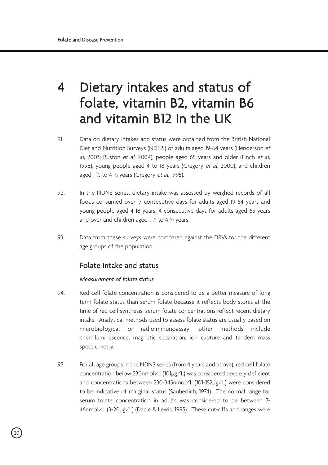## 4 Dietary intakes and status of folate, vitamin B2, vitamin B6 and vitamin B12 in the UK

- 91. Data on dietary intakes and status were obtained from the British National Diet and Nutrition Surveys (NDNS) of adults aged 19-64 years (Henderson et al, 2003; Ruston et al, 2004), people aged 65 years and older (Finch et al, 1998), young people aged 4 to 18 years (Gregory et al, 2000), and children aged  $1\frac{1}{2}$  to 4  $\frac{1}{2}$  years (Gregory et al, 1995).
- 92. In the NDNS series, dietary intake was assessed by weighed records of all foods consumed over: 7 consecutive days for adults aged 19-64 years and young people aged 4-18 years; 4 consecutive days for adults aged 65 years and over and children aged  $1\frac{1}{2}$  to 4  $\frac{1}{2}$  years.
- 93. Data from these surveys were compared against the DRVs for the different age groups of the population.

## Folate intake and status

#### *Measurement of folate status*

- 94. Red cell folate concentration is considered to be a better measure of long term folate status than serum folate because it reflects body stores at the time of red cell synthesis; serum folate concentrations reflect recent dietary intake. Analytical methods used to assess folate status are usually based on microbiological or radioimmunoassay; other methods include chemiluminescence, magnetic separation, ion capture and tandem mass spectrometry.
- 95. For all age groups in the NDNS series (from 4 years and above), red cell folate concentration below 230nmol/L (101µg/L) was considered severely deficient and concentrations between 230-345nmol/L (101-152µg/L) were considered to be indicative of marginal status (Sauberlich, 1974). The normal range for serum folate concentration in adults was considered to be between 7- 46nmol/L (3-20µg/L) (Dacie & Lewis, 1995). These cut-offs and ranges were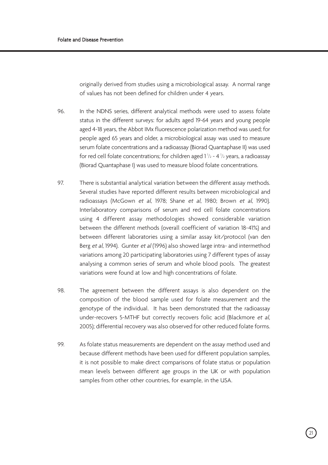originally derived from studies using a microbiological assay. A normal range of values has not been defined for children under 4 years.

- 96. In the NDNS series, different analytical methods were used to assess folate status in the different surveys: for adults aged 19-64 years and young people aged 4-18 years, the Abbot IMx fluorescence polarization method was used; for people aged 65 years and older, a microbiological assay was used to measure serum folate concentrations and a radioassay (Biorad Quantaphase II) was used for red cell folate concentrations; for children aged  $1\frac{1}{2}$  - 4 $\frac{1}{2}$  years, a radioassay (Biorad Quantaphase I) was used to measure blood folate concentrations.
- 97. There is substantial analytical variation between the different assay methods. Several studies have reported different results between microbiological and radioassays (McGown et al, 1978; Shane et al, 1980; Brown et al, 1990). Interlaboratory comparisons of serum and red cell folate concentrations using 4 different assay methodologies showed considerable variation between the different methods (overall coefficient of variation 18-41%) and between different laboratories using a similar assay kit/protocol (van den Berg et al, 1994). Gunter et al (1996) also showed large intra- and intermethod variations among 20 participating laboratories using 7 different types of assay analysing a common series of serum and whole blood pools. The greatest variations were found at low and high concentrations of folate.
- 98. The agreement between the different assays is also dependent on the composition of the blood sample used for folate measurement and the genotype of the individual. It has been demonstrated that the radioassay under-recovers 5-MTHF but correctly recovers folic acid (Blackmore et al, 2005); differential recovery was also observed for other reduced folate forms.
- 99. As folate status measurements are dependent on the assay method used and because different methods have been used for different population samples, it is not possible to make direct comparisons of folate status or population mean levels between different age groups in the UK or with population samples from other other countries, for example, in the USA.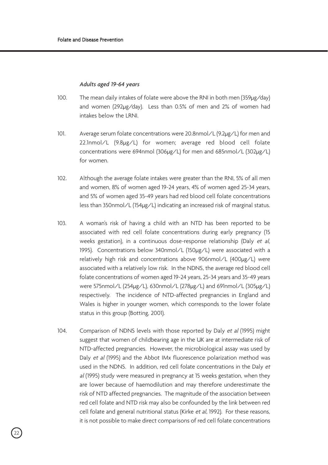#### *Adults aged 19-64 years*

- 100. The mean daily intakes of folate were above the RNI in both men (359µg/day) and women (292µg/day). Less than 0.5% of men and 2% of women had intakes below the LRNI.
- 101. Average serum folate concentrations were 20.8nmol/L (9.2µg/L) for men and 22.1nmol/L (9.8µg/L) for women; average red blood cell folate concentrations were 694nmol (306µg/L) for men and 685nmol/L (302µg/L) for women.
- 102. Although the average folate intakes were greater than the RNI, 5% of all men and women, 8% of women aged 19-24 years, 4% of women aged 25-34 years, and 5% of women aged 35-49 years had red blood cell folate concentrations less than 350nmol/L (154µg/L) indicating an increased risk of marginal status.
- 103. A woman's risk of having a child with an NTD has been reported to be associated with red cell folate concentrations during early pregnancy (15 weeks gestation), in a continuous dose-response relationship (Daly et al, 1995). Concentrations below 340nmol/L (150µg/L) were associated with a relatively high risk and concentrations above 906nmol/L (400µg/L) were associated with a relatively low risk. In the NDNS, the average red blood cell folate concentrations of women aged 19-24 years, 25-34 years and 35-49 years were 575nmol/L (254µg/L), 630nmol/L (278µg/L) and 691nmol/L (305µg/L) respectively. The incidence of NTD-affected pregnancies in England and Wales is higher in younger women, which corresponds to the lower folate status in this group (Botting, 2001).
- 104. Comparison of NDNS levels with those reported by Daly et al (1995) might suggest that women of childbearing age in the UK are at intermediate risk of NTD-affected pregnancies. However, the microbiological assay was used by Daly et al (1995) and the Abbot IMx fluorescence polarization method was used in the NDNS. In addition, red cell folate concentrations in the Daly et al (1995) study were measured in pregnancy at 15 weeks gestation, when they are lower because of haemodilution and may therefore underestimate the risk of NTD affected pregnancies. The magnitude of the association between red cell folate and NTD risk may also be confounded by the link between red cell folate and general nutritional status (Kirke et al, 1992). For these reasons, it is not possible to make direct comparisons of red cell folate concentrations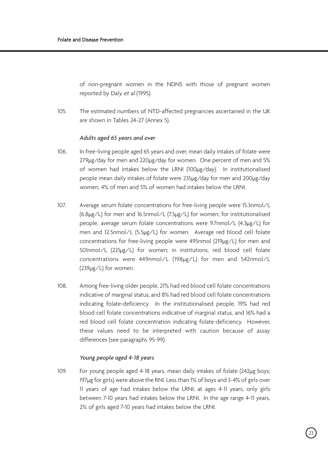of non-pregnant women in the NDNS with those of pregnant women reported by Daly et al (1995).

105. The estimated numbers of NTD-affected pregnancies ascertained in the UK are shown in Tables 24-27 (Annex 5).

#### *Adults aged 65 years and over*

- 106. In free-living people aged 65 years and over, mean daily intakes of folate were 279µg/day for men and 220µg/day for women. One percent of men and 5% of women had intakes below the LRNI (100µg/day). In institutionalised people mean daily intakes of folate were 235µg/day for men and 200µg/day women; 4% of men and 5% of women had intakes below the LRNI.
- 107. Average serum folate concentrations for free-living people were 15.3nmol/L (6.8µg/L) for men and 16.5nmol/L (7.3µg/L) for women; for institutionalised people, average serum folate concentrations were 9.7nmol/L (4.3µg/L) for men and 12.5nmol/L (5.5µg/L) for women. Average red blood cell folate concentrations for free-living people were 495nmol (219µg/L) for men and 501nmol/L (221µg/L) for women; in institutions, red blood cell folate concentrations were 449nmol/L (198µg/L) for men and 542nmol/L (239µg/L) for women.
- 108. Among free-living older people, 21% had red blood cell folate concentrations indicative of marginal status, and 8% had red blood cell folate concentrations indicating folate-deficiency. In the institutionalised people, 19% had red blood cell folate concentrations indicative of marginal status, and 16% had a red blood cell folate concentration indicating folate-deficiency. However, these values need to be interpreted with caution because of assay differences (see paragraphs 95-99).

#### *Young people aged 4-18 years*

109. For young people aged 4-18 years, mean daily intakes of folate (242µg boys; 197µg for girls) were above the RNI. Less than 1% of boys and 3-4% of girls over 11 years of age had intakes below the LRNI; at ages 4-11 years, only girls between 7-10 years had intakes below the LRNI. In the age range 4-11 years, 2% of girls aged 7-10 years had intakes below the LRNI.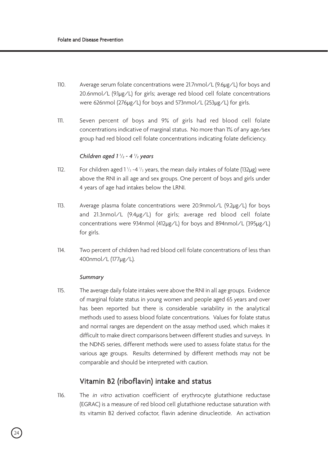- 110. Average serum folate concentrations were 21.7nmol/L (9.6µg/L) for boys and 20.6nmol/L (9.1µg/L) for girls; average red blood cell folate concentrations were 626nmol (276µg/L) for boys and 573nmol/L (253µg/L) for girls.
- 111. Seven percent of boys and 9% of girls had red blood cell folate concentrations indicative of marginal status. No more than 1% of any age/sex group had red blood cell folate concentrations indicating folate deficiency.

#### *Children aged 1 1 /2 - 4 1 /2 years*

- 112. For children aged  $1\frac{1}{2}$  -4  $\frac{1}{2}$  years, the mean daily intakes of folate (132µg) were above the RNI in all age and sex groups. One percent of boys and girls under 4 years of age had intakes below the LRNI.
- 113. Average plasma folate concentrations were 20.9nmol/L (9.2µg/L) for boys and 21.3nmol/L (9.4µg/L) for girls; average red blood cell folate concentrations were 934nmol (412µg/L) for boys and 894nmol/L (395µg/L) for girls.
- 114. Two percent of children had red blood cell folate concentrations of less than 400nmol/L (177µg/L).

#### *Summary*

115. The average daily folate intakes were above the RNI in all age groups. Evidence of marginal folate status in young women and people aged 65 years and over has been reported but there is considerable variability in the analytical methods used to assess blood folate concentrations. Values for folate status and normal ranges are dependent on the assay method used, which makes it difficult to make direct comparisons between different studies and surveys. In the NDNS series, different methods were used to assess folate status for the various age groups. Results determined by different methods may not be comparable and should be interpreted with caution.

## Vitamin B2 (riboflavin) intake and status

116. The *in vitro* activation coefficient of erythrocyte glutathione reductase (EGRAC) is a measure of red blood cell glutathione reductase saturation with its vitamin B2 derived cofactor, flavin adenine dinucleotide. An activation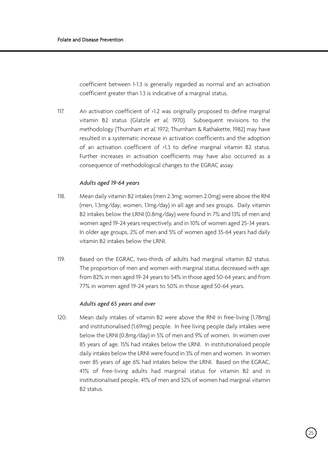coefficient between 1-1.3 is generally regarded as normal and an activation coefficient greater than 1.3 is indicative of a marginal status.

117. An activation coefficient of >1.2 was originally proposed to define marginal vitamin B2 status (Glatzle et al, 1970). Subsequent revisions to the methodology (Thurnham et al, 1972; Thurnham & Rathakette, 1982) may have resulted in a systematic increase in activation coefficients and the adoption of an activation coefficient of >1.3 to define marginal vitamin B2 status. Further increases in activation coefficients may have also occurred as a consequence of methodological changes to the EGRAC assay.

#### *Adults aged 19-64 years*

- 118. Mean daily vitamin B2 intakes (men 2.3mg; women 2.0mg) were above the RNI (men, 1.3mg/day; women, 1.1mg/day) in all age and sex groups. Daily vitamin B2 intakes below the LRNI (0.8mg/day) were found in 7% and 13% of men and women aged 19-24 years respectively, and in 10% of women aged 25-34 years. In older age groups, 2% of men and 5% of women aged 35-64 years had daily vitamin B2 intakes below the LRNI.
- 119. Based on the EGRAC, two-thirds of adults had marginal vitamin B2 status. The proportion of men and women with marginal status decreased with age: from 82% in men aged 19-24 years to 54% in those aged 50-64 years; and from 77% in women aged 19-24 years to 50% in those aged 50-64 years.

#### *Adults aged 65 years and over*

120. Mean daily intakes of vitamin B2 were above the RNI in free-living (1.78mg) and institutionalised (1.69mg) people. In free living people daily intakes were below the LRNI (0.8mg/day) in 5% of men and 9% of women. In women over 85 years of age, 15% had intakes below the LRNI. In institutionalised people daily intakes below the LRNI were found in 3% of men and women. In women over 85 years of age 6% had intakes below the LRNI. Based on the EGRAC, 41% of free-living adults had marginal status for vitamin B2 and in institutionalised people, 41% of men and 32% of women had marginal vitamin B2 status.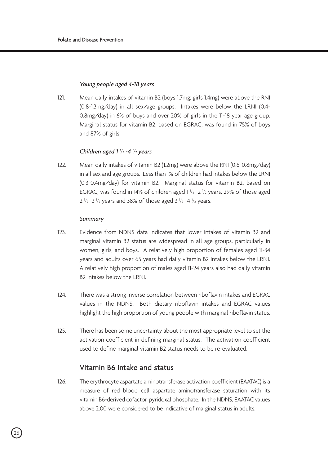## *Young people aged 4-18 years*

121. Mean daily intakes of vitamin B2 (boys 1.7mg; girls 1.4mg) were above the RNI (0.8-1.3mg/day) in all sex/age groups. Intakes were below the LRNI (0.4- 0.8mg/day) in 6% of boys and over 20% of girls in the 11-18 year age group. Marginal status for vitamin B2, based on EGRAC, was found in 75% of boys and 87% of girls.

# *Children aged 1 1 /2 -4 1 /2 years*

122. Mean daily intakes of vitamin B2 (1.2mg) were above the RNI (0.6-0.8mg/day) in all sex and age groups. Less than 1% of children had intakes below the LRNI (0.3-0.4mg/day) for vitamin B2. Marginal status for vitamin B2, based on EGRAC, was found in 14% of children aged  $1\frac{1}{2}$  -2  $\frac{1}{2}$  years, 29% of those aged 2  $\frac{1}{2}$  -3  $\frac{1}{2}$  years and 38% of those aged 3  $\frac{1}{2}$  -4  $\frac{1}{2}$  years.

### *Summary*

- 123. Evidence from NDNS data indicates that lower intakes of vitamin B2 and marginal vitamin B2 status are widespread in all age groups, particularly in women, girls, and boys. A relatively high proportion of females aged 11-34 years and adults over 65 years had daily vitamin B2 intakes below the LRNI. A relatively high proportion of males aged 11-24 years also had daily vitamin B2 intakes below the LRNI.
- 124. There was a strong inverse correlation between riboflavin intakes and EGRAC values in the NDNS. Both dietary riboflavin intakes and EGRAC values highlight the high proportion of young people with marginal riboflavin status.
- 125. There has been some uncertainty about the most appropriate level to set the activation coefficient in defining marginal status. The activation coefficient used to define marginal vitamin B2 status needs to be re-evaluated.

# Vitamin B6 intake and status

126. The erythrocyte aspartate aminotransferase activation coefficient (EAATAC) is a measure of red blood cell aspartate aminotransferase saturation with its vitamin B6-derived cofactor, pyridoxal phosphate. In the NDNS, EAATAC values above 2.00 were considered to be indicative of marginal status in adults.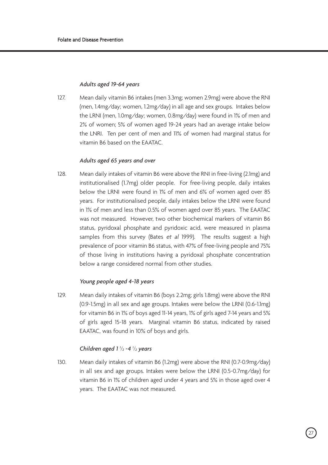### *Adults aged 19-64 years*

127. Mean daily vitamin B6 intakes (men 3.3mg; women 2.9mg) were above the RNI (men, 1.4mg/day; women, 1.2mg/day) in all age and sex groups. Intakes below the LRNI (men, 1.0mg/day; women, 0.8mg/day) were found in 1% of men and 2% of women; 5% of women aged 19-24 years had an average intake below the LNRI. Ten per cent of men and 11% of women had marginal status for vitamin B6 based on the EAATAC.

# *Adults aged 65 years and over*

128. Mean daily intakes of vitamin B6 were above the RNI in free-living (2.1mg) and institutionalised (1.7mg) older people. For free-living people, daily intakes below the LRNI were found in 1% of men and 6% of women aged over 85 years. For institutionalised people, daily intakes below the LRNI were found in 1% of men and less than 0.5% of women aged over 85 years. The EAATAC was not measured. However, two other biochemical markers of vitamin B6 status, pyridoxal phosphate and pyridoxic acid, were measured in plasma samples from this survey (Bates et al 1999). The results suggest a high prevalence of poor vitamin B6 status, with 47% of free-living people and 75% of those living in institutions having a pyridoxal phosphate concentration below a range considered normal from other studies.

# *Young people aged 4-18 years*

129. Mean daily intakes of vitamin B6 (boys 2.2mg; girls 1.8mg) were above the RNI (0.9-1.5mg) in all sex and age groups. Intakes were below the LRNI (0.6-1.1mg) for vitamin B6 in 1% of boys aged 11-14 years, 1% of girls aged 7-14 years and 5% of girls aged 15-18 years. Marginal vitamin B6 status, indicated by raised EAATAC, was found in 10% of boys and girls.

# *Children aged 1 1 /2 -4 1 /2 years*

130. Mean daily intakes of vitamin B6 (1.2mg) were above the RNI (0.7-0.9mg/day) in all sex and age groups. Intakes were below the LRNI (0.5-0.7mg/day) for vitamin B6 in 1% of children aged under 4 years and 5% in those aged over 4 years. The EAATAC was not measured.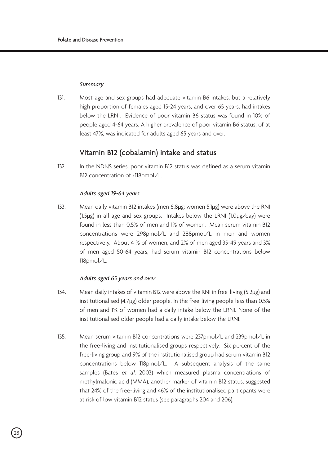#### *Summary*

131. Most age and sex groups had adequate vitamin B6 intakes, but a relatively high proportion of females aged 15-24 years, and over 65 years, had intakes below the LRNI. Evidence of poor vitamin B6 status was found in 10% of people aged 4-64 years. A higher prevalence of poor vitamin B6 status, of at least 47%, was indicated for adults aged 65 years and over.

# Vitamin B12 (cobalamin) intake and status

132. In the NDNS series, poor vitamin B12 status was defined as a serum vitamin B12 concentration of <118pmol/L.

### *Adults aged 19-64 years*

133. Mean daily vitamin B12 intakes (men 6.8µg; women 5.1µg) were above the RNI (1.5µg) in all age and sex groups. Intakes below the LRNI (1.0µg/day) were found in less than 0.5% of men and 1% of women. Mean serum vitamin B12 concentrations were 298pmol/L and 288pmol/L in men and women respectively. About 4 % of women, and 2% of men aged 35-49 years and 3% of men aged 50-64 years, had serum vitamin B12 concentrations below 118pmol/L.

#### *Adults aged 65 years and over*

- 134. Mean daily intakes of vitamin B12 were above the RNI in free-living (5.2µg) and institutionalised (4.7µg) older people. In the free-living people less than 0.5% of men and 1% of women had a daily intake below the LRNI. None of the institutionalised older people had a daily intake below the LRNI.
- 135. Mean serum vitamin B12 concentrations were 237pmol/L and 239pmol/L in the free-living and institutionalised groups respectively. Six percent of the free-living group and 9% of the institutionalised group had serum vitamin B12 concentrations below 118pmol/L. A subsequent analysis of the same samples (Bates et al, 2003) which measured plasma concentrations of methylmalonic acid (MMA), another marker of vitamin B12 status, suggested that 24% of the free-living and 46% of the institutionalised particpants were at risk of low vitamin B12 status (see paragraphs 204 and 206).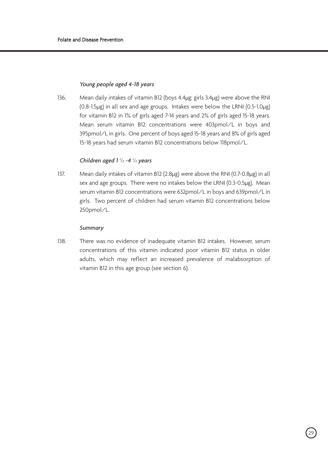# *Young people aged 4-18 years*

136. Mean daily intakes of vitamin B12 (boys 4.4µg; girls 3.4µg) were above the RNI (0.8-1.5µg) in all sex and age groups. Intakes were below the LRNI (0.5-1.0µg) for vitamin B12 in 1% of girls aged 7-14 years and 2% of girls aged 15-18 years. Mean serum vitamin B12 concentrations were 403pmol/L in boys and 395pmol/L in girls. One percent of boys aged 15-18 years and 8% of girls aged 15-18 years had serum vitamin B12 concentrations below 118pmol/L.

# *Children aged 1 1 /2 -4 1 /2 years*

137. Mean daily intakes of vitamin B12 (2.8µg) were above the RNI (0.7-0.8µg) in all sex and age groups. There were no intakes below the LRNI (0.3-0.5µg). Mean serum vitamin B12 concentrations were 632pmol/L in boys and 639pmol/L in girls. Two percent of children had serum vitamin B12 concentrations below 250pmol/L.

### *Summary*

138. There was no evidence of inadequate vitamin B12 intakes. However, serum concentrations of this vitamin indicated poor vitamin B12 status in older adults, which may reflect an increased prevalence of malabsorption of vitamin B12 in this age group (see section 6).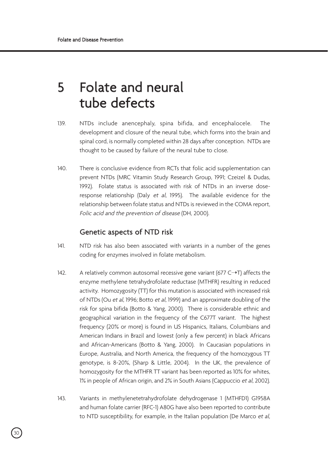# 5 Folate and neural tube defects

- 139. NTDs include anencephaly, spina bifida, and encephalocele. The development and closure of the neural tube, which forms into the brain and spinal cord, is normally completed within 28 days after conception. NTDs are thought to be caused by failure of the neural tube to close.
- 140. There is conclusive evidence from RCTs that folic acid supplementation can prevent NTDs (MRC Vitamin Study Research Group, 1991; Czeizel & Dudas, 1992). Folate status is associated with risk of NTDs in an inverse doseresponse relationship (Daly et al, 1995). The available evidence for the relationship between folate status and NTDs is reviewed in the COMA report, Folic acid and the prevention of disease (DH, 2000).

# Genetic aspects of NTD risk

- 141. NTD risk has also been associated with variants in a number of the genes coding for enzymes involved in folate metabolism.
- 142. A relatively common autosomal recessive gene variant (677 C**➝**T) affects the enzyme methylene tetrahydrofolate reductase (MTHFR) resulting in reduced activity. Homozygosity (TT) for this mutation is associated with increased risk of NTDs (Ou et al, 1996; Botto et al, 1999) and an approximate doubling of the risk for spina bifida (Botto & Yang, 2000). There is considerable ethnic and geographical variation in the frequency of the C677T variant. The highest frequency (20% or more) is found in US Hispanics, Italians, Columbians and American Indians in Brazil and lowest (only a few percent) in black Africans and African-Americans (Botto & Yang, 2000). In Caucasian populations in Europe, Australia, and North America, the frequency of the homozygous TT genotype, is 8-20%, (Sharp & Little, 2004). In the UK, the prevalence of homozygosity for the MTHFR TT variant has been reported as 10% for whites, 1% in people of African origin, and 2% in South Asians (Cappuccio et al, 2002).
- 143. Variants in methylenetetrahydrofolate dehydrogenase 1 (MTHFD1) G1958A and human folate carrier (RFC-1) A80G have also been reported to contribute to NTD susceptibility, for example, in the Italian population (De Marco et al,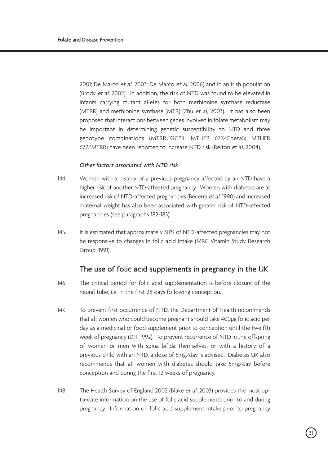2001; De Marco et al, 2003; De Marco et al, 2006) and in an Irish population (Brody et al, 2002). In addition, the risk of NTD was found to be elevated in infants carrying mutant alleles for both methionine synthase reductase (MTRR) and methionine synthase (MTR) (Zhu et al, 2003). It has also been proposed that interactions between genes involved in folate metabolism may be important in determining genetic susceptibility to NTD and three genotype combinations (MTRR/GCPII; MTHFR 677/CbetaS; MTHFR 677/MTRR) have been reported to increase NTD risk (Relton et al, 2004).

## *Other factors associated with NTD risk*

- 144. Women with a history of a previous pregnancy affected by an NTD have a higher risk of another NTD-affected pregnancy. Women with diabetes are at increased risk of NTD-affected pregnancies (Becerra et al, 1990) and increased maternal weight has also been associated with greater risk of NTD-affected pregnancies (see paragraphs 182-183).
- 145. It is estimated that approximately 30% of NTD-affected pregnancies may not be responsive to changes in folic acid intake (MRC Vitamin Study Research Group, 1991).

# The use of folic acid supplements in pregnancy in the UK

- 146. The critical period for folic acid supplementation is before closure of the neural tube, i.e. in the first 28 days following conception.
- 147. To prevent first occurrence of NTD, the Department of Health recommends that all women who could become pregnant should take 400µg folic acid per day as a medicinal or food supplement prior to conception until the twelfth week of pregnancy (DH, 1992). To prevent recurrence of NTD in the offspring of women or men with spina bifida themselves, or with a history of a previous child with an NTD, a dose of 5mg/day is advised. Diabetes UK also recommends that all women with diabetes should take 5mg/day before conception and during the first 12 weeks of pregnancy.
- 148. The Health Survey of England 2002 (Blake et al. 2003) provides the most upto-date information on the use of folic acid supplements prior to and during pregnancy. Information on folic acid supplement intake prior to pregnancy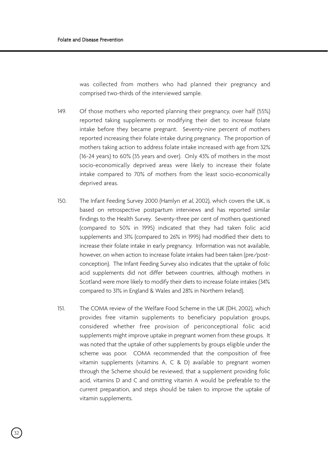was collected from mothers who had planned their pregnancy and comprised two-thirds of the interviewed sample.

- 149. Of those mothers who reported planning their pregnancy, over half (55%) reported taking supplements or modifying their diet to increase folate intake before they became pregnant. Seventy-nine percent of mothers reported increasing their folate intake during pregnancy. The proportion of mothers taking action to address folate intake increased with age from 32% (16-24 years) to 60% (35 years and over). Only 43% of mothers in the most socio-economically deprived areas were likely to increase their folate intake compared to 70% of mothers from the least socio-economically deprived areas.
- 150. The Infant Feeding Survey 2000 (Hamlyn et al, 2002), which covers the UK, is based on retrospective postpartum interviews and has reported similar findings to the Health Survey. Seventy-three per cent of mothers questioned (compared to 50% in 1995) indicated that they had taken folic acid supplements and 31% (compared to 26% in 1995) had modified their diets to increase their folate intake in early pregnancy. Information was not available, however, on when action to increase folate intakes had been taken (pre/postconception). The Infant Feeding Survey also indicates that the uptake of folic acid supplements did not differ between countries, although mothers in Scotland were more likely to modify their diets to increase folate intakes (34% compared to 31% in England & Wales and 28% in Northern Ireland).
- 151. The COMA review of the Welfare Food Scheme in the UK (DH, 2002), which provides free vitamin supplements to beneficiary population groups, considered whether free provision of periconceptional folic acid supplements might improve uptake in pregnant women from these groups. It was noted that the uptake of other supplements by groups eligible under the scheme was poor. COMA recommended that the composition of free vitamin supplements (vitamins A, C & D) available to pregnant women through the Scheme should be reviewed, that a supplement providing folic acid, vitamins D and C and omitting vitamin A would be preferable to the current preparation, and steps should be taken to improve the uptake of vitamin supplements.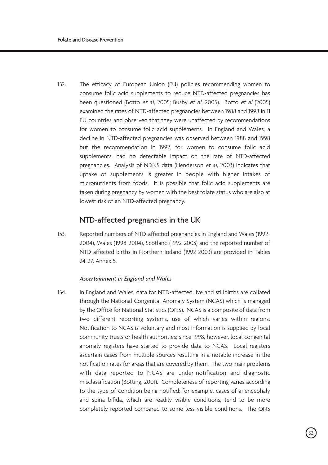152. The efficacy of European Union (EU) policies recommending women to consume folic acid supplements to reduce NTD-affected pregnancies has been questioned (Botto et al, 2005; Busby et al, 2005). Botto et al (2005) examined the rates of NTD-affected pregnancies between 1988 and 1998 in 11 EU countries and observed that they were unaffected by recommendations for women to consume folic acid supplements. In England and Wales, a decline in NTD-affected pregnancies was observed between 1988 and 1998 but the recommendation in 1992, for women to consume folic acid supplements, had no detectable impact on the rate of NTD-affected pregnancies. Analysis of NDNS data (Henderson et al, 2003) indicates that uptake of supplements is greater in people with higher intakes of micronutrients from foods. It is possible that folic acid supplements are taken during pregnancy by women with the best folate status who are also at lowest risk of an NTD-affected pregnancy.

# NTD-affected pregnancies in the UK

153. Reported numbers of NTD-affected pregnancies in England and Wales (1992- 2004), Wales (1998-2004), Scotland (1992-2003) and the reported number of NTD-affected births in Northern Ireland (1992-2003) are provided in Tables 24-27, Annex 5.

#### *Ascertainment in England and Wales*

154. In England and Wales, data for NTD-affected live and stillbirths are collated through the National Congenital Anomaly System (NCAS) which is managed by the Office for National Statistics (ONS). NCAS is a composite of data from two different reporting systems, use of which varies within regions. Notification to NCAS is voluntary and most information is supplied by local community trusts or health authorities; since 1998, however, local congenital anomaly registers have started to provide data to NCAS. Local registers ascertain cases from multiple sources resulting in a notable increase in the notification rates for areas that are covered by them. The two main problems with data reported to NCAS are under-notification and diagnostic misclassification (Botting, 2001). Completeness of reporting varies according to the type of condition being notified; for example, cases of anencephaly and spina bifida, which are readily visible conditions, tend to be more completely reported compared to some less visible conditions. The ONS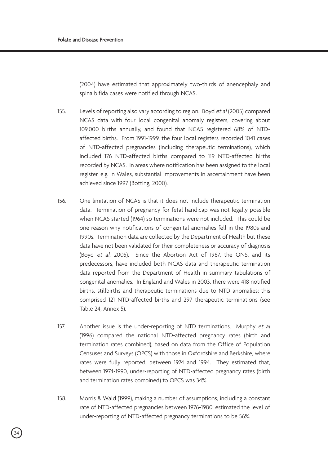(2004) have estimated that approximately two-thirds of anencephaly and spina bifida cases were notified through NCAS.

- 155. Levels of reporting also vary according to region. Boyd et al (2005) compared NCAS data with four local congenital anomaly registers, covering about 109,000 births annually, and found that NCAS registered 68% of NTDaffected births. From 1991-1999, the four local registers recorded 1041 cases of NTD-affected pregnancies (including therapeutic terminations), which included 176 NTD-affected births compared to 119 NTD-affected births recorded by NCAS. In areas where notification has been assigned to the local register, e.g. in Wales, substantial improvements in ascertainment have been achieved since 1997 (Botting, 2000).
- 156. One limitation of NCAS is that it does not include therapeutic termination data. Termination of pregnancy for fetal handicap was not legally possible when NCAS started (1964) so terminations were not included. This could be one reason why notifications of congenital anomalies fell in the 1980s and 1990s. Termination data are collected by the Department of Health but these data have not been validated for their completeness or accuracy of diagnosis (Boyd et al, 2005). Since the Abortion Act of 1967, the ONS, and its predecessors, have included both NCAS data and therapeutic termination data reported from the Department of Health in summary tabulations of congenital anomalies. In England and Wales in 2003, there were 418 notified births, stillbirths and therapeutic terminations due to NTD anomalies; this comprised 121 NTD-affected births and 297 therapeutic terminations (see Table 24, Annex 5).
- 157. Another issue is the under-reporting of NTD terminations. Murphy et all (1996) compared the national NTD-affected pregnancy rates (birth and termination rates combined), based on data from the Office of Population Censuses and Surveys (OPCS) with those in Oxfordshire and Berkshire, where rates were fully reported, between 1974 and 1994. They estimated that, between 1974-1990, under-reporting of NTD-affected pregnancy rates (birth and termination rates combined) to OPCS was 34%.
- 158. Morris & Wald (1999), making a number of assumptions, including a constant rate of NTD-affected pregnancies between 1976-1980, estimated the level of under-reporting of NTD-affected pregnancy terminations to be 56%.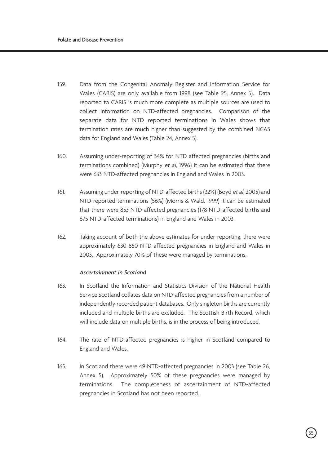- 159. Data from the Congenital Anomaly Register and Information Service for Wales (CARIS) are only available from 1998 (see Table 25, Annex 5). Data reported to CARIS is much more complete as multiple sources are used to collect information on NTD-affected pregnancies. Comparison of the separate data for NTD reported terminations in Wales shows that termination rates are much higher than suggested by the combined NCAS data for England and Wales (Table 24, Annex 5).
- 160. Assuming under-reporting of 34% for NTD affected pregnancies (births and terminations combined) (Murphy et al, 1996) it can be estimated that there were 633 NTD-affected pregnancies in England and Wales in 2003.
- 161. Assuming under-reporting of NTD-affected births (32%) (Boyd et al, 2005) and NTD-reported terminations (56%) (Morris & Wald, 1999) it can be estimated that there were 853 NTD-affected pregnancies (178 NTD-affected births and 675 NTD-affected terminations) in England and Wales in 2003.
- 162. Taking account of both the above estimates for under-reporting, there were approximately 630-850 NTD-affected pregnancies in England and Wales in 2003. Approximately 70% of these were managed by terminations.

# *Ascertainment in Scotland*

- 163. In Scotland the Information and Statistics Division of the National Health Service Scotland collates data on NTD-affected pregnancies from a number of independently recorded patient databases. Only singleton births are currently included and multiple births are excluded. The Scottish Birth Record, which will include data on multiple births, is in the process of being introduced.
- 164. The rate of NTD-affected pregnancies is higher in Scotland compared to England and Wales.
- 165. In Scotland there were 49 NTD-affected pregnancies in 2003 (see Table 26, Annex 5). Approximately 50% of these pregnancies were managed by terminations. The completeness of ascertainment of NTD-affected pregnancies in Scotland has not been reported.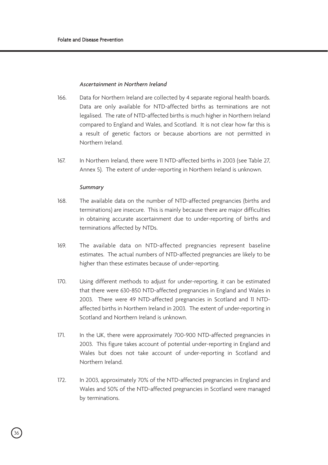# *Ascertainment in Northern Ireland*

- 166. Data for Northern Ireland are collected by 4 separate regional health boards. Data are only available for NTD-affected births as terminations are not legalised. The rate of NTD-affected births is much higher in Northern Ireland compared to England and Wales, and Scotland. It is not clear how far this is a result of genetic factors or because abortions are not permitted in Northern Ireland.
- 167. In Northern Ireland, there were 11 NTD-affected births in 2003 (see Table 27, Annex 5). The extent of under-reporting in Northern Ireland is unknown.

### *Summary*

- 168. The available data on the number of NTD-affected pregnancies (births and terminations) are insecure. This is mainly because there are major difficulties in obtaining accurate ascertainment due to under-reporting of births and terminations affected by NTDs.
- 169. The available data on NTD-affected pregnancies represent baseline estimates. The actual numbers of NTD-affected pregnancies are likely to be higher than these estimates because of under-reporting.
- 170. Using different methods to adjust for under-reporting, it can be estimated that there were 630-850 NTD-affected pregnancies in England and Wales in 2003. There were 49 NTD-affected pregnancies in Scotland and 11 NTDaffected births in Northern Ireland in 2003. The extent of under-reporting in Scotland and Northern Ireland is unknown.
- 171. In the UK, there were approximately 700-900 NTD-affected pregnancies in 2003. This figure takes account of potential under-reporting in England and Wales but does not take account of under-reporting in Scotland and Northern Ireland.
- 172. In 2003, approximately 70% of the NTD-affected pregnancies in England and Wales and 50% of the NTD-affected pregnancies in Scotland were managed by terminations.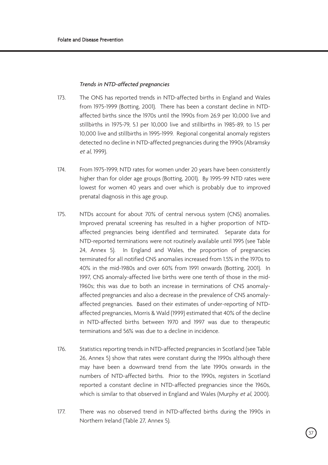### *Trends in NTD-affected pregnancies*

- 173. The ONS has reported trends in NTD-affected births in England and Wales from 1975-1999 (Botting, 2001). There has been a constant decline in NTDaffected births since the 1970s until the 1990s from 26.9 per 10,000 live and stillbirths in 1975-79, 5.1 per 10,000 live and stillbirths in 1985-89, to 1.5 per 10,000 live and stillbirths in 1995-1999. Regional congenital anomaly registers detected no decline in NTD-affected pregnancies during the 1990s (Abramsky et al, 1999).
- 174. From 1975-1999, NTD rates for women under 20 years have been consistently higher than for older age groups (Botting, 2001). By 1995-99 NTD rates were lowest for women 40 years and over which is probably due to improved prenatal diagnosis in this age group.
- 175. NTDs account for about 70% of central nervous system (CNS) anomalies. Improved prenatal screening has resulted in a higher proportion of NTDaffected pregnancies being identified and terminated. Separate data for NTD-reported terminations were not routinely available until 1995 (see Table 24, Annex 5). In England and Wales, the proportion of pregnancies terminated for all notified CNS anomalies increased from 1.5% in the 1970s to 40% in the mid-1980s and over 60% from 1991 onwards (Botting, 2001). In 1997, CNS anomaly-affected live births were one tenth of those in the mid-1960s; this was due to both an increase in terminations of CNS anomalyaffected pregnancies and also a decrease in the prevalence of CNS anomalyaffected pregnancies. Based on their estimates of under-reporting of NTDaffected pregnancies, Morris & Wald (1999) estimated that 40% of the decline in NTD-affected births between 1970 and 1997 was due to therapeutic terminations and 56% was due to a decline in incidence.
- 176. Statistics reporting trends in NTD-affected pregnancies in Scotland (see Table 26, Annex 5) show that rates were constant during the 1990s although there may have been a downward trend from the late 1990s onwards in the numbers of NTD-affected births. Prior to the 1990s, registers in Scotland reported a constant decline in NTD-affected pregnancies since the 1960s, which is similar to that observed in England and Wales (Murphy et al, 2000).
- 177. There was no observed trend in NTD-affected births during the 1990s in Northern Ireland (Table 27, Annex 5).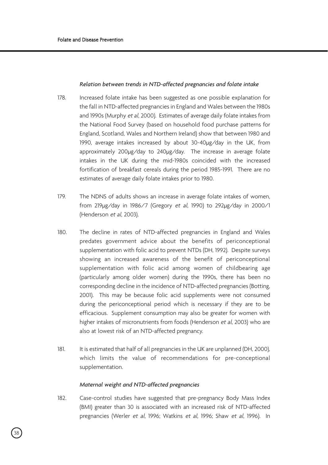# *Relation between trends in NTD-affected pregnancies and folate intake*

- 178. Increased folate intake has been suggested as one possible explanation for the fall in NTD-affected pregnancies in England and Wales between the 1980s and 1990s (Murphy et al, 2000). Estimates of average daily folate intakes from the National Food Survey (based on household food purchase patterns for England, Scotland, Wales and Northern Ireland) show that between 1980 and 1990, average intakes increased by about 30-40µg/day in the UK, from approximately 200µg/day to 240µg/day. The increase in average folate intakes in the UK during the mid-1980s coincided with the increased fortification of breakfast cereals during the period 1985-1991. There are no estimates of average daily folate intakes prior to 1980.
- 179. The NDNS of adults shows an increase in average folate intakes of women, from 219µg/day in 1986/7 (Gregory et al, 1990) to 292µg/day in 2000/1 (Henderson et al, 2003).
- 180. The decline in rates of NTD-affected pregnancies in England and Wales predates government advice about the benefits of periconceptional supplementation with folic acid to prevent NTDs (DH, 1992). Despite surveys showing an increased awareness of the benefit of periconceptional supplementation with folic acid among women of childbearing age (particularly among older women) during the 1990s, there has been no corresponding decline in the incidence of NTD-affected pregnancies (Botting, 2001). This may be because folic acid supplements were not consumed during the periconceptional period which is necessary if they are to be efficacious. Supplement consumption may also be greater for women with higher intakes of micronutrients from foods (Henderson et al, 2003) who are also at lowest risk of an NTD-affected pregnancy.
- 181. It is estimated that half of all pregnancies in the UK are unplanned (DH, 2000), which limits the value of recommendations for pre-conceptional supplementation.

### *Maternal weight and NTD-affected pregnancies*

182. Case-control studies have suggested that pre-pregnancy Body Mass Index (BMI) greater than 30 is associated with an increased risk of NTD-affected pregnancies (Werler et al, 1996; Watkins et al, 1996; Shaw et al, 1996). In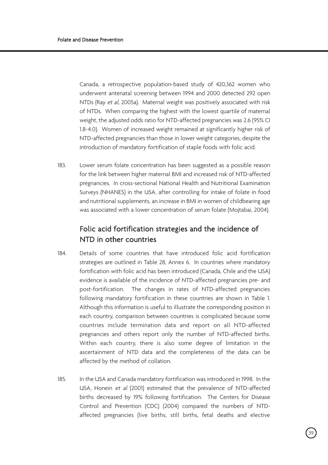Canada, a retrospective population-based study of 420,362 women who underwent antenatal screening between 1994 and 2000 detected 292 open NTDs (Ray et al, 2005a). Maternal weight was positively associated with risk of NTDs. When comparing the highest with the lowest quartile of maternal weight, the adjusted odds ratio for NTD-affected pregnancies was 2.6 (95% CI 1.8-4.0). Women of increased weight remained at significantly higher risk of NTD-affected pregnancies than those in lower weight categories, despite the introduction of mandatory fortification of staple foods with folic acid.

183. Lower serum folate concentration has been suggested as a possible reason for the link between higher maternal BMI and increased risk of NTD-affected pregnancies. In cross-sectional National Health and Nutritional Examination Surveys (NHANES) in the USA, after controlling for intake of folate in food and nutritional supplements, an increase in BMI in women of childbearing age was associated with a lower concentration of serum folate (Mojtabai, 2004).

# Folic acid fortification strategies and the incidence of NTD in other countries

- 184. Details of some countries that have introduced folic acid fortification strategies are outlined in Table 28, Annex 6. In countries where mandatory fortification with folic acid has been introduced (Canada, Chile and the USA) evidence is available of the incidence of NTD-affected pregnancies pre- and post-fortification. The changes in rates of NTD-affected pregnancies following mandatory fortification in these countries are shown in Table 1. Although this information is useful to illustrate the corresponding position in each country, comparison between countries is complicated because some countries include termination data and report on all NTD-affected pregnancies and others report only the number of NTD-affected births. Within each country, there is also some degree of limitation in the ascertainment of NTD data and the completeness of the data can be affected by the method of collation.
- 185. In the USA and Canada mandatory fortification was introduced in 1998. In the USA, Honein et al (2001) estimated that the prevalence of NTD-affected births decreased by 19% following fortification. The Centers for Disease Control and Prevention (CDC) (2004) compared the numbers of NTDaffected pregnancies (live births, still births, fetal deaths and elective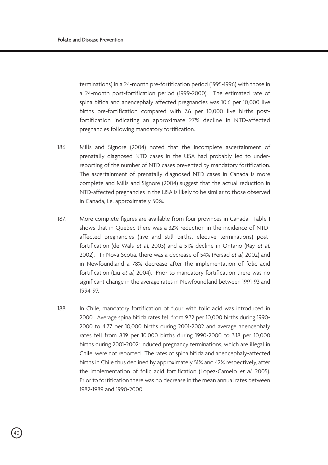terminations) in a 24-month pre-fortification period (1995-1996) with those in a 24-month post-fortification period (1999-2000). The estimated rate of spina bifida and anencephaly affected pregnancies was 10.6 per 10,000 live births pre-fortification compared with 7.6 per 10,000 live births postfortification indicating an approximate 27% decline in NTD-affected pregnancies following mandatory fortification.

- 186. Mills and Signore (2004) noted that the incomplete ascertainment of prenatally diagnosed NTD cases in the USA had probably led to underreporting of the number of NTD cases prevented by mandatory fortification. The ascertainment of prenatally diagnosed NTD cases in Canada is more complete and Mills and Signore (2004) suggest that the actual reduction in NTD-affected pregnancies in the USA is likely to be similar to those observed in Canada, i.e. approximately 50%.
- 187. More complete figures are available from four provinces in Canada. Table 1 shows that in Quebec there was a 32% reduction in the incidence of NTDaffected pregnancies (live and still births, elective terminations) postfortification (de Wals et al, 2003) and a 51% decline in Ontario (Ray et al, 2002). In Nova Scotia, there was a decrease of 54% (Persad et al, 2002) and in Newfoundland a 78% decrease after the implementation of folic acid fortification (Liu et al, 2004). Prior to mandatory fortification there was no significant change in the average rates in Newfoundland between 1991-93 and 1994-97.
- 188. In Chile, mandatory fortification of flour with folic acid was introduced in 2000. Average spina bifida rates fell from 9.32 per 10,000 births during 1990- 2000 to 4.77 per 10,000 births during 2001-2002 and average anencephaly rates fell from 8.19 per 10,000 births during 1990-2000 to 3.18 per 10,000 births during 2001-2002; induced pregnancy terminations, which are illegal in Chile, were not reported. The rates of spina bifida and anencephaly-affected births in Chile thus declined by approximately 51% and 42% respectively, after the implementation of folic acid fortification (Lopez-Camelo et al, 2005). Prior to fortification there was no decrease in the mean annual rates between 1982-1989 and 1990-2000.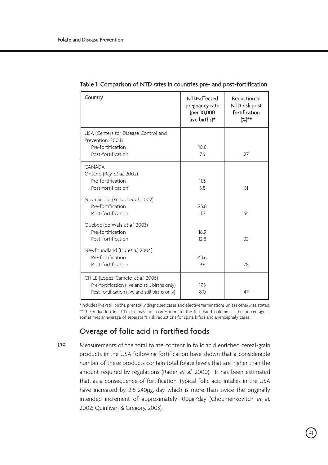| Country                                                                                                                               | NTD-affected<br>pregnancy rate<br>(per 10,000<br>live births)* | Reduction in<br>NTD risk post<br>fortification<br>$(%)^{**}$ |
|---------------------------------------------------------------------------------------------------------------------------------------|----------------------------------------------------------------|--------------------------------------------------------------|
| USA (Centers for Disease Control and<br>Prevention, 2004)<br>Pre-fortification<br>Post-fortification                                  | 10.6<br>7.6                                                    | 27                                                           |
| CANADA<br>Ontario (Ray et al, 2002)<br>Pre-fortification<br>Post-fortification                                                        | 11.3<br>58                                                     | 51                                                           |
| Nova Scotia (Persad et al, 2002)<br>Pre-fortification<br>Post-fortification                                                           | 25.8<br>11.7                                                   | 54                                                           |
| Quebec (de Wals et al, 2003)<br>Pre-fortification<br>Post-fortification                                                               | 189<br>12.8                                                    | 32                                                           |
| Newfoundland (Liu et al, 2004)<br>Pre-fortification<br>Post-fortification                                                             | 43.6<br>9.6                                                    | 78                                                           |
| CHILE (Lopez-Camelo et al, 2005)<br>Pre-fortification (live and still births only)<br>Post-fortification (live and still births only) | 175<br>8.0                                                     | 47                                                           |

Table 1. Comparison of NTD rates in countries pre- and post-fortification

\*Includes live/still births, prenatally diagnosed cases and elective terminations unless otherwise stated. \*\*The reduction in NTD risk may not correspond to the left hand column as the percentage is sometimes an average of separate % risk reductions for spina bifida and anencephaly cases.

# Overage of folic acid in fortified foods

189. Measurements of the total folate content in folic acid enriched cereal-grain products in the USA following fortification have shown that a considerable number of these products contain total folate levels that are higher than the amount required by regulations (Rader et al, 2000). It has been estimated that, as a consequence of fortification, typical folic acid intakes in the USA have increased by 215-240µg/day which is more than twice the originally intended increment of approximately 100µg/day (Choumenkovitch et al, 2002; Quinlivan & Gregory, 2003).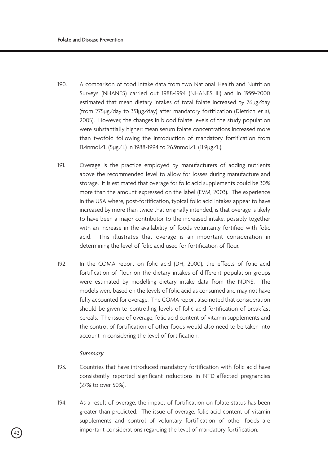- 190. A comparison of food intake data from two National Health and Nutrition Surveys (NHANES) carried out 1988-1994 (NHANES III) and in 1999-2000 estimated that mean dietary intakes of total folate increased by 76µg/day (from 275µg/day to 351µg/day) after mandatory fortification (Dietrich et al, 2005). However, the changes in blood folate levels of the study population were substantially higher: mean serum folate concentrations increased more than twofold following the introduction of mandatory fortification from 11.4nmol/L (5µg/L) in 1988-1994 to 26.9nmol/L (11.9µg/L).
- 191. Overage is the practice employed by manufacturers of adding nutrients above the recommended level to allow for losses during manufacture and storage. It is estimated that overage for folic acid supplements could be 30% more than the amount expressed on the label (EVM, 2003). The experience in the USA where, post-fortification, typical folic acid intakes appear to have increased by more than twice that originally intended, is that overage is likely to have been a major contributor to the increased intake, possibly together with an increase in the availability of foods voluntarily fortified with folic acid. This illustrates that overage is an important consideration in determining the level of folic acid used for fortification of flour.
- 192. In the COMA report on folic acid (DH, 2000), the effects of folic acid fortification of flour on the dietary intakes of different population groups were estimated by modelling dietary intake data from the NDNS. The models were based on the levels of folic acid as consumed and may not have fully accounted for overage. The COMA report also noted that consideration should be given to controlling levels of folic acid fortification of breakfast cereals. The issue of overage, folic acid content of vitamin supplements and the control of fortification of other foods would also need to be taken into account in considering the level of fortification.

### *Summary*

- 193. Countries that have introduced mandatory fortification with folic acid have consistently reported significant reductions in NTD-affected pregnancies (27% to over 50%).
- 194. As a result of overage, the impact of fortification on folate status has been greater than predicted. The issue of overage, folic acid content of vitamin supplements and control of voluntary fortification of other foods are important considerations regarding the level of mandatory fortification.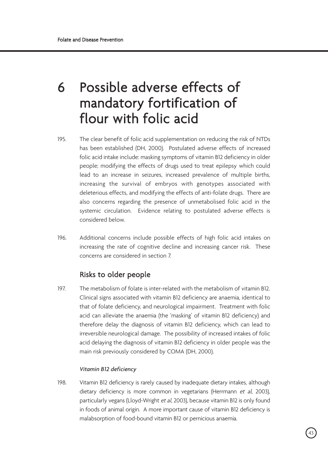# 6 Possible adverse effects of mandatory fortification of flour with folic acid

- 195. The clear benefit of folic acid supplementation on reducing the risk of NTDs has been established (DH, 2000). Postulated adverse effects of increased folic acid intake include: masking symptoms of vitamin B12 deficiency in older people; modifying the effects of drugs used to treat epilepsy which could lead to an increase in seizures, increased prevalence of multiple births, increasing the survival of embryos with genotypes associated with deleterious effects, and modifying the effects of anti-folate drugs. There are also concerns regarding the presence of unmetabolised folic acid in the systemic circulation. Evidence relating to postulated adverse effects is considered below.
- 196. Additional concerns include possible effects of high folic acid intakes on increasing the rate of cognitive decline and increasing cancer risk. These concerns are considered in section 7.

# Risks to older people

197. The metabolism of folate is inter-related with the metabolism of vitamin B12. Clinical signs associated with vitamin B12 deficiency are anaemia, identical to that of folate deficiency, and neurological impairment. Treatment with folic acid can alleviate the anaemia (the 'masking' of vitamin B12 deficiency) and therefore delay the diagnosis of vitamin B12 deficiency, which can lead to irreversible neurological damage. The possibility of increased intakes of folic acid delaying the diagnosis of vitamin B12 deficiency in older people was the main risk previously considered by COMA (DH, 2000).

# *Vitamin B12 deficiency*

198. Vitamin B12 deficiency is rarely caused by inadequate dietary intakes, although dietary deficiency is more common in vegetarians (Herrmann et al, 2003), particularly vegans (Lloyd-Wright et al, 2003), because vitamin B12 is only found in foods of animal origin. A more important cause of vitamin B12 deficiency is malabsorption of food-bound vitamin B12 or pernicious anaemia.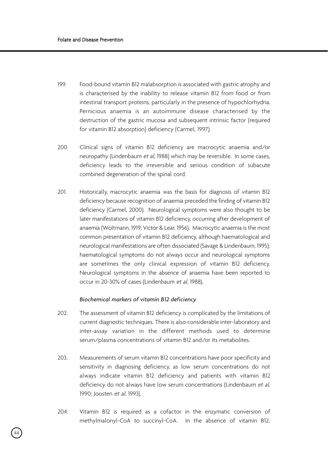- 199. Food-bound vitamin B12 malabsorption is associated with gastric atrophy and is characterised by the inability to release vitamin B12 from food or from intestinal transport proteins, particularly in the presence of hypochlorhydria. Pernicious anaemia is an autoimmune disease characterised by the destruction of the gastric mucosa and subsequent intrinsic factor (required for vitamin B12 absorption) deficiency (Carmel, 1997).
- 200. Clinical signs of vitamin B12 deficiency are macrocytic anaemia and/or neuropathy (Lindenbaum et al, 1988) which may be reversible. In some cases, deficiency leads to the irreversible and serious condition of subacute combined degeneration of the spinal cord.
- 201. Historically, macrocytic anaemia was the basis for diagnosis of vitamin B12 deficiency because recognition of anaemia preceded the finding of vitamin B12 deficiency (Carmel, 2000). Neurological symptoms were also thought to be later manifestations of vitamin B12 deficiency, occurring after development of anaemia (Woltmann, 1919; Victor & Lear, 1956). Macrocytic anaemia is the most common presentation of vitamin B12 deficiency, although haematological and neurological manifestations are often dissociated (Savage & Lindenbaum, 1995): haematological symptoms do not always occur and neurological symptoms are sometimes the only clinical expression of vitamin B12 deficiency. Neurological symptoms in the absence of anaemia have been reported to occur in 20-30% of cases (Lindenbaum et al, 1988).

## *Biochemical markers of vitamin B12 deficiency*

- 202. The assessment of vitamin B12 deficiency is complicated by the limitations of current diagnostic techniques. There is also considerable inter-laboratory and inter-assay variation in the different methods used to determine serum/plasma concentrations of vitamin B12 and/or its metabolites.
- 203. Measurements of serum vitamin B12 concentrations have poor specificity and sensitivity in diagnosing deficiency, as low serum concentrations do not always indicate vitamin B12 deficiency and patients with vitamin B12 deficiency do not always have low serum concentrations (Lindenbaum et al. 1990; Joosten et al, 1993).
- 204. Vitamin B12 is required as a cofactor in the enzymatic conversion of methylmalonyl-CoA to succinyl-CoA. In the absence of vitamin B12,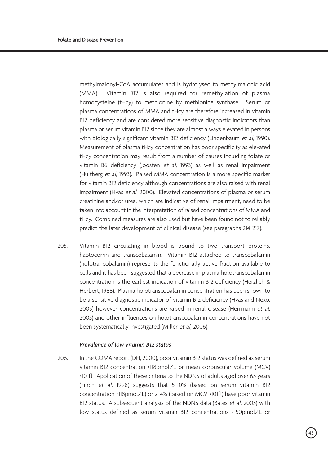methylmalonyl-CoA accumulates and is hydrolysed to methylmalonic acid (MMA). Vitamin B12 is also required for remethylation of plasma homocysteine (tHcy) to methionine by methionine synthase. Serum or plasma concentrations of MMA and tHcy are therefore increased in vitamin B12 deficiency and are considered more sensitive diagnostic indicators than plasma or serum vitamin B12 since they are almost always elevated in persons with biologically significant vitamin B12 deficiency (Lindenbaum et al. 1990). Measurement of plasma tHcy concentration has poor specificity as elevated tHcy concentration may result from a number of causes including folate or vitamin B6 deficiency (Joosten et al, 1993) as well as renal impairment (Hultberg et al, 1993). Raised MMA concentration is a more specific marker for vitamin B12 deficiency although concentrations are also raised with renal impairment (Hvas et al, 2000). Elevated concentrations of plasma or serum creatinine and/or urea, which are indicative of renal impairment, need to be taken into account in the interpretation of raised concentrations of MMA and tHcy. Combined measures are also used but have been found not to reliably predict the later development of clinical disease (see paragraphs 214-217).

205. Vitamin B12 circulating in blood is bound to two transport proteins, haptocorrin and transcobalamin. Vitamin B12 attached to transcobalamin (holotrancobalamin) represents the functionally active fraction available to cells and it has been suggested that a decrease in plasma holotranscobalamin concentration is the earliest indication of vitamin B12 deficiency (Herzlich & Herbert, 1988). Plasma holotranscobalamin concentration has been shown to be a sensitive diagnostic indicator of vitamin B12 deficiency (Hvas and Nexo, 2005) however concentrations are raised in renal disease (Herrmann et al, 2003) and other influences on holotranscobalamin concentrations have not been systematically investigated (Miller et al, 2006).

# *Prevalence of low vitamin B12 status*

206. In the COMA report (DH, 2000), poor vitamin B12 status was defined as serum vitamin B12 concentration <118pmol/L or mean corpuscular volume (MCV) >101fl. Application of these criteria to the NDNS of adults aged over 65 years (Finch et al, 1998) suggests that 5-10% (based on serum vitamin B12 concentration <118pmol/L) or 2-4% (based on MCV >101fl) have poor vitamin B12 status. A subsequent analysis of the NDNS data (Bates et al, 2003) with low status defined as serum vitamin B12 concentrations <150pmol/L or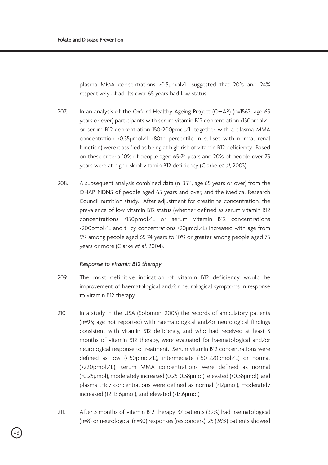plasma MMA concentrations >0.5µmol/L suggested that 20% and 24% respectively of adults over 65 years had low status.

- 207. In an analysis of the Oxford Healthy Ageing Project (OHAP) (n=1562, age 65 years or over) participants with serum vitamin B12 concentration <150pmol/L or serum B12 concentration 150-200pmol/L together with a plasma MMA concentration >0.35µmol/L (80th percentile in subset with normal renal function) were classified as being at high risk of vitamin B12 deficiency. Based on these criteria 10% of people aged 65-74 years and 20% of people over 75 years were at high risk of vitamin B12 deficiency (Clarke et al, 2003).
- 208. A subsequent analysis combined data (n=3511, age 65 years or over) from the OHAP, NDNS of people aged 65 years and over, and the Medical Research Council nutrition study. After adjustment for creatinine concentration, the prevalence of low vitamin B12 status (whether defined as serum vitamin B12 concentrations <150pmol/L or serum vitamin B12 concentrations <200pmol/L and tHcy concentrations >20µmol/L) increased with age from 5% among people aged 65-74 years to 10% or greater among people aged 75 years or more (Clarke et al, 2004).

### *Response to vitamin B12 therapy*

- 209. The most definitive indication of vitamin B12 deficiency would be improvement of haematological and/or neurological symptoms in response to vitamin B12 therapy.
- 210. In a study in the USA (Solomon, 2005) the records of ambulatory patients (n=95; age not reported) with haematological and/or neurological findings consistent with vitamin B12 deficiency, and who had received at least 3 months of vitamin B12 therapy, were evaluated for haematological and/or neurological response to treatment. Serum vitamin B12 concentrations were defined as low (<150pmol/L), intermediate (150-220pmol/L) or normal (>220pmol/L); serum MMA concentrations were defined as normal (<0.25µmol), moderately increased (0.25-0.38µmol), elevated (>0.38µmol); and plasma tHcy concentrations were defined as normal (<12µmol), moderately increased (12-13.6µmol), and elevated (>13.6µmol).
- 211. After 3 months of vitamin B12 therapy, 37 patients (39%) had haematological (n=8) or neurological (n=30) responses (responders), 25 (26%) patients showed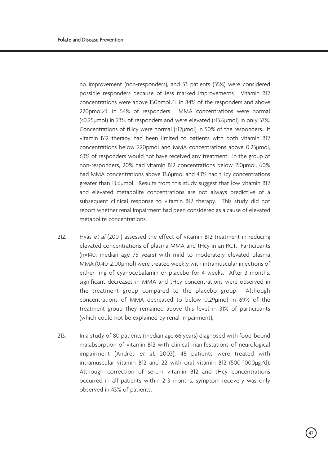no improvement (non-responders), and 33 patients (35%) were considered possible responders because of less marked improvements. Vitamin B12 concentrations were above 150pmol/L in 84% of the responders and above 220pmol/L in 54% of responders. MMA concentrations were normal (<0.25µmol) in 23% of responders and were elevated (>13.6µmol) in only 37%. Concentrations of tHcy were normal (<12µmol) in 50% of the responders. If vitamin B12 therapy had been limited to patients with both vitamin B12 concentrations below 220pmol and MMA concentrations above 0.25µmol, 63% of responders would not have received any treatment. In the group of non-responders, 20% had vitamin B12 concentrations below 150µmol, 60% had MMA concentrations above 13.6µmol and 43% had tHcy concentrations greater than 13.6µmol. Results from this study suggest that low vitamin B12 and elevated metabolite concentrations are not always predictive of a subsequent clinical response to vitamin B12 therapy. This study did not report whether renal impairment had been considered as a cause of elevated metabolite concentrations.

- 212. Hvas et al (2001) assessed the effect of vitamin B12 treatment in reducing elevated concentrations of plasma MMA and tHcy in an RCT. Participants (n=140; median age 75 years) with mild to moderately elevated plasma MMA (0.40-2.00µmol) were treated weekly with intramuscular injections of either 1mg of cyanocobalamin or placebo for 4 weeks. After 3 months, significant decreases in MMA and tHcy concentrations were observed in the treatment group compared to the placebo group. Although concentrations of MMA decreased to below 0.29µmol in 69% of the treatment group they remained above this level in 31% of participants (which could not be explained by renal impairment).
- 213. In a study of 80 patients (median age 66 years) diagnosed with food-bound malabsorption of vitamin B12 with clinical manifestations of neurological impairment (Andrès et al, 2003), 48 patients were treated with intramuscular vitamin B12 and 22 with oral vitamin B12 (500-1000µg/d). Although correction of serum vitamin B12 and tHcy concentrations occurred in all patients within 2-3 months, symptom recovery was only observed in 43% of patients.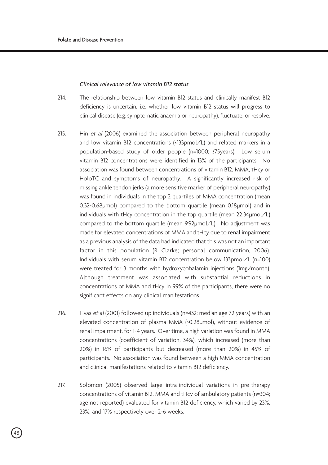## *Clinical relevance of low vitamin B12 status*

- 214. The relationship between low vitamin B12 status and clinically manifest B12 deficiency is uncertain, i.e. whether low vitamin B12 status will progress to clinical disease (e.g. symptomatic anaemia or neuropathy), fluctuate, or resolve.
- 215. Hin et al (2006) examined the association between peripheral neuropathy and low vitamin B12 concentrations (<133pmol/L) and related markers in a population-based study of older people (n=1000; ≥75years). Low serum vitamin B12 concentrations were identified in 13% of the participants. No association was found between concentrations of vitamin B12, MMA, tHcy or HoloTC and symptoms of neuropathy. A significantly increased risk of missing ankle tendon jerks (a more sensitive marker of peripheral neuropathy) was found in individuals in the top 2 quartiles of MMA concentration (mean 0.32-0.68µmol) compared to the bottom quartile (mean 0.18µmol) and in individuals with tHcy concentration in the top quartile (mean 22.34µmol/L) compared to the bottom quartile (mean 9.92µmol/L). No adjustment was made for elevated concentrations of MMA and tHcy due to renal impairment as a previous analysis of the data had indicated that this was not an important factor in this population (R Clarke; personal communication, 2006). Individuals with serum vitamin B12 concentration below 133pmol/L (n=100) were treated for 3 months with hydroxycobalamin injections (1mg/month). Although treatment was associated with substantial reductions in concentrations of MMA and tHcy in 99% of the participants, there were no significant effects on any clinical manifestations.
- 216. Hvas et al (2001) followed up individuals (n=432; median age 72 years) with an elevated concentration of plasma MMA (>0.28µmol), without evidence of renal impairment, for 1-4 years. Over time, a high variation was found in MMA concentrations (coefficient of variation, 34%), which increased (more than 20%) in 16% of participants but decreased (more than 20%) in 45% of participants. No association was found between a high MMA concentration and clinical manifestations related to vitamin B12 deficiency.
- 217. Solomon (2005) observed large intra-individual variations in pre-therapy concentrations of vitamin B12, MMA and tHcy of ambulatory patients (n=304; age not reported) evaluated for vitamin B12 deficiency, which varied by 23%, 23%, and 17% respectively over 2-6 weeks.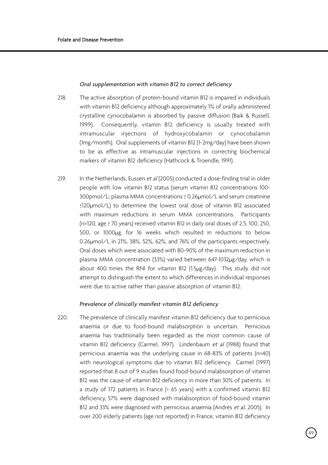#### *Oral supplementation with vitamin B12 to correct deficiency*

- 218. The active absorption of protein-bound vitamin B12 is impaired in individuals with vitamin B12 deficiency although approximately 1% of orally administered crystalline cynocobalamin is absorbed by passive diffusion (Baik & Russell, 1999). Consequently, vitamin B12 deficiency is usually treated with intramuscular injections of hydroxycobalamin or cynocobalamin (1mg/month). Oral supplements of vitamin B12 (1-2mg/day) have been shown to be as effective as intramuscular injections in correcting biochemical markers of vitamin B12 deficiency (Hathcock & Troendle, 1991).
- 219. In the Netherlands, Eussen et al (2005) conducted a dose-finding trial in older people with low vitamin B12 status (serum vitamin B12 concentrations 100- 300pmol/L; plasma MMA concentrations ≥ 0.26µmol/L and serum creatinine ≤120µmol/L) to determine the lowest oral dose of vitamin B12 associated with maximum reductions in serum MMA concentrations. Participants (n=120, age ≥ 70 years) received vitamin B12 in daily oral doses of 2.5, 100, 250, 500, or 1000µg, for 16 weeks which resulted in reductions to below 0.26µmol/L in 21%, 38%, 52%, 62%, and 76% of the participants respectively. Oral doses which were associated with 80-90% of the maximum reduction in plasma MMA concentration (33%) varied between 647-1032µg/day, which is about 400 times the RNI for vitamin B12 (1.5µg/day). This study did not attempt to distinguish the extent to which differences in individual responses were due to active rather than passive absorption of vitamin B12.

# *Prevalence of clinically manifest vitamin B12 deficiency*

220. The prevalence of clinically manifest vitamin B12 deficiency due to pernicious anaemia or due to food-bound malabsorption is uncertain. Pernicious anaemia has traditionally been regarded as the most common cause of vitamin B12 deficiency (Carmel, 1997). Lindenbaum et al (1988) found that pernicious anaemia was the underlying cause in 68-83% of patients (n=40) with neurological symptoms due to vitamin B12 deficiency. Carmel (1997) reported that 8 out of 9 studies found food-bound malabsorption of vitamin B12 was the cause of vitamin B12 deficiency in more than 30% of patients. In a study of 172 patients in France (> 65 years) with a confirmed vitamin B12 deficiency, 57% were diagnosed with malabsorption of food-bound vitamin B12 and 33% were diagnosed with pernicious anaemia (Andrès et al, 2005). In over 200 elderly patients (age not reported) in France, vitamin B12 deficiency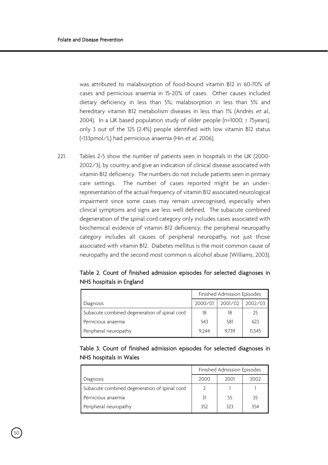was attributed to malabsorption of food-bound vitamin B12 in 60-70% of cases and pernicious anaemia in 15-20% of cases. Other causes included dietary deficiency in less than 5%; malabsorption in less than 5% and hereditary vitamin B12 metabolism diseases in less than 1% (Andrès et al., 2004). In a UK based population study of older people (n=1000; ≥ 75years), only 3 out of the 125 (2.4%) people identified with low vitamin B12 status (<133pmol/L) had pernicious anaemia (Hin et al, 2006).

221. Tables 2-5 show the number of patients seen in hospitals in the UK (2000- 2002/3), by country, and give an indication of clinical disease associated with vitamin B12 deficiency. The numbers do not include patients seen in primary care settings. The number of cases reported might be an underrepresentation of the actual frequency of vitamin B12 associated neurological impairment since some cases may remain unrecognised, especially when clinical symptoms and signs are less well defined. The subacute combined degeneration of the spinal cord category only includes cases associated with biochemical evidence of vitamin B12 deficiency; the peripheral neuropathy category includes all causes of peripheral neuropathy, not just those associated with vitamin B12. Diabetes mellitus is the most common cause of neuropathy and the second most common is alcohol abuse (Williams, 2003).

Table 2. Count of finished admission episodes for selected diagnoses in NHS hospitals in England

|                                               | Finished Admission Episodes |         |         |
|-----------------------------------------------|-----------------------------|---------|---------|
| Diagnosis                                     | 2000/01                     | 2001/02 | 2002/03 |
| Subacute combined degeneration of spinal cord | 18                          | 18      | 25      |
| Pernicious anaemia                            | 543                         | 581     | 623     |
| Peripheral neuropathy                         | 9.244                       | 9.739   | 11.545  |

# Table 3. Count of finished admission episodes for selected diagnoses in NHS hospitals in Wales

|                                               | Finished Admission Episodes |      |      |
|-----------------------------------------------|-----------------------------|------|------|
| Diagnosis                                     | 2000                        | 2001 | 2002 |
| Subacute combined degeneration of spinal cord |                             |      |      |
| Pernicious anaemia                            | 31                          | 55   | 35   |
| Peripheral neuropathy                         | 352                         | 323  | 354  |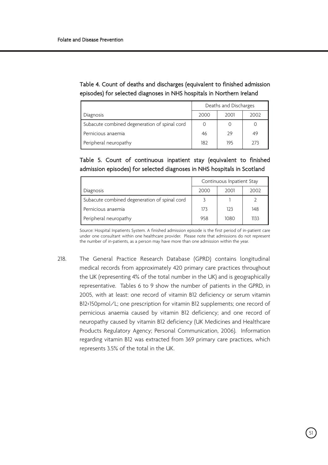| Table 4. Count of deaths and discharges (equivalent to finished admission |
|---------------------------------------------------------------------------|
| episodes) for selected diagnoses in NHS hospitals in Northern Ireland     |

|                                               | Deaths and Discharges |      |      |
|-----------------------------------------------|-----------------------|------|------|
| Diagnosis                                     | 2000                  | 2001 | 2002 |
| Subacute combined degeneration of spinal cord |                       |      |      |
| Pernicious anaemia                            | 46                    | - 29 | 49   |
| Peripheral neuropathy                         | 182                   | 195  | 273  |

Table 5. Count of continuous inpatient stay (equivalent to finished admission episodes) for selected diagnoses in NHS hospitals in Scotland

|                                               | Continuous Inpatient Stay |      |      |
|-----------------------------------------------|---------------------------|------|------|
| Diagnosis                                     | 2000                      | 2001 | 2002 |
| Subacute combined degeneration of spinal cord |                           |      |      |
| Pernicious anaemia                            | 173                       | 123  | 148  |
| Peripheral neuropathy                         | 958                       | 1080 | 1133 |

Source: Hospital Inpatients System. A finished admission episode is the first period of in-patient care under one consultant within one healthcare provider. Please note that admissions do not represent the number of in-patients, as a person may have more than one admission within the year.

218. The General Practice Research Database (GPRD) contains longitudinal medical records from approximately 420 primary care practices throughout the UK (representing 4% of the total number in the UK) and is geographically representative. Tables 6 to 9 show the number of patients in the GPRD, in 2005, with at least: one record of vitamin B12 deficiency or serum vitamin B12<150pmol/L; one prescription for vitamin B12 supplements; one record of pernicious anaemia caused by vitamin B12 deficiency; and one record of neuropathy caused by vitamin B12 deficiency (UK Medicines and Healthcare Products Regulatory Agency; Personal Communication, 2006). Information regarding vitamin B12 was extracted from 369 primary care practices, which represents 3.5% of the total in the UK.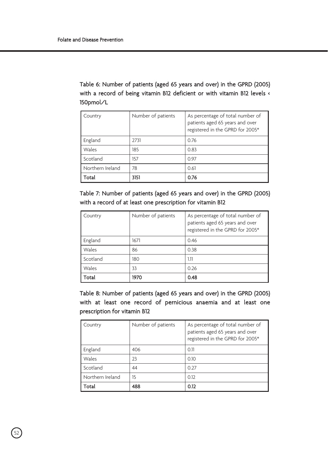Table 6: Number of patients (aged 65 years and over) in the GPRD (2005) with a record of being vitamin B12 deficient or with vitamin B12 levels < 150pmol/L

| Country          | Number of patients | As percentage of total number of<br>patients aged 65 years and over<br>registered in the GPRD for 2005* |
|------------------|--------------------|---------------------------------------------------------------------------------------------------------|
| England          | 2731               | 0.76                                                                                                    |
| Wales            | 185                | 0.83                                                                                                    |
| Scotland         | 157                | 0.97                                                                                                    |
| Northern Ireland | 78                 | 0.61                                                                                                    |
| Total            | 3151               | 0.76                                                                                                    |

Table 7: Number of patients (aged 65 years and over) in the GPRD (2005) with a record of at least one prescription for vitamin B12

| Country  | Number of patients | As percentage of total number of<br>patients aged 65 years and over<br>registered in the GPRD for 2005* |
|----------|--------------------|---------------------------------------------------------------------------------------------------------|
| England  | 1671               | 0.46                                                                                                    |
| Wales    | 86                 | 0.38                                                                                                    |
| Scotland | 180                | 1.11                                                                                                    |
| Wales    | 33                 | 0.26                                                                                                    |
| Total    | 1970               | 0.48                                                                                                    |

Table 8: Number of patients (aged 65 years and over) in the GPRD (2005) with at least one record of pernicious anaemia and at least one prescription for vitamin B12

| Country          | Number of patients | As percentage of total number of<br>patients aged 65 years and over<br>registered in the GPRD for 2005* |
|------------------|--------------------|---------------------------------------------------------------------------------------------------------|
| England          | 406                | 0.11                                                                                                    |
| Wales            | 23                 | 0.10                                                                                                    |
| Scotland         | 44                 | O 27                                                                                                    |
| Northern Ireland | 15                 | 0.12                                                                                                    |
| Total            | 488                | 0.12                                                                                                    |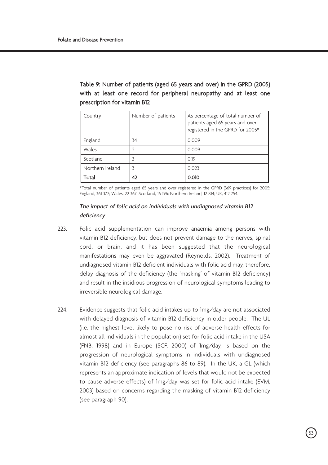| Country          | Number of patients | As percentage of total number of<br>patients aged 65 years and over<br>registered in the GPRD for 2005* |
|------------------|--------------------|---------------------------------------------------------------------------------------------------------|
| England          | 34                 | 0.009                                                                                                   |
| Wales            |                    | 0.009                                                                                                   |
| Scotland         |                    | 0.19                                                                                                    |
| Northern Ireland |                    | 0.023                                                                                                   |
| Total            | 42                 | 0.010                                                                                                   |

Table 9: Number of patients (aged 65 years and over) in the GPRD (2005) with at least one record for peripheral neuropathy and at least one prescription for vitamin B12

\*Total number of patients aged 65 years and over registered in the GPRD (369 practices) for 2005: England, 361 377; Wales, 22 367; Scotland, 16 196; Northern Ireland, 12 814; UK, 412 754.

# *The impact of folic acid on individuals with undiagnosed vitamin B12 deficiency*

- 223. Folic acid supplementation can improve anaemia among persons with vitamin B12 deficiency, but does not prevent damage to the nerves, spinal cord, or brain, and it has been suggested that the neurological manifestations may even be aggravated (Reynolds, 2002). Treatment of undiagnosed vitamin B12 deficient individuals with folic acid may, therefore, delay diagnosis of the deficiency (the 'masking' of vitamin B12 deficiency) and result in the insidious progression of neurological symptoms leading to irreversible neurological damage.
- 224. Evidence suggests that folic acid intakes up to 1mg/day are not associated with delayed diagnosis of vitamin B12 deficiency in older people. The UL (i.e. the highest level likely to pose no risk of adverse health effects for almost all individuals in the population) set for folic acid intake in the USA (FNB, 1998) and in Europe (SCF, 2000) of 1mg/day, is based on the progression of neurological symptoms in individuals with undiagnosed vitamin B12 deficiency (see paragraphs 86 to 89). In the UK, a GL (which represents an approximate indication of levels that would not be expected to cause adverse effects) of 1mg/day was set for folic acid intake (EVM, 2003) based on concerns regarding the masking of vitamin B12 deficiency (see paragraph 90).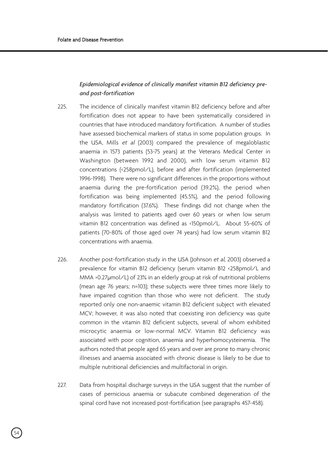# *Epidemiological evidence of clinically manifest vitamin B12 deficiency preand post-fortification*

- 225. The incidence of clinically manifest vitamin B12 deficiency before and after fortification does not appear to have been systematically considered in countries that have introduced mandatory fortification. A number of studies have assessed biochemical markers of status in some population groups. In the USA, Mills et al (2003) compared the prevalence of megaloblastic anaemia in 1573 patients (53-75 years) at the Veterans Medical Center in Washington (between 1992 and 2000), with low serum vitamin B12 concentrations (<258pmol/L), before and after fortification (implemented 1996-1998). There were no significant differences in the proportions without anaemia during the pre-fortification period (39.2%), the period when fortification was being implemented (45.5%), and the period following mandatory fortification (37.6%). These findings did not change when the analysis was limited to patients aged over 60 years or when low serum vitamin B12 concentration was defined as <150pmol/L. About 55-60% of patients (70-80% of those aged over 74 years) had low serum vitamin B12 concentrations with anaemia.
- 226. Another post-fortification study in the USA (Johnson et al. 2003) observed a prevalence for vitamin B12 deficiency (serum vitamin B12 <258pmol/L and MMA >0.27µmol/L) of 23% in an elderly group at risk of nutritional problems (mean age 76 years; n=103); these subjects were three times more likely to have impaired cognition than those who were not deficient. The study reported only one non-anaemic vitamin B12 deficient subject with elevated MCV; however, it was also noted that coexisting iron deficiency was quite common in the vitamin B12 deficient subjects, several of whom exhibited microcytic anaemia or low-normal MCV. Vitamin B12 deficiency was associated with poor cognition, anaemia and hyperhomocysteinemia. The authors noted that people aged 65 years and over are prone to many chronic illnesses and anaemia associated with chronic disease is likely to be due to multiple nutritional deficiencies and multifactorial in origin.
- 227. Data from hospital discharge surveys in the USA suggest that the number of cases of pernicious anaemia or subacute combined degeneration of the spinal cord have not increased post-fortification (see paragraphs 457-458).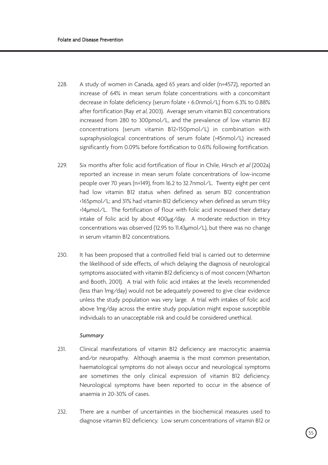- 228. A study of women in Canada, aged 65 years and older (n=4572), reported an increase of 64% in mean serum folate concentrations with a concomitant decrease in folate deficiency (serum folate < 6.0nmol/L) from 6.3% to 0.88% after fortification (Ray et al, 2003). Average serum vitamin B12 concentrations increased from 280 to 300pmol/L, and the prevalence of low vitamin B12 concentrations (serum vitamin B12<150pmol/L) in combination with supraphysiological concentrations of serum folate (>45nmol/L) increased significantly from 0.09% before fortification to 0.61% following fortification.
- 229. Six months after folic acid fortification of flour in Chile. Hirsch et al (2002a) reported an increase in mean serum folate concentrations of low-income people over 70 years (n=149), from 16.2 to 32.7nmol/L. Twenty eight per cent had low vitamin B12 status when defined as serum B12 concentration <165pmol/L; and 31% had vitamin B12 deficiency when defined as serum tHcy >14µmol/L. The fortification of flour with folic acid increased their dietary intake of folic acid by about 400µg/day. A moderate reduction in tHcy concentrations was observed (12.95 to 11.43µmol/L), but there was no change in serum vitamin B12 concentrations.
- 230. It has been proposed that a controlled field trial is carried out to determine the likelihood of side effects, of which delaying the diagnosis of neurological symptoms associated with vitamin B12 deficiency is of most concern (Wharton and Booth, 2001). A trial with folic acid intakes at the levels recommended (less than 1mg/day) would not be adequately powered to give clear evidence unless the study population was very large. A trial with intakes of folic acid above 1mg/day across the entire study population might expose susceptible individuals to an unacceptable risk and could be considered unethical.

### *Summary*

- 231. Clinical manifestations of vitamin B12 deficiency are macrocytic anaemia and/or neuropathy. Although anaemia is the most common presentation, haematological symptoms do not always occur and neurological symptoms are sometimes the only clinical expression of vitamin B12 deficiency. Neurological symptoms have been reported to occur in the absence of anaemia in 20-30% of cases.
- 232. There are a number of uncertainties in the biochemical measures used to diagnose vitamin B12 deficiency. Low serum concentrations of vitamin B12 or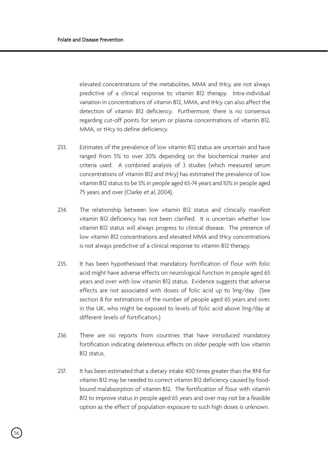elevated concentrations of the metabolites, MMA and tHcy, are not always predictive of a clinical response to vitamin B12 therapy. Intra-individual variation in concentrations of vitamin B12, MMA, and tHcy can also affect the detection of vitamin B12 deficiency. Furthermore, there is no consensus regarding cut-off points for serum or plasma concentrations of vitamin B12, MMA, or tHcy to define deficiency.

- 233. Estimates of the prevalence of low vitamin B12 status are uncertain and have ranged from 5% to over 20% depending on the biochemical marker and criteria used. A combined analysis of 3 studies (which measured serum concentrations of vitamin B12 and tHcy) has estimated the prevalence of low vitamin B12 status to be 5% in people aged 65-74 years and 10% in people aged 75 years and over (Clarke et al, 2004).
- 234. The relationship between low vitamin B12 status and clinically manifest vitamin B12 deficiency has not been clarified. It is uncertain whether low vitamin B12 status will always progress to clinical disease. The presence of low vitamin B12 concentrations and elevated MMA and tHcy concentrations is not always predictive of a clinical response to vitamin B12 therapy.
- 235. It has been hypothesised that mandatory fortification of flour with folic acid might have adverse effects on neurological function in people aged 65 years and over with low vitamin B12 status. Evidence suggests that adverse effects are not associated with doses of folic acid up to 1mg/day. (See section 8 for estimations of the number of people aged 65 years and over, in the UK, who might be exposed to levels of folic acid above 1mg/day at different levels of fortification.)
- 236. There are no reports from countries that have introduced mandatory fortification indicating deleterious effects on older people with low vitamin B12 status.
- 237. It has been estimated that a dietary intake 400 times greater than the RNI for vitamin B12 may be needed to correct vitamin B12 deficiency caused by foodbound malabsorption of vitamin B12. The fortification of flour with vitamin B12 to improve status in people aged 65 years and over may not be a feasible option as the effect of population exposure to such high doses is unknown.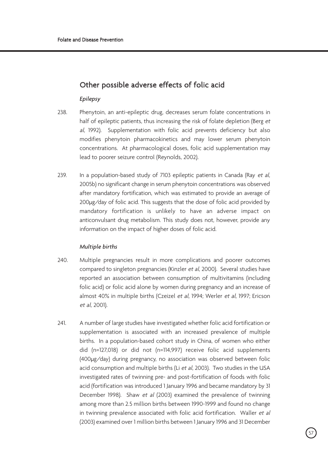# Other possible adverse effects of folic acid

## *Epilepsy*

- 238. Phenytoin, an anti-epileptic drug, decreases serum folate concentrations in half of epileptic patients, thus increasing the risk of folate depletion (Berg et al, 1992). Supplementation with folic acid prevents deficiency but also modifies phenytoin pharmacokinetics and may lower serum phenytoin concentrations. At pharmacological doses, folic acid supplementation may lead to poorer seizure control (Reynolds, 2002).
- 239. In a population-based study of 7103 epileptic patients in Canada (Ray et al. 2005b) no significant change in serum phenytoin concentrations was observed after mandatory fortification, which was estimated to provide an average of 200µg/day of folic acid. This suggests that the dose of folic acid provided by mandatory fortification is unlikely to have an adverse impact on anticonvulsant drug metabolism. This study does not, however, provide any information on the impact of higher doses of folic acid.

## *Multiple births*

- 240. Multiple pregnancies result in more complications and poorer outcomes compared to singleton pregnancies (Kinzler et al, 2000). Several studies have reported an association between consumption of multivitamins (including folic acid) or folic acid alone by women during pregnancy and an increase of almost 40% in multiple births (Czeizel et al, 1994; Werler et al, 1997; Ericson et al, 2001).
- 241. A number of large studies have investigated whether folic acid fortification or supplementation is associated with an increased prevalence of multiple births. In a population-based cohort study in China, of women who either did (n=127,018) or did not (n=114,997) receive folic acid supplements (400µg/day) during pregnancy, no association was observed between folic acid consumption and multiple births (Li et al, 2003). Two studies in the USA investigated rates of twinning pre- and post-fortification of foods with folic acid (fortification was introduced 1 January 1996 and became mandatory by 31 December 1998). Shaw et al (2003) examined the prevalence of twinning among more than 2.5 million births between 1990-1999 and found no change in twinning prevalence associated with folic acid fortification. Waller et al (2003) examined over 1 million births between 1 January 1996 and 31 December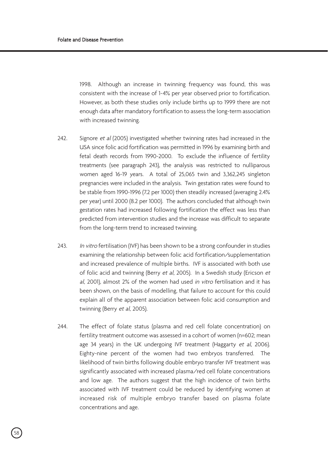1998. Although an increase in twinning frequency was found, this was consistent with the increase of 1-4% per year observed prior to fortification. However, as both these studies only include births up to 1999 there are not enough data after mandatory fortification to assess the long-term association with increased twinning.

- 242. Signore et al (2005) investigated whether twinning rates had increased in the USA since folic acid fortification was permitted in 1996 by examining birth and fetal death records from 1990-2000. To exclude the influence of fertility treatments (see paragraph 243), the analysis was restricted to nulliparous women aged 16-19 years. A total of 25,065 twin and 3,362,245 singleton pregnancies were included in the analysis. Twin gestation rates were found to be stable from 1990-1996 (7.2 per 1000) then steadily increased (averaging 2.4% per year) until 2000 (8.2 per 1000). The authors concluded that although twin gestation rates had increased following fortification the effect was less than predicted from intervention studies and the increase was difficult to separate from the long-term trend to increased twinning.
- 243. In vitro fertilisation (IVF) has been shown to be a strong confounder in studies examining the relationship between folic acid fortification/supplementation and increased prevalence of multiple births. IVF is associated with both use of folic acid and twinning (Berry et al, 2005). In a Swedish study (Ericson et al, 2001), almost 2% of the women had used in vitro fertilisation and it has been shown, on the basis of modelling, that failure to account for this could explain all of the apparent association between folic acid consumption and twinning (Berry et al, 2005).
- 244. The effect of folate status (plasma and red cell folate concentration) on fertility treatment outcome was assessed in a cohort of women (n=602; mean age 34 years) in the UK undergoing IVF treatment (Haggarty et al, 2006). Eighty-nine percent of the women had two embryos transferred. The likelihood of twin births following double embryo transfer IVF treatment was significantly associated with increased plasma/red cell folate concentrations and low age. The authors suggest that the high incidence of twin births associated with IVF treatment could be reduced by identifying women at increased risk of multiple embryo transfer based on plasma folate concentrations and age.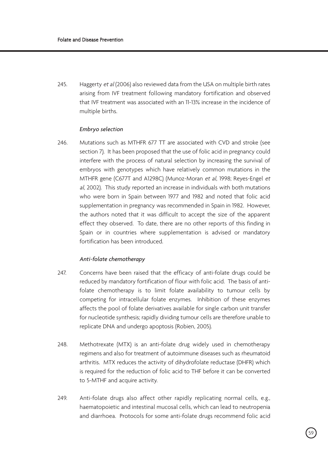245. Haggerty et al (2006) also reviewed data from the USA on multiple birth rates arising from IVF treatment following mandatory fortification and observed that IVF treatment was associated with an 11-13% increase in the incidence of multiple births.

# *Embryo selection*

246. Mutations such as MTHFR 677 TT are associated with CVD and stroke (see section 7). It has been proposed that the use of folic acid in pregnancy could interfere with the process of natural selection by increasing the survival of embryos with genotypes which have relatively common mutations in the MTHFR gene (C677T and A1298C) (Munoz-Moran et al, 1998; Reyes-Engel et al, 2002). This study reported an increase in individuals with both mutations who were born in Spain between 1977 and 1982 and noted that folic acid supplementation in pregnancy was recommended in Spain in 1982. However, the authors noted that it was difficult to accept the size of the apparent effect they observed. To date, there are no other reports of this finding in Spain or in countries where supplementation is advised or mandatory fortification has been introduced.

### *Anti-folate chemotherapy*

- 247. Concerns have been raised that the efficacy of anti-folate drugs could be reduced by mandatory fortification of flour with folic acid. The basis of antifolate chemotherapy is to limit folate availability to tumour cells by competing for intracellular folate enzymes. Inhibition of these enzymes affects the pool of folate derivatives available for single carbon unit transfer for nucleotide synthesis; rapidly dividing tumour cells are therefore unable to replicate DNA and undergo apoptosis (Robien, 2005).
- 248. Methotrexate (MTX) is an anti-folate drug widely used in chemotherapy regimens and also for treatment of autoimmune diseases such as rheumatoid arthritis. MTX reduces the activity of dihydrofolate reductase (DHFR) which is required for the reduction of folic acid to THF before it can be converted to 5-MTHF and acquire activity.
- 249. Anti-folate drugs also affect other rapidly replicating normal cells, e.g., haematopoietic and intestinal mucosal cells, which can lead to neutropenia and diarrhoea. Protocols for some anti-folate drugs recommend folic acid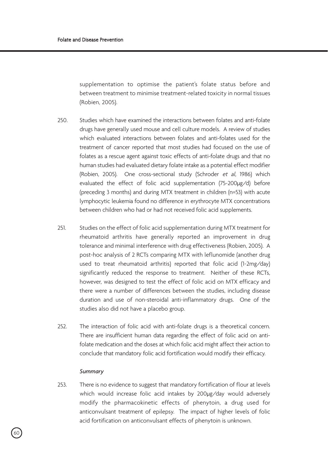supplementation to optimise the patient's folate status before and between treatment to minimise treatment-related toxicity in normal tissues (Robien, 2005).

- 250. Studies which have examined the interactions between folates and anti-folate drugs have generally used mouse and cell culture models. A review of studies which evaluated interactions between folates and anti-folates used for the treatment of cancer reported that most studies had focused on the use of folates as a rescue agent against toxic effects of anti-folate drugs and that no human studies had evaluated dietary folate intake as a potential effect modifier (Robien, 2005). One cross-sectional study (Schroder et al, 1986) which evaluated the effect of folic acid supplementation (75-200µg/d) before (preceding 3 months) and during MTX treatment in children (n=53) with acute lymphocytic leukemia found no difference in erythrocyte MTX concentrations between children who had or had not received folic acid supplements.
- 251. Studies on the effect of folic acid supplementation during MTX treatment for rheumatoid arthritis have generally reported an improvement in drug tolerance and minimal interference with drug effectiveness (Robien, 2005). A post-hoc analysis of 2 RCTs comparing MTX with leflunomide (another drug used to treat rheumatoid arthritis) reported that folic acid (1-2mg/day) significantly reduced the response to treatment. Neither of these RCTs, however, was designed to test the effect of folic acid on MTX efficacy and there were a number of differences between the studies, including disease duration and use of non-steroidal anti-inflammatory drugs. One of the studies also did not have a placebo group.
- 252. The interaction of folic acid with anti-folate drugs is a theoretical concern. There are insufficient human data regarding the effect of folic acid on antifolate medication and the doses at which folic acid might affect their action to conclude that mandatory folic acid fortification would modify their efficacy.

#### *Summary*

253. There is no evidence to suggest that mandatory fortification of flour at levels which would increase folic acid intakes by 200µg/day would adversely modify the pharmacokinetic effects of phenytoin, a drug used for anticonvulsant treatment of epilepsy. The impact of higher levels of folic acid fortification on anticonvulsant effects of phenytoin is unknown.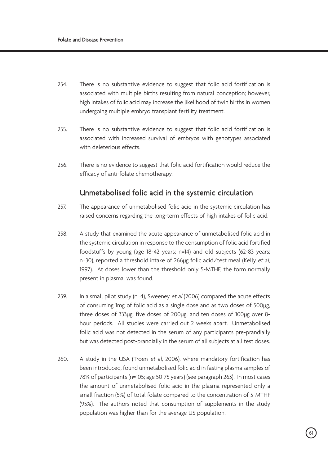- 254. There is no substantive evidence to suggest that folic acid fortification is associated with multiple births resulting from natural conception; however, high intakes of folic acid may increase the likelihood of twin births in women undergoing multiple embryo transplant fertility treatment.
- 255. There is no substantive evidence to suggest that folic acid fortification is associated with increased survival of embryos with genotypes associated with deleterious effects.
- 256. There is no evidence to suggest that folic acid fortification would reduce the efficacy of anti-folate chemotherapy.

# Unmetabolised folic acid in the systemic circulation

- 257. The appearance of unmetabolised folic acid in the systemic circulation has raised concerns regarding the long-term effects of high intakes of folic acid.
- 258. A study that examined the acute appearance of unmetabolised folic acid in the systemic circulation in response to the consumption of folic acid fortified foodstuffs by young (age 18-42 years; n=14) and old subjects (62-83 years; n=30), reported a threshold intake of 266ug folic acid/test meal (Kelly et al. 1997). At doses lower than the threshold only 5-MTHF, the form normally present in plasma, was found.
- 259. In a small pilot study (n=4), Sweeney et al (2006) compared the acute effects of consuming 1mg of folic acid as a single dose and as two doses of 500µg, three doses of 333µg, five doses of 200µg, and ten doses of 100µg over 8 hour periods. All studies were carried out 2 weeks apart. Unmetabolised folic acid was not detected in the serum of any participants pre-prandially but was detected post-prandially in the serum of all subjects at all test doses.
- 260. A study in the USA (Troen et al, 2006), where mandatory fortification has been introduced, found unmetabolised folic acid in fasting plasma samples of 78% of participants (n=105; age 50-75 years) (see paragraph 263). In most cases the amount of unmetabolised folic acid in the plasma represented only a small fraction (5%) of total folate compared to the concentration of 5-MTHF (95%). The authors noted that consumption of supplements in the study population was higher than for the average US population.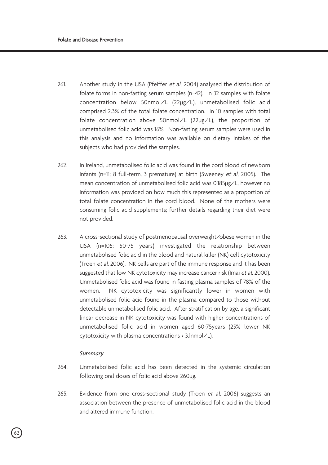- 261. Another study in the USA (Pfeiffer et al, 2004) analysed the distribution of folate forms in non-fasting serum samples (n=42). In 32 samples with folate concentration below 50nmol/L (22µg/L), unmetabolised folic acid comprised 2.3% of the total folate concentration. In 10 samples with total folate concentration above 50nmol/L (22µg/L), the proportion of unmetabolised folic acid was 16%. Non-fasting serum samples were used in this analysis and no information was available on dietary intakes of the subjects who had provided the samples.
- 262. In Ireland, unmetabolised folic acid was found in the cord blood of newborn infants (n=11; 8 full-term, 3 premature) at birth (Sweeney et al, 2005). The mean concentration of unmetabolised folic acid was 0.185µg/L, however no information was provided on how much this represented as a proportion of total folate concentration in the cord blood. None of the mothers were consuming folic acid supplements; further details regarding their diet were not provided.
- 263. A cross-sectional study of postmenopausal overweight/obese women in the USA (n=105; 50-75 years) investigated the relationship between unmetabolised folic acid in the blood and natural killer (NK) cell cytotoxicity (Troen et al, 2006). NK cells are part of the immune response and it has been suggested that low NK cytotoxicity may increase cancer risk (Imai et al, 2000). Unmetabolised folic acid was found in fasting plasma samples of 78% of the women. NK cytotoxicity was significantly lower in women with unmetabolised folic acid found in the plasma compared to those without detectable unmetabolised folic acid. After stratification by age, a significant linear decrease in NK cytotoxicity was found with higher concentrations of unmetabolised folic acid in women aged 60-75years (25% lower NK cytotoxicity with plasma concentrations > 3.1nmol/L).

#### *Summary*

- 264. Unmetabolised folic acid has been detected in the systemic circulation following oral doses of folic acid above 260µg.
- 265. Evidence from one cross-sectional study (Troen et al, 2006) suggests an association between the presence of unmetabolised folic acid in the blood and altered immune function.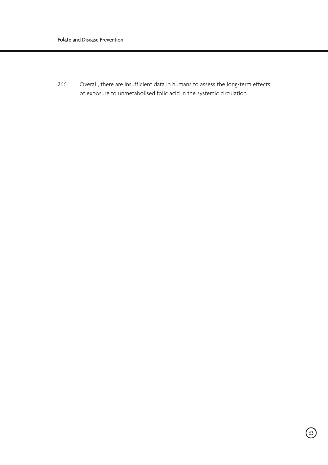266. Overall, there are insufficient data in humans to assess the long-term effects of exposure to unmetabolised folic acid in the systemic circulation.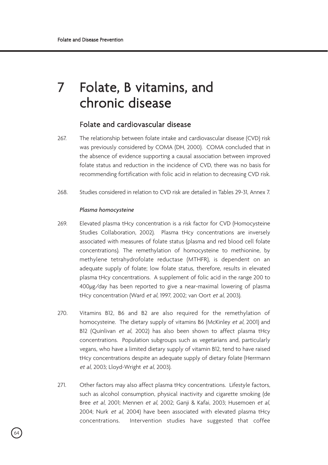# 7 Folate, B vitamins, and chronic disease

# Folate and cardiovascular disease

- 267. The relationship between folate intake and cardiovascular disease (CVD) risk was previously considered by COMA (DH, 2000). COMA concluded that in the absence of evidence supporting a causal association between improved folate status and reduction in the incidence of CVD, there was no basis for recommending fortification with folic acid in relation to decreasing CVD risk.
- 268. Studies considered in relation to CVD risk are detailed in Tables 29-31, Annex 7.

## *Plasma homocysteine*

- 269. Elevated plasma tHcy concentration is a risk factor for CVD (Homocysteine Studies Collaboration, 2002). Plasma tHcy concentrations are inversely associated with measures of folate status (plasma and red blood cell folate concentrations). The remethylation of homocysteine to methionine, by methylene tetrahydrofolate reductase (MTHFR), is dependent on an adequate supply of folate; low folate status, therefore, results in elevated plasma tHcy concentrations. A supplement of folic acid in the range 200 to 400µg/day has been reported to give a near-maximal lowering of plasma tHcy concentration (Ward et al, 1997, 2002; van Oort et al, 2003).
- 270. Vitamins B12, B6 and B2 are also required for the remethylation of homocysteine. The dietary supply of vitamins B6 (McKinley et al, 2001) and B12 (Quinlivan et al, 2002) has also been shown to affect plasma tHcy concentrations. Population subgroups such as vegetarians and, particularly vegans, who have a limited dietary supply of vitamin B12, tend to have raised tHcy concentrations despite an adequate supply of dietary folate (Herrmann et al, 2003; Lloyd-Wright et al, 2003).
- 271. Other factors may also affect plasma tHcy concentrations. Lifestyle factors, such as alcohol consumption, physical inactivity and cigarette smoking (de Bree et al, 2001; Mennen et al, 2002; Ganji & Kafai, 2003; Husemoen et al, 2004; Nurk et al, 2004) have been associated with elevated plasma tHcy concentrations. Intervention studies have suggested that coffee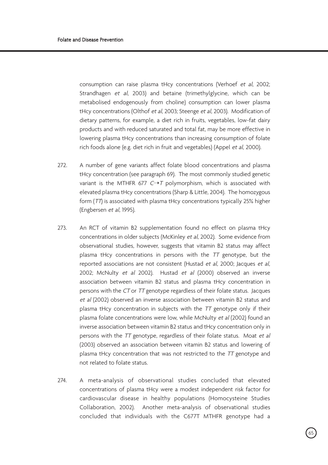consumption can raise plasma tHcy concentrations (Verhoef et al, 2002; Strandhagen et al, 2003) and betaine (trimethylglycine, which can be metabolised endogenously from choline) consumption can lower plasma tHcy concentrations (Olthof et al, 2003; Steenge et al, 2003). Modification of dietary patterns, for example, a diet rich in fruits, vegetables, low-fat dairy products and with reduced saturated and total fat, may be more effective in lowering plasma tHcy concentrations than increasing consumption of folate rich foods alone (e.g. diet rich in fruit and vegetables) (Appel et al, 2000).

- 272. A number of gene variants affect folate blood concentrations and plasma tHcy concentration (see paragraph 69). The most commonly studied genetic variant is the MTHFR 677  $C \rightarrow T$  polymorphism, which is associated with elevated plasma tHcy concentrations (Sharp & Little, 2004). The homozygous form (TT) is associated with plasma tHcy concentrations typically 25% higher (Engbersen et al, 1995).
- 273. An RCT of vitamin B2 supplementation found no effect on plasma tHcy concentrations in older subjects (McKinley et al, 2002). Some evidence from observational studies, however, suggests that vitamin B2 status may affect plasma tHcy concentrations in persons with the  $TT$  genotype, but the reported associations are not consistent (Hustad et al, 2000; Jacques et al, 2002; McNulty et al 2002). Hustad et al (2000) observed an inverse association between vitamin B2 status and plasma tHcy concentration in persons with the CT or TT genotype regardless of their folate status. Jacques et al (2002) observed an inverse association between vitamin B2 status and plasma tHcy concentration in subjects with the TT genotype only if their plasma folate concentrations were low, while McNulty et al (2002) found an inverse association between vitamin B2 status and tHcy concentration only in persons with the TT genotype, regardless of their folate status. Moat et al (2003) observed an association between vitamin B2 status and lowering of plasma tHcy concentration that was not restricted to the TT genotype and not related to folate status.
- 274. A meta-analysis of observational studies concluded that elevated concentrations of plasma tHcy were a modest independent risk factor for cardiovascular disease in healthy populations (Homocysteine Studies Collaboration, 2002). Another meta-analysis of observational studies concluded that individuals with the C677T MTHFR genotype had a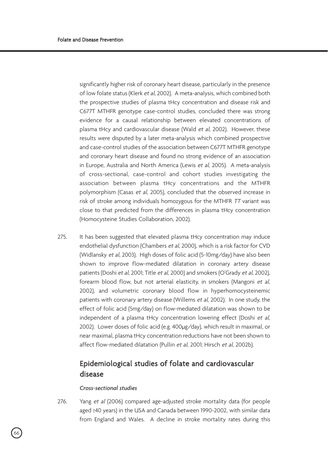significantly higher risk of coronary heart disease, particularly in the presence of low folate status (Klerk et al, 2002). A meta-analysis, which combined both the prospective studies of plasma tHcy concentration and disease risk and C677T MTHFR genotype case-control studies, concluded there was strong evidence for a causal relationship between elevated concentrations of plasma tHcy and cardiovascular disease (Wald et al, 2002). However, these results were disputed by a later meta-analysis which combined prospective and case-control studies of the association between C677T MTHFR genotype and coronary heart disease and found no strong evidence of an association in Europe, Australia and North America (Lewis et al, 2005). A meta-analysis of cross-sectional, case-control and cohort studies investigating the association between plasma tHcy concentrations and the MTHFR polymorphism (Casas et al, 2005), concluded that the observed increase in risk of stroke among individuals homozygous for the MTHFR TT variant was close to that predicted from the differences in plasma tHcy concentration (Homocysteine Studies Collaboration, 2002).

275. It has been suggested that elevated plasma tHcy concentration may induce endothelial dysfunction (Chambers et al, 2000), which is a risk factor for CVD (Widlansky et al, 2003). High doses of folic acid (5-10mg/day) have also been shown to improve flow-mediated dilatation in coronary artery disease patients (Doshi et al, 2001; Title et al, 2000) and smokers (O'Grady et al, 2002), forearm blood flow, but not arterial elasticity, in smokers (Mangoni et al, 2002), and volumetric coronary blood flow in hyperhomocysteinemic patients with coronary artery disease (Willems et al, 2002). In one study, the effect of folic acid (5mg/day) on flow-mediated dilatation was shown to be independent of a plasma tHcy concentration lowering effect (Doshi et al, 2002). Lower doses of folic acid (e.g. 400µg/day), which result in maximal, or near maximal, plasma tHcy concentration reductions have not been shown to affect flow-mediated dilatation (Pullin et al, 2001; Hirsch et al, 2002b).

# Epidemiological studies of folate and cardiovascular disease

## *Cross-sectional studies*

276. Yang et al (2006) compared age-adjusted stroke mortality data (for people aged ≥40 years) in the USA and Canada between 1990-2002, with similar data from England and Wales. A decline in stroke mortality rates during this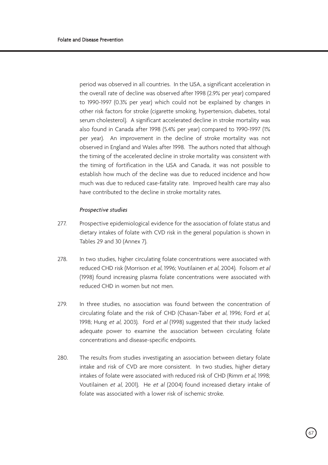period was observed in all countries. In the USA, a significant acceleration in the overall rate of decline was observed after 1998 (2.9% per year) compared to 1990-1997 (0.3% per year) which could not be explained by changes in other risk factors for stroke (cigarette smoking, hypertension, diabetes, total serum cholesterol). A significant accelerated decline in stroke mortality was also found in Canada after 1998 (5.4% per year) compared to 1990-1997 (1% per year). An improvement in the decline of stroke mortality was not observed in England and Wales after 1998. The authors noted that although the timing of the accelerated decline in stroke mortality was consistent with the timing of fortification in the USA and Canada, it was not possible to establish how much of the decline was due to reduced incidence and how much was due to reduced case-fatality rate. Improved health care may also have contributed to the decline in stroke mortality rates.

## *Prospective studies*

- 277. Prospective epidemiological evidence for the association of folate status and dietary intakes of folate with CVD risk in the general population is shown in Tables 29 and 30 (Annex 7).
- 278. In two studies, higher circulating folate concentrations were associated with reduced CHD risk (Morrison et al, 1996; Voutilainen et al, 2004). Folsom et al (1998) found increasing plasma folate concentrations were associated with reduced CHD in women but not men.
- 279. In three studies, no association was found between the concentration of circulating folate and the risk of CHD (Chasan-Taber et al, 1996; Ford et al, 1998; Hung et al, 2003). Ford et al (1998) suggested that their study lacked adequate power to examine the association between circulating folate concentrations and disease-specific endpoints.
- 280. The results from studies investigating an association between dietary folate intake and risk of CVD are more consistent. In two studies, higher dietary intakes of folate were associated with reduced risk of CHD (Rimm et al, 1998; Voutilainen et al, 2001). He et al (2004) found increased dietary intake of folate was associated with a lower risk of ischemic stroke.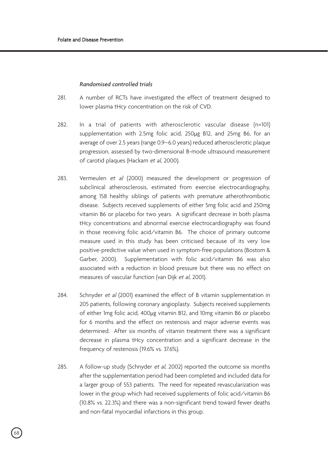#### *Randomised controlled trials*

- 281. A number of RCTs have investigated the effect of treatment designed to lower plasma tHcy concentration on the risk of CVD.
- 282. In a trial of patients with atherosclerotic vascular disease (n=101) supplementation with 2.5mg folic acid, 250µg B12, and 25mg B6, for an average of over 2.5 years (range 0.9–6.0 years) reduced atherosclerotic plaque progression, assessed by two-dimensional B-mode ultrasound measurement of carotid plaques (Hackam et al, 2000).
- 283. Vermeulen et al (2000) measured the development or progression of subclinical atherosclerosis, estimated from exercise electrocardiography, among 158 healthy siblings of patients with premature atherothrombotic disease. Subjects received supplements of either 5mg folic acid and 250mg vitamin B6 or placebo for two years. A significant decrease in both plasma tHcy concentrations and abnormal exercise electrocardiography was found in those receiving folic acid/vitamin B6. The choice of primary outcome measure used in this study has been criticised because of its very low positive-predictive value when used in symptom-free populations (Bostom & Garber, 2000). Supplementation with folic acid/vitamin B6 was also associated with a reduction in blood pressure but there was no effect on measures of vascular function (van Dijk et al, 2001).
- 284. Schnyder et al (2001) examined the effect of B vitamin supplementation in 205 patients, following coronary angioplasty. Subjects received supplements of either 1mg folic acid, 400µg vitamin B12, and 10mg vitamin B6 or placebo for 6 months and the effect on restenosis and major adverse events was determined. After six months of vitamin treatment there was a significant decrease in plasma tHcy concentration and a significant decrease in the frequency of restenosis (19.6% vs. 37.6%).
- 285. A follow-up study (Schnyder et al, 2002) reported the outcome six months after the supplementation period had been completed and included data for a larger group of 553 patients. The need for repeated revascularization was lower in the group which had received supplements of folic acid/vitamin B6 (10.8% vs. 22.3%) and there was a non-significant trend toward fewer deaths and non-fatal myocardial infarctions in this group.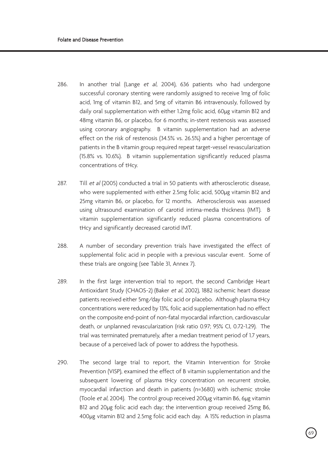- 286. In another trial (Lange et al. 2004), 636 patients who had undergone successful coronary stenting were randomly assigned to receive 1mg of folic acid, 1mg of vitamin B12, and 5mg of vitamin B6 intravenously, followed by daily oral supplementation with either 1.2mg folic acid, 60µg vitamin B12 and 48mg vitamin B6, or placebo, for 6 months; in-stent restenosis was assessed using coronary angiography. B vitamin supplementation had an adverse effect on the risk of restenosis (34.5% vs. 26.5%) and a higher percentage of patients in the B vitamin group required repeat target-vessel revascularization (15.8% vs. 10.6%). B vitamin supplementation significantly reduced plasma concentrations of tHcy.
- 287. Till et al (2005) conducted a trial in 50 patients with atherosclerotic disease. who were supplemented with either 2.5mg folic acid, 500µg vitamin B12 and 25mg vitamin B6, or placebo, for 12 months. Atherosclerosis was assessed using ultrasound examination of carotid intima-media thickness (IMT). B vitamin supplementation significantly reduced plasma concentrations of tHcy and significantly decreased carotid IMT.
- 288. A number of secondary prevention trials have investigated the effect of supplemental folic acid in people with a previous vascular event. Some of these trials are ongoing (see Table 31, Annex 7).
- 289. In the first large intervention trial to report, the second Cambridge Heart Antioxidant Study (CHAOS-2) (Baker et al, 2002), 1882 ischemic heart disease patients received either 5mg/day folic acid or placebo. Although plasma tHcy concentrations were reduced by 13%, folic acid supplementation had no effect on the composite end-point of non-fatal myocardial infarction, cardiovascular death, or unplanned revascularization (risk ratio 0.97; 95% CI, 0.72-1.29). The trial was terminated prematurely, after a median treatment period of 1.7 years, because of a perceived lack of power to address the hypothesis.
- 290. The second large trial to report, the Vitamin Intervention for Stroke Prevention (VISP), examined the effect of B vitamin supplementation and the subsequent lowering of plasma tHcy concentration on recurrent stroke, myocardial infarction and death in patients (n=3680) with ischemic stroke (Toole et al, 2004). The control group received 200µg vitamin B6, 6µg vitamin B12 and 20µg folic acid each day; the intervention group received 25mg B6, 400µg vitamin B12 and 2.5mg folic acid each day. A 15% reduction in plasma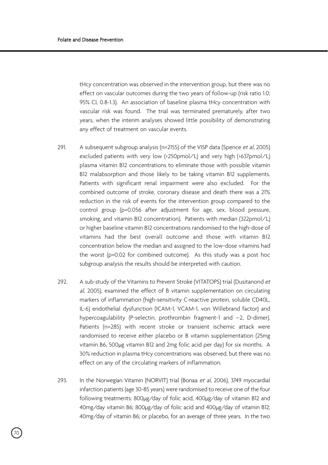tHcy concentration was observed in the intervention group, but there was no effect on vascular outcomes during the two years of follow-up (risk ratio 1.0; 95% CI, 0.8-1.3). An association of baseline plasma tHcy concentration with vascular risk was found. The trial was terminated prematurely, after two years, when the interim analyses showed little possibility of demonstrating any effect of treatment on vascular events.

- 291. A subsequent subgroup analysis (n=2155) of the VISP data (Spence et al, 2005) excluded patients with very low (<250pmol/L) and very high (>637pmol/L) plasma vitamin B12 concentrations to eliminate those with possible vitamin B12 malabsorption and those likely to be taking vitamin B12 supplements. Patients with significant renal impairment were also excluded. For the combined outcome of stroke, coronary disease and death there was a 21% reduction in the risk of events for the intervention group compared to the control group (p=0.056 after adjustment for age, sex, blood pressure, smoking, and vitamin B12 concentration). Patients with median (322pmol/L) or higher baseline vitamin B12 concentrations randomised to the high-dose of vitamins had the best overall outcome and those with vitamin B12 concentration below the median and assigned to the low-dose vitamins had the worst (p=0.02 for combined outcome). As this study was a post hoc subgroup analysis the results should be interpreted with caution.
- 292. A sub-study of the Vitamins to Prevent Stroke (VITATOPS) trial (Dusitanond et al, 2005), examined the effect of B vitamin supplementation on circulating markers of inflammation (high-sensitivity C-reactive protein, soluble CD40L, IL-6) endothelial dysfunction (ICAM-1, VCAM-1, von Willebrand factor) and hypercoagulability (P-selectin, prothrombin fragment-1 and –2, D-dimer). Patients (n=285) with recent stroke or transient ischemic attack were randomised to receive either placebo or B vitamin supplementation (25mg vitamin B6, 500µg vitamin B12 and 2mg folic acid per day) for six months. A 30% reduction in plasma tHcy concentrations was observed, but there was no effect on any of the circulating markers of inflammation.
- 293. In the Norwegian Vitamin (NORVIT) trial (Bonaa et al, 2006), 3749 myocardial infarction patients (age 30-85 years) were randomised to receive one of the four following treatments: 800µg/day of folic acid, 400µg/day of vitamin B12 and 40mg/day vitamin B6; 800µg/day of folic acid and 400µg/day of vitamin B12; 40mg/day of vitamin B6; or placebo, for an average of three years. In the two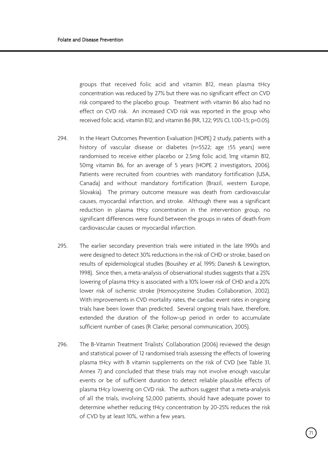groups that received folic acid and vitamin B12, mean plasma tHcy concentration was reduced by 27% but there was no significant effect on CVD risk compared to the placebo group. Treatment with vitamin B6 also had no effect on CVD risk. An increased CVD risk was reported in the group who received folic acid, vitamin B12, and vitamin B6 (RR, 1.22; 95% CI, 1.00-1.5; p=0.05).

- 294. In the Heart Outcomes Prevention Evaluation (HOPE) 2 study, patients with a history of vascular disease or diabetes (n=5522; age ≥55 years) were randomised to receive either placebo or 2.5mg folic acid, 1mg vitamin B12, 50mg vitamin B6, for an average of 5 years (HOPE 2 investigators, 2006). Patients were recruited from countries with mandatory fortification (USA, Canada) and without mandatory fortification (Brazil, western Europe, Slovakia). The primary outcome measure was death from cardiovascular causes, myocardial infarction, and stroke. Although there was a significant reduction in plasma tHcy concentration in the intervention group, no significant differences were found between the groups in rates of death from cardiovascular causes or myocardial infarction.
- 295. The earlier secondary prevention trials were initiated in the late 1990s and were designed to detect 30% reductions in the risk of CHD or stroke, based on results of epidemiological studies (Boushey et al, 1995; Danesh & Lewington, 1998). Since then, a meta-analysis of observational studies suggests that a 25% lowering of plasma tHcy is associated with a 10% lower risk of CHD and a 20% lower risk of ischemic stroke (Homocysteine Studies Collaboration, 2002). With improvements in CVD mortality rates, the cardiac event rates in ongoing trials have been lower than predicted. Several ongoing trials have, therefore, extended the duration of the follow-up period in order to accumulate sufficient number of cases (R Clarke; personal communication, 2005).
- 296. The B-Vitamin Treatment Trialists' Collaboration (2006) reviewed the design and statistical power of 12 randomised trials assessing the effects of lowering plasma tHcy with B vitamin supplements on the risk of CVD (see Table 31, Annex 7) and concluded that these trials may not involve enough vascular events or be of sufficient duration to detect reliable plausible effects of plasma tHcy lowering on CVD risk. The authors suggest that a meta-analysis of all the trials, involving 52,000 patients, should have adequate power to determine whether reducing tHcy concentration by 20-25% reduces the risk of CVD by at least 10%, within a few years.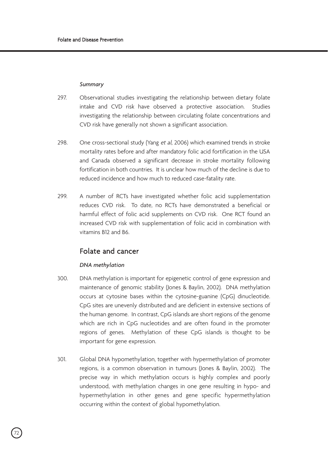#### *Summary*

- 297. Observational studies investigating the relationship between dietary folate intake and CVD risk have observed a protective association. Studies investigating the relationship between circulating folate concentrations and CVD risk have generally not shown a significant association.
- 298. One cross-sectional study (Yang et al, 2006) which examined trends in stroke mortality rates before and after mandatory folic acid fortification in the USA and Canada observed a significant decrease in stroke mortality following fortification in both countries. It is unclear how much of the decline is due to reduced incidence and how much to reduced case-fatality rate.
- 299. A number of RCTs have investigated whether folic acid supplementation reduces CVD risk. To date, no RCTs have demonstrated a beneficial or harmful effect of folic acid supplements on CVD risk. One RCT found an increased CVD risk with supplementation of folic acid in combination with vitamins B12 and B6.

# Folate and cancer

#### *DNA methylation*

- 300. DNA methylation is important for epigenetic control of gene expression and maintenance of genomic stability (Jones & Baylin, 2002). DNA methylation occurs at cytosine bases within the cytosine-guanine (CpG) dinucleotide. CpG sites are unevenly distributed and are deficient in extensive sections of the human genome. In contrast, CpG islands are short regions of the genome which are rich in CpG nucleotides and are often found in the promoter regions of genes. Methylation of these CpG islands is thought to be important for gene expression.
- 301. Global DNA hypomethylation, together with hypermethylation of promoter regions, is a common observation in tumours (Jones & Baylin, 2002). The precise way in which methylation occurs is highly complex and poorly understood, with methylation changes in one gene resulting in hypo- and hypermethylation in other genes and gene specific hypermethylation occurring within the context of global hypomethylation.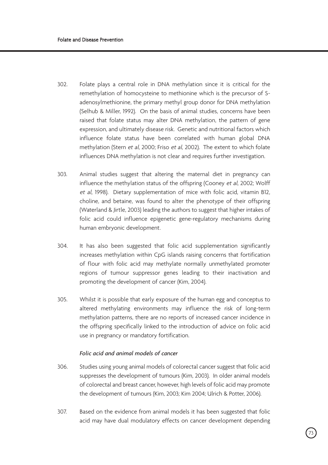- 302. Folate plays a central role in DNA methylation since it is critical for the remethylation of homocysteine to methionine which is the precursor of Sadenosylmethionine, the primary methyl group donor for DNA methylation (Selhub & Miller, 1992). On the basis of animal studies, concerns have been raised that folate status may alter DNA methylation, the pattern of gene expression, and ultimately disease risk. Genetic and nutritional factors which influence folate status have been correlated with human global DNA methylation (Stern et al, 2000; Friso et al, 2002). The extent to which folate influences DNA methylation is not clear and requires further investigation.
- 303. Animal studies suggest that altering the maternal diet in pregnancy can influence the methylation status of the offspring (Cooney et al, 2002; Wolff et al, 1998). Dietary supplementation of mice with folic acid, vitamin B12, choline, and betaine, was found to alter the phenotype of their offspring (Waterland & Jirtle, 2003) leading the authors to suggest that higher intakes of folic acid could influence epigenetic gene-regulatory mechanisms during human embryonic development.
- 304. It has also been suggested that folic acid supplementation significantly increases methylation within CpG islands raising concerns that fortification of flour with folic acid may methylate normally unmethylated promoter regions of tumour suppressor genes leading to their inactivation and promoting the development of cancer (Kim, 2004).
- 305. Whilst it is possible that early exposure of the human egg and conceptus to altered methylating environments may influence the risk of long-term methylation patterns, there are no reports of increased cancer incidence in the offspring specifically linked to the introduction of advice on folic acid use in pregnancy or mandatory fortification.

## *Folic acid and animal models of cancer*

- 306. Studies using young animal models of colorectal cancer suggest that folic acid suppresses the development of tumours (Kim, 2003). In older animal models of colorectal and breast cancer, however, high levels of folic acid may promote the development of tumours (Kim, 2003; Kim 2004; Ulrich & Potter, 2006).
- 307. Based on the evidence from animal models it has been suggested that folic acid may have dual modulatory effects on cancer development depending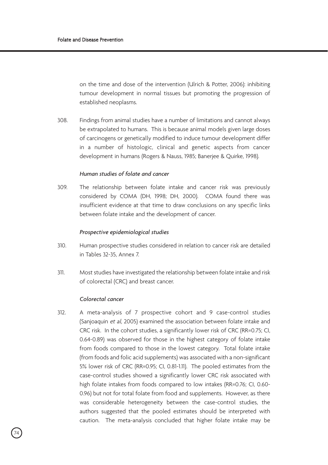on the time and dose of the intervention (Ulrich & Potter, 2006): inhibiting tumour development in normal tissues but promoting the progression of established neoplasms.

308. Findings from animal studies have a number of limitations and cannot always be extrapolated to humans. This is because animal models given large doses of carcinogens or genetically modified to induce tumour development differ in a number of histologic, clinical and genetic aspects from cancer development in humans (Rogers & Nauss, 1985; Banerjee & Quirke, 1998).

## *Human studies of folate and cancer*

309. The relationship between folate intake and cancer risk was previously considered by COMA (DH, 1998; DH, 2000). COMA found there was insufficient evidence at that time to draw conclusions on any specific links between folate intake and the development of cancer.

#### *Prospective epidemiological studies*

- 310. Human prospective studies considered in relation to cancer risk are detailed in Tables 32-35, Annex 7.
- 311. Most studies have investigated the relationship between folate intake and risk of colorectal (CRC) and breast cancer.

#### *Colorectal cancer*

312. A meta-analysis of 7 prospective cohort and 9 case-control studies (Sanjoaquin et al, 2005) examined the association between folate intake and CRC risk. In the cohort studies, a significantly lower risk of CRC (RR=0.75; CI, 0.64-0.89) was observed for those in the highest category of folate intake from foods compared to those in the lowest category. Total folate intake (from foods and folic acid supplements) was associated with a non-significant 5% lower risk of CRC (RR=0.95; CI, 0.81-1.11). The pooled estimates from the case-control studies showed a significantly lower CRC risk associated with high folate intakes from foods compared to low intakes (RR=0.76; CI, 0.60- 0.96) but not for total folate from food and supplements. However, as there was considerable heterogeneity between the case-control studies, the authors suggested that the pooled estimates should be interpreted with caution. The meta-analysis concluded that higher folate intake may be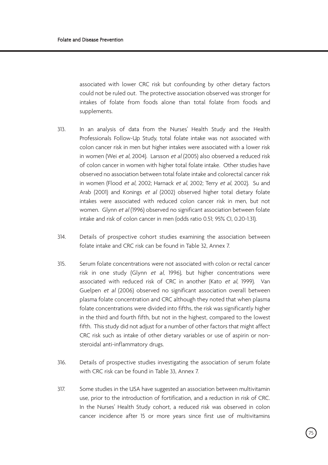associated with lower CRC risk but confounding by other dietary factors could not be ruled out. The protective association observed was stronger for intakes of folate from foods alone than total folate from foods and supplements.

- 313. In an analysis of data from the Nurses' Health Study and the Health Professionals Follow-Up Study, total folate intake was not associated with colon cancer risk in men but higher intakes were associated with a lower risk in women (Wei et al, 2004). Larsson et al (2005) also observed a reduced risk of colon cancer in women with higher total folate intake. Other studies have observed no association between total folate intake and colorectal cancer risk in women (Flood et al, 2002; Harnack et al, 2002; Terry et al, 2002). Su and Arab (2001) and Konings et al (2002) observed higher total dietary folate intakes were associated with reduced colon cancer risk in men, but not women. Glynn et al (1996) observed no significant association between folate intake and risk of colon cancer in men (odds ratio 0.51; 95% CI, 0.20-1.31).
- 314. Details of prospective cohort studies examining the association between folate intake and CRC risk can be found in Table 32, Annex 7.
- 315. Serum folate concentrations were not associated with colon or rectal cancer risk in one study (Glynn et al, 1996), but higher concentrations were associated with reduced risk of CRC in another (Kato et al, 1999). Van Guelpen et al (2006) observed no significant association overall between plasma folate concentration and CRC although they noted that when plasma folate concentrations were divided into fifths, the risk was significantly higher in the third and fourth fifth, but not in the highest, compared to the lowest fifth. This study did not adjust for a number of other factors that might affect CRC risk such as intake of other dietary variables or use of aspirin or nonsteroidal anti-inflammatory drugs.
- 316. Details of prospective studies investigating the association of serum folate with CRC risk can be found in Table 33, Annex 7.
- 317. Some studies in the USA have suggested an association between multivitamin use, prior to the introduction of fortification, and a reduction in risk of CRC. In the Nurses' Health Study cohort, a reduced risk was observed in colon cancer incidence after 15 or more years since first use of multivitamins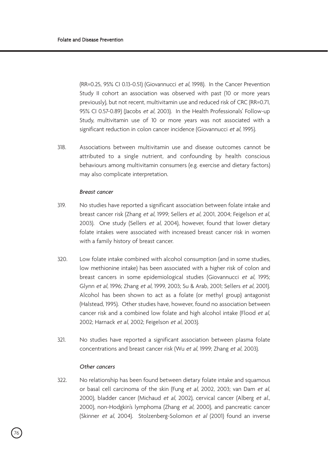(RR=0.25, 95% CI 0.13-0.51) (Giovannucci et al, 1998). In the Cancer Prevention Study II cohort an association was observed with past (10 or more years previously), but not recent, multivitamin use and reduced risk of CRC (RR=0.71, 95% CI 0.57-0.89) (Jacobs et al, 2003). In the Health Professionals' Follow-up Study, multivitamin use of 10 or more years was not associated with a significant reduction in colon cancer incidence (Giovannucci et al, 1995).

318. Associations between multivitamin use and disease outcomes cannot be attributed to a single nutrient, and confounding by health conscious behaviours among multivitamin consumers (e.g. exercise and dietary factors) may also complicate interpretation.

#### *Breast cancer*

- 319. No studies have reported a significant association between folate intake and breast cancer risk (Zhang et al, 1999; Sellers et al, 2001, 2004; Feigelson et al, 2003). One study (Sellers et al, 2004), however, found that lower dietary folate intakes were associated with increased breast cancer risk in women with a family history of breast cancer.
- 320. Low folate intake combined with alcohol consumption (and in some studies, low methionine intake) has been associated with a higher risk of colon and breast cancers in some epidemiological studies (Giovannucci et al, 1995; Glynn et al, 1996; Zhang et al, 1999, 2003; Su & Arab, 2001; Sellers et al, 2001). Alcohol has been shown to act as a folate (or methyl group) antagonist (Halstead, 1995). Other studies have, however, found no association between cancer risk and a combined low folate and high alcohol intake (Flood et al, 2002; Harnack et al, 2002; Feigelson et al, 2003).
- 321. No studies have reported a significant association between plasma folate concentrations and breast cancer risk (Wu et al, 1999; Zhang et al, 2003).

#### *Other cancers*

322. No relationship has been found between dietary folate intake and squamous or basal cell carcinoma of the skin (Fung et al, 2002, 2003; van Dam et al, 2000), bladder cancer (Michaud et al, 2002), cervical cancer (Alberg et al., 2000), non-Hodgkin's lymphoma (Zhang et al, 2000), and pancreatic cancer (Skinner et al, 2004). Stolzenberg-Solomon et al (2001) found an inverse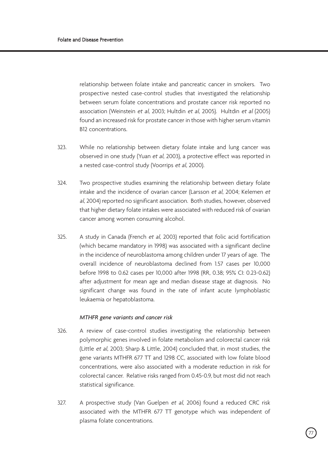relationship between folate intake and pancreatic cancer in smokers. Two prospective nested case-control studies that investigated the relationship between serum folate concentrations and prostate cancer risk reported no association (Weinstein et al, 2003; Hultdin et al, 2005). Hultdin et al (2005) found an increased risk for prostate cancer in those with higher serum vitamin B12 concentrations.

- 323. While no relationship between dietary folate intake and lung cancer was observed in one study (Yuan et al, 2003), a protective effect was reported in a nested case-control study (Voorrips et al, 2000).
- 324. Two prospective studies examining the relationship between dietary folate intake and the incidence of ovarian cancer (Larsson et al, 2004; Kelemen et al, 2004) reported no significant association. Both studies, however, observed that higher dietary folate intakes were associated with reduced risk of ovarian cancer among women consuming alcohol.
- 325. A study in Canada (French et al, 2003) reported that folic acid fortification (which became mandatory in 1998) was associated with a significant decline in the incidence of neuroblastoma among children under 17 years of age. The overall incidence of neuroblastoma declined from 1.57 cases per 10,000 before 1998 to 0.62 cases per 10,000 after 1998 (RR, 0.38; 95% CI: 0.23-0.62) after adjustment for mean age and median disease stage at diagnosis. No significant change was found in the rate of infant acute lymphoblastic leukaemia or hepatoblastoma.

#### *MTHFR gene variants and cancer risk*

- 326. A review of case-control studies investigating the relationship between polymorphic genes involved in folate metabolism and colorectal cancer risk (Little et al, 2003; Sharp & Little, 2004) concluded that, in most studies, the gene variants MTHFR 677 TT and 1298 CC, associated with low folate blood concentrations, were also associated with a moderate reduction in risk for colorectal cancer. Relative risks ranged from 0.45-0.9, but most did not reach statistical significance.
- 327. A prospective study (Van Guelpen et al, 2006) found a reduced CRC risk associated with the MTHFR 677 TT genotype which was independent of plasma folate concentrations.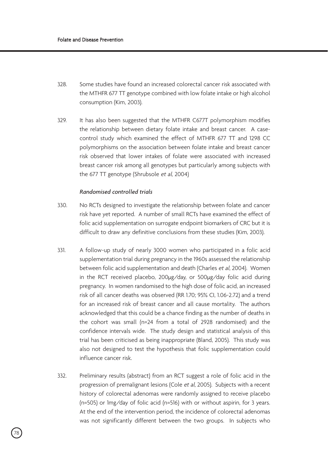- 328. Some studies have found an increased colorectal cancer risk associated with the MTHFR 677 TT genotype combined with low folate intake or high alcohol consumption (Kim, 2003).
- 329. It has also been suggested that the MTHFR C677T polymorphism modifies the relationship between dietary folate intake and breast cancer. A casecontrol study which examined the effect of MTHFR 677 TT and 1298 CC polymorphisms on the association between folate intake and breast cancer risk observed that lower intakes of folate were associated with increased breast cancer risk among all genotypes but particularly among subjects with the 677 TT genotype (Shrubsole et al, 2004)

## *Randomised controlled trials*

- 330. No RCTs designed to investigate the relationship between folate and cancer risk have yet reported. A number of small RCTs have examined the effect of folic acid supplementation on surrogate endpoint biomarkers of CRC but it is difficult to draw any definitive conclusions from these studies (Kim, 2003).
- 331. A follow-up study of nearly 3000 women who participated in a folic acid supplementation trial during pregnancy in the 1960s assessed the relationship between folic acid supplementation and death (Charles et al, 2004). Women in the RCT received placebo, 200µg/day, or 500µg/day folic acid during pregnancy. In women randomised to the high dose of folic acid, an increased risk of all cancer deaths was observed (RR 1.70; 95% CI, 1.06-2.72) and a trend for an increased risk of breast cancer and all cause mortality. The authors acknowledged that this could be a chance finding as the number of deaths in the cohort was small (n=24 from a total of 2928 randomised) and the confidence intervals wide. The study design and statistical analysis of this trial has been criticised as being inappropriate (Bland, 2005). This study was also not designed to test the hypothesis that folic supplementation could influence cancer risk.
- 332. Preliminary results (abstract) from an RCT suggest a role of folic acid in the progression of premalignant lesions (Cole et al, 2005). Subjects with a recent history of colorectal adenomas were randomly assigned to receive placebo (n=505) or 1mg/day of folic acid (n=516) with or without aspirin, for 3 years. At the end of the intervention period, the incidence of colorectal adenomas was not significantly different between the two groups. In subjects who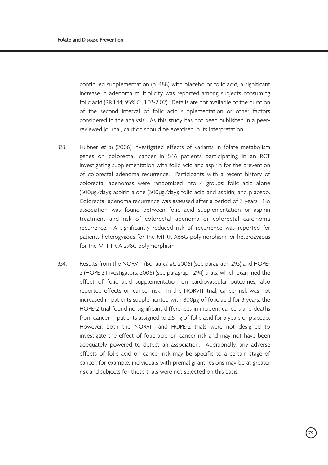continued supplementation (n=488) with placebo or folic acid, a significant increase in adenoma multiplicity was reported among subjects consuming folic acid (RR 1.44; 95% CI, 1.03-2.02). Details are not available of the duration of the second interval of folic acid supplementation or other factors considered in the analysis. As this study has not been published in a peerreviewed journal, caution should be exercised in its interpretation.

- 333. Hubner et al (2006) investigated effects of variants in folate metabolism genes on colorectal cancer in 546 patients participating in an RCT investigating supplementation with folic acid and aspirin for the prevention of colorectal adenoma recurrence. Participants with a recent history of colorectal adenomas were randomised into 4 groups: folic acid alone (500µg/day); aspirin alone (300µg/day); folic acid and aspirin; and placebo. Colorectal adenoma recurrence was assessed after a period of 3 years. No association was found between folic acid supplementation or aspirin treatment and risk of colorectal adenoma or colorectal carcinoma recurrence. A significantly reduced risk of recurrence was reported for patients heterogygous for the MTRR A66G polymorphism, or heterozygous for the MTHFR A1298C polymorphism.
- 334. Results from the NORVIT (Bonaa et al., 2006) (see paragraph 293) and HOPE-2 (HOPE 2 Investigators, 2006) (see paragraph 294) trials, which examined the effect of folic acid supplementation on cardiovascular outcomes, also reported effects on cancer risk. In the NORVIT trial, cancer risk was not increased in patients supplemented with 800µg of folic acid for 3 years; the HOPE-2 trial found no significant differences in incident cancers and deaths from cancer in patients assigned to 2.5mg of folic acid for 5 years or placebo. However, both the NORVIT and HOPE-2 trials were not designed to investigate the effect of folic acid on cancer risk and may not have been adequately powered to detect an association. Additionally, any adverse effects of folic acid on cancer risk may be specific to a certain stage of cancer, for example, individuals with premalignant lesions may be at greater risk and subjects for these trials were not selected on this basis.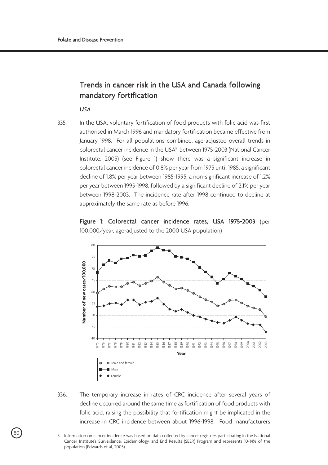# Trends in cancer risk in the USA and Canada following mandatory fortification

*USA*

335. In the USA, voluntary fortification of food products with folic acid was first authorised in March 1996 and mandatory fortification became effective from January 1998. For all populations combined, age-adjusted overall trends in colorectal cancer incidence in the USA<sup>5</sup> between 1975-2003 (National Cancer Institute, 2005) (see Figure 1) show there was a significant increase in colorectal cancer incidence of 0.8% per year from 1975 until 1985, a significant decline of 1.8% per year between 1985-1995, a non-significant increase of 1.2% per year between 1995-1998, followed by a significant decline of 2.1% per year between 1998-2003. The incidence rate after 1998 continued to decline at approximately the same rate as before 1996.





336. The temporary increase in rates of CRC incidence after several years of decline occurred around the same time as fortification of food products with folic acid, raising the possibility that fortification might be implicated in the increase in CRC incidence between about 1996-1998. Food manufacturers

<sup>80</sup> 5 Information on cancer incidence was based on data collected by cancer registries participating in the National Cancer Institute's Surveillance, Epidemiology, and End Results (SEER) Program and represents 10-14% of the population (Edwards et al, 2005).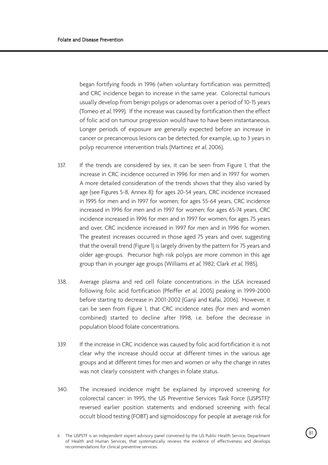began fortifying foods in 1996 (when voluntary fortification was permitted) and CRC incidence began to increase in the same year. Colorectal tumours usually develop from benign polyps or adenomas over a period of 10-15 years (Tomeo et al, 1999). If the increase was caused by fortification then the effect of folic acid on tumour progression would have to have been instantaneous. Longer periods of exposure are generally expected before an increase in cancer or precancerous lesions can be detected, for example, up to 3 years in polyp recurrence intervention trials (Martinez et al, 2006).

- 337. If the trends are considered by sex, it can be seen from Figure 1, that the increase in CRC incidence occurred in 1996 for men and in 1997 for women. A more detailed consideration of the trends shows that they also varied by age (see Figures 5-8, Annex 8): for ages 20-54 years, CRC incidence increased in 1995 for men and in 1997 for women; for ages 55-64 years, CRC incidence increased in 1996 for men and in 1997 for women; for ages 65-74 years, CRC incidence increased in 1996 for men and in 1997 for women; for ages 75 years and over, CRC incidence increased in 1997 for men and in 1996 for women. The greatest increases occurred in those aged 75 years and over, suggesting that the overall trend (Figure 1) is largely driven by the pattern for 75 years and older age-groups. Precursor high risk polyps are more common in this age group than in younger age groups (Williams et al, 1982; Clark et al, 1985).
- 338. Average plasma and red cell folate concentrations in the USA increased following folic acid fortification (Pfeiffer et al, 2005) peaking in 1999-2000 before starting to decrease in 2001-2002 (Ganji and Kafai, 2006). However, it can be seen from Figure 1, that CRC incidence rates (for men and women combined) started to decline after 1998, i.e. before the decrease in population blood folate concentrations.
- 339. If the increase in CRC incidence was caused by folic acid fortification it is not clear why the increase should occur at different times in the various age groups and at different times for men and women or why the change in rates was not clearly consistent with changes in folate status.
- 340. The increased incidence might be explained by improved screening for colorectal cancer: in 1995, the US Preventive Services Task Force (USPSTF)6 reversed earlier position statements and endorsed screening with fecal occult blood testing (FOBT) and sigmoidoscopy for people at average risk for

<sup>81</sup> 6 The USPSTF is an independent expert advisory panel convened by the US Public Health Service, Department of Health and Human Services, that systematically reviews the evidence of effectiveness and develops recommendations for clinical preventive services.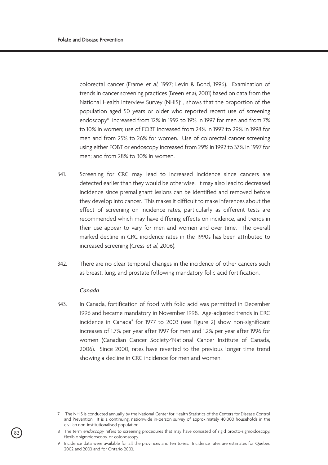colorectal cancer (Frame et al, 1997; Levin & Bond, 1996). Examination of trends in cancer screening practices (Breen et al, 2001) based on data from the National Health Interview Survey (NHIS)<sup>7</sup>, shows that the proportion of the population aged 50 years or older who reported recent use of screening endoscopy<sup>8</sup> increased from 12% in 1992 to 19% in 1997 for men and from 7% to 10% in women; use of FOBT increased from 24% in 1992 to 29% in 1998 for men and from 25% to 26% for women. Use of colorectal cancer screening using either FOBT or endoscopy increased from 29% in 1992 to 37% in 1997 for men; and from 28% to 30% in women.

- 341. Screening for CRC may lead to increased incidence since cancers are detected earlier than they would be otherwise. It may also lead to decreased incidence since premalignant lesions can be identified and removed before they develop into cancer. This makes it difficult to make inferences about the effect of screening on incidence rates, particularly as different tests are recommended which may have differing effects on incidence, and trends in their use appear to vary for men and women and over time. The overall marked decline in CRC incidence rates in the 1990s has been attributed to increased screening (Cress et al, 2006).
- 342. There are no clear temporal changes in the incidence of other cancers such as breast, lung, and prostate following mandatory folic acid fortification.

#### *Canada*

82

343. In Canada, fortification of food with folic acid was permitted in December 1996 and became mandatory in November 1998. Age-adjusted trends in CRC incidence in Canada<sup>9</sup> for 1977 to 2003 (see Figure 2) show non-significant increases of 1.7% per year after 1997 for men and 1.2% per year after 1996 for women (Canadian Cancer Society/National Cancer Institute of Canada, 2006). Since 2000, rates have reverted to the previous longer time trend showing a decline in CRC incidence for men and women.

<sup>7</sup> The NHIS is conducted annually by the National Center for Health Statistics of the Centers for Disease Control and Prevention. It is a continuing, nationwide in-person survey of approximately 40,000 households in the civilian non-institutionalised population.

<sup>8</sup> The term endoscopy refers to screening procedures that may have consisted of rigid procto-sigmoidoscopy, flexible sigmoidoscopy, or colonoscopy.

<sup>9</sup> Incidence data were available for all the provinces and territories. Incidence rates are estimates for Quebec 2002 and 2003 and for Ontario 2003.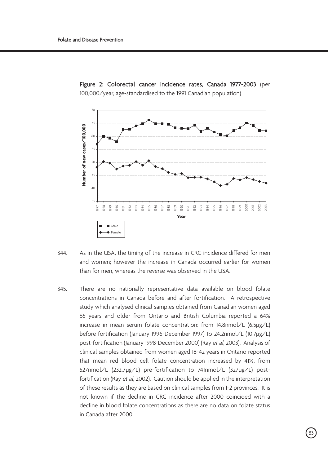

Figure 2: Colorectal cancer incidence rates, Canada 1977-2003 (per 100,000/year, age-standardised to the 1991 Canadian population)

- 344. As in the USA, the timing of the increase in CRC incidence differed for men and women; however the increase in Canada occurred earlier for women than for men, whereas the reverse was observed in the USA.
- 345. There are no nationally representative data available on blood folate concentrations in Canada before and after fortification. A retrospective study which analysed clinical samples obtained from Canadian women aged 65 years and older from Ontario and British Columbia reported a 64% increase in mean serum folate concentration: from 14.8nmol/L (6.5µg/L) before fortification (January 1996-December 1997) to 24.2nmol/L (10.7µg/L) post-fortification (January 1998-December 2000) (Ray et al, 2003). Analysis of clinical samples obtained from women aged 18-42 years in Ontario reported that mean red blood cell folate concentration increased by 41%, from 527nmol/L (232.7µg/L) pre-fortification to 741nmol/L (327µg/L) postfortification (Ray et al, 2002). Caution should be applied in the interpretation of these results as they are based on clinical samples from 1-2 provinces. It is not known if the decline in CRC incidence after 2000 coincided with a decline in blood folate concentrations as there are no data on folate status in Canada after 2000.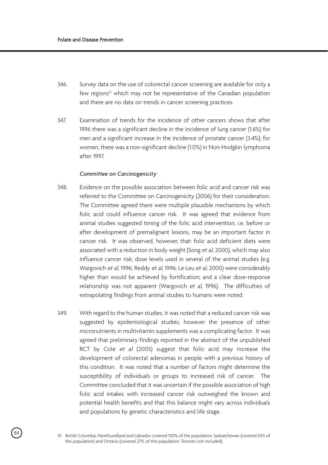- 346. Survey data on the use of colorectal cancer screening are available for only a few regions<sup>10</sup> which may not be representative of the Canadian population and there are no data on trends in cancer screening practices.
- 347. Examination of trends for the incidence of other cancers shows that after 1996 there was a significant decline in the incidence of lung cancer (1.6%) for men and a significant increase in the incidence of prostate cancer (3.4%); for women, there was a non-significant decline (1.0%) in Non-Hodgkin lymphoma after 1997.

#### *Committee on Carcinogenicity*

- 348. Evidence on the possible association between folic acid and cancer risk was referred to the Committee on Carcinogenicity (2006) for their consideration. The Committee agreed there were multiple plausible mechanisms by which folic acid could influence cancer risk. It was agreed that evidence from animal studies suggested timing of the folic acid intervention, i.e. before or after development of premalignant lesions, may be an important factor in cancer risk. It was observed, however, that: folic acid deficient diets were associated with a reduction in body weight (Song et al, 2000), which may also influence cancer risk; dose levels used in several of the animal studies (e.g. Wargovich et al, 1996; Reddy et al, 1996; Le Leu et al, 2000) were considerably higher than would be achieved by fortification; and a clear dose-response relationship was not apparent (Wargovich et al, 1996). The difficulties of extrapolating findings from animal studies to humans were noted.
- 349. With regard to the human studies, it was noted that a reduced cancer risk was suggested by epidemiological studies; however the presence of other micronutrients in multivitamin supplements was a complicating factor. It was agreed that preliminary findings reported in the abstract of the unpublished RCT by Cole et al (2005) suggest that folic acid may increase the development of colorectal adenomas in people with a previous history of this condition. It was noted that a number of factors might determine the susceptibility of individuals or groups to increased risk of cancer. The Committee concluded that it was uncertain if the possible association of high folic acid intakes with increased cancer risk outweighed the known and potential health benefits and that this balance might vary across individuals and populations by genetic characteristics and life stage.

<sup>84</sup> 10 British Columbia, Newfoundland and Labrador covered 100% of the population, Saskatchewan (covered 63% of the population) and Ontario (covered 27% of the population; Toronto not included).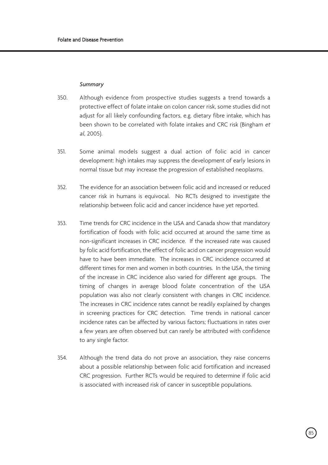#### *Summary*

- 350. Although evidence from prospective studies suggests a trend towards a protective effect of folate intake on colon cancer risk, some studies did not adjust for all likely confounding factors, e.g. dietary fibre intake, which has been shown to be correlated with folate intakes and CRC risk (Bingham et al, 2005).
- 351. Some animal models suggest a dual action of folic acid in cancer development: high intakes may suppress the development of early lesions in normal tissue but may increase the progression of established neoplasms.
- 352. The evidence for an association between folic acid and increased or reduced cancer risk in humans is equivocal. No RCTs designed to investigate the relationship between folic acid and cancer incidence have yet reported.
- 353. Time trends for CRC incidence in the USA and Canada show that mandatory fortification of foods with folic acid occurred at around the same time as non-significant increases in CRC incidence. If the increased rate was caused by folic acid fortification, the effect of folic acid on cancer progression would have to have been immediate. The increases in CRC incidence occurred at different times for men and women in both countries. In the USA, the timing of the increase in CRC incidence also varied for different age groups. The timing of changes in average blood folate concentration of the USA population was also not clearly consistent with changes in CRC incidence. The increases in CRC incidence rates cannot be readily explained by changes in screening practices for CRC detection. Time trends in national cancer incidence rates can be affected by various factors; fluctuations in rates over a few years are often observed but can rarely be attributed with confidence to any single factor.
- 354. Although the trend data do not prove an association, they raise concerns about a possible relationship between folic acid fortification and increased CRC progression. Further RCTs would be required to determine if folic acid is associated with increased risk of cancer in susceptible populations.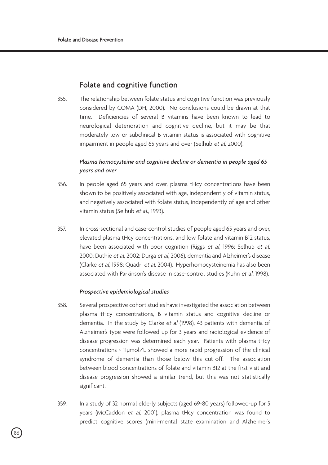# Folate and cognitive function

355. The relationship between folate status and cognitive function was previously considered by COMA (DH, 2000). No conclusions could be drawn at that time. Deficiencies of several B vitamins have been known to lead to neurological deterioration and cognitive decline, but it may be that moderately low or subclinical B vitamin status is associated with cognitive impairment in people aged 65 years and over (Selhub et al, 2000).

## *Plasma homocysteine and cognitive decline or dementia in people aged 65 years and over*

- 356. In people aged 65 years and over, plasma tHcy concentrations have been shown to be positively associated with age, independently of vitamin status, and negatively associated with folate status, independently of age and other vitamin status (Selhub et al., 1993).
- 357. In cross-sectional and case-control studies of people aged 65 years and over, elevated plasma tHcy concentrations, and low folate and vitamin B12 status, have been associated with poor cognition (Riggs et al, 1996; Selhub et al, 2000; Duthie et al, 2002; Durga et al, 2006), dementia and Alzheimer's disease (Clarke et al, 1998; Quadri et al, 2004). Hyperhomocysteinemia has also been associated with Parkinson's disease in case-control studies (Kuhn et al, 1998).

## *Prospective epidemiological studies*

- 358. Several prospective cohort studies have investigated the association between plasma tHcy concentrations, B vitamin status and cognitive decline or dementia. In the study by Clarke et al (1998), 43 patients with dementia of Alzheimer's type were followed-up for 3 years and radiological evidence of disease progression was determined each year. Patients with plasma tHcy concentrations > 11µmol/L showed a more rapid progression of the clinical syndrome of dementia than those below this cut-off. The association between blood concentrations of folate and vitamin B12 at the first visit and disease progression showed a similar trend, but this was not statistically significant.
- 359. In a study of 32 normal elderly subjects (aged 69-80 years) followed-up for 5 years (McCaddon et al, 2001), plasma tHcy concentration was found to predict cognitive scores (mini-mental state examination and Alzheimer's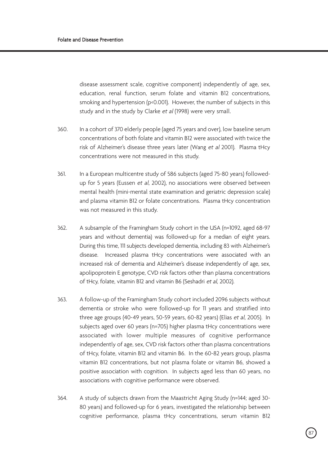disease assessment scale, cognitive component) independently of age, sex, education, renal function, serum folate and vitamin B12 concentrations, smoking and hypertension (p<0.001). However, the number of subjects in this study and in the study by Clarke et al (1998) were very small.

- 360. In a cohort of 370 elderly people (aged 75 years and over), low baseline serum concentrations of both folate and vitamin B12 were associated with twice the risk of Alzheimer's disease three years later (Wang et al 2001). Plasma tHcy concentrations were not measured in this study.
- 361. In a European multicentre study of 586 subjects (aged 75-80 years) followedup for 5 years (Eussen et al. 2002), no associations were observed between mental health (mini-mental state examination and geriatric depression scale) and plasma vitamin B12 or folate concentrations. Plasma tHcy concentration was not measured in this study.
- 362. A subsample of the Framingham Study cohort in the USA (n=1092, aged 68-97 years and without dementia) was followed-up for a median of eight years. During this time, 111 subjects developed dementia, including 83 with Alzheimer's disease. Increased plasma tHcy concentrations were associated with an increased risk of dementia and Alzheimer's disease independently of age, sex, apolipoprotein E genotype, CVD risk factors other than plasma concentrations of tHcy, folate, vitamin B12 and vitamin B6 (Seshadri et al, 2002).
- 363. A follow-up of the Framingham Study cohort included 2096 subjects without dementia or stroke who were followed-up for 11 years and stratified into three age groups (40-49 years, 50-59 years, 60-82 years) (Elias et al, 2005). In subjects aged over 60 years (n=705) higher plasma tHcy concentrations were associated with lower multiple measures of cognitive performance independently of age, sex, CVD risk factors other than plasma concentrations of tHcy, folate, vitamin B12 and vitamin B6. In the 60-82 years group, plasma vitamin B12 concentrations, but not plasma folate or vitamin B6, showed a positive association with cognition. In subjects aged less than 60 years, no associations with cognitive performance were observed.
- 364. A study of subjects drawn from the Maastricht Aging Study (n=144; aged 30- 80 years) and followed-up for 6 years, investigated the relationship between cognitive performance, plasma tHcy concentrations, serum vitamin B12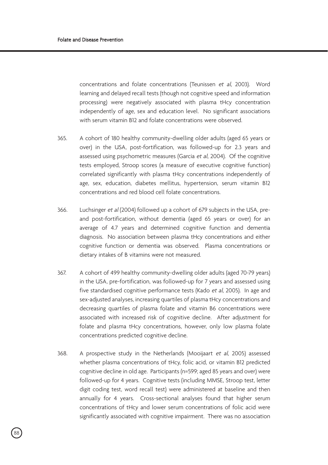concentrations and folate concentrations (Teunissen et al, 2003). Word learning and delayed recall tests (though not cognitive speed and information processing) were negatively associated with plasma tHcy concentration independently of age, sex and education level. No significant associations with serum vitamin B12 and folate concentrations were observed.

- 365. A cohort of 180 healthy community-dwelling older adults (aged 65 years or over) in the USA, post-fortification, was followed-up for 2.3 years and assessed using psychometric measures (Garcia et al, 2004). Of the cognitive tests employed, Stroop scores (a measure of executive cognitive function) correlated significantly with plasma tHcy concentrations independently of age, sex, education, diabetes mellitus, hypertension, serum vitamin B12 concentrations and red blood cell folate concentrations.
- 366. Luchsinger et al (2004) followed up a cohort of 679 subjects in the USA, preand post-fortification, without dementia (aged 65 years or over) for an average of 4.7 years and determined cognitive function and dementia diagnosis. No association between plasma tHcy concentrations and either cognitive function or dementia was observed. Plasma concentrations or dietary intakes of B vitamins were not measured.
- 367. A cohort of 499 healthy community-dwelling older adults (aged 70-79 years) in the USA, pre-fortification, was followed-up for 7 years and assessed using five standardised cognitive performance tests (Kado et al, 2005). In age and sex-adjusted analyses, increasing quartiles of plasma tHcy concentrations and decreasing quartiles of plasma folate and vitamin B6 concentrations were associated with increased risk of cognitive decline. After adjustment for folate and plasma tHcy concentrations, however, only low plasma folate concentrations predicted cognitive decline.
- 368. A prospective study in the Netherlands (Mooijaart et al, 2005) assessed whether plasma concentrations of tHcy, folic acid, or vitamin B12 predicted cognitive decline in old age. Participants (n=599; aged 85 years and over) were followed-up for 4 years. Cognitive tests (including MMSE, Stroop test, letter digit coding test, word recall test) were administered at baseline and then annually for 4 years. Cross-sectional analyses found that higher serum concentrations of tHcy and lower serum concentrations of folic acid were significantly associated with cognitive impairment. There was no association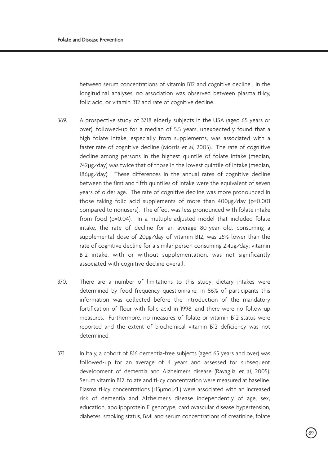between serum concentrations of vitamin B12 and cognitive decline. In the longitudinal analyses, no association was observed between plasma tHcy, folic acid, or vitamin B12 and rate of cognitive decline.

- 369. A prospective study of 3718 elderly subjects in the USA (aged 65 years or over), followed-up for a median of 5.5 years, unexpectedly found that a high folate intake, especially from supplements, was associated with a faster rate of cognitive decline (Morris et al, 2005). The rate of cognitive decline among persons in the highest quintile of folate intake (median, 742µg/day) was twice that of those in the lowest quintile of intake (median, 186µg/day). These differences in the annual rates of cognitive decline between the first and fifth quintiles of intake were the equivalent of seven years of older age. The rate of cognitive decline was more pronounced in those taking folic acid supplements of more than 400µg/day (p=0.001 compared to nonusers). The effect was less pronounced with folate intake from food (p=0.04). In a multiple-adjusted model that included folate intake, the rate of decline for an average 80-year old, consuming a supplemental dose of 20µg/day of vitamin B12, was 25% lower than the rate of cognitive decline for a similar person consuming 2.4µg/day; vitamin B12 intake, with or without supplementation, was not significantly associated with cognitive decline overall.
- 370. There are a number of limitations to this study: dietary intakes were determined by food frequency questionnaire; in 86% of participants this information was collected before the introduction of the mandatory fortification of flour with folic acid in 1998; and there were no follow-up measures. Furthermore, no measures of folate or vitamin B12 status were reported and the extent of biochemical vitamin B12 deficiency was not determined.
- 371. In Italy, a cohort of 816 dementia-free subjects (aged 65 years and over) was followed-up for an average of 4 years and assessed for subsequent development of dementia and Alzheimer's disease (Ravaglia et al, 2005). Serum vitamin B12, folate and tHcy concentration were measured at baseline. Plasma tHcy concentrations (>15µmol/L) were associated with an increased risk of dementia and Alzheimer's disease independently of age, sex, education, apolipoprotein E genotype, cardiovascular disease hypertension, diabetes, smoking status, BMI and serum concentrations of creatinine, folate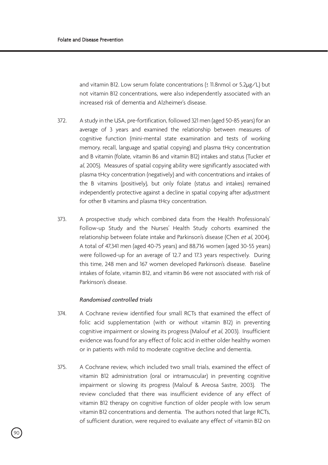and vitamin B12. Low serum folate concentrations (≤ 11.8nmol or 5.2µg/L) but not vitamin B12 concentrations, were also independently associated with an increased risk of dementia and Alzheimer's disease.

- 372. A study in the USA, pre-fortification, followed 321 men (aged 50-85 years) for an average of 3 years and examined the relationship between measures of cognitive function (mini-mental state examination and tests of working memory, recall, language and spatial copying) and plasma tHcy concentration and B vitamin (folate, vitamin B6 and vitamin B12) intakes and status (Tucker et al, 2005). Measures of spatial copying ability were significantly associated with plasma tHcy concentration (negatively) and with concentrations and intakes of the B vitamins (positively), but only folate (status and intakes) remained independently protective against a decline in spatial copying after adjustment for other B vitamins and plasma tHcy concentration.
- 373. A prospective study which combined data from the Health Professionals' Follow-up Study and the Nurses' Health Study cohorts examined the relationship between folate intake and Parkinson's disease (Chen et al, 2004). A total of 47,341 men (aged 40-75 years) and 88,716 women (aged 30-55 years) were followed-up for an average of 12.7 and 17.3 years respectively. During this time, 248 men and 167 women developed Parkinson's disease. Baseline intakes of folate, vitamin B12, and vitamin B6 were not associated with risk of Parkinson's disease.

## *Randomised controlled trials*

- 374. A Cochrane review identified four small RCTs that examined the effect of folic acid supplementation (with or without vitamin B12) in preventing cognitive impairment or slowing its progress (Malouf et al, 2003). Insufficient evidence was found for any effect of folic acid in either older healthy women or in patients with mild to moderate cognitive decline and dementia.
- 375. A Cochrane review, which included two small trials, examined the effect of vitamin B12 administration (oral or intramuscular) in preventing cognitive impairment or slowing its progress (Malouf & Areosa Sastre, 2003). The review concluded that there was insufficient evidence of any effect of vitamin B12 therapy on cognitive function of older people with low serum vitamin B12 concentrations and dementia. The authors noted that large RCTs, of sufficient duration, were required to evaluate any effect of vitamin B12 on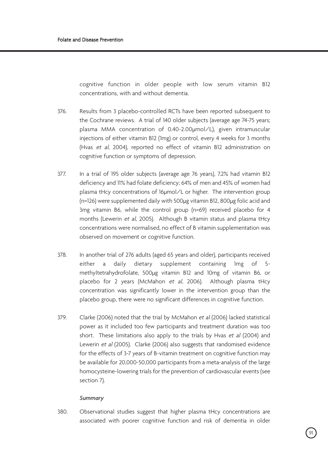cognitive function in older people with low serum vitamin B12 concentrations, with and without dementia.

- 376. Results from 3 placebo-controlled RCTs have been reported subsequent to the Cochrane reviews. A trial of 140 older subjects (average age 74-75 years; plasma MMA concentration of 0.40-2.00µmol/L), given intramuscular injections of either vitamin B12 (1mg) or control, every 4 weeks for 3 months (Hvas et al, 2004), reported no effect of vitamin B12 administration on cognitive function or symptoms of depression.
- 377. In a trial of 195 older subjects (average age 76 years), 7.2% had vitamin B12 deficiency and 11% had folate deficiency; 64% of men and 45% of women had plasma tHcy concentrations of 16µmol/L or higher. The intervention group (n=126) were supplemented daily with 500µg vitamin B12, 800µg folic acid and 3mg vitamin B6, while the control group (n=69) received placebo for 4 months (Lewerin et al, 2005). Although B vitamin status and plasma tHcy concentrations were normalised, no effect of B vitamin supplementation was observed on movement or cognitive function.
- 378. In another trial of 276 adults (aged 65 years and older), participants received either a daily dietary supplement containing 1mg of 5 methyltetrahydrofolate, 500µg vitamin B12 and 10mg of vitamin B6, or placebo for 2 years (McMahon et al, 2006). Although plasma tHcy concentration was significantly lower in the intervention group than the placebo group, there were no significant differences in cognitive function.
- 379. Clarke (2006) noted that the trial by McMahon et al (2006) lacked statistical power as it included too few participants and treatment duration was too short. These limitations also apply to the trials by Hvas et al (2004) and Lewerin et al (2005). Clarke (2006) also suggests that randomised evidence for the effects of 3-7 years of B-vitamin treatment on cognitive function may be available for 20,000-50,000 participants from a meta-analysis of the large homocysteine-lowering trials for the prevention of cardiovascular events (see section 7).

#### *Summary*

380. Observational studies suggest that higher plasma tHcy concentrations are associated with poorer cognitive function and risk of dementia in older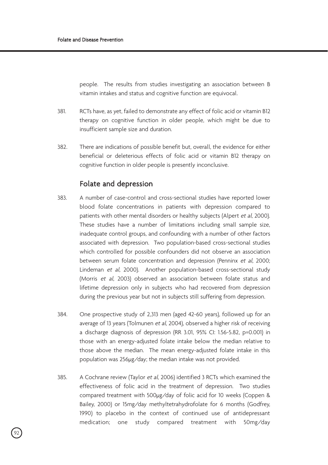people. The results from studies investigating an association between B vitamin intakes and status and cognitive function are equivocal.

- 381. RCTs have, as yet, failed to demonstrate any effect of folic acid or vitamin B12 therapy on cognitive function in older people, which might be due to insufficient sample size and duration.
- 382. There are indications of possible benefit but, overall, the evidence for either beneficial or deleterious effects of folic acid or vitamin B12 therapy on cognitive function in older people is presently inconclusive.

# Folate and depression

- 383. A number of case-control and cross-sectional studies have reported lower blood folate concentrations in patients with depression compared to patients with other mental disorders or healthy subjects (Alpert et al, 2000). These studies have a number of limitations including small sample size, inadequate control groups, and confounding with a number of other factors associated with depression. Two population-based cross-sectional studies which controlled for possible confounders did not observe an association between serum folate concentration and depression (Penninx et al, 2000; Lindeman et al, 2000). Another population-based cross-sectional study (Morris et al, 2003) observed an association between folate status and lifetime depression only in subjects who had recovered from depression during the previous year but not in subjects still suffering from depression.
- 384. One prospective study of 2,313 men (aged 42-60 years), followed up for an average of 13 years (Tolmunen et al, 2004), observed a higher risk of receiving a discharge diagnosis of depression (RR 3.01, 95% CI: 1.56-5.82, p=0.001) in those with an energy-adjusted folate intake below the median relative to those above the median. The mean energy-adjusted folate intake in this population was 256µg/day; the median intake was not provided.
- 385. A Cochrane review (Taylor et al, 2006) identified 3 RCTs which examined the effectiveness of folic acid in the treatment of depression. Two studies compared treatment with 500µg/day of folic acid for 10 weeks (Coppen & Bailey, 2000) or 15mg/day methyltetrahydrofolate for 6 months (Godfrey, 1990) to placebo in the context of continued use of antidepressant medication; one study compared treatment with 50mg/day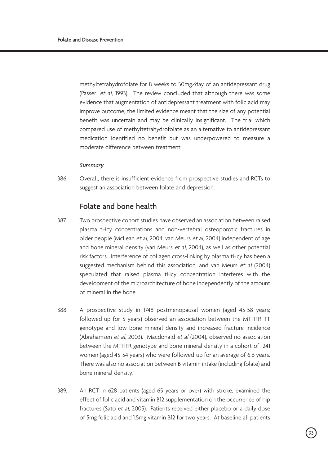methyltetrahydrofolate for 8 weeks to 50mg/day of an antidepressant drug (Passeri et al, 1993). The review concluded that although there was some evidence that augmentation of antidepressant treatment with folic acid may improve outcome, the limited evidence meant that the size of any potential benefit was uncertain and may be clinically insignificant. The trial which compared use of methyltetrahydrofolate as an alternative to antidepressant medication identified no benefit but was underpowered to measure a moderate difference between treatment.

#### *Summary*

386. Overall, there is insufficient evidence from prospective studies and RCTs to suggest an association between folate and depression.

# Folate and bone health

- 387. Two prospective cohort studies have observed an association between raised plasma tHcy concentrations and non-vertebral osteoporotic fractures in older people (McLean et al, 2004; van Meurs et al, 2004) independent of age and bone mineral density (van Meurs et al, 2004), as well as other potential risk factors. Interference of collagen cross-linking by plasma tHcy has been a suggested mechanism behind this association, and van Meurs et al (2004) speculated that raised plasma tHcy concentration interferes with the development of the microarchitecture of bone independently of the amount of mineral in the bone.
- 388. A prospective study in 1748 postmenopausal women (aged 45-58 years; followed-up for 5 years) observed an association between the MTHFR TT genotype and low bone mineral density and increased fracture incidence (Abrahamsen et al, 2003). Macdonald et al (2004), observed no association between the MTHFR genotype and bone mineral density in a cohort of 1241 women (aged 45-54 years) who were followed-up for an average of 6.6 years. There was also no association between B vitamin intake (including folate) and bone mineral density.
- 389. An RCT in 628 patients (aged 65 years or over) with stroke, examined the effect of folic acid and vitamin B12 supplementation on the occurrence of hip fractures (Sato et al, 2005). Patients received either placebo or a daily dose of 5mg folic acid and 1.5mg vitamin B12 for two years. At baseline all patients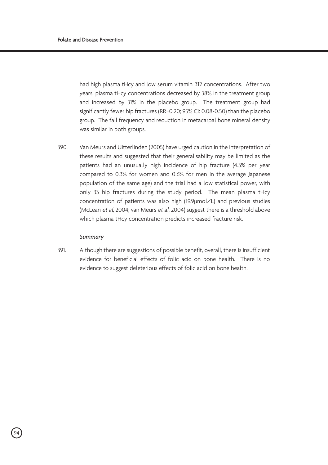had high plasma tHcy and low serum vitamin B12 concentrations. After two years, plasma tHcy concentrations decreased by 38% in the treatment group and increased by 31% in the placebo group. The treatment group had significantly fewer hip fractures (RR=0.20; 95% CI: 0.08-0.50) than the placebo group. The fall frequency and reduction in metacarpal bone mineral density was similar in both groups.

390. Van Meurs and Uitterlinden (2005) have urged caution in the interpretation of these results and suggested that their generalisability may be limited as the patients had an unusually high incidence of hip fracture (4.3% per year compared to 0.3% for women and 0.6% for men in the average Japanese population of the same age) and the trial had a low statistical power, with only 33 hip fractures during the study period. The mean plasma tHcy concentration of patients was also high (19.9µmol/L) and previous studies (McLean et al, 2004; van Meurs et al, 2004) suggest there is a threshold above which plasma tHcy concentration predicts increased fracture risk.

#### *Summary*

94

391. Although there are suggestions of possible benefit, overall, there is insufficient evidence for beneficial effects of folic acid on bone health. There is no evidence to suggest deleterious effects of folic acid on bone health.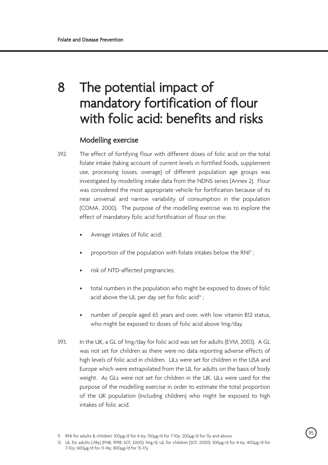# 8 The potential impact of mandatory fortification of flour with folic acid: benefits and risks

# Modelling exercise

- 392. The effect of fortifying flour with different doses of folic acid on the total folate intake (taking account of current levels in fortified foods, supplement use, processing losses, overage) of different population age groups was investigated by modelling intake data from the NDNS series (Annex 2). Flour was considered the most appropriate vehicle for fortification because of its near universal and narrow variability of consumption in the population (COMA, 2000). The purpose of the modelling exercise was to explore the effect of mandatory folic acid fortification of flour on the:
	- Average intakes of folic acid;
	- proportion of the population with folate intakes below the RNI<sup>11</sup>;
	- risk of NTD-affected pregnancies;
	- total numbers in the population who might be exposed to doses of folic acid above the UL per day set for folic acid $2$  ;
	- number of people aged 65 years and over, with low vitamin B12 status, who might be exposed to doses of folic acid above 1mg/day.
- 393. In the UK, a GL of 1mg/day for folic acid was set for adults (EVM, 2003). A GL was not set for children as there were no data reporting adverse effects of high levels of folic acid in children. ULs were set for children in the USA and Europe which were extrapolated from the UL for adults on the basis of body weight. As GLs were not set for children in the UK, ULs were used for the purpose of the modelling exercise in order to estimate the total proportion of the UK population (including children) who might be exposed to high intakes of folic acid.

<sup>11</sup> RNI for adults & children: 100µg/d for 4-6y; 150µg/d for 7-10y; 200µg/d for 11y and above.

<sup>12</sup> UL for adults (≥18y) (FNB, 1998; SCF, 2000): 1mg/d; UL for children (SCF, 2000): 300µg/d for 4-6y; 400µg/d for 7-10y; 600µg/d for 11-14y; 800µg/d for 15-17y.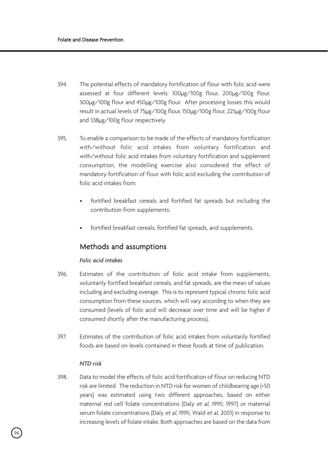- 394. The potential effects of mandatory fortification of flour with folic acid were assessed at four different levels: 100µg/100g flour, 200µg/100g flour, 300µg/100g flour and 450µg/100g flour. After processing losses this would result in actual levels of 75µg/100g flour, 150µg/100g flour, 225µg/100g flour and 338µg/100g flour respectively.
- 395. To enable a comparison to be made of the effects of mandatory fortification with/without folic acid intakes from voluntary fortification and with/without folic acid intakes from voluntary fortification and supplement consumption, the modelling exercise also considered the effect of mandatory fortification of flour with folic acid excluding the contribution of folic acid intakes from:
	- fortified breakfast cereals and fortified fat spreads but including the contribution from supplements;
	- fortified breakfast cereals, fortified fat spreads, and supplements.

# Methods and assumptions

## *Folic acid intakes*

- 396. Estimates of the contribution of folic acid intake from supplements, voluntarily fortified breakfast cereals, and fat spreads, are the mean of values including and excluding overage. This is to represent typical chronic folic acid consumption from these sources, which will vary according to when they are consumed (levels of folic acid will decrease over time and will be higher if consumed shortly after the manufacturing process).
- 397. Estimates of the contribution of folic acid intakes from voluntarily fortified foods are based on levels contained in these foods at time of publication.

## *NTD risk*

398. Data to model the effects of folic acid fortification of flour on reducing NTD risk are limited. The reduction in NTD risk for women of childbearing age (<50 years) was estimated using two different approaches, based on either maternal red cell folate concentrations (Daly et al, 1995; 1997) or maternal serum folate concentrations (Daly et al, 1995; Wald et al, 2001) in response to increasing levels of folate intake. Both approaches are based on the data from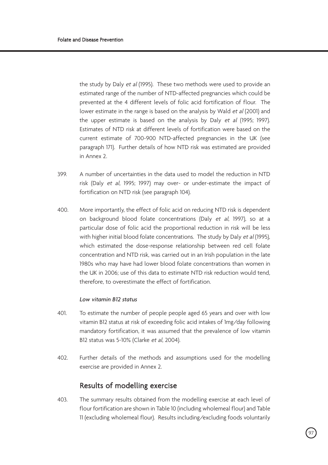the study by Daly et al (1995). These two methods were used to provide an estimated range of the number of NTD-affected pregnancies which could be prevented at the 4 different levels of folic acid fortification of flour. The lower estimate in the range is based on the analysis by Wald et al (2001) and the upper estimate is based on the analysis by Daly et al (1995; 1997). Estimates of NTD risk at different levels of fortification were based on the current estimate of 700-900 NTD-affected pregnancies in the UK (see paragraph 171). Further details of how NTD risk was estimated are provided in Annex 2.

- 399. A number of uncertainties in the data used to model the reduction in NTD risk (Daly et al, 1995; 1997) may over- or under-estimate the impact of fortification on NTD risk (see paragraph 104).
- 400. More importantly, the effect of folic acid on reducing NTD risk is dependent on background blood folate concentrations (Daly et al, 1997), so at a particular dose of folic acid the proportional reduction in risk will be less with higher initial blood folate concentrations. The study by Daly et al (1995), which estimated the dose-response relationship between red cell folate concentration and NTD risk, was carried out in an Irish population in the late 1980s who may have had lower blood folate concentrations than women in the UK in 2006; use of this data to estimate NTD risk reduction would tend, therefore, to overestimate the effect of fortification.

## *Low vitamin B12 status*

- 401. To estimate the number of people people aged 65 years and over with low vitamin B12 status at risk of exceeding folic acid intakes of 1mg/day following mandatory fortification, it was assumed that the prevalence of low vitamin B12 status was 5-10% (Clarke et al, 2004).
- 402. Further details of the methods and assumptions used for the modelling exercise are provided in Annex 2.

# Results of modelling exercise

403. The summary results obtained from the modelling exercise at each level of flour fortification are shown in Table 10 (including wholemeal flour) and Table 11 (excluding wholemeal flour). Results including/excluding foods voluntarily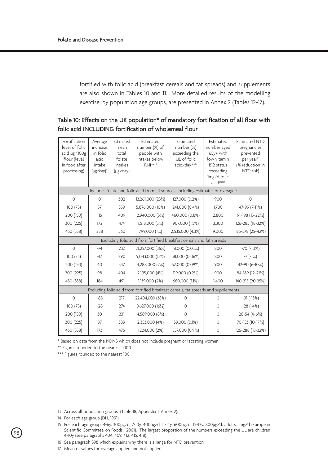fortified with folic acid (breakfast cereals and fat spreads) and supplements are also shown in Tables 10 and 11. More detailed results of the modelling exercise, by population age groups, are presented in Annex 2 (Tables 12-17).

## Table 10: Effects on the UK population\* of mandatory fortification of all flour with folic acid INCLUDING fortification of wholemeal flour

| Fortification<br>level of folic<br>acid µg/100g<br>flour (level<br>in food after<br>processing) | Average<br>increase<br>in folic<br>acid<br>intake<br>$(\mu$ g/day) <sup>13</sup> | Estimated<br>mean<br>total<br>folate<br>intakes<br>(µg/day) | <b>Fstimated</b><br>number (%) of<br>people with<br>intakes below<br>$RNI^{\star\star\text{H}}$ | <b>Fstimated</b><br>number (%)<br>exceeding the<br>UL of folic<br>acid/day** <sup>5</sup> | <b>Fstimated</b><br>number aged<br>65y+ with<br>low vitamin<br>B12 status<br>exceeding<br>Img/d folic<br>$acid***$ | <b>Fstimated NTD</b><br>pregnancies<br>prevented<br>per year <sup>16</sup><br>(% reduction in<br>NTD risk) |  |  |  |
|-------------------------------------------------------------------------------------------------|----------------------------------------------------------------------------------|-------------------------------------------------------------|-------------------------------------------------------------------------------------------------|-------------------------------------------------------------------------------------------|--------------------------------------------------------------------------------------------------------------------|------------------------------------------------------------------------------------------------------------|--|--|--|
| Includes folate and folic acid from all sources (including estimates of overage) <sup>17</sup>  |                                                                                  |                                                             |                                                                                                 |                                                                                           |                                                                                                                    |                                                                                                            |  |  |  |
| $\Omega$                                                                                        | $\cap$                                                                           | 302                                                         | 13,261,000 (23%)                                                                                | 127,000 (0.2%)                                                                            | 900                                                                                                                | $\Omega$                                                                                                   |  |  |  |
| 100(75)                                                                                         | 57                                                                               | 359                                                         | 5,876,000 (10%)                                                                                 | 241,000 (0.4%)                                                                            | 1.700                                                                                                              | 47-99 (7-11%)                                                                                              |  |  |  |
| 200 (150)                                                                                       | 115                                                                              | 409                                                         | 2,940,000 (5%)                                                                                  | 460,000 (0.8%)                                                                            | 2.800                                                                                                              | 91-198 (13-22%)                                                                                            |  |  |  |
| 300 (225)                                                                                       | 172                                                                              | 474                                                         | 1,518,000 (3%)                                                                                  | 907,000 (1.5%)                                                                            | 3.300                                                                                                              | 126-285 (18-32%)                                                                                           |  |  |  |
| 450 (338)                                                                                       | 258                                                                              | 560                                                         | 799,000 (1%)                                                                                    | 2,535,000 (4.3%)                                                                          | 9.000                                                                                                              | 175-378 (25-42%)                                                                                           |  |  |  |
| Excluding folic acid from fortified breakfast cereals and fat spreads                           |                                                                                  |                                                             |                                                                                                 |                                                                                           |                                                                                                                    |                                                                                                            |  |  |  |
| $\Omega$                                                                                        | $-74$                                                                            | 232                                                         | 21,257,000 (36%)                                                                                | 18,000 (0.03%)                                                                            | 800                                                                                                                | $-70$ ( $-10\%$ )                                                                                          |  |  |  |
| 100(75)                                                                                         | $-17$                                                                            | 290                                                         | 9,043,000 (15%)                                                                                 | 38,000 (0.06%)                                                                            | 800                                                                                                                | $-7$ ( $-1\%$ )                                                                                            |  |  |  |
| 200 (150)                                                                                       | 40                                                                               | 347                                                         | 4,288,000 (7%)                                                                                  | 52,000 (0.09%)                                                                            | 900                                                                                                                | 42-90 (6-10%)                                                                                              |  |  |  |
| 300 (225)                                                                                       | 98                                                                               | 404                                                         | 2,195,000 (4%)                                                                                  | 119,000 (0.2%)                                                                            | 900                                                                                                                | 84-189 (12-21%)                                                                                            |  |  |  |
| 450 (338)                                                                                       | 184                                                                              | 491                                                         | 1,139,000 (2%)                                                                                  | 660,000 (1.1%)                                                                            | 1.400                                                                                                              | 140-315 (20-35%)                                                                                           |  |  |  |
| Excluding folic acid from fortified breakfast cereals, fat spreads and supplements              |                                                                                  |                                                             |                                                                                                 |                                                                                           |                                                                                                                    |                                                                                                            |  |  |  |
| $\Omega$                                                                                        | $-85$                                                                            | 217                                                         | 22,404,000 (38%)                                                                                | $\Omega$                                                                                  | $\Omega$                                                                                                           | $-91(-13%)$                                                                                                |  |  |  |
| 100 (75)                                                                                        | $-28$                                                                            | 274                                                         | 9,627,000 (16%)                                                                                 | $\Omega$                                                                                  | $\Omega$                                                                                                           | $-28(-4%)$                                                                                                 |  |  |  |
| 200 (150)                                                                                       | 30                                                                               | 331                                                         | 4,589,000 (8%)                                                                                  | $\Omega$                                                                                  | $\Omega$                                                                                                           | 28-54 (4-6%)                                                                                               |  |  |  |
| 300 (225)                                                                                       | 87                                                                               | 389                                                         | 2,353,000 (4%)                                                                                  | 59,000 (0.1%)                                                                             | $\Omega$                                                                                                           | 70-153 (10-17%)                                                                                            |  |  |  |
| 450 (338)                                                                                       | 173                                                                              | 475                                                         | 1,224,000 (2%)                                                                                  | 557,000 (0.9%)                                                                            | $\circ$                                                                                                            | 126-288 (18-32%)                                                                                           |  |  |  |

\* Based on data from the NDNS which does not include pregnant or lactating women

\*\* Figures rounded to the nearest 1,000

\*\*\* Figures rounded to the nearest 100

- 13 Across all population groups (Table 18, Appendix 1, Annex 2).
- 14 For each age group (DH, 1991).

 $^{7}$ 98

- 15 For each age group: 4-6y, 300µg/d; 7-10y, 400µg/d; 11-14y, 600µg/d; 15-17y, 800µg/d; adults, 1mg/d (European Scientific Committee on Foods, 2001). The largest proportion of the numbers exceeding the UL are children 4-10y (see paragraphs 404, 409, 412, 415, 418)
- 16 See paragraph 398 which explains why there is a range for NTD prevention.
- 17 Mean of values for overage applied and not applied.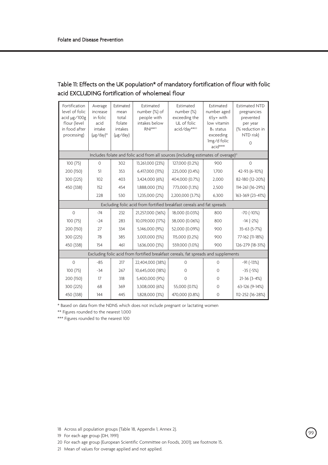## Table 11: Effects on the UK population\* of mandatory fortification of flour with folic acid EXCLUDING fortification of wholemeal flour

| Fortification<br>level of folic<br>acid µg/100g<br>flour (level<br>in food after<br>processing) | Average<br>increase<br>in folic<br>acid<br>intake<br>(µg/day) <sup>18</sup> | <b>Fstimated</b><br>mean<br>total<br>folate<br>intakes<br>(µg/day) | <b>Fstimated</b><br>number (%) of<br>people with<br>intakes below<br>$RNI^{\star\star\text{19}}$ | <b>Fstimated</b><br>number (%)<br>exceeding the<br>UL of folic<br>acid/day** <sup>20</sup> | <b>Fstimated</b><br>number aged<br>65y+ with<br>low vitamin<br>B <sub>12</sub> status<br>exceeding<br>Img/d folic<br>acid*** | <b>Fstimated NTD</b><br>pregnancies<br>prevented<br>per year<br>(% reduction in<br>NTD risk)<br>$\Omega$ |  |  |  |
|-------------------------------------------------------------------------------------------------|-----------------------------------------------------------------------------|--------------------------------------------------------------------|--------------------------------------------------------------------------------------------------|--------------------------------------------------------------------------------------------|------------------------------------------------------------------------------------------------------------------------------|----------------------------------------------------------------------------------------------------------|--|--|--|
| Includes folate and folic acid from all sources (including estimates of overage) <sup>21</sup>  |                                                                             |                                                                    |                                                                                                  |                                                                                            |                                                                                                                              |                                                                                                          |  |  |  |
| 100 (75)                                                                                        | $\Omega$                                                                    | 302                                                                | 13,261,000 (23%)                                                                                 | 127,000 (0.2%)                                                                             | 900                                                                                                                          | $\Omega$                                                                                                 |  |  |  |
| 200 (150)                                                                                       | 51                                                                          | 353                                                                | 6,417,000 (11%)                                                                                  | 225,000 (0.4%)                                                                             | 1.700                                                                                                                        | 42-93 (6-10%)                                                                                            |  |  |  |
| 300 (225)                                                                                       | 102                                                                         | 403                                                                | 3,424,000 (6%)                                                                                   | 404,000 (0.7%)                                                                             | 2,000                                                                                                                        | 82-180 (12-20%)                                                                                          |  |  |  |
| 450 (338)                                                                                       | 152                                                                         | 454                                                                | 1,888,000 (3%)                                                                                   | 773,000 (1.3%)                                                                             | 2,500                                                                                                                        | 114-261 (16-29%)                                                                                         |  |  |  |
|                                                                                                 | 228                                                                         | 530                                                                | 1,235,000 (2%)                                                                                   | 2,200,000 (3.7%)                                                                           | 6,300                                                                                                                        | 163-369 (23-41%)                                                                                         |  |  |  |
| Excluding folic acid from fortified breakfast cereals and fat spreads                           |                                                                             |                                                                    |                                                                                                  |                                                                                            |                                                                                                                              |                                                                                                          |  |  |  |
| $\Omega$                                                                                        | $-74$                                                                       | 232                                                                | 21,257,000 (36%)                                                                                 | 18,000 (0.03%)                                                                             | 800                                                                                                                          | $-70$ ( $-10\%$ )                                                                                        |  |  |  |
| 100 (75)                                                                                        | $-24$                                                                       | 283                                                                | 10,019,000 (17%)                                                                                 | 38,000 (0.06%)                                                                             | 800                                                                                                                          | $-14 (-2%)$                                                                                              |  |  |  |
| 200 (150)                                                                                       | 27                                                                          | 334                                                                | 5,146,000 (9%)                                                                                   | 52,000 (0.09%)                                                                             | 900                                                                                                                          | 35-63 (5-7%)                                                                                             |  |  |  |
| 300 (225)                                                                                       | 78                                                                          | 385                                                                | 3,001,000 (5%)                                                                                   | 115,000 (0.2%)                                                                             | 900                                                                                                                          | 77-162 (11-18%)                                                                                          |  |  |  |
| 450 (338)                                                                                       | 154                                                                         | 461                                                                | 1,636,000 (3%)                                                                                   | 559,000 (1.0%)                                                                             | 900                                                                                                                          | 126-279 (18-31%)                                                                                         |  |  |  |
| Excluding folic acid from fortified breakfast cereals, fat spreads and supplements              |                                                                             |                                                                    |                                                                                                  |                                                                                            |                                                                                                                              |                                                                                                          |  |  |  |
| $\Omega$                                                                                        | $-85$                                                                       | 217                                                                | 22,404,000 (38%)                                                                                 | $\Omega$                                                                                   | $\Omega$                                                                                                                     | $-91(-13%)$                                                                                              |  |  |  |
| 100 (75)                                                                                        | $-34$                                                                       | 267                                                                | 10,645,000 (18%)                                                                                 | $\Omega$                                                                                   | $\Omega$                                                                                                                     | $-35(-5%)$                                                                                               |  |  |  |
| 200 (150)                                                                                       | 17                                                                          | 318                                                                | 5,400,000 (9%)                                                                                   | $\Omega$                                                                                   | $\Omega$                                                                                                                     | $21-36(3-4%)$                                                                                            |  |  |  |
| 300 (225)                                                                                       | 68                                                                          | 369                                                                | 3,308,000 (6%)                                                                                   | 55,000 (0.1%)                                                                              | $\Omega$                                                                                                                     | 63-126 (9-14%)                                                                                           |  |  |  |
| 450 (338)                                                                                       | 144                                                                         | 445                                                                | 1,828,000 (3%)                                                                                   | 470,000 (0.8%)                                                                             | $\circ$                                                                                                                      | 112-252 (16-28%)                                                                                         |  |  |  |

\* Based on data from the NDNS which does not include pregnant or lactating women

\*\* Figures rounded to the nearest 1,000

\*\*\* Figures rounded to the nearest 100

18 Across all population groups (Table 18, Appendix 1, Annex 2).

19 For each age group (DH, 1991)

20 For each age group (European Scientific Committee on Foods, 2001); see footnote 15.

21 Mean of values for overage applied and not applied.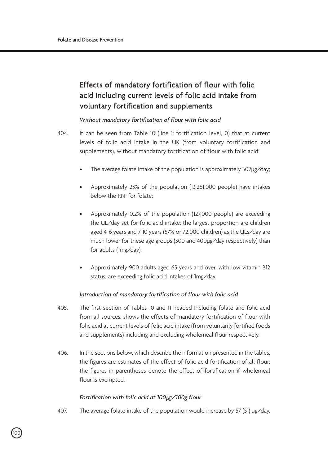# Effects of mandatory fortification of flour with folic acid including current levels of folic acid intake from voluntary fortification and supplements

### *Without mandatory fortification of flour with folic acid*

- 404. It can be seen from Table 10 (line 1: fortification level, 0) that at current levels of folic acid intake in the UK (from voluntary fortification and supplements), without mandatory fortification of flour with folic acid:
	- The average folate intake of the population is approximately 302µg/day;
	- Approximately 23% of the population (13,261,000 people) have intakes below the RNI for folate;
	- Approximately 0.2% of the population (127,000 people) are exceeding the UL/day set for folic acid intake; the largest proportion are children aged 4-6 years and 7-10 years (57% or 72,000 children) as the ULs/day are much lower for these age groups (300 and 400µg/day respectively) than for adults (1mg/day);
	- Approximately 900 adults aged 65 years and over, with low vitamin B12 status, are exceeding folic acid intakes of 1mg/day.

### *Introduction of mandatory fortification of flour with folic acid*

- 405. The first section of Tables 10 and 11 headed Including folate and folic acid from all sources, shows the effects of mandatory fortification of flour with folic acid at current levels of folic acid intake (from voluntarily fortified foods and supplements) including and excluding wholemeal flour respectively.
- 406. In the sections below, which describe the information presented in the tables, the figures are estimates of the effect of folic acid fortification of all flour; the figures in parentheses denote the effect of fortification if wholemeal flour is exempted.

#### *Fortification with folic acid at 100*µ*g/100g flour*

407. The average folate intake of the population would increase by 57 (51) µg/day.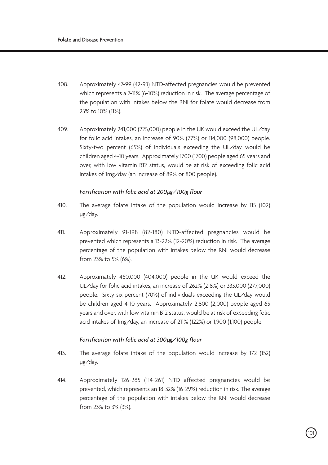- 408. Approximately 47-99 (42-93) NTD-affected pregnancies would be prevented which represents a 7-11% (6-10%) reduction in risk. The average percentage of the population with intakes below the RNI for folate would decrease from 23% to 10% (11%).
- 409. Approximately 241,000 (225,000) people in the UK would exceed the UL/day for folic acid intakes, an increase of 90% (77%) or 114,000 (98,000) people. Sixty-two percent (65%) of individuals exceeding the UL/day would be children aged 4-10 years. Approximately 1700 (1700) people aged 65 years and over, with low vitamin B12 status, would be at risk of exceeding folic acid intakes of 1mg/day (an increase of 89% or 800 people).

#### *Fortification with folic acid at 200*µ*g/100g flour*

- 410. The average folate intake of the population would increase by 115 (102) µg/day.
- 411. Approximately 91-198 (82-180) NTD-affected pregnancies would be prevented which represents a 13-22% (12-20%) reduction in risk. The average percentage of the population with intakes below the RNI would decrease from 23% to 5% (6%).
- 412. Approximately 460,000 (404,000) people in the UK would exceed the UL/day for folic acid intakes, an increase of 262% (218%) or 333,000 (277,000) people. Sixty-six percent (70%) of individuals exceeding the UL/day would be children aged 4-10 years. Approximately 2,800 (2,000) people aged 65 years and over, with low vitamin B12 status, would be at risk of exceeding folic acid intakes of 1mg/day, an increase of 211% (122%) or 1,900 (1,100) people.

### *Fortification with folic acid at 300*µ*g/100g flour*

- 413. The average folate intake of the population would increase by 172 (152) µg/day.
- 414. Approximately 126-285 (114-261) NTD affected pregnancies would be prevented, which represents an 18-32% (16-29%) reduction in risk. The average percentage of the population with intakes below the RNI would decrease from 23% to 3% (3%).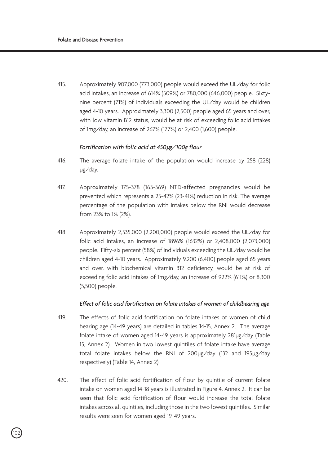415. Approximately 907,000 (773,000) people would exceed the UL/day for folic acid intakes, an increase of 614% (509%) or 780,000 (646,000) people. Sixtynine percent (71%) of individuals exceeding the UL/day would be children aged 4-10 years. Approximately 3,300 (2,500) people aged 65 years and over, with low vitamin B12 status, would be at risk of exceeding folic acid intakes of 1mg/day, an increase of 267% (177%) or 2,400 (1,600) people.

### *Fortification with folic acid at 450*µ*g/100g flour*

- 416. The average folate intake of the population would increase by 258 (228) µg/day.
- 417. Approximately 175-378 (163-369) NTD-affected pregnancies would be prevented which represents a 25-42% (23-41%) reduction in risk. The average percentage of the population with intakes below the RNI would decrease from 23% to 1% (2%).
- 418. Approximately 2,535,000 (2,200,000) people would exceed the UL/day for folic acid intakes, an increase of 1896% (1632%) or 2,408,000 (2,073,000) people. Fifty-six percent (58%) of individuals exceeding the UL/day would be children aged 4-10 years. Approximately 9,200 (6,400) people aged 65 years and over, with biochemical vitamin B12 deficiency, would be at risk of exceeding folic acid intakes of 1mg/day, an increase of 922% (611%) or 8,300 (5,500) people.

### *Effect of folic acid fortification on folate intakes of women of childbearing age*

- 419. The effects of folic acid fortification on folate intakes of women of child bearing age (14-49 years) are detailed in tables 14-15, Annex 2. The average folate intake of women aged 14-49 years is approximately 281µg/day (Table 15, Annex 2). Women in two lowest quintiles of folate intake have average total folate intakes below the RNI of 200µg/day (132 and 195µg/day respectively) (Table 14, Annex 2).
- 420. The effect of folic acid fortification of flour by quintile of current folate intake on women aged 14-18 years is illustrated in Figure 4, Annex 2. It can be seen that folic acid fortification of flour would increase the total folate intakes across all quintiles, including those in the two lowest quintiles. Similar results were seen for women aged 19-49 years.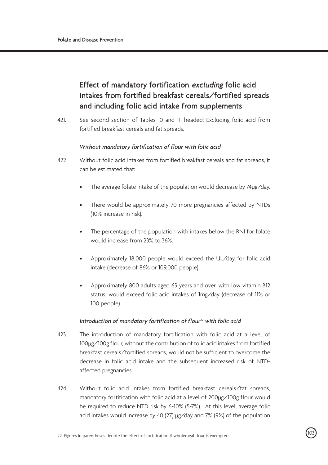# Effect of mandatory fortification excluding folic acid intakes from fortified breakfast cereals/fortified spreads and including folic acid intake from supplements

421. See second section of Tables 10 and 11, headed: Excluding folic acid from fortified breakfast cereals and fat spreads.

### *Without mandatory fortification of flour with folic acid*

- 422. Without folic acid intakes from fortified breakfast cereals and fat spreads, it can be estimated that:
	- The average folate intake of the population would decrease by 74µg/day.
	- There would be approximately 70 more pregnancies affected by NTDs (10% increase in risk).
	- The percentage of the population with intakes below the RNI for folate would increase from 23% to 36%.
	- Approximately 18,000 people would exceed the UL/day for folic acid intake (decrease of 86% or 109,000 people).
	- Approximately 800 adults aged 65 years and over, with low vitamin B12 status, would exceed folic acid intakes of 1mg/day (decrease of 11% or 100 people).

### *Introduction of mandatory fortification of flour22 with folic acid*

- 423. The introduction of mandatory fortification with folic acid at a level of 100µg/100g flour, without the contribution of folic acid intakes from fortified breakfast cereals/fortified spreads, would not be sufficient to overcome the decrease in folic acid intake and the subsequent increased risk of NTDaffected pregnancies.
- 424. Without folic acid intakes from fortified breakfast cereals/fat spreads, mandatory fortification with folic acid at a level of 200µg/100g flour would be required to reduce NTD risk by 6-10% (5-7%). At this level, average folic acid intakes would increase by 40 (27) µg/day and 7% (9%) of the population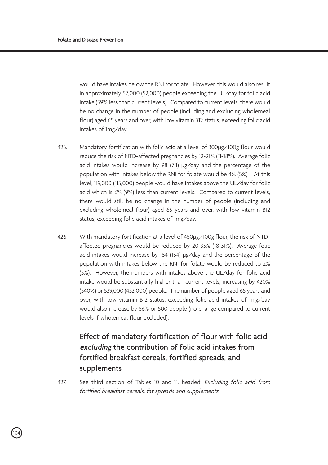.<br>104

would have intakes below the RNI for folate. However, this would also result in approximately 52,000 (52,000) people exceeding the UL/day for folic acid intake (59% less than current levels). Compared to current levels, there would be no change in the number of people (including and excluding wholemeal flour) aged 65 years and over, with low vitamin B12 status, exceeding folic acid intakes of 1mg/day.

- 425. Mandatory fortification with folic acid at a level of 300µg/100g flour would reduce the risk of NTD-affected pregnancies by 12-21% (11-18%). Average folic acid intakes would increase by 98 (78) µg/day and the percentage of the population with intakes below the RNI for folate would be 4% (5%) . At this level, 119,000 (115,000) people would have intakes above the UL/day for folic acid which is 6% (9%) less than current levels. Compared to current levels, there would still be no change in the number of people (including and excluding wholemeal flour) aged 65 years and over, with low vitamin B12 status, exceeding folic acid intakes of 1mg/day.
- 426. With mandatory fortification at a level of 450µg/100g flour, the risk of NTDaffected pregnancies would be reduced by 20-35% (18-31%). Average folic acid intakes would increase by 184 (154) µg/day and the percentage of the population with intakes below the RNI for folate would be reduced to 2% (3%). However, the numbers with intakes above the UL/day for folic acid intake would be substantially higher than current levels, increasing by 420% (340%) or 539,000 (432,000) people. The number of people aged 65 years and over, with low vitamin B12 status, exceeding folic acid intakes of 1mg/day would also increase by 56% or 500 people (no change compared to current levels if wholemeal flour excluded).

# Effect of mandatory fortification of flour with folic acid excluding the contribution of folic acid intakes from fortified breakfast cereals, fortified spreads, and supplements

427. See third section of Tables 10 and 11, headed: Excluding folic acid from fortified breakfast cereals, fat spreads and supplements.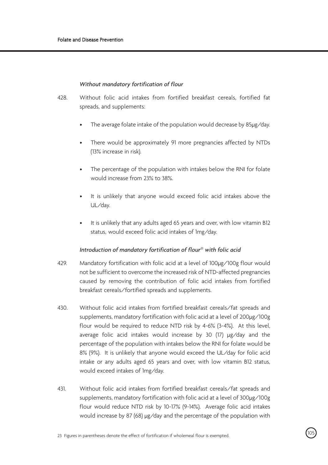### *Without mandatory fortification of flour*

- 428. Without folic acid intakes from fortified breakfast cereals, fortified fat spreads, and supplements:
	- The average folate intake of the population would decrease by 85µg/day.
	- There would be approximately 91 more pregnancies affected by NTDs (13% increase in risk).
	- The percentage of the population with intakes below the RNI for folate would increase from 23% to 38%.
	- It is unlikely that anyone would exceed folic acid intakes above the UL/day.
	- It is unlikely that any adults aged 65 years and over, with low vitamin B12 status, would exceed folic acid intakes of 1mg/day.

#### *Introduction of mandatory fortification of flour23 with folic acid*

- 429. Mandatory fortification with folic acid at a level of 100µg/100g flour would not be sufficient to overcome the increased risk of NTD-affected pregnancies caused by removing the contribution of folic acid intakes from fortified breakfast cereals/fortified spreads and supplements.
- 430. Without folic acid intakes from fortified breakfast cereals/fat spreads and supplements, mandatory fortification with folic acid at a level of 200µg/100g flour would be required to reduce NTD risk by 4-6% (3-4%). At this level, average folic acid intakes would increase by 30 (17) ug/day and the percentage of the population with intakes below the RNI for folate would be 8% (9%). It is unlikely that anyone would exceed the UL/day for folic acid intake or any adults aged 65 years and over, with low vitamin B12 status, would exceed intakes of 1mg/day.
- 431. Without folic acid intakes from fortified breakfast cereals/fat spreads and supplements, mandatory fortification with folic acid at a level of 300µg/100g flour would reduce NTD risk by 10-17% (9-14%). Average folic acid intakes would increase by 87 (68)  $\mu$ g/day and the percentage of the population with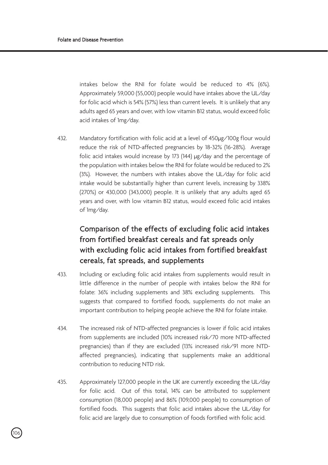intakes below the RNI for folate would be reduced to 4% (6%). Approximately 59,000 (55,000) people would have intakes above the UL/day for folic acid which is 54% (57%) less than current levels. It is unlikely that any adults aged 65 years and over, with low vitamin B12 status, would exceed folic acid intakes of 1mg/day.

432. Mandatory fortification with folic acid at a level of 450µg/100g flour would reduce the risk of NTD-affected pregnancies by 18-32% (16-28%). Average folic acid intakes would increase by 173 (144) µg/day and the percentage of the population with intakes below the RNI for folate would be reduced to 2% (3%). However, the numbers with intakes above the UL/day for folic acid intake would be substantially higher than current levels, increasing by 338% (270%) or 430,000 (343,000) people. It is unlikely that any adults aged 65 years and over, with low vitamin B12 status, would exceed folic acid intakes of 1mg/day.

# Comparison of the effects of excluding folic acid intakes from fortified breakfast cereals and fat spreads only with excluding folic acid intakes from fortified breakfast cereals, fat spreads, and supplements

- 433. Including or excluding folic acid intakes from supplements would result in little difference in the number of people with intakes below the RNI for folate: 36% including supplements and 38% excluding supplements. This suggests that compared to fortified foods, supplements do not make an important contribution to helping people achieve the RNI for folate intake.
- 434. The increased risk of NTD-affected pregnancies is lower if folic acid intakes from supplements are included (10% increased risk/70 more NTD-affected pregnancies) than if they are excluded (13% increased risk/91 more NTDaffected pregnancies), indicating that supplements make an additional contribution to reducing NTD risk.
- 435. Approximately 127,000 people in the UK are currently exceeding the UL/day for folic acid. Out of this total, 14% can be attributed to supplement consumption (18,000 people) and 86% (109,000 people) to consumption of fortified foods. This suggests that folic acid intakes above the UL/day for folic acid are largely due to consumption of foods fortified with folic acid.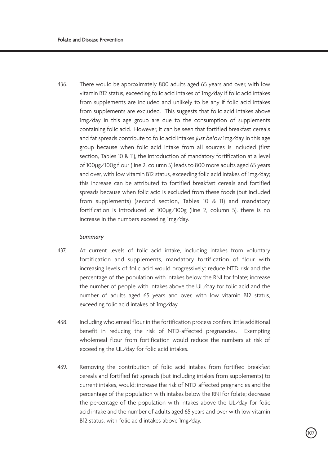436. There would be approximately 800 adults aged 65 years and over, with low vitamin B12 status, exceeding folic acid intakes of 1mg/day if folic acid intakes from supplements are included and unlikely to be any if folic acid intakes from supplements are excluded. This suggests that folic acid intakes above 1mg/day in this age group are due to the consumption of supplements containing folic acid. However, it can be seen that fortified breakfast cereals and fat spreads contribute to folic acid intakes just below Img/day in this age group because when folic acid intake from all sources is included (first section, Tables 10 & 11), the introduction of mandatory fortification at a level of 100µg/100g flour (line 2, column 5) leads to 800 more adults aged 65 years and over, with low vitamin B12 status, exceeding folic acid intakes of 1mg/day; this increase can be attributed to fortified breakfast cereals and fortified spreads because when folic acid is excluded from these foods (but included from supplements) (second section, Tables 10 & 11) and mandatory fortification is introduced at 100µg/100g (line 2, column 5), there is no increase in the numbers exceeding 1mg/day.

#### *Summary*

- 437. At current levels of folic acid intake, including intakes from voluntary fortification and supplements, mandatory fortification of flour with increasing levels of folic acid would progressively: reduce NTD risk and the percentage of the population with intakes below the RNI for folate; increase the number of people with intakes above the UL/day for folic acid and the number of adults aged 65 years and over, with low vitamin B12 status, exceeding folic acid intakes of 1mg/day.
- 438. Including wholemeal flour in the fortification process confers little additional benefit in reducing the risk of NTD-affected pregnancies. Exempting wholemeal flour from fortification would reduce the numbers at risk of exceeding the UL/day for folic acid intakes.
- 439. Removing the contribution of folic acid intakes from fortified breakfast cereals and fortified fat spreads (but including intakes from supplements) to current intakes, would: increase the risk of NTD-affected pregnancies and the percentage of the population with intakes below the RNI for folate; decrease the percentage of the population with intakes above the UL/day for folic acid intake and the number of adults aged 65 years and over with low vitamin B12 status, with folic acid intakes above 1mg/day.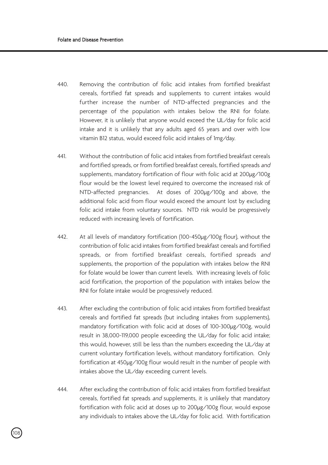.<br>108

- 440. Removing the contribution of folic acid intakes from fortified breakfast cereals, fortified fat spreads and supplements to current intakes would further increase the number of NTD-affected pregnancies and the percentage of the population with intakes below the RNI for folate. However, it is unlikely that anyone would exceed the UL/day for folic acid intake and it is unlikely that any adults aged 65 years and over with low vitamin B12 status, would exceed folic acid intakes of 1mg/day.
- 441. Without the contribution of folic acid intakes from fortified breakfast cereals and fortified spreads, or from fortified breakfast cereals, fortified spreads and supplements, mandatory fortification of flour with folic acid at 200µg/100g flour would be the lowest level required to overcome the increased risk of NTD-affected pregnancies. At doses of 200µg/100g and above, the additional folic acid from flour would exceed the amount lost by excluding folic acid intake from voluntary sources. NTD risk would be progressively reduced with increasing levels of fortification.
- 442. At all levels of mandatory fortification (100-450µg/100g flour), without the contribution of folic acid intakes from fortified breakfast cereals and fortified spreads, or from fortified breakfast cereals, fortified spreads and supplements, the proportion of the population with intakes below the RNI for folate would be lower than current levels. With increasing levels of folic acid fortification, the proportion of the population with intakes below the RNI for folate intake would be progressively reduced.
- 443. After excluding the contribution of folic acid intakes from fortified breakfast cereals and fortified fat spreads (but including intakes from supplements), mandatory fortification with folic acid at doses of 100-300µg/100g, would result in 38,000-119,000 people exceeding the UL/day for folic acid intake; this would, however, still be less than the numbers exceeding the UL/day at current voluntary fortification levels, without mandatory fortification. Only fortification at 450µg/100g flour would result in the number of people with intakes above the UL/day exceeding current levels.
- 444. After excluding the contribution of folic acid intakes from fortified breakfast cereals, fortified fat spreads and supplements, it is unlikely that mandatory fortification with folic acid at doses up to 200µg/100g flour, would expose any individuals to intakes above the UL/day for folic acid. With fortification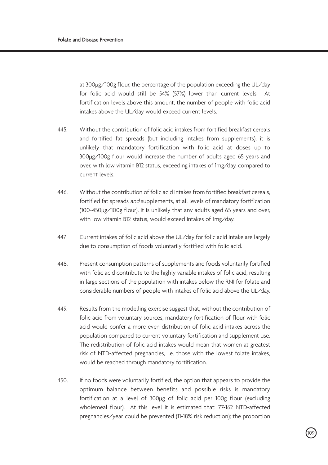at 300µg/100g flour, the percentage of the population exceeding the UL/day for folic acid would still be 54% (57%) lower than current levels. At fortification levels above this amount, the number of people with folic acid intakes above the UL/day would exceed current levels.

- 445. Without the contribution of folic acid intakes from fortified breakfast cereals and fortified fat spreads (but including intakes from supplements), it is unlikely that mandatory fortification with folic acid at doses up to 300µg/100g flour would increase the number of adults aged 65 years and over, with low vitamin B12 status, exceeding intakes of 1mg/day, compared to current levels.
- 446. Without the contribution of folic acid intakes from fortified breakfast cereals, fortified fat spreads and supplements, at all levels of mandatory fortification (100-450µg/100g flour), it is unlikely that any adults aged 65 years and over, with low vitamin B12 status, would exceed intakes of 1mg/day.
- 447. Current intakes of folic acid above the UL/day for folic acid intake are largely due to consumption of foods voluntarily fortified with folic acid.
- 448. Present consumption patterns of supplements and foods voluntarily fortified with folic acid contribute to the highly variable intakes of folic acid, resulting in large sections of the population with intakes below the RNI for folate and considerable numbers of people with intakes of folic acid above the UL/day.
- 449. Results from the modelling exercise suggest that, without the contribution of folic acid from voluntary sources, mandatory fortification of flour with folic acid would confer a more even distribution of folic acid intakes across the population compared to current voluntary fortification and supplement use. The redistribution of folic acid intakes would mean that women at greatest risk of NTD-affected pregnancies, i.e. those with the lowest folate intakes, would be reached through mandatory fortification.
- 450. If no foods were voluntarily fortified, the option that appears to provide the optimum balance between benefits and possible risks is mandatory fortification at a level of 300µg of folic acid per 100g flour (excluding wholemeal flour). At this level it is estimated that: 77-162 NTD-affected pregnancies/year could be prevented (11-18% risk reduction); the proportion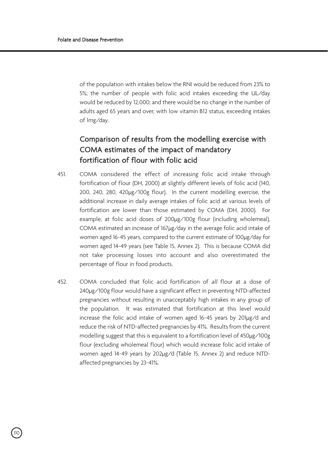of the population with intakes below the RNI would be reduced from 23% to 5%; the number of people with folic acid intakes exceeding the UL/day would be reduced by 12,000; and there would be no change in the number of adults aged 65 years and over, with low vitamin B12 status, exceeding intakes of 1mg/day.

## Comparison of results from the modelling exercise with COMA estimates of the impact of mandatory fortification of flour with folic acid

- 451. COMA considered the effect of increasing folic acid intake through fortification of flour (DH, 2000) at slightly different levels of folic acid (140, 200, 240, 280, 420µg/100g flour). In the current modelling exercise, the additional increase in daily average intakes of folic acid at various levels of fortification are lower than those estimated by COMA (DH, 2000). For example, at folic acid doses of 200µg/100g flour (including wholemeal), COMA estimated an increase of 167µg/day in the average folic acid intake of women aged 16-45 years, compared to the current estimate of 100µg/day for women aged 14-49 years (see Table 15, Annex 2). This is because COMA did not take processing losses into account and also overestimated the percentage of flour in food products.
- 452. COMA concluded that folic acid fortification of all flour at a dose of 240µg/100g flour would have a significant effect in preventing NTD-affected pregnancies without resulting in unacceptably high intakes in any group of the population. It was estimated that fortification at this level would increase the folic acid intake of women aged 16-45 years by 201µg/d and reduce the risk of NTD-affected pregnancies by 41%. Results from the current modelling suggest that this is equivalent to a fortification level of 450µg/100g flour (excluding wholemeal flour) which would increase folic acid intake of women aged 14-49 years by 202µg/d (Table 15, Annex 2) and reduce NTDaffected pregnancies by 23-41%.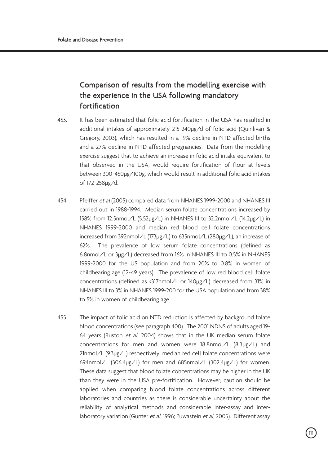# Comparison of results from the modelling exercise with the experience in the USA following mandatory fortification

- 453. It has been estimated that folic acid fortification in the USA has resulted in additional intakes of approximately 215-240µg/d of folic acid (Quinlivan & Gregory, 2003), which has resulted in a 19% decline in NTD-affected births and a 27% decline in NTD affected pregnancies. Data from the modelling exercise suggest that to achieve an increase in folic acid intake equivalent to that observed in the USA, would require fortification of flour at levels between 300-450µg/100g, which would result in additional folic acid intakes of 172-258µg/d.
- 454. Pfeiffer et al (2005) compared data from NHANES 1999-2000 and NHANES III carried out in 1988-1994. Median serum folate concentrations increased by 158% from 12.5nmol/L (5.52µg/L) in NHANES III to 32.2nmol/L (14.2µg/L) in NHANES 1999-2000 and median red blood cell folate concentrations increased from 392nmol/L (173µg/L) to 635nmol/L (280µg/L), an increase of 62%. The prevalence of low serum folate concentrations (defined as 6.8nmol/L or 3µg/L) decreased from 16% in NHANES III to 0.5% in NHANES 1999-2000 for the US population and from 20% to 0.8% in women of childbearing age (12-49 years). The prevalence of low red blood cell folate concentrations (defined as <317nmol/L or 140µg/L) decreased from 31% in NHANES III to 3% in NHANES 1999-200 for the USA population and from 38% to 5% in women of childbearing age.
- 455. The impact of folic acid on NTD reduction is affected by background folate blood concentrations (see paragraph 400). The 2001 NDNS of adults aged 19- 64 years (Ruston et al, 2004) shows that in the UK median serum folate concentrations for men and women were 18.8nmol/L (8.3µg/L) and 21nmol/L (9.3µg/L) respectively; median red cell folate concentrations were 694nmol/L (306.4µg/L) for men and 685nmol/L (302.4µg/L) for women. These data suggest that blood folate concentrations may be higher in the UK than they were in the USA pre-fortification. However, caution should be applied when comparing blood folate concentrations across different laboratories and countries as there is considerable uncertainty about the reliability of analytical methods and considerable inter-assay and interlaboratory variation (Gunter et al, 1996; Puwastein et al, 2005). Different assay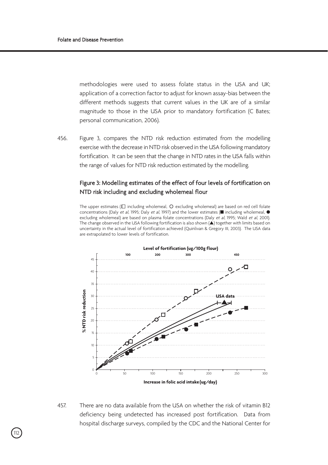methodologies were used to assess folate status in the USA and UK; application of a correction factor to adjust for known assay-bias between the different methods suggests that current values in the UK are of a similar magnitude to those in the USA prior to mandatory fortification (C Bates; personal communication, 2006).

456. Figure 3, compares the NTD risk reduction estimated from the modelling exercise with the decrease in NTD risk observed in the USA following mandatory fortification. It can be seen that the change in NTD rates in the USA falls within the range of values for NTD risk reduction estimated by the modelling.

### Figure 3: Modelling estimates of the effect of four levels of fortification on NTD risk including and excluding wholemeal flour

The upper estimates ( $\square$  including wholemeal,  $\bigcirc$  excluding wholemeal) are based on red cell folate concentrations (Daly et al, 1995; Daly et al, 1997) and the lower estimates (**■** including wholemeal, **●** excluding wholemeal) are based on plasma folate concentrations (Daly et al, 1995; Wald et al, 2001). The change observed in the USA following fortification is also shown (**▲**) together with limits based on uncertainty in the actual level of fortification achieved (Quinlivan & Gregory III, 2003). The USA data are extrapolated to lower levels of fortification.



457. There are no data available from the USA on whether the risk of vitamin B12 deficiency being undetected has increased post fortification. Data from hospital discharge surveys, compiled by the CDC and the National Center for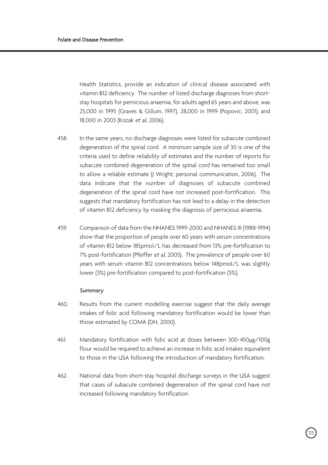Health Statistics, provide an indication of clinical disease associated with vitamin B12 deficiency. The number of listed discharge diagnoses from shortstay hospitals for pernicious anaemia, for adults aged 65 years and above, was 25,000 in 1995 (Graves & Gillum, 1997), 28,000 in 1999 (Popovic, 2001), and 18,000 in 2003 (Kozak et al, 2006).

- 458. In the same years, no discharge diagnoses were listed for subacute combined degeneration of the spinal cord. A minimum sample size of 30 is one of the criteria used to define reliability of estimates and the number of reports for subacute combined degeneration of the spinal cord has remained too small to allow a reliable estimate (J Wright; personal communication, 2006). The data indicate that the number of diagnoses of subacute combined degeneration of the spinal cord have not increased post-fortification. This suggests that mandatory fortification has not lead to a delay in the detection of vitamin B12 deficiency by masking the diagnosis of pernicious anaemia.
- 459. Comparison of data from the NHANES 1999-2000 and NHANES III (1988-1994) show that the proportion of people over 60 years with serum concentrations of vitamin B12 below 185pmol/L has decreased from 13% pre-fortification to 7% post-fortification (Pfeiffer et al, 2005). The prevalence of people over 60 years with serum vitamin B12 concentrations below 148pmol/L was slightly lower (3%) pre-fortification compared to post-fortification (5%).

#### *Summary*

- 460. Results from the current modelling exercise suggest that the daily average intakes of folic acid following mandatory fortification would be lower than those estimated by COMA (DH, 2000).
- 461. Mandatory fortification with folic acid at doses between 300-450µg/100g flour would be required to achieve an increase in folic acid intakes equivalent to those in the USA following the introduction of mandatory fortification.
- 462. National data from short-stay hospital discharge surveys in the USA suggest that cases of subacute combined degeneration of the spinal cord have not increased following mandatory fortification.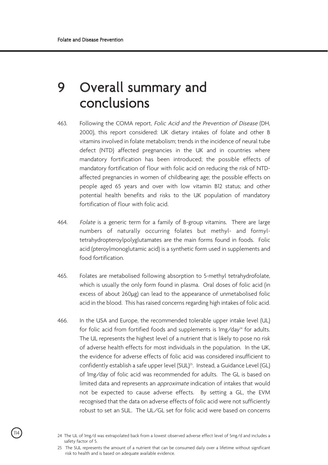# 9 Overall summary and conclusions

- 463. Following the COMA report, Folic Acid and the Prevention of Disease (DH, 2000), this report considered: UK dietary intakes of folate and other B vitamins involved in folate metabolism; trends in the incidence of neural tube defect (NTD) affected pregnancies in the UK and in countries where mandatory fortification has been introduced; the possible effects of mandatory fortification of flour with folic acid on reducing the risk of NTDaffected pregnancies in women of childbearing age; the possible effects on people aged 65 years and over with low vitamin B12 status; and other potential health benefits and risks to the UK population of mandatory fortification of flour with folic acid.
- 464. Folate is a generic term for a family of B-group vitamins. There are large numbers of naturally occurring folates but methyl- and formyltetrahydropteroylpolyglutamates are the main forms found in foods. Folic acid (pteroylmonoglutamic acid) is a synthetic form used in supplements and food fortification.
- 465. Folates are metabolised following absorption to 5-methyl tetrahydrofolate, which is usually the only form found in plasma. Oral doses of folic acid (in excess of about 260µg) can lead to the appearance of unmetabolised folic acid in the blood. This has raised concerns regarding high intakes of folic acid.
- 466. In the USA and Europe, the recommended tolerable upper intake level (UL) for folic acid from fortified foods and supplements is  $Im(z)$  and  $z^{24}$  for adults. The UL represents the highest level of a nutrient that is likely to pose no risk of adverse health effects for most individuals in the population. In the UK, the evidence for adverse effects of folic acid was considered insufficient to confidently establish a safe upper level (SUL)<sup>25</sup>. Instead, a Guidance Level (GL) of 1mg/day of folic acid was recommended for adults. The GL is based on limited data and represents an approximate indication of intakes that would not be expected to cause adverse effects. By setting a GL, the EVM recognised that the data on adverse effects of folic acid were not sufficiently robust to set an SUL. The UL/GL set for folic acid were based on concerns

<sup>24</sup> The UL of 1mg/d was extrapolated back from a lowest observed adverse effect level of 5mg/d and includes a safety factor of 5.

<sup>25</sup> The SUL represents the amount of a nutrient that can be consumed daily over a lifetime without significant risk to health and is based on adequate available evidence.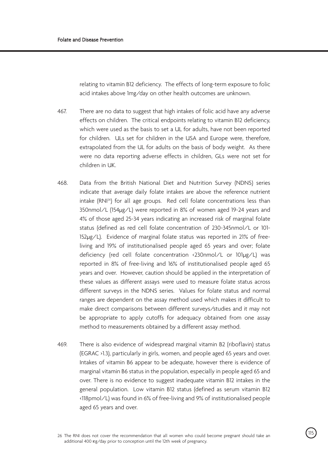relating to vitamin B12 deficiency. The effects of long-term exposure to folic acid intakes above 1mg/day on other health outcomes are unknown.

- 467. There are no data to suggest that high intakes of folic acid have any adverse effects on children. The critical endpoints relating to vitamin B12 deficiency, which were used as the basis to set a UL for adults, have not been reported for children. ULs set for children in the USA and Europe were, therefore, extrapolated from the UL for adults on the basis of body weight. As there were no data reporting adverse effects in children, GLs were not set for children in UK.
- 468. Data from the British National Diet and Nutrition Survey (NDNS) series indicate that average daily folate intakes are above the reference nutrient intake (RNI26) for all age groups. Red cell folate concentrations less than 350nmol/L (154µg/L) were reported in 8% of women aged 19-24 years and 4% of those aged 25-34 years indicating an increased risk of marginal folate status (defined as red cell folate concentration of 230-345nmol/L or 101- 152µg/L). Evidence of marginal folate status was reported in 21% of freeliving and 19% of institutionalised people aged 65 years and over; folate deficiency (red cell folate concentration <230nmol/L or 101µg/L) was reported in 8% of free-living and 16% of institutionalised people aged 65 years and over. However, caution should be applied in the interpretation of these values as different assays were used to measure folate status across different surveys in the NDNS series. Values for folate status and normal ranges are dependent on the assay method used which makes it difficult to make direct comparisons between different surveys/studies and it may not be appropriate to apply cutoffs for adequacy obtained from one assay method to measurements obtained by a different assay method.
- 469. There is also evidence of widespread marginal vitamin B2 (riboflavin) status (EGRAC >1.3), particularly in girls, women, and people aged 65 years and over. Intakes of vitamin B6 appear to be adequate, however there is evidence of marginal vitamin B6 status in the population, especially in people aged 65 and over. There is no evidence to suggest inadequate vitamin B12 intakes in the general population. Low vitamin B12 status (defined as serum vitamin B12 <118pmol/L) was found in 6% of free-living and 9% of institutionalised people aged 65 years and over.

<sup>115</sup> 26 The RNI does not cover the recommendation that all women who could become pregnant should take an additional 400 Eg/day prior to conception until the 12th week of pregnancy.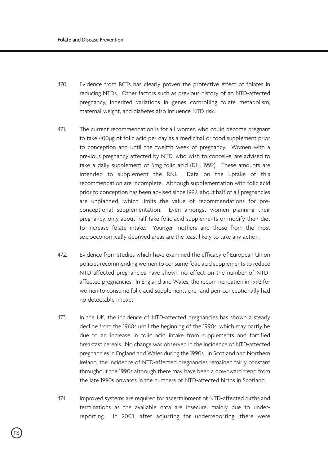- 470. Evidence from RCTs has clearly proven the protective effect of folates in reducing NTDs. Other factors such as previous history of an NTD-affected pregnancy, inherited variations in genes controlling folate metabolism, maternal weight, and diabetes also influence NTD risk.
- 471. The current recommendation is for all women who could become pregnant to take 400µg of folic acid per day as a medicinal or food supplement prior to conception and until the twelfth week of pregnancy. Women with a previous pregnancy affected by NTD, who wish to conceive, are advised to take a daily supplement of 5mg folic acid (DH, 1992). These amounts are intended to supplement the RNI. Data on the uptake of this recommendation are incomplete. Although supplementation with folic acid prior to conception has been advised since 1992, about half of all pregnancies are unplanned, which limits the value of recommendations for preconceptional supplementation. Even amongst women planning their pregnancy, only about half take folic acid supplements or modify their diet to increase folate intake. Younger mothers and those from the most socioeconomically deprived areas are the least likely to take any action.
- 472. Evidence from studies which have examined the efficacy of European Union policies recommending women to consume folic acid supplements to reduce NTD-affected pregnancies have shown no effect on the number of NTDaffected pregnancies. In England and Wales, the recommendation in 1992 for women to consume folic acid supplements pre- and peri-conceptionally had no detectable impact.
- 473. In the UK, the incidence of NTD-affected pregnancies has shown a steady decline from the 1960s until the beginning of the 1990s, which may partly be due to an increase in folic acid intake from supplements and fortified breakfast cereals. No change was observed in the incidence of NTD-affected pregnancies in England and Wales during the 1990s. In Scotland and Northern Ireland, the incidence of NTD-affected pregnancies remained fairly constant throughout the 1990s although there may have been a downward trend from the late 1990s onwards in the numbers of NTD-affected births in Scotland.
- 474. Improved systems are required for ascertainment of NTD-affected births and terminations as the available data are insecure, mainly due to underreporting. In 2003, after adjusting for underreporting, there were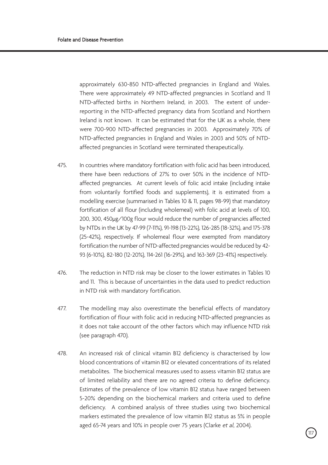approximately 630-850 NTD-affected pregnancies in England and Wales. There were approximately 49 NTD-affected pregnancies in Scotland and 11 NTD-affected births in Northern Ireland, in 2003. The extent of underreporting in the NTD-affected pregnancy data from Scotland and Northern Ireland is not known. It can be estimated that for the UK as a whole, there were 700-900 NTD-affected pregnancies in 2003. Approximately 70% of NTD-affected pregnancies in England and Wales in 2003 and 50% of NTDaffected pregnancies in Scotland were terminated therapeutically.

- 475. In countries where mandatory fortification with folic acid has been introduced, there have been reductions of 27% to over 50% in the incidence of NTDaffected pregnancies. At current levels of folic acid intake (including intake from voluntarily fortified foods and supplements), it is estimated from a modelling exercise (summarised in Tables 10 & 11, pages 98-99) that mandatory fortification of all flour (including wholemeal) with folic acid at levels of 100, 200, 300, 450µg/100g flour would reduce the number of pregnancies affected by NTDs in the UK by 47-99 (7-11%), 91-198 (13-22%), 126-285 (18-32%), and 175-378 (25-42%), respectively. If wholemeal flour were exempted from mandatory fortification the number of NTD-affected pregnancies would be reduced by 42- 93 (6-10%), 82-180 (12-20%), 114-261 (16-29%), and 163-369 (23-41%) respectively.
- 476. The reduction in NTD risk may be closer to the lower estimates in Tables 10 and 11. This is because of uncertainties in the data used to predict reduction in NTD risk with mandatory fortification.
- 477. The modelling may also overestimate the beneficial effects of mandatory fortification of flour with folic acid in reducing NTD-affected pregnancies as it does not take account of the other factors which may influence NTD risk (see paragraph 470).
- 478. An increased risk of clinical vitamin B12 deficiency is characterised by low blood concentrations of vitamin B12 or elevated concentrations of its related metabolites. The biochemical measures used to assess vitamin B12 status are of limited reliability and there are no agreed criteria to define deficiency. Estimates of the prevalence of low vitamin B12 status have ranged between 5-20% depending on the biochemical markers and criteria used to define deficiency. A combined analysis of three studies using two biochemical markers estimated the prevalence of low vitamin B12 status as 5% in people aged 65-74 years and 10% in people over 75 years (Clarke et al, 2004).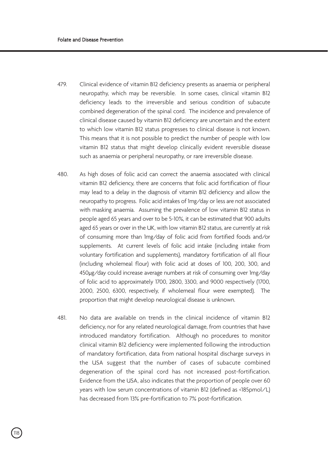- 479. Clinical evidence of vitamin B12 deficiency presents as anaemia or peripheral neuropathy, which may be reversible. In some cases, clinical vitamin B12 deficiency leads to the irreversible and serious condition of subacute combined degeneration of the spinal cord. The incidence and prevalence of clinical disease caused by vitamin B12 deficiency are uncertain and the extent to which low vitamin B12 status progresses to clinical disease is not known. This means that it is not possible to predict the number of people with low vitamin B12 status that might develop clinically evident reversible disease such as anaemia or peripheral neuropathy, or rare irreversible disease.
- 480. As high doses of folic acid can correct the anaemia associated with clinical vitamin B12 deficiency, there are concerns that folic acid fortification of flour may lead to a delay in the diagnosis of vitamin B12 deficiency and allow the neuropathy to progress. Folic acid intakes of 1mg/day or less are not associated with masking anaemia. Assuming the prevalence of low vitamin B12 status in people aged 65 years and over to be 5-10%, it can be estimated that 900 adults aged 65 years or over in the UK, with low vitamin B12 status, are currently at risk of consuming more than 1mg/day of folic acid from fortified foods and/or supplements. At current levels of folic acid intake (including intake from voluntary fortification and supplements), mandatory fortification of all flour (including wholemeal flour) with folic acid at doses of 100, 200, 300, and 450µg/day could increase average numbers at risk of consuming over 1mg/day of folic acid to approximately 1700, 2800, 3300, and 9000 respectively (1700, 2000, 2500, 6300, respectively, if wholemeal flour were exempted). The proportion that might develop neurological disease is unknown.
- 481. No data are available on trends in the clinical incidence of vitamin B12 deficiency, nor for any related neurological damage, from countries that have introduced mandatory fortification. Although no procedures to monitor clinical vitamin B12 deficiency were implemented following the introduction of mandatory fortification, data from national hospital discharge surveys in the USA suggest that the number of cases of subacute combined degeneration of the spinal cord has not increased post-fortification. Evidence from the USA, also indicates that the proportion of people over 60 years with low serum concentrations of vitamin B12 (defined as <185pmol/L) has decreased from 13% pre-fortification to 7% post-fortification.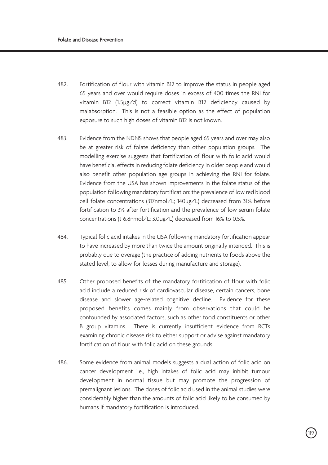- 482. Fortification of flour with vitamin B12 to improve the status in people aged 65 years and over would require doses in excess of 400 times the RNI for vitamin B12 (1.5µg/d) to correct vitamin B12 deficiency caused by malabsorption. This is not a feasible option as the effect of population exposure to such high doses of vitamin B12 is not known.
- 483. Evidence from the NDNS shows that people aged 65 years and over may also be at greater risk of folate deficiency than other population groups. The modelling exercise suggests that fortification of flour with folic acid would have beneficial effects in reducing folate deficiency in older people and would also benefit other population age groups in achieving the RNI for folate. Evidence from the USA has shown improvements in the folate status of the population following mandatory fortification: the prevalence of low red blood cell folate concentrations (317nmol/L; 140µg/L) decreased from 31% before fortification to 3% after fortification and the prevalence of low serum folate concentrations (≤ 6.8nmol/L; 3.0µg/L) decreased from 16% to 0.5%.
- 484. Typical folic acid intakes in the USA following mandatory fortification appear to have increased by more than twice the amount originally intended. This is probably due to overage (the practice of adding nutrients to foods above the stated level, to allow for losses during manufacture and storage).
- 485. Other proposed benefits of the mandatory fortification of flour with folic acid include a reduced risk of cardiovascular disease, certain cancers, bone disease and slower age-related cognitive decline. Evidence for these proposed benefits comes mainly from observations that could be confounded by associated factors, such as other food constituents or other B group vitamins. There is currently insufficient evidence from RCTs examining chronic disease risk to either support or advise against mandatory fortification of flour with folic acid on these grounds.
- 486. Some evidence from animal models suggests a dual action of folic acid on cancer development i.e., high intakes of folic acid may inhibit tumour development in normal tissue but may promote the progression of premalignant lesions. The doses of folic acid used in the animal studies were considerably higher than the amounts of folic acid likely to be consumed by humans if mandatory fortification is introduced.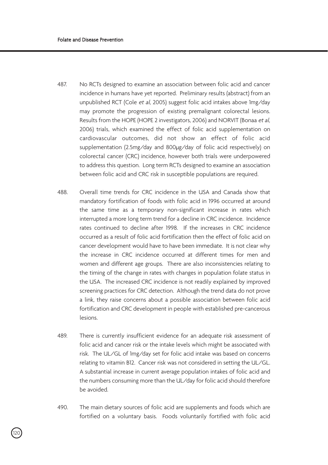- 487. No RCTs designed to examine an association between folic acid and cancer incidence in humans have yet reported. Preliminary results (abstract) from an unpublished RCT (Cole et al, 2005) suggest folic acid intakes above 1mg/day may promote the progression of existing premalignant colorectal lesions. Results from the HOPE (HOPE 2 investigators, 2006) and NORVIT (Bonaa et al, 2006) trials, which examined the effect of folic acid supplementation on cardiovascular outcomes, did not show an effect of folic acid supplementation (2.5mg/day and 800µg/day of folic acid respectively) on colorectal cancer (CRC) incidence, however both trials were underpowered to address this question. Long term RCTs designed to examine an association between folic acid and CRC risk in susceptible populations are required.
- 488. Overall time trends for CRC incidence in the USA and Canada show that mandatory fortification of foods with folic acid in 1996 occurred at around the same time as a temporary non-significant increase in rates which interrupted a more long term trend for a decline in CRC incidence. Incidence rates continued to decline after 1998. If the increases in CRC incidence occurred as a result of folic acid fortification then the effect of folic acid on cancer development would have to have been immediate. It is not clear why the increase in CRC incidence occurred at different times for men and women and different age groups. There are also inconsistencies relating to the timing of the change in rates with changes in population folate status in the USA. The increased CRC incidence is not readily explained by improved screening practices for CRC detection. Although the trend data do not prove a link, they raise concerns about a possible association between folic acid fortification and CRC development in people with established pre-cancerous lesions.
- 489. There is currently insufficient evidence for an adequate risk assessment of folic acid and cancer risk or the intake levels which might be associated with risk. The UL/GL of 1mg/day set for folic acid intake was based on concerns relating to vitamin B12. Cancer risk was not considered in setting the UL/GL. A substantial increase in current average population intakes of folic acid and the numbers consuming more than the UL/day for folic acid should therefore be avoided.
- 490. The main dietary sources of folic acid are supplements and foods which are fortified on a voluntary basis. Foods voluntarily fortified with folic acid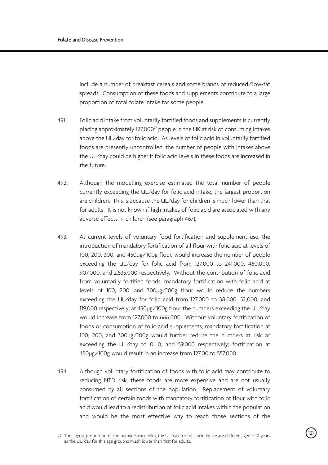include a number of breakfast cereals and some brands of reduced/low-fat spreads. Consumption of these foods and supplements contribute to a large proportion of total folate intake for some people.

- 491. Folic acid intake from voluntarily fortified foods and supplements is currently placing approximately 127,000<sup>27</sup> people in the UK at risk of consuming intakes above the UL/day for folic acid. As levels of folic acid in voluntarily fortified foods are presently uncontrolled, the number of people with intakes above the UL/day could be higher if folic acid levels in these foods are increased in the future.
- 492. Although the modelling exercise estimated the total number of people currently exceeding the UL/day for folic acid intake, the largest proportion are children. This is because the UL/day for children is much lower than that for adults. It is not known if high intakes of folic acid are associated with any adverse effects in children (see paragraph 467).
- 493. At current levels of voluntary food fortification and supplement use, the introduction of mandatory fortification of all flour with folic acid at levels of 100, 200, 300, and 450µg/100g flour, would increase the number of people exceeding the UL/day for folic acid from 127,000 to 241,000, 460,000, 907,000, and 2,535,000 respectively. Without the contribution of folic acid from voluntarily fortified foods, mandatory fortification with folic acid at levels of 100, 200, and 300µg/100g flour would reduce the numbers exceeding the UL/day for folic acid from 127,000 to 38,000, 52,000, and 119,000 respectively; at 450µg/100g flour the numbers exceeding the UL/day would increase from 127,000 to 666,000. Without voluntary fortification of foods or consumption of folic acid supplements, mandatory fortification at 100, 200, and 300µg/100g would further reduce the numbers at risk of exceeding the UL/day to 0, 0, and 59,000 respectively; fortification at 450µg/100g would result in an increase from 127,00 to 557,000.
- 494. Although voluntary fortification of foods with folic acid may contribute to reducing NTD risk, these foods are more expensive and are not usually consumed by all sections of the population. Replacement of voluntary fortification of certain foods with mandatory fortification of flour with folic acid would lead to a redistribution of folic acid intakes within the population and would be the most effective way to reach those sections of the

<sup>121</sup> 27 The largest proportion of the numbers exceeding the UL/day for folic acid intake are children aged 4-10 years as the UL/day for this age group is much lower than that for adults.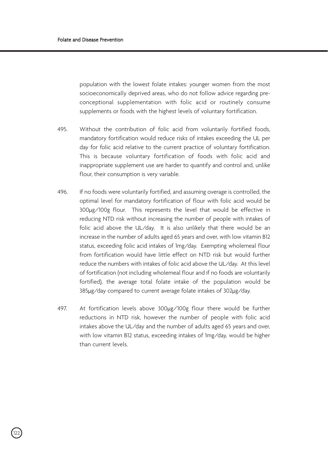population with the lowest folate intakes: younger women from the most socioeconomically deprived areas, who do not follow advice regarding preconceptional supplementation with folic acid or routinely consume supplements or foods with the highest levels of voluntary fortification.

- 495. Without the contribution of folic acid from voluntarily fortified foods, mandatory fortification would reduce risks of intakes exceeding the UL per day for folic acid relative to the current practice of voluntary fortification. This is because voluntary fortification of foods with folic acid and inappropriate supplement use are harder to quantify and control and, unlike flour, their consumption is very variable.
- 496. If no foods were voluntarily fortified, and assuming overage is controlled, the optimal level for mandatory fortification of flour with folic acid would be 300µg/100g flour. This represents the level that would be effective in reducing NTD risk without increasing the number of people with intakes of folic acid above the UL/day. It is also unlikely that there would be an increase in the number of adults aged 65 years and over, with low vitamin B12 status, exceeding folic acid intakes of 1mg/day. Exempting wholemeal flour from fortification would have little effect on NTD risk but would further reduce the numbers with intakes of folic acid above the UL/day. At this level of fortification (not including wholemeal flour and if no foods are voluntarily fortified), the average total folate intake of the population would be 385µg/day compared to current average folate intakes of 302µg/day.
- 497. At fortification levels above 300µg/100g flour there would be further reductions in NTD risk, however the number of people with folic acid intakes above the UL/day and the number of adults aged 65 years and over, with low vitamin B12 status, exceeding intakes of 1mg/day, would be higher than current levels.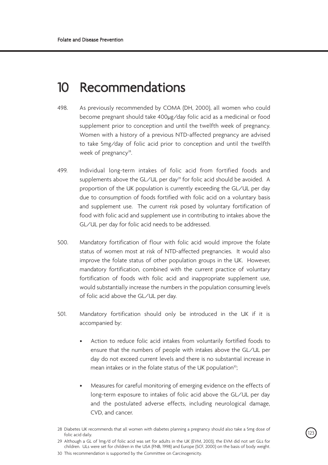# 10 Recommendations

- 498. As previously recommended by COMA (DH, 2000), all women who could become pregnant should take 400µg/day folic acid as a medicinal or food supplement prior to conception and until the twelfth week of pregnancy. Women with a history of a previous NTD-affected pregnancy are advised to take 5mg/day of folic acid prior to conception and until the twelfth week of pregnancy<sup>28</sup>.
- 499. Individual long-term intakes of folic acid from fortified foods and supplements above the GL/UL per day<sup>29</sup> for folic acid should be avoided. A proportion of the UK population is currently exceeding the GL/UL per day due to consumption of foods fortified with folic acid on a voluntary basis and supplement use. The current risk posed by voluntary fortification of food with folic acid and supplement use in contributing to intakes above the GL/UL per day for folic acid needs to be addressed.
- 500. Mandatory fortification of flour with folic acid would improve the folate status of women most at risk of NTD-affected pregnancies. It would also improve the folate status of other population groups in the UK. However, mandatory fortification, combined with the current practice of voluntary fortification of foods with folic acid and inappropriate supplement use, would substantially increase the numbers in the population consuming levels of folic acid above the GL/UL per day.
- 501. Mandatory fortification should only be introduced in the UK if it is accompanied by:
	- Action to reduce folic acid intakes from voluntarily fortified foods to ensure that the numbers of people with intakes above the GL/UL per day do not exceed current levels and there is no substantial increase in mean intakes or in the folate status of the UK population<sup>30</sup>;
	- Measures for careful monitoring of emerging evidence on the effects of long-term exposure to intakes of folic acid above the GL/UL per day and the postulated adverse effects, including neurological damage, CVD, and cancer.

<sup>123</sup> <sup>28</sup> Diabetes UK recommends that all women with diabetes planning a pregnancy should also take a 5mg dose of folic acid daily.

<sup>29</sup> Although a GL of 1mg/d of folic acid was set for adults in the UK (EVM, 2003), the EVM did not set GLs for children. ULs were set for children in the USA (FNB, 1998) and Europe (SCF, 2000) on the basis of body weight.

<sup>30</sup> This recommendation is supported by the Committee on Carcinogenicity.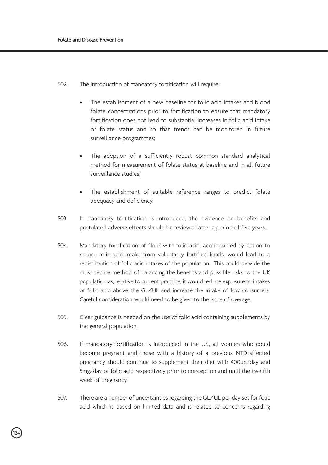502. The introduction of mandatory fortification will require:

- The establishment of a new baseline for folic acid intakes and blood folate concentrations prior to fortification to ensure that mandatory fortification does not lead to substantial increases in folic acid intake or folate status and so that trends can be monitored in future surveillance programmes;
- The adoption of a sufficiently robust common standard analytical method for measurement of folate status at baseline and in all future surveillance studies;
- The establishment of suitable reference ranges to predict folate adequacy and deficiency.
- 503. If mandatory fortification is introduced, the evidence on benefits and postulated adverse effects should be reviewed after a period of five years.
- 504. Mandatory fortification of flour with folic acid, accompanied by action to reduce folic acid intake from voluntarily fortified foods, would lead to a redistribution of folic acid intakes of the population. This could provide the most secure method of balancing the benefits and possible risks to the UK population as, relative to current practice, it would reduce exposure to intakes of folic acid above the GL/UL and increase the intake of low consumers. Careful consideration would need to be given to the issue of overage.
- 505. Clear guidance is needed on the use of folic acid containing supplements by the general population.
- 506. If mandatory fortification is introduced in the UK, all women who could become pregnant and those with a history of a previous NTD-affected pregnancy should continue to supplement their diet with 400µg/day and 5mg/day of folic acid respectively prior to conception and until the twelfth week of pregnancy.
- 507. There are a number of uncertainties regarding the GL/UL per day set for folic acid which is based on limited data and is related to concerns regarding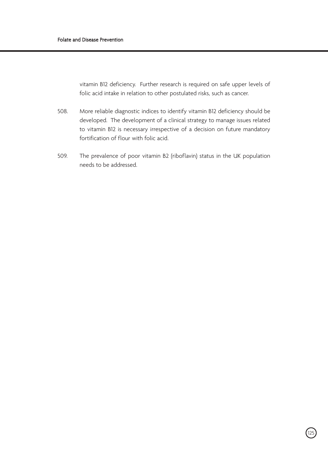vitamin B12 deficiency. Further research is required on safe upper levels of folic acid intake in relation to other postulated risks, such as cancer.

- 508. More reliable diagnostic indices to identify vitamin B12 deficiency should be developed. The development of a clinical strategy to manage issues related to vitamin B12 is necessary irrespective of a decision on future mandatory fortification of flour with folic acid.
- 509. The prevalence of poor vitamin B2 (riboflavin) status in the UK population needs to be addressed.

.<br>125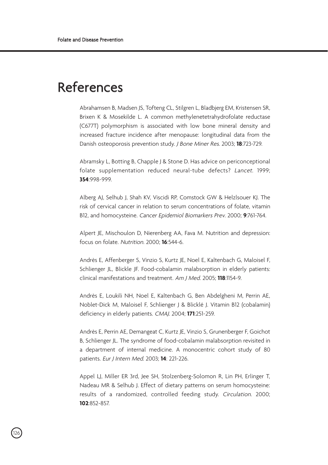# References

Abrahamsen B, Madsen JS, Tofteng CL, Stilgren L, Bladbjerg EM, Kristensen SR, Brixen K & Mosekilde L. A common methylenetetrahydrofolate reductase (C677T) polymorphism is associated with low bone mineral density and increased fracture incidence after menopause: longitudinal data from the Danish osteoporosis prevention study. J Bone Miner Res. 2003; **18**:723-729.

Abramsky L, Botting B, Chapple J & Stone D. Has advice on periconceptional folate supplementation reduced neural-tube defects? Lancet. 1999; **354**:998-999.

Alberg AJ, Selhub J, Shah KV, Viscidi RP, Comstock GW & Helzlsouer KJ. The risk of cervical cancer in relation to serum concentrations of folate, vitamin B12, and homocysteine. Cancer Epidemiol Biomarkers Prev. 2000; **9**:761-764.

Alpert JE, Mischoulon D, Nierenberg AA, Fava M. Nutrition and depression: focus on folate. Nutrition. 2000; **16**:544-6.

Andrès E, Affenberger S, Vinzio S, Kurtz JE, Noel E, Kaltenbach G, Maloisel F, Schlienger JL, Blickle JF. Food-cobalamin malabsorption in elderly patients: clinical manifestations and treatment. Am J Med. 2005; **118**:1154-9.

Andrès E, Loukili NH, Noel E, Kaltenbach G, Ben Abdelgheni M, Perrin AE, Noblet-Dick M, Maloisel F, Schlienger J & Blicklé J. Vitamin B12 (cobalamin) deficiency in elderly patients. CMAJ. 2004; **171**:251-259.

Andrès E, Perrin AE, Demangeat C, Kurtz JE, Vinzio S, Grunenberger F, Goichot B, Schlienger JL. The syndrome of food-cobalamin malabsorption revisited in a department of internal medicine. A monocentric cohort study of 80 patients. Eur J Intern Med. 2003; **14**: 221-226.

Appel LJ, Miller ER 3rd, Jee SH, Stolzenberg-Solomon R, Lin PH, Erlinger T, Nadeau MR & Selhub J. Effect of dietary patterns on serum homocysteine: results of a randomized, controlled feeding study. Circulation. 2000; **102**:852-857.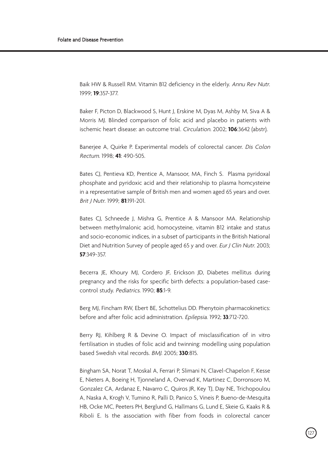Baik HW & Russell RM. Vitamin B12 deficiency in the elderly. Annu Rev Nutr. 1999; **19**:357-377.

Baker F, Picton D, Blackwood S, Hunt J, Erskine M, Dyas M, Ashby M, Siva A & Morris MJ. Blinded comparison of folic acid and placebo in patients with ischemic heart disease: an outcome trial. Circulation. 2002; **106**:3642 (abstr).

Baneriee A, Quirke P. Experimental models of colorectal cancer. Dis Colon Rectum. 1998; **41**: 490-505.

Bates CJ, Pentieva KD, Prentice A, Mansoor, MA, Finch S. Plasma pyridoxal phosphate and pyridoxic acid and their relationship to plasma homcysteine in a representative sample of British men and women aged 65 years and over. Brit J Nutr. 1999; **81**:191-201.

Bates CJ, Schneede J, Mishra G, Prentice A & Mansoor MA. Relationship between methylmalonic acid, homocysteine, vitamin B12 intake and status and socio-economic indices, in a subset of participants in the British National Diet and Nutrition Survey of people aged 65 y and over. Eur J Clin Nutr. 2003; **57**:349-357.

Becerra JE, Khoury MJ, Cordero JF, Erickson JD, Diabetes mellitus during pregnancy and the risks for specific birth defects: a population-based casecontrol study. Pediatrics. 1990; **85**:1-9.

Berg MJ, Fincham RW, Ebert BE, Schottelius DD. Phenytoin pharmacokinetics: before and after folic acid administration. Epilepsia. 1992; **33**:712-720.

Berry RJ, Kihlberg R & Devine O. Impact of misclassification of in vitro fertilisation in studies of folic acid and twinning: modelling using population based Swedish vital records. BMJ. 2005; **330**:815.

Bingham SA, Norat T, Moskal A, Ferrari P, Slimani N, Clavel-Chapelon F, Kesse E, Nieters A, Boeing H, Tjonneland A, Overvad K, Martinez C, Dorronsoro M, Gonzalez CA, Ardanaz E, Navarro C, Quiros JR, Key TJ, Day NE, Trichopoulou A, Naska A, Krogh V, Tumino R, Palli D, Panico S, Vineis P, Bueno-de-Mesquita HB, Ocke MC, Peeters PH, Berglund G, Hallmans G, Lund E, Skeie G, Kaaks R & Riboli E. Is the association with fiber from foods in colorectal cancer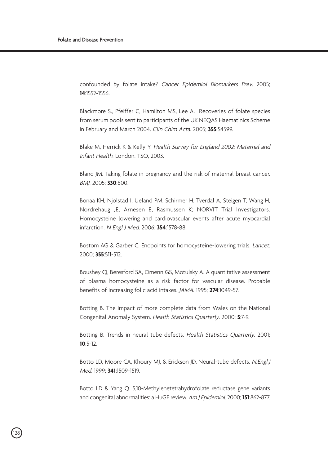confounded by folate intake? Cancer Epidemiol Biomarkers Prev. 2005; **14**:1552-1556.

Blackmore S., Pfeiffer C, Hamilton MS, Lee A. Recoveries of folate species from serum pools sent to participants of the UK NEQAS Haematinics Scheme in February and March 2004. Clin Chim Acta. 2005; **355**:S4599.

Blake M, Herrick K & Kelly Y. Health Survey for England 2002: Maternal and Infant Health. London. TSO, 2003.

Bland JM. Taking folate in pregnancy and the risk of maternal breast cancer. BMJ. 2005; **330**:600.

Bonaa KH, Njolstad I, Ueland PM, Schirmer H, Tverdal A, Steigen T, Wang H, Nordrehaug JE, Arnesen E, Rasmussen K; NORVIT Trial Investigators. Homocysteine lowering and cardiovascular events after acute myocardial infarction. N Engl J Med. 2006; **354**:1578-88.

Bostom AG & Garber C. Endpoints for homocysteine-lowering trials. Lancet. 2000; **355**:511-512.

Boushey CJ, Beresford SA, Omenn GS, Motulsky A. A quantitative assessment of plasma homocysteine as a risk factor for vascular disease. Probable benefits of increasing folic acid intakes. JAMA. 1995; **274**:1049-57.

Botting B. The impact of more complete data from Wales on the National Congenital Anomaly System. Health Statistics Quarterly. 2000; **5**:7-9.

Botting B. Trends in neural tube defects. Health Statistics Quarterly. 2001; **10**:5-12.

Botto LD, Moore CA, Khoury MJ, & Erickson JD. Neural-tube defects. N.Engl.J Med. 1999; **341**:1509-1519.

Botto LD & Yang Q. 5,10-Methylenetetrahydrofolate reductase gene variants and congenital abnormalities: a HuGE review. Am J Epidemiol. 2000; **151**:862-877.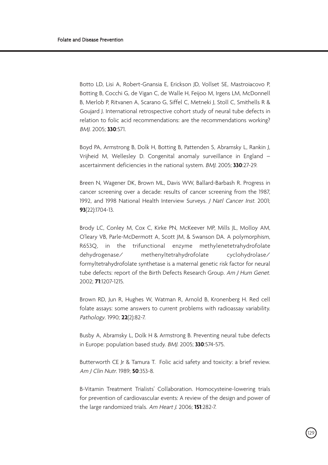Botto LD, Lisi A, Robert-Gnansia E, Erickson JD, Vollset SE, Mastroiacovo P, Botting B, Cocchi G, de Vigan C, de Walle H, Feijoo M, Irgens LM, McDonnell B, Merlob P, Ritvanen A, Scarano G, Siffel C, Metneki J, Stoll C, Smithells R & Goujard J. International retrospective cohort study of neural tube defects in relation to folic acid recommendations: are the recommendations working? BMJ. 2005; **330**:571.

Boyd PA, Armstrong B, Dolk H, Botting B, Pattenden S, Abramsky L, Rankin J, Vrijheid M, Wellesley D. Congenital anomaly surveillance in England – ascertainment deficiencies in the national system. BMJ. 2005; **330**:27-29.

Breen N, Wagener DK, Brown ML, Davis WW, Ballard-Barbash R. Progress in cancer screening over a decade: results of cancer screening from the 1987, 1992, and 1998 National Health Interview Surveys. J Natl Cancer Inst. 2001; **93**(22):1704-13.

Brody LC, Conley M, Cox C, Kirke PN, McKeever MP, Mills JL, Molloy AM, O'leary VB, Parle-McDermott A, Scott JM, & Swanson DA. A polymorphism, R653Q, in the trifunctional enzyme methylenetetrahydrofolate dehydrogenase/ methenyltetrahydrofolate cyclohydrolase/ formyltetrahydrofolate synthetase is a maternal genetic risk factor for neural tube defects: report of the Birth Defects Research Group. Am J Hum Genet. 2002; **71**:1207-1215.

Brown RD, Jun R, Hughes W, Watman R, Arnold B, Kronenberg H. Red cell folate assays: some answers to current problems with radioassay variability. Pathology. 1990; **22**(2):82-7.

Busby A, Abramsky L, Dolk H & Armstrong B. Preventing neural tube defects in Europe: population based study. BMJ. 2005; **330**:574-575.

Butterworth CE Jr & Tamura T. Folic acid safety and toxicity: a brief review. Am J Clin Nutr. 1989; **50**:353-8.

B-Vitamin Treatment Trialists' Collaboration. Homocysteine-lowering trials for prevention of cardiovascular events: A review of the design and power of the large randomized trials. Am Heart J. 2006; **151**:282-7.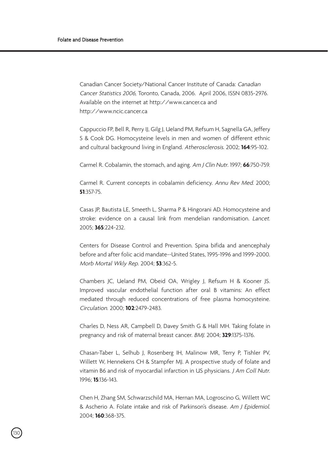Canadian Cancer Society/National Cancer Institute of Canada: Canadian Cancer Statistics 2006, Toronto, Canada, 2006. April 2006, ISSN 0835-2976. Available on the internet at http://www.cancer.ca and http://www.ncic.cancer.ca

Cappuccio FP, Bell R, Perry IJ, Gilg J, Ueland PM, Refsum H, Sagnella GA, Jeffery S & Cook DG. Homocysteine levels in men and women of different ethnic and cultural background living in England. Atherosclerosis. 2002; **164**:95-102.

Carmel R. Cobalamin, the stomach, and aging. Am J Clin Nutr. 1997; **66**:750-759.

Carmel R. Current concepts in cobalamin deficiency. Annu Rev Med. 2000; **51**:357-75.

Casas JP, Bautista LE, Smeeth L, Sharma P & Hingorani AD. Homocysteine and stroke: evidence on a causal link from mendelian randomisation. Lancet. 2005; **365**:224-232.

Centers for Disease Control and Prevention. Spina bifida and anencephaly before and after folic acid mandate--United States, 1995-1996 and 1999-2000. Morb Mortal Wkly Rep. 2004; **53**:362-5.

Chambers JC, Ueland PM, Obeid OA, Wrigley J, Refsum H & Kooner JS. Improved vascular endothelial function after oral B vitamins: An effect mediated through reduced concentrations of free plasma homocysteine. Circulation. 2000; **102**:2479-2483.

Charles D, Ness AR, Campbell D, Davey Smith G & Hall MH. Taking folate in pregnancy and risk of maternal breast cancer. BMJ. 2004; **329**:1375-1376.

Chasan-Taber L, Selhub J, Rosenberg IH, Malinow MR, Terry P, Tishler PV, Willett W, Hennekens CH & Stampfer MJ. A prospective study of folate and vitamin B6 and risk of myocardial infarction in US physicians. J Am Coll Nutr. 1996; **15**:136-143.

Chen H, Zhang SM, Schwarzschild MA, Hernan MA, Logroscino G, Willett WC & Ascherio A. Folate intake and risk of Parkinson's disease. Am J Epidemiol. 2004; **160**:368-375.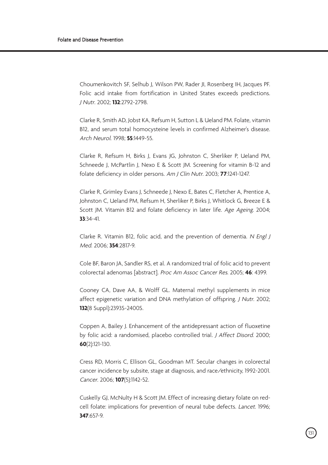Choumenkovitch SF, Selhub J, Wilson PW, Rader JI, Rosenberg IH, Jacques PF. Folic acid intake from fortification in United States exceeds predictions. J Nutr. 2002; **132**:2792-2798.

Clarke R, Smith AD, Jobst KA, Refsum H, Sutton L & Ueland PM. Folate, vitamin B12, and serum total homocysteine levels in confirmed Alzheimer's disease. Arch Neurol. 1998; **55**:1449-55.

Clarke R, Refsum H, Birks J, Evans JG, Johnston C, Sherliker P, Ueland PM, Schneede J, McPartlin J, Nexo E & Scott JM. Screening for vitamin B-12 and folate deficiency in older persons. Am J Clin Nutr. 2003; **77**:1241-1247.

Clarke R, Grimley Evans J, Schneede J, Nexo E, Bates C, Fletcher A, Prentice A, Johnston C, Ueland PM, Refsum H, Sherliker P, Birks J, Whitlock G, Breeze E & Scott JM. Vitamin B12 and folate deficiency in later life. Age Ageing. 2004; **33**:34-41.

Clarke R. Vitamin B12, folic acid, and the prevention of dementia. N Engl J Med. 2006; **354**:2817-9.

Cole BF, Baron JA, Sandler RS, et al. A randomized trial of folic acid to prevent colorectal adenomas [abstract]. Proc Am Assoc Cancer Res. 2005; **46**: 4399.

Cooney CA, Dave AA, & Wolff GL. Maternal methyl supplements in mice affect epigenetic variation and DNA methylation of offspring. J Nutr. 2002; **132**(8 Suppl):2393S-2400S.

Coppen A, Bailey J. Enhancement of the antidepressant action of fluoxetine by folic acid: a randomised, placebo controlled trial. J Affect Disord. 2000; **60**(2):121-130.

Cress RD, Morris C, Ellison GL, Goodman MT. Secular changes in colorectal cancer incidence by subsite, stage at diagnosis, and race/ethnicity, 1992-2001. Cancer. 2006; **107**(5):1142-52.

Cuskelly GJ, McNulty H & Scott JM. Effect of increasing dietary folate on redcell folate: implications for prevention of neural tube defects. Lancet. 1996; **347**:657-9.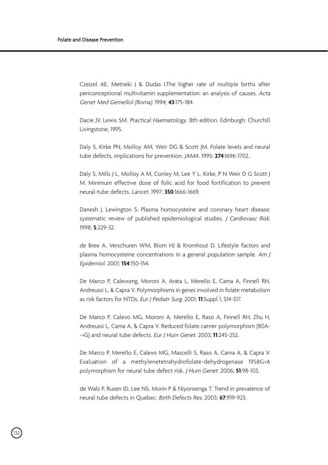Czeizel AE, Metneki J & Dudas I.The higher rate of multiple births after periconceptional multivitamin supplementation: an analysis of causes. Acta Genet Med Gemellol (Roma). 1994; **43**:175-184.

Dacie JV, Lewis SM. Practical Haematology. 8th edition. Edinburgh: Churchill Livingstone, 1995.

Daly S, Kirke PN, Molloy AM, Weir DG & Scott JM. Folate levels and neural tube defects, implications for prevention. JAMA. 1995; **274**:1696-1702.

Daly S, Mills J L, Molloy A M, Conley M, Lee Y L, Kirke, P N Weir D G Scott J M. Minimum effective dose of folic acid for food fortification to prevent neural-tube defects. Lancet. 1997; **350**:1666-1669.

Danesh J, Lewington S. Plasma homocysteine and coronary heart disease: systematic review of published epidemiological studies. J Cardiovasc Risk. 1998; **5**:229-32.

de Bree A, Verschuren WM, Blom HJ & Kromhout D. Lifestyle factors and plasma homocysteine concentrations in a general population sample. Am J Epidemiol. 2001; **154**:150-154.

De Marco P, Calevomg, Moroni A, Arata L, Merello E, Cama A, Finnell RH, Andreussi L, & Capra V. Polymorphisms in genes involved in folate metabolism as risk factors for NTDs. Eur J Pediatr Surg. 2001; **11**:Suppl 1, S14-S17.

De Marco P, Calevo MG, Moroni A, Merello E, Raso A, Finnell RH, Zhu H, Andreussi L, Cama A, & Capra V. Reduced folate carrier polymorphism (80A- ->G) and neural tube defects. Eur J Hum Genet. 2003; **11**:245-252.

De Marco P, Merello E, Calevo MG, Mascelli S, Raso A, Cama A, & Capra V. Evaluation of a methylenetetrahydrofolate-dehydrogenase 1958G>A polymorphism for neural tube defect risk. J Hum Genet. 2006; **51**:98-103.

de Wals P, Rusen ID, Lee NS, Morin P & Niyonsenga T. Trend in prevalence of neural tube defects in Quebec. Birth Defects Res. 2003; **67**:919-923.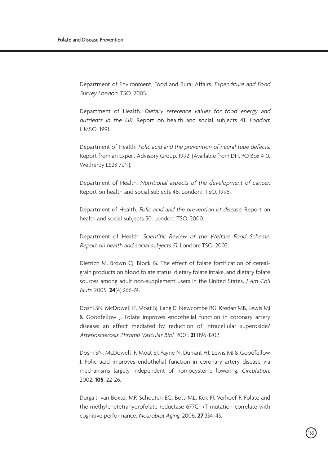Department of Environment, Food and Rural Affairs. Expenditure and Food Survey London: TSO, 2005.

Department of Health. Dietary reference values for food energy and nutrients in the UK. Report on health and social subjects 41. London: HMSO, 1991.

Department of Health. Folic acid and the prevention of neural tube defects. Report from an Expert Advisory Group. 1992. (Available from DH, PO Box 410, Wetherby LS23 7LN).

Department of Health. Nutritional aspects of the development of cancer. Report on health and social subjects 48. London: TSO, 1998.

Department of Health. Folic acid and the prevention of disease. Report on health and social subjects 50. London: TSO, 2000.

Department of Health. Scientific Review of the Welfare Food Scheme. Report on health and social subjects 51. London: TSO, 2002.

Dietrich M, Brown CJ, Block G. The effect of folate fortification of cerealgrain products on blood folate status, dietary folate intake, and dietary folate sources among adult non-supplement users in the United States. J Am Coll Nutr. 2005; **24**(4):266-74.

Doshi SN, McDowell IF, Moat SJ, Lang D, Newcombe RG, Kredan MB, Lewis MJ & Goodfellow J. Folate improves endothelial function in coronary artery disease: an effect mediated by reduction of intracellular superoxide? Arteriosclerosis Thromb Vascular Biol. 2001; **21**:1196-1202.

Doshi SN, McDowell IF, Moat SJ, Payne N, Durrant HJ, Lewis MJ & Goodfellow J. Folic acid improves endothelial function in coronary artery disease via mechanisms largely independent of homocysteine lowering. Circulation. 2002; **105**, 22-26.

Durga J, van Boxtel MP, Schouten EG, Bots ML, Kok FJ, Verhoef P. Folate and the methylenetetrahydrofolate reductase 677C-->T mutation correlate with cognitive performance. Neurobiol Aging. 2006; **27**:334-43.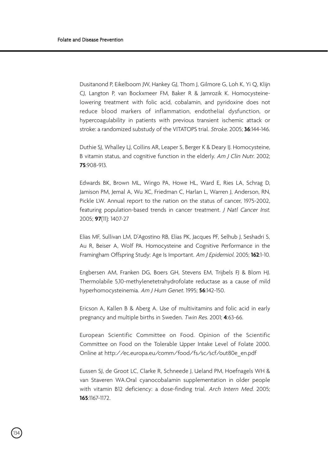Dusitanond P, Eikelboom JW, Hankey GJ, Thom J, Gilmore G, Loh K, Yi Q, Klijn CJ, Langton P, van Bockxmeer FM, Baker R & Jamrozik K. Homocysteinelowering treatment with folic acid, cobalamin, and pyridoxine does not reduce blood markers of inflammation, endothelial dysfunction, or hypercoagulability in patients with previous transient ischemic attack or stroke: a randomized substudy of the VITATOPS trial. Stroke. 2005; **36**:144-146.

Duthie SJ, Whalley LJ, Collins AR, Leaper S, Berger K & Deary IJ. Homocysteine, B vitamin status, and cognitive function in the elderly. Am J Clin Nutr. 2002; **75**:908-913.

Edwards BK, Brown ML, Wingo PA, Howe HL, Ward E, Ries LA, Schrag D, Jamison PM, Jemal A, Wu XC, Friedman C, Harlan L, Warren J, Anderson, RN, Pickle LW. Annual report to the nation on the status of cancer, 1975-2002, featuring population-based trends in cancer treatment. J Natl Cancer Inst. 2005; **97**(11): 1407-27

Elias MF, Sullivan LM, D'Agostino RB, Elias PK, Jacques PF, Selhub J, Seshadri S, Au R, Beiser A, Wolf PA. Homocysteine and Cognitive Performance in the Framingham Offspring Study: Age Is Important. Am J Epidemiol. 2005; **162**:1-10.

Engbersen AM, Franken DG, Boers GH, Stevens EM, Trijbels FJ & Blom HJ. Thermolabile 5,10-methylenetetrahydrofolate reductase as a cause of mild hyperhomocysteinemia. Am J Hum Genet. 1995; **56**:142-150.

Ericson A, Kallen B & Aberg A. Use of multivitamins and folic acid in early pregnancy and multiple births in Sweden. Twin Res. 2001; **4**:63-66.

European Scientific Committee on Food. Opinion of the Scientific Committee on Food on the Tolerable Upper Intake Level of Folate 2000. Online at http://ec.europa.eu/comm/food/fs/sc/scf/out80e\_en.pdf

Eussen SJ, de Groot LC, Clarke R, Schneede J, Ueland PM, Hoefnagels WH & van Staveren WA.Oral cyanocobalamin supplementation in older people with vitamin B12 deficiency: a dose-finding trial. Arch Intern Med. 2005; **165**:1167-1172.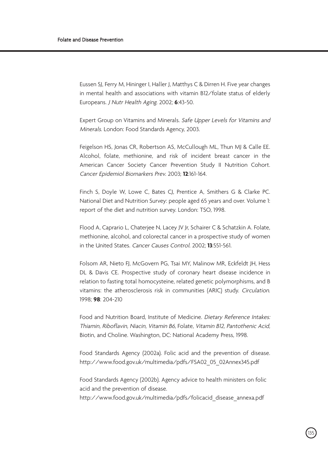Eussen SJ, Ferry M, Hininger I, Haller J, Matthys C & Dirren H. Five year changes in mental health and associations with vitamin B12/folate status of elderly Europeans. J Nutr Health Aging. 2002; **6**:43-50.

Expert Group on Vitamins and Minerals. Safe Upper Levels for Vitamins and Minerals. London: Food Standards Agency, 2003.

Feigelson HS, Jonas CR, Robertson AS, McCullough ML, Thun MJ & Calle EE. Alcohol, folate, methionine, and risk of incident breast cancer in the American Cancer Society Cancer Prevention Study II Nutrition Cohort. Cancer Epidemiol Biomarkers Prev. 2003; **12**:161-164.

Finch S, Doyle W, Lowe C, Bates CJ, Prentice A, Smithers G & Clarke PC. National Diet and Nutrition Survey: people aged 65 years and over. Volume 1: report of the diet and nutrition survey. London: TSO, 1998.

Flood A, Caprario L, Chaterjee N, Lacey JV Jr, Schairer C & Schatzkin A. Folate, methionine, alcohol, and colorectal cancer in a prospective study of women in the United States. Cancer Causes Control. 2002; **13**:551-561.

Folsom AR, Nieto FJ, McGovern PG, Tsai MY, Malinow MR, Eckfeldt JH, Hess DL & Davis CE. Prospective study of coronary heart disease incidence in relation to fasting total homocysteine, related genetic polymorphisms, and B vitamins: the atherosclerosis risk in communities (ARIC) study. Circulation. 1998; **98**: 204-210

Food and Nutrition Board, Institute of Medicine. Dietary Reference Intakes: Thiamin, Riboflavin, Niacin, Vitamin B6, Folate, Vitamin B12, Pantothenic Acid, Biotin, and Choline. Washington, DC: National Academy Press, 1998.

Food Standards Agency (2002a). Folic acid and the prevention of disease. http://www.food.gov.uk/multimedia/pdfs/FSA02\_05\_02Annex345.pdf

Food Standards Agency (2002b). Agency advice to health ministers on folic acid and the prevention of disease.

http://www.food.gov.uk/multimedia/pdfs/folicacid\_disease\_annexa.pdf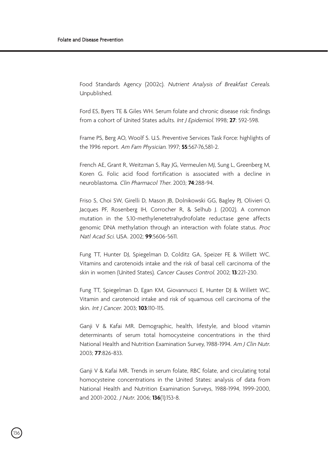Food Standards Agency (2002c). Nutrient Analysis of Breakfast Cereals. Unpublished.

Ford ES, Byers TE & Giles WH. Serum folate and chronic disease risk: findings from a cohort of United States adults. Int J Epidemiol. 1998; **27**: 592-598.

Frame PS, Berg AO, Woolf S. U.S. Preventive Services Task Force: highlights of the 1996 report. Am Fam Physician. 1997; **55**:567-76,581-2.

French AE, Grant R, Weitzman S, Ray JG, Vermeulen MJ, Sung L, Greenberg M, Koren G. Folic acid food fortification is associated with a decline in neuroblastoma. Clin Pharmacol Ther. 2003; **74**:288-94.

Friso S, Choi SW, Girelli D, Mason JB, Dolnikowski GG, Bagley PJ, Olivieri O, Jacques PF, Rosenberg IH, Corrocher R, & Selhub J. (2002). A common mutation in the 5,10-methylenetetrahydrofolate reductase gene affects genomic DNA methylation through an interaction with folate status. Proc Natl Acad Sci. USA. 2002; **99**:5606-5611.

Fung TT, Hunter DJ, Spiegelman D, Colditz GA, Speizer FE & Willett WC. Vitamins and carotenoids intake and the risk of basal cell carcinoma of the skin in women (United States). Cancer Causes Control. 2002; **13**:221-230.

Fung TT, Spiegelman D, Egan KM, Giovannucci E, Hunter DJ & Willett WC. Vitamin and carotenoid intake and risk of squamous cell carcinoma of the skin. Int J Cancer. 2003; **103**:110-115.

Ganji V & Kafai MR. Demographic, health, lifestyle, and blood vitamin determinants of serum total homocysteine concentrations in the third National Health and Nutrition Examination Survey, 1988-1994. Am J Clin Nutr. 2003; **77**:826-833.

Ganji V & Kafai MR. Trends in serum folate, RBC folate, and circulating total homocysteine concentrations in the United States: analysis of data from National Health and Nutrition Examination Surveys, 1988-1994, 1999-2000, and 2001-2002. J Nutr. 2006; **136**(1):153-8.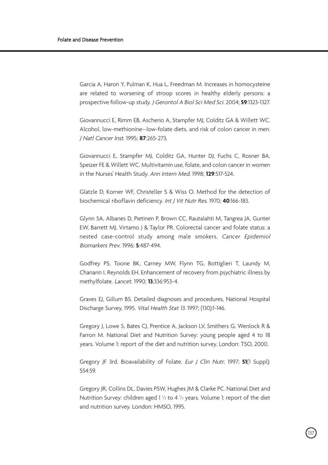Garcia A, Haron Y, Pulman K, Hua L, Freedman M. Increases in homocysteine are related to worsening of stroop scores in healthy elderly persons: a prospective follow-up study. J Gerontol A Biol Sci Med Sci. 2004; **59**:1323-1327.

Giovannucci E, Rimm EB, Ascherio A, Stampfer MJ, Colditz GA & Willett WC. Alcohol, low-methionine--low-folate diets, and risk of colon cancer in men. J Natl Cancer Inst. 1995; **87**:265-273.

Giovannucci E, Stampfer MJ, Colditz GA, Hunter DJ, Fuchs C, Rosner BA, Speizer FE & Willett WC. Multivitamin use, folate, and colon cancer in women in the Nurses' Health Study. Ann Intern Med. 1998; **129**:517-524.

Glatzle D, Korner WF, Christeller S & Wiss O. Method for the detection of biochemical riboflavin deficiency. Int J Vit Nutr Res. 1970; **40**:166-183.

Glynn SA, Albanes D, Pietinen P, Brown CC, Rautalahti M, Tangrea JA, Gunter EW, Barrett MJ, Virtamo J & Taylor PR. Colorectal cancer and folate status: a nested case-control study among male smokers. Cancer Epidemiol Biomarkers Prev. 1996; **5**:487-494.

Godfrey PS, Toone BK, Carney MW, Flynn TG, Bottiglieri T, Laundy M, Chanarin I, Reynolds EH. Enhancement of recovery from psychiatric illness by methylfolate. Lancet. 1990; **13**:336:953-4.

Graves EJ, Gillum BS. Detailed diagnoses and procedures, National Hospital Discharge Survey, 1995. Vital Health Stat 13. 1997; (130):1-146.

Gregory J, Lowe S, Bates CJ, Prentice A, Jackson LV, Smithers G, Wenlock R & Farron M. National Diet and Nutrition Survey: young people aged 4 to 18 years. Volume 1: report of the diet and nutrition survey. London: TSO, 2000.

Gregory JF 3rd. Bioavailability of Folate. Eur J Clin Nutr. 1997; **51**(1 Suppl): S54:59.

Gregory JR, Collins DL, Davies PSW, Hughes JM & Clarke PC. National Diet and Nutrition Survey: children aged  $1\frac{1}{2}$  to 4  $\frac{1}{2}$  years. Volume 1: report of the diet and nutrition survey. London: HMSO, 1995.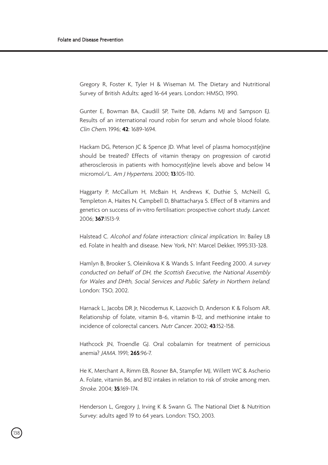Gregory R, Foster K, Tyler H & Wiseman M. The Dietary and Nutritional Survey of British Adults: aged 16-64 years. London: HMSO, 1990.

Gunter E, Bowman BA, Caudill SP, Twite DB, Adams MJ and Sampson EJ. Results of an international round robin for serum and whole blood folate. Clin Chem. 1996; **42**: 1689-1694.

Hackam DG, Peterson JC & Spence JD. What level of plasma homocyst(e)ine should be treated? Effects of vitamin therapy on progression of carotid atherosclerosis in patients with homocyst(e)ine levels above and below 14 micromol/L. Am J Hypertens. 2000; **13**:105-110.

Haggarty P, McCallum H, McBain H, Andrews K, Duthie S, McNeill G, Templeton A, Haites N, Campbell D, Bhattacharya S. Effect of B vitamins and genetics on success of in-vitro fertilisation: prospective cohort study. Lancet. 2006; **367**:1513-9.

Halstead C. Alcohol and folate interaction: clinical implication. In: Bailey LB ed. Folate in health and disease. New York, NY: Marcel Dekker, 1995:313-328.

Hamlyn B, Brooker S, Oleinikova K & Wands S. Infant Feeding 2000. A survey conducted on behalf of DH, the Scottish Executive, the National Assembly for Wales and DHth, Social Services and Public Safety in Northern Ireland. London: TSO, 2002.

Harnack L, Jacobs DR Jr, Nicodemus K, Lazovich D, Anderson K & Folsom AR. Relationship of folate, vitamin B-6, vitamin B-12, and methionine intake to incidence of colorectal cancers. Nutr Cancer. 2002; **43**:152-158.

Hathcock JN, Troendle GJ. Oral cobalamin for treatment of pernicious anemia? JAMA. 1991; **265**:96-7.

He K, Merchant A, Rimm EB, Rosner BA, Stampfer MJ, Willett WC & Ascherio A. Folate, vitamin B6, and B12 intakes in relation to risk of stroke among men. Stroke. 2004; **35**:169-174.

Henderson L, Gregory J, Irving K & Swann G. The National Diet & Nutrition Survey: adults aged 19 to 64 years. London: TSO, 2003.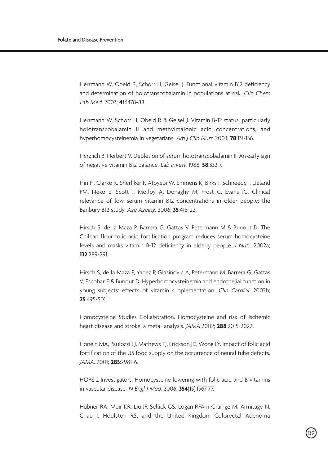Herrmann W, Obeid R, Schorr H, Geisel J. Functional vitamin B12 deficiency and determination of holotranscobalamin in populations at risk. Clin Chem Lab Med. 2003; **41**:1478-88.

Herrmann W, Schorr H, Obeid R & Geisel J. Vitamin B-12 status, particularly holotranscobalamin II and methylmalonic acid concentrations, and hyperhomocysteinemia in vegetarians. Am J Clin Nutr. 2003; **78**:131-136.

Herzlich B, Herbert V. Depletion of serum holotranscobalamin II. An early sign of negative vitamin B12 balance. Lab Invest. 1988; **58**:332-7.

Hin H, Clarke R, Sherliker P, Atoyebi W, Emmens K, Birks J, Schneede J, Ueland PM, Nexo E, Scott J, Molloy A, Donaghy M, Frost C, Evans JG. Clinical relevance of low serum vitamin B12 concentrations in older people: the Banbury B12 study. Age Ageing. 2006; **35**:416-22.

Hirsch S, de la Maza P, Barrera G, Gattas V, Petermann M & Bunout D. The Chilean flour folic acid fortification program reduces serum homocysteine levels and masks vitamin B-12 deficiency in elderly people. J Nutr. 2002a; **132**:289-291.

Hirsch S, de la Maza P, Yanez P, Glasinovic A, Petermann M, Barrera G, Gattas V, Escobar E & Bunout D. Hyperhomocysteinemia and endothelial function in young subjects: effects of vitamin supplementation. Clin Cardiol. 2002b; **25**:495-501.

Homocysteine Studies Collaboration. Homocysteine and risk of ischemic heart disease and stroke: a meta- analysis. JAMA 2002; **288**:2015-2022.

Honein MA, Paulozzi LJ, Mathews TJ, Erickson JD, Wong LY. Impact of folic acid fortification of the US food supply on the occurrence of neural tube defects. JAMA. 2001; **285**:2981-6.

HOPE 2 Investigators. Homocysteine lowering with folic acid and B vitamins in vascular disease. N Engl J Med. 2006; **354**(15):1567-77.

Hubner RA, Muir KR, Liu JF, Sellick GS, Logan RFAm Grainge M, Armitage N, Chau I, Houlston RS, and the United Kingdom Colorectal Adenoma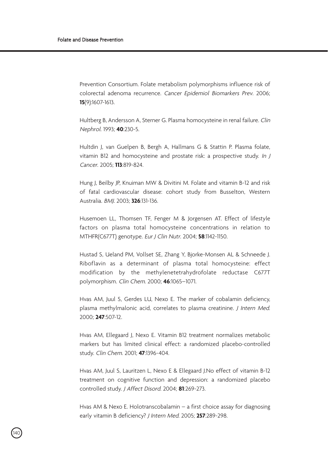Prevention Consortium. Folate metabolism polymorphisms influence risk of colorectal adenoma recurrence. Cancer Epidemiol Biomarkers Prev. 2006; **15**(9):1607-1613.

Hultberg B, Andersson A, Sterner G. Plasma homocysteine in renal failure. Clin Nephrol. 1993; **40**:230-5.

Hultdin J, van Guelpen B, Bergh A, Hallmans G & Stattin P. Plasma folate, vitamin B12 and homocysteine and prostate risk: a prospective study. In J Cancer. 2005; **113**:819-824.

Hung J, Beilby JP, Knuiman MW & Divitini M. Folate and vitamin B-12 and risk of fatal cardiovascular disease: cohort study from Busselton, Western Australia. BMJ. 2003; **326**:131-136.

Husemoen LL, Thomsen TF, Fenger M & Jorgensen AT. Effect of lifestyle factors on plasma total homocysteine concentrations in relation to MTHFR(C677T) genotype. Eur J Clin Nutr. 2004; **58**:1142-1150.

Hustad S, Ueland PM, Vollset SE, Zhang Y, Bjorke-Monsen AL & Schneede J. Riboflavin as a determinant of plasma total homocysteine: effect modification by the methylenetetrahydrofolate reductase C677T polymorphism. Clin Chem. 2000; **46**:1065–1071.

Hvas AM, Juul S, Gerdes LU, Nexo E. The marker of cobalamin deficiency, plasma methylmalonic acid, correlates to plasma creatinine. J Intern Med. 2000; **247**:507-12.

Hvas AM, Ellegaard J, Nexo E. Vitamin B12 treatment normalizes metabolic markers but has limited clinical effect: a randomized placebo-controlled study. Clin Chem. 2001; **47**:1396-404.

Hvas AM, Juul S, Lauritzen L, Nexo E & Ellegaard J.No effect of vitamin B-12 treatment on cognitive function and depression: a randomized placebo controlled study. J Affect Disord. 2004; **81**:269-273.

Hvas AM & Nexo E. Holotranscobalamin – a first choice assay for diagnosing early vitamin B deficiency? J Intern Med. 2005; **257**:289-298.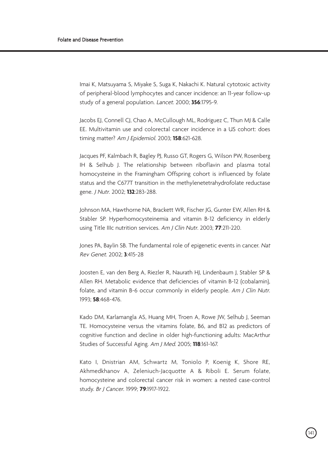Imai K, Matsuyama S, Miyake S, Suga K, Nakachi K. Natural cytotoxic activity of peripheral-blood lymphocytes and cancer incidence: an 11-year follow-up study of a general population. Lancet. 2000; **356**:1795-9.

Jacobs EJ, Connell CJ, Chao A, McCullough ML, Rodriguez C, Thun MJ & Calle EE. Multivitamin use and colorectal cancer incidence in a US cohort: does timing matter? Am J Epidemiol. 2003; **158**:621-628.

Jacques PF, Kalmbach R, Bagley PJ, Russo GT, Rogers G, Wilson PW, Rosenberg IH & Selhub J. The relationship between riboflavin and plasma total homocysteine in the Framingham Offspring cohort is influenced by folate status and the C677T transition in the methylenetetrahydrofolate reductase gene. J Nutr. 2002; **132**:283-288.

Johnson MA, Hawthorne NA, Brackett WR, Fischer JG, Gunter EW, Allen RH & Stabler SP. Hyperhomocysteinemia and vitamin B-12 deficiency in elderly using Title IIIc nutrition services. Am J Clin Nutr. 2003; **77**:211-220.

Jones PA, Baylin SB. The fundamental role of epigenetic events in cancer. Nat Rev Genet. 2002; **3**:415-28

Joosten E, van den Berg A, Riezler R, Naurath HJ, Lindenbaum J, Stabler SP & Allen RH. Metabolic evidence that deficiencies of vitamin B-12 (cobalamin), folate, and vitamin B-6 occur commonly in elderly people. Am J Clin Nutr. 1993; **58**:468-476.

Kado DM, Karlamangla AS, Huang MH, Troen A, Rowe JW, Selhub J, Seeman TE. Homocysteine versus the vitamins folate, B6, and B12 as predictors of cognitive function and decline in older high-functioning adults: MacArthur Studies of Successful Aging. Am J Med. 2005; **118**:161-167.

Kato I, Dnistrian AM, Schwartz M, Toniolo P, Koenig K, Shore RE, Akhmedkhanov A, Zeleniuch-Jacquotte A & Riboli E. Serum folate, homocysteine and colorectal cancer risk in women: a nested case-control study. Br J Cancer. 1999; **79**:1917-1922.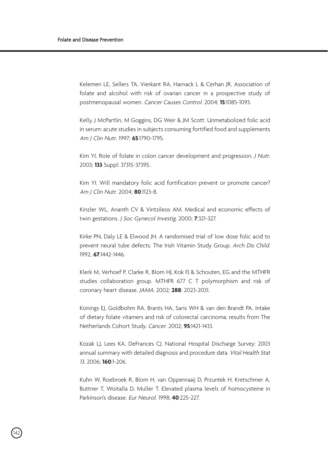Kelemen LE, Sellers TA, Vierkant RA, Harnack L & Cerhan JR. Association of folate and alcohol with risk of ovarian cancer in a prospective study of postmenopausal women. Cancer Causes Control. 2004; **15**:1085-1093.

Kelly, J McPartlin, M Goggins, DG Weir & JM Scott. Unmetabolized folic acid in serum: acute studies in subjects consuming fortified food and supplements Am J Clin Nutr. 1997; **65**:1790-1795.

Kim YI. Role of folate in colon cancer development and progression. J Nutr. 2003; **133** Suppl: 3731S-3739S.

Kim YI. Will mandatory folic acid fortification prevent or promote cancer? Am J Clin Nutr. 2004; **80**:1123-8.

Kinzler WL, Ananth CV & Vintzileos AM. Medical and economic effects of twin gestations. J Soc Gynecol Investig. 2000; **7**:321-327.

Kirke PN, Daly LE & Elwood JH. A randomised trial of low dose folic acid to prevent neural tube defects. The Irish Vitamin Study Group. Arch Dis Child. 1992, **67**:1442-1446.

Klerk M, Verhoef P, Clarke R, Blom HJ, Kok FJ & Schouten, EG and the MTHFR studies collaboration group. MTHFR 677 C T polymorphism and risk of coronary heart disease. JAMA. 2002; **288**: 2023-2031.

Konings EJ, Goldbohm RA, Brants HA, Saris WH & van den Brandt PA. Intake of dietary folate vitamers and risk of colorectal carcinoma: results from The Netherlands Cohort Study. Cancer. 2002; **95**:1421-1433.

Kozak LJ, Lees KA, DeFrances CJ. National Hospital Discharge Survey: 2003 annual summary with detailed diagnosis and procedure data. Vital Health Stat 13. 2006; **160**:1-206.

Kuhn W, Roebroek R, Blom H, van Oppenraaij D, Przuntek H, Kretschmer A, Buttner T, Woitalla D, Muller T. Elevated plasma levels of homocysteine in Parkinson's disease. Eur Neurol. 1998; **40**:225-227.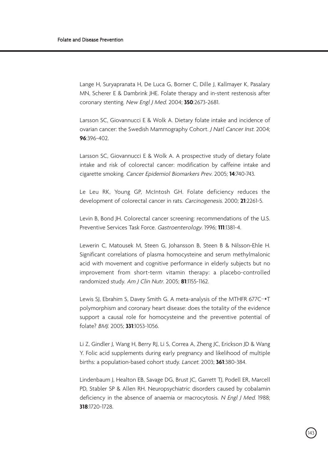Lange H, Suryapranata H, De Luca G, Borner C, Dille J, Kallmayer K, Pasalary MN, Scherer E & Dambrink JHE. Folate therapy and in-stent restenosis after coronary stenting. New Engl J Med. 2004; **350**:2673-2681.

Larsson SC, Giovannucci E & Wolk A. Dietary folate intake and incidence of ovarian cancer: the Swedish Mammography Cohort. J Natl Cancer Inst. 2004; **96**:396-402.

Larsson SC, Giovannucci E & Wolk A. A prospective study of dietary folate intake and risk of colorectal cancer: modification by caffeine intake and cigarette smoking. Cancer Epidemiol Biomarkers Prev. 2005; **14**:740-743.

Le Leu RK, Young GP, McIntosh GH. Folate deficiency reduces the development of colorectal cancer in rats. Carcinogenesis. 2000; **21**:2261-5.

Levin B, Bond JH. Colorectal cancer screening: recommendations of the U.S. Preventive Services Task Force. Gastroenterology. 1996; **111**:1381-4.

Lewerin C, Matousek M, Steen G, Johansson B, Steen B & Nilsson-Ehle H. Significant correlations of plasma homocysteine and serum methylmalonic acid with movement and cognitive performance in elderly subjects but no improvement from short-term vitamin therapy: a placebo-controlled randomized study. Am J Clin Nutr. 2005; **81**:1155-1162.

Lewis SJ, Ebrahim S, Davey Smith G, A meta-analysis of the MTHFR 677C→T polymorphism and coronary heart disease: does the totality of the evidence support a causal role for homocysteine and the preventive potential of folate? BMJ. 2005; **331**:1053-1056.

Li Z, Gindler J, Wang H, Berry RJ, Li S, Correa A, Zheng JC, Erickson JD & Wang Y. Folic acid supplements during early pregnancy and likelihood of multiple births: a population-based cohort study. Lancet. 2003; **361**:380-384.

Lindenbaum J, Healton EB, Savage DG, Brust JC, Garrett TJ, Podell ER, Marcell PD, Stabler SP & Allen RH. Neuropsychiatric disorders caused by cobalamin deficiency in the absence of anaemia or macrocytosis. N Engl J Med. 1988; **318**:1720-1728.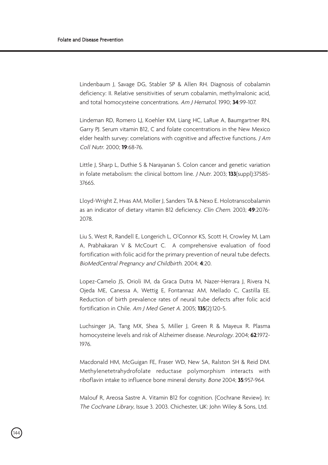Lindenbaum J, Savage DG, Stabler SP & Allen RH. Diagnosis of cobalamin deficiency: II. Relative sensitivities of serum cobalamin, methylmalonic acid, and total homocysteine concentrations. Am J Hematol. 1990; **34**:99-107.

Lindeman RD, Romero LJ, Koehler KM, Liang HC, LaRue A, Baumgartner RN, Garry PJ. Serum vitamin B12, C and folate concentrations in the New Mexico elder health survey: correlations with cognitive and affective functions. *J Am* Coll Nutr. 2000; **19**:68-76.

Little J, Sharp L, Duthie S & Narayanan S. Colon cancer and genetic variation in folate metabolism: the clinical bottom line. J Nutr. 2003; **133**(suppl):3758S-3766S.

Lloyd-Wright Z, Hvas AM, Moller J, Sanders TA & Nexo E. Holotranscobalamin as an indicator of dietary vitamin B12 deficiency. Clin Chem. 2003; **49**:2076- 2078.

Liu S, West R, Randell E, Longerich L, O'Connor KS, Scott H, Crowley M, Lam A, Prabhakaran V & McCourt C. A comprehensive evaluation of food fortification with folic acid for the primary prevention of neural tube defects. BioMedCentral Pregnancy and Childbirth. 2004; **4**:20.

Lopez-Camelo JS, Orioli IM, da Graca Dutra M, Nazer-Herrara J, Rivera N, Ojeda ME, Canessa A, Wettig E, Fontannaz AM, Mellado C, Castilla EE. Reduction of birth prevalence rates of neural tube defects after folic acid fortification in Chile. Am J Med Genet A. 2005; **135**(2):120-5.

Luchsinger JA, Tang MX, Shea S, Miller J, Green R & Mayeux R. Plasma homocysteine levels and risk of Alzheimer disease. Neurology. 2004; **62**:1972- 1976.

Macdonald HM, McGuigan FE, Fraser WD, New SA, Ralston SH & Reid DM. Methylenetetrahydrofolate reductase polymorphism interacts with riboflavin intake to influence bone mineral density. Bone 2004; **35**:957-964.

Malouf R, Areosa Sastre A. Vitamin B12 for cognition. (Cochrane Review). In: The Cochrane Library, Issue 3. 2003. Chichester, UK: John Wiley & Sons, Ltd.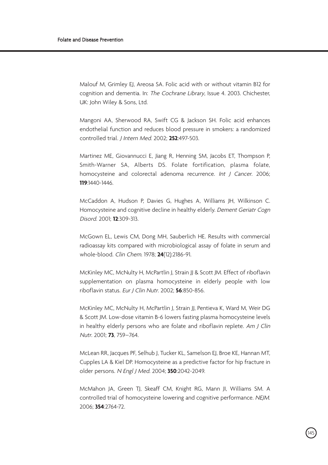Malouf M, Grimley EJ, Areosa SA. Folic acid with or without vitamin B12 for cognition and dementia. In: The Cochrane Library, Issue 4. 2003. Chichester, UK: John Wiley & Sons, Ltd.

Mangoni AA, Sherwood RA, Swift CG & Jackson SH. Folic acid enhances endothelial function and reduces blood pressure in smokers: a randomized controlled trial. J Intern Med. 2002; **252**:497-503.

Martinez ME, Giovannucci E, Jiang R, Henning SM, Jacobs ET, Thompson P, Smith-Warner SA, Alberts DS. Folate fortification, plasma folate, homocysteine and colorectal adenoma recurrence. Int J Cancer. 2006; **119**:1440-1446.

McCaddon A, Hudson P, Davies G, Hughes A, Williams JH, Wilkinson C. Homocysteine and cognitive decline in healthy elderly. Dement Geriatr Cogn Disord. 2001; **12**:309-313.

McGown EL, Lewis CM, Dong MH, Sauberlich HE. Results with commercial radioassay kits compared with microbiological assay of folate in serum and whole-blood. Clin Chem. 1978; **24**(12):2186-91.

McKinley MC, McNulty H, McPartlin J, Strain JJ & Scott JM. Effect of riboflavin supplementation on plasma homocysteine in elderly people with low riboflavin status. Eur J Clin Nutr. 2002; **56**:850-856.

McKinley MC, McNulty H, McPartlin J, Strain JJ, Pentieva K, Ward M, Weir DG & Scott JM. Low-dose vitamin B-6 lowers fasting plasma homocysteine levels in healthy elderly persons who are folate and riboflavin replete. Am J Clin Nutr. 2001; **73**, 759–764.

McLean RR, Jacques PF, Selhub J, Tucker KL, Samelson EJ, Broe KE, Hannan MT, Cupples LA & Kiel DP. Homocysteine as a predictive factor for hip fracture in older persons. N Engl J Med. 2004; **350**:2042-2049.

McMahon JA, Green TJ, Skeaff CM, Knight RG, Mann JI, Williams SM. A controlled trial of homocysteine lowering and cognitive performance. NEJM. 2006; **354**:2764-72.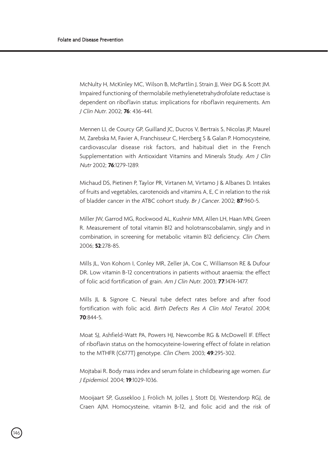McNulty H, McKinley MC, Wilson B, McPartlin J, Strain JJ, Weir DG & Scott JM. Impaired functioning of thermolabile methylenetetrahydrofolate reductase is dependent on riboflavin status: implications for riboflavin requirements. Am J Clin Nutr. 2002; **76**: 436-441.

Mennen LI, de Courcy GP, Guilland JC, Ducros V, Bertrais S, Nicolas JP, Maurel M, Zarebska M, Favier A, Franchisseur C, Hercberg S & Galan P. Homocysteine, cardiovascular disease risk factors, and habitual diet in the French Supplementation with Antioxidant Vitamins and Minerals Study. Am J Clin Nutr 2002; **76**:1279-1289.

Michaud DS, Pietinen P, Taylor PR, Virtanen M, Virtamo J & Albanes D. Intakes of fruits and vegetables, carotenoids and vitamins A, E, C in relation to the risk of bladder cancer in the ATBC cohort study. Br J Cancer. 2002; **87**:960-5.

Miller JW, Garrod MG, Rockwood AL, Kushnir MM, Allen LH, Haan MN, Green R. Measurement of total vitamin B12 and holotranscobalamin, singly and in combination, in screening for metabolic vitamin B12 deficiency. Clin Chem. 2006; **52**:278-85.

Mills JL, Von Kohorn I, Conley MR, Zeller JA, Cox C, Williamson RE & Dufour DR. Low vitamin B-12 concentrations in patients without anaemia: the effect of folic acid fortification of grain. Am J Clin Nutr. 2003; **77**:1474-1477.

Mills JL & Signore C. Neural tube defect rates before and after food fortification with folic acid. Birth Defects Res A Clin Mol Teratol. 2004; **70**:844-5.

Moat SJ, Ashfield-Watt PA, Powers HJ, Newcombe RG & McDowell IF. Effect of riboflavin status on the homocysteine-lowering effect of folate in relation to the MTHFR (C677T) genotype. Clin Chem. 2003; **49**:295-302.

Mojtabai R. Body mass index and serum folate in childbearing age women. Eur J Epidemiol. 2004; **19**:1029-1036.

Mooijaart SP, Gussekloo J, Frölich M, Jolles J, Stott DJ, Westendorp RGJ, de Craen AJM. Homocysteine, vitamin B-12, and folic acid and the risk of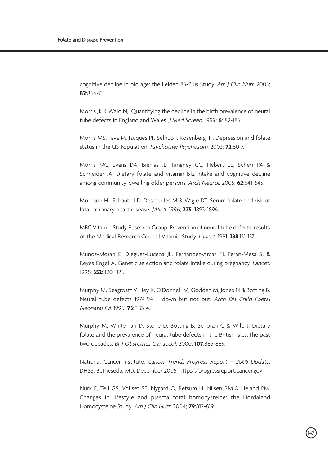cognitive decline in old age: the Leiden 85-Plus Study. Am J Clin Nutr. 2005; **82**:866-71.

Morris JK & Wald NJ. Quantifying the decline in the birth prevalence of neural tube defects in England and Wales. J Med Screen. 1999; **6**:182-185.

Morris MS, Fava M, Jacques PF, Selhub J, Rosenberg IH. Depression and folate status in the US Population. Psychother Psychosom. 2003; **72**:80-7.

Morris MC, Evans DA, Bienias JL, Tangney CC, Hebert LE, Scherr PA & Schneider JA. Dietary folate and vitamin B12 intake and cognitive decline among community-dwelling older persons. Arch Neurol. 2005; **62**:641-645.

Morrison HI, Schaubel D, Desmeules M & Wigle DT. Serum folate and risk of fatal coronary heart disease. JAMA. 1996; **275**: 1893-1896.

MRC Vitamin Study Research Group. Prevention of neural tube defects: results of the Medical Research Council Vitamin Study. Lancet. 1991; **338**:131-137.

Munoz-Moran E, Dieguez-Lucena JL, Fernandez-Arcas N, Peran-Mesa S. & Reyes-Engel A. Genetic selection and folate intake during pregnancy. Lancet. 1998; **352**:1120-1121.

Murphy M, Seagroatt V, Hey K, O'Donnell M, Godden M, Jones N & Botting B. Neural tube defects 1974-94 – down but not out. Arch Dis Child Foetal Neonatal Ed. 1996, **75**:F133-4.

Murphy M, Whiteman D, Stone D, Botting B, Schorah C & Wild J. Dietary folate and the prevalence of neural tube defects in the British Isles: the past two decades. Br J Obstetrics Gynaecol. 2000; **107**:885-889.

National Cancer Institute. Cancer Trends Progress Report – 2005 Update. DHSS, Betheseda, MD. December 2005, http://progressreport.cancer.gov

Nurk E, Tell GS, Vollset SE, Nygard O, Refsum H, Nilsen RM & Ueland PM. Changes in lifestyle and plasma total homocysteine: the Hordaland Homocysteine Study. Am J Clin Nutr. 2004; **79**:812-819.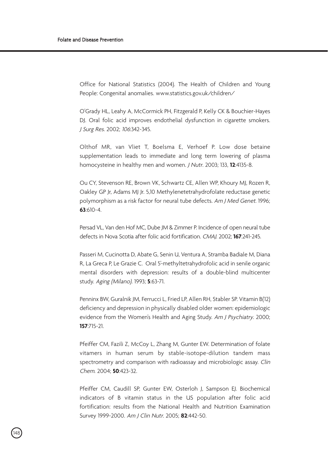Office for National Statistics (2004). The Health of Children and Young People: Congenital anomalies. www.statistics.gov.uk/children/

O'Grady HL, Leahy A, McCormick PH, Fitzgerald P, Kelly CK & Bouchier-Hayes DJ. Oral folic acid improves endothelial dysfunction in cigarette smokers. J Surg Res. 2002; 106:342-345.

Olthof MR, van Vliet T, Boelsma E, Verhoef P. Low dose betaine supplementation leads to immediate and long term lowering of plasma homocysteine in healthy men and women. J Nutr. 2003; 133, **12**:4135-8.

Ou CY, Stevenson RE, Brown VK, Schwartz CE, Allen WP, Khoury MJ, Rozen R, Oakley GP Jr, Adams MJ Jr. 5,10 Methylenetetrahydrofolate reductase genetic polymorphism as a risk factor for neural tube defects. Am J Med Genet. 1996; **63**:610-4.

Persad VL, Van den Hof MC, Dube JM & Zimmer P. Incidence of open neural tube defects in Nova Scotia after folic acid fortification. CMAJ. 2002; **167**:241-245.

Passeri M, Cucinotta D, Abate G, Senin U, Ventura A, Stramba Badiale M, Diana R, La Greca P, Le Grazie C. Oral 5'-methyltetrahydrofolic acid in senile organic mental disorders with depression: results of a double-blind multicenter study. Aging (Milano). 1993; **5**:63-71.

Penninx BW, Guralnik JM, Ferrucci L, Fried LP, Allen RH, Stabler SP. Vitamin B(12) deficiency and depression in physically disabled older women: epidemiologic evidence from the Women's Health and Aging Study. Am J Psychiatry. 2000; **157**:715-21.

Pfeiffer CM, Fazili Z, McCoy L, Zhang M, Gunter EW. Determination of folate vitamers in human serum by stable-isotope-dilution tandem mass spectrometry and comparison with radioassay and microbiologic assay. Clin Chem. 2004; **50**:423-32.

Pfeiffer CM, Caudill SP, Gunter EW, Osterloh J, Sampson EJ. Biochemical indicators of B vitamin status in the US population after folic acid fortification: results from the National Health and Nutrition Examination Survey 1999-2000. Am J Clin Nutr. 2005; **82**:442-50.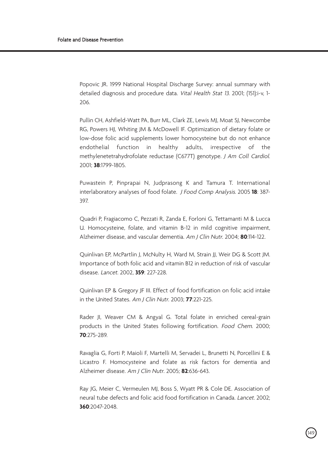Popovic JR. 1999 National Hospital Discharge Survey: annual summary with detailed diagnosis and procedure data. Vital Health Stat 13. 2001; (151):i-v, 1- 206.

Pullin CH, Ashfield-Watt PA, Burr ML, Clark ZE, Lewis MJ, Moat SJ, Newcombe RG, Powers HJ, Whiting JM & McDowell IF. Optimization of dietary folate or low-dose folic acid supplements lower homocysteine but do not enhance endothelial function in healthy adults, irrespective of the methylenetetrahydrofolate reductase (C677T) genotype. J Am Coll Cardiol. 2001; **38**:1799-1805.

Puwastein P, Pinprapai N, Judprasong K and Tamura T. International interlaboratory analyses of food folate. J Food Comp Analysis. 2005 **18**: 387- 397.

Quadri P, Fragiacomo C, Pezzati R, Zanda E, Forloni G, Tettamanti M & Lucca U. Homocysteine, folate, and vitamin B-12 in mild cognitive impairment, Alzheimer disease, and vascular dementia. Am J Clin Nutr. 2004; **80**:114-122.

Quinlivan EP, McPartlin J, McNulty H, Ward M, Strain JJ, Weir DG & Scott JM. Importance of both folic acid and vitamin B12 in reduction of risk of vascular disease. Lancet. 2002, **359**: 227-228.

Quinlivan EP & Gregory JF III. Effect of food fortification on folic acid intake in the United States. Am J Clin Nutr. 2003; **77**:221-225.

Rader JI, Weaver CM & Angyal G. Total folate in enriched cereal-grain products in the United States following fortification. Food Chem. 2000; **70**:275-289.

Ravaglia G, Forti P, Maioli F, Martelli M, Servadei L, Brunetti N, Porcellini E & Licastro F. Homocysteine and folate as risk factors for dementia and Alzheimer disease. Am J Clin Nutr. 2005; **82**:636-643.

Ray JG, Meier C, Vermeulen MJ, Boss S, Wyatt PR & Cole DE. Association of neural tube defects and folic acid food fortification in Canada. Lancet. 2002; **360**:2047-2048.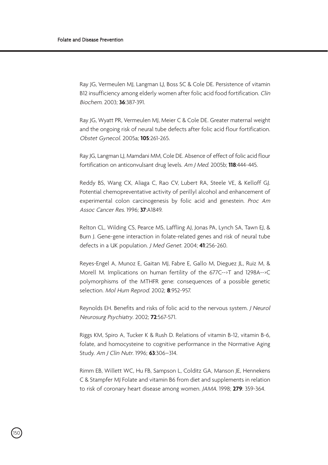.<br>150

Ray JG, Vermeulen MJ, Langman LJ, Boss SC & Cole DE. Persistence of vitamin B12 insufficiency among elderly women after folic acid food fortification. Clin Biochem. 2003; **36**:387-391.

Ray JG, Wyatt PR, Vermeulen MJ, Meier C & Cole DE. Greater maternal weight and the ongoing risk of neural tube defects after folic acid flour fortification. Obstet Gynecol. 2005a; **105**:261-265.

Ray JG, Langman LJ, Mamdani MM, Cole DE. Absence of effect of folic acid flour fortification on anticonvulsant drug levels. Am J Med. 2005b; **118**:444-445.

Reddy BS, Wang CX, Aliaga C, Rao CV, Lubert RA, Steele VE, & Kelloff GJ. Potential chemopreventative activity of perillyl alcohol and enhancement of experimental colon carcinogenesis by folic acid and genestein. Proc Am Assoc Cancer Res. 1996; **37**:A1849.

Relton CL, Wilding CS, Pearce MS, Laffling AJ, Jonas PA, Lynch SA, Tawn EJ, & Burn J. Gene-gene interaction in folate-related genes and risk of neural tube defects in a UK population. J Med Genet. 2004; **41**:256-260.

Reyes-Engel A, Munoz E, Gaitan MJ, Fabre E, Gallo M, Dieguez JL, Ruiz M, & Morell M. Implications on human fertility of the 677C-->T and 1298A-->C polymorphisms of the MTHFR gene: consequences of a possible genetic selection. Mol Hum Reprod. 2002; **8**:952-957.

Reynolds EH. Benefits and risks of folic acid to the nervous system. J Neurol Neurosurg Psychiatry. 2002; **72**:567-571.

Riggs KM, Spiro A, Tucker K & Rush D. Relations of vitamin B-12, vitamin B-6, folate, and homocysteine to cognitive performance in the Normative Aging Study. Am J Clin Nutr. 1996; **63**:306–314.

Rimm EB, Willett WC, Hu FB, Sampson L, Colditz GA, Manson JE, Hennekens C & Stampfer MJ Folate and vitamin B6 from diet and supplements in relation to risk of coronary heart disease among women. JAMA. 1998; **279**: 359-364.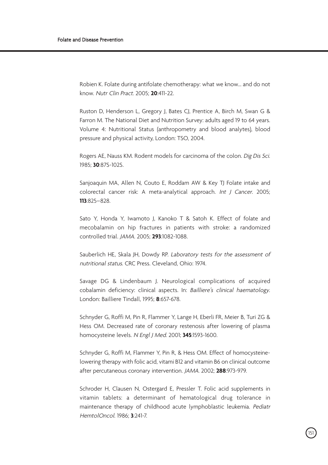Robien K. Folate during antifolate chemotherapy: what we know... and do not know. Nutr Clin Pract. 2005; **20**:411-22.

Ruston D, Henderson L, Gregory J, Bates CJ, Prentice A, Birch M, Swan G & Farron M. The National Diet and Nutrition Survey: adults aged 19 to 64 years. Volume 4: Nutritional Status (anthropometry and blood analytes), blood pressure and physical activity, London: TSO, 2004.

Rogers AE, Nauss KM. Rodent models for carcinoma of the colon. Dig Dis Sci. 1985; **30**:87S-102S.

Sanjoaquin MA, Allen N, Couto E, Roddam AW & Key TJ Folate intake and colorectal cancer risk: A meta-analytical approach. Int J Cancer. 2005; **113**:825–828.

Sato Y, Honda Y, Iwamoto J, Kanoko T & Satoh K. Effect of folate and mecobalamin on hip fractures in patients with stroke: a randomized controlled trial. JAMA. 2005; **293**:1082-1088.

Sauberlich HE, Skala JH, Dowdy RP. Laboratory tests for the assessment of nutritional status. CRC Press. Cleveland, Ohio: 1974.

Savage DG & Lindenbaum J. Neurological complications of acquired cobalamin deficiency: clinical aspects. In: Bailliere's clinical haematology. London: Bailliere Tindall, 1995; **8**:657-678.

Schnyder G, Roffi M, Pin R, Flammer Y, Lange H, Eberli FR, Meier B, Turi ZG & Hess OM. Decreased rate of coronary restenosis after lowering of plasma homocysteine levels. N Engl J Med. 2001; **345**:1593-1600.

Schnyder G, Roffi M, Flammer Y, Pin R, & Hess OM. Effect of homocysteinelowering therapy with folic acid, vitami B12 and vitamin B6 on clinical outcome after percutaneous coronary intervention. JAMA. 2002; **288**:973-979.

Schroder H, Clausen N, Ostergard E, Pressler T. Folic acid supplements in vitamin tablets: a determinant of hematological drug tolerance in maintenance therapy of childhood acute lymphoblastic leukemia. Pediatr HemtolOncol. 1986; **3**:241-7.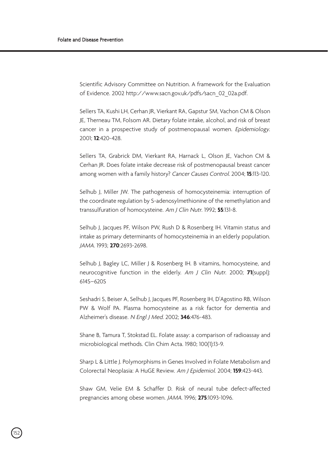Scientific Advisory Committee on Nutrition. A framework for the Evaluation of Evidence. 2002 http://www.sacn.gov.uk/pdfs/sacn\_02\_02a.pdf.

Sellers TA, Kushi LH, Cerhan JR, Vierkant RA, Gapstur SM, Vachon CM & Olson JE, Therneau TM, Folsom AR. Dietary folate intake, alcohol, and risk of breast cancer in a prospective study of postmenopausal women. Epidemiology. 2001; **12**:420-428.

Sellers TA, Grabrick DM, Vierkant RA, Harnack L, Olson JE, Vachon CM & Cerhan JR. Does folate intake decrease risk of postmenopausal breast cancer among women with a family history? Cancer Causes Control. 2004; **15**:113-120.

Selhub J, Miller JW. The pathogenesis of homocysteinemia: interruption of the coordinate regulation by S-adenosylmethionine of the remethylation and transsulfuration of homocysteine. Am J Clin Nutr. 1992; **55**:131-8.

Selhub J, Jacques PF, Wilson PW, Rush D & Rosenberg IH. Vitamin status and intake as primary determinants of homocysteinemia in an elderly population. JAMA. 1993; **270**:2693-2698.

Selhub J, Bagley LC, Miller J & Rosenberg IH. B vitamins, homocysteine, and neurocognitive function in the elderly. Am J Clin Nutr. 2000; **71**(suppl): 614S–620S

Seshadri S, Beiser A, Selhub J, Jacques PF, Rosenberg IH, D'Agostino RB, Wilson PW & Wolf PA. Plasma homocysteine as a risk factor for dementia and Alzheimer's disease. N Engl J Med. 2002; **346**:476-483.

Shane B, Tamura T, Stokstad EL. Folate assay: a comparison of radioassay and microbiological methods. Clin Chim Acta. 1980; 100(1):13-9.

Sharp L & Little J. Polymorphisms in Genes Involved in Folate Metabolism and Colorectal Neoplasia: A HuGE Review. Am J Epidemiol. 2004; **159**:423-443.

Shaw GM, Velie EM & Schaffer D. Risk of neural tube defect-affected pregnancies among obese women. JAMA. 1996; **275**:1093-1096.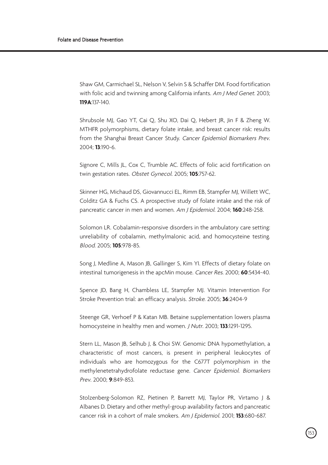Shaw GM, Carmichael SL, Nelson V, Selvin S & Schaffer DM. Food fortification with folic acid and twinning among California infants. Am J Med Genet. 2003; **119A**:137-140.

Shrubsole MJ, Gao YT, Cai Q, Shu XO, Dai Q, Hebert JR, Jin F & Zheng W. MTHFR polymorphisms, dietary folate intake, and breast cancer risk: results from the Shanghai Breast Cancer Study. Cancer Epidemiol Biomarkers Prev. 2004; **13**:190-6.

Signore C, Mills JL, Cox C, Trumble AC. Effects of folic acid fortification on twin gestation rates. Obstet Gynecol. 2005; **105**:757-62.

Skinner HG, Michaud DS, Giovannucci EL, Rimm EB, Stampfer MJ, Willett WC, Colditz GA & Fuchs CS. A prospective study of folate intake and the risk of pancreatic cancer in men and women. Am J Epidemiol. 2004; **160**:248-258.

Solomon LR. Cobalamin-responsive disorders in the ambulatory care setting: unreliability of cobalamin, methylmalonic acid, and homocysteine testing. Blood. 2005; **105**:978-85.

Song J, Medline A, Mason JB, Gallinger S, Kim YI. Effects of dietary folate on intestinal tumorigenesis in the apcMin mouse. Cancer Res. 2000; **60**:5434-40.

Spence JD, Bang H, Chambless LE, Stampfer MJ. Vitamin Intervention For Stroke Prevention trial: an efficacy analysis. Stroke. 2005; **36**:2404-9

Steenge GR, Verhoef P & Katan MB. Betaine supplementation lowers plasma homocysteine in healthy men and women. J Nutr. 2003; **133**:1291-1295.

Stern LL, Mason JB, Selhub J, & Choi SW. Genomic DNA hypomethylation, a characteristic of most cancers, is present in peripheral leukocytes of individuals who are homozygous for the C677T polymorphism in the methylenetetrahydrofolate reductase gene. Cancer Epidemiol. Biomarkers Prev. 2000; **9**:849-853.

Stolzenberg-Solomon RZ, Pietinen P, Barrett MJ, Taylor PR, Virtamo J & Albanes D. Dietary and other methyl-group availability factors and pancreatic cancer risk in a cohort of male smokers. Am J Epidemiol. 2001; **153**:680-687.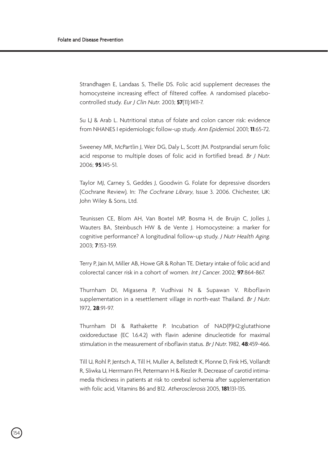.<br>154

Strandhagen E, Landaas S, Thelle DS. Folic acid supplement decreases the homocysteine increasing effect of filtered coffee. A randomised placebocontrolled study. Eur J Clin Nutr. 2003; **57**(11):1411-7.

Su LJ & Arab L. Nutritional status of folate and colon cancer risk: evidence from NHANES I epidemiologic follow-up study. Ann Epidemiol. 2001; **11**:65-72.

Sweeney MR, McPartlin J, Weir DG, Daly L, Scott JM. Postprandial serum folic acid response to multiple doses of folic acid in fortified bread. Br J Nutr. 2006; **95**:145-51.

Taylor MJ, Carney S, Geddes J, Goodwin G. Folate for depressive disorders (Cochrane Review). In: The Cochrane Library, Issue 3. 2006. Chichester, UK: John Wiley & Sons, Ltd.

Teunissen CE, Blom AH, Van Boxtel MP, Bosma H, de Bruijn C, Jolles J, Wauters BA, Steinbusch HW & de Vente J. Homocysteine: a marker for cognitive performance? A longitudinal follow-up study. J Nutr Health Aging. 2003; **7**:153-159.

Terry P, Jain M, Miller AB, Howe GR & Rohan TE. Dietary intake of folic acid and colorectal cancer risk in a cohort of women. Int J Cancer. 2002; **97**:864-867.

Thurnham DI, Migasena P, Vudhivai N & Supawan V. Riboflavin supplementation in a resettlement village in north-east Thailand. Br J Nutr. 1972, **28**:91-97.

Thurnham DI & Rathakette P. Incubation of NAD(P)H2:glutathione oxidoreductase (EC 1.6.4.2) with flavin adenine dinucleotide for maximal stimulation in the measurement of riboflavin status. Br J Nutr. 1982, **48**:459-466.

Till U, Rohl P, Jentsch A, Till H, Muller A, Bellstedt K, Plonne D, Fink HS, Vollandt R, Sliwka U, Herrmann FH, Petermann H & Riezler R. Decrease of carotid intimamedia thickness in patients at risk to cerebral ischemia after supplementation with folic acid, Vitamins B6 and B12. Atherosclerosis 2005, **181**:131-135.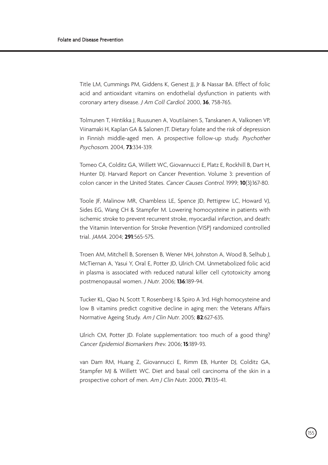Title LM, Cummings PM, Giddens K, Genest JJ, Jr & Nassar BA. Effect of folic acid and antioxidant vitamins on endothelial dysfunction in patients with coronary artery disease. J Am Coll Cardiol. 2000, **36**, 758-765.

Tolmunen T, Hintikka J, Ruusunen A, Voutilainen S, Tanskanen A, Valkonen VP, Viinamaki H, Kaplan GA & Salonen JT. Dietary folate and the risk of depression in Finnish middle-aged men. A prospective follow-up study. Psychother Psychosom. 2004, **73**:334-339.

Tomeo CA, Colditz GA, Willett WC, Giovannucci E, Platz E, Rockhill B, Dart H, Hunter DJ. Harvard Report on Cancer Prevention. Volume 3: prevention of colon cancer in the United States. Cancer Causes Control. 1999; **10**(3):167-80.

Toole JF, Malinow MR, Chambless LE, Spence JD, Pettigrew LC, Howard VJ, Sides EG, Wang CH & Stampfer M. Lowering homocysteine in patients with ischemic stroke to prevent recurrent stroke, myocardial infarction, and death: the Vitamin Intervention for Stroke Prevention (VISP) randomized controlled trial. JAMA. 2004; **291**:565-575.

Troen AM, Mitchell B, Sorensen B, Wener MH, Johnston A, Wood B, Selhub J, McTiernan A, Yasui Y, Oral E, Potter JD, Ulrich CM. Unmetabolized folic acid in plasma is associated with reduced natural killer cell cytotoxicity among postmenopausal women. J Nutr. 2006; **136**:189-94.

Tucker KL, Qiao N, Scott T, Rosenberg I & Spiro A 3rd. High homocysteine and low B vitamins predict cognitive decline in aging men: the Veterans Affairs Normative Ageing Study. Am J Clin Nutr. 2005; **82**:627-635.

Ulrich CM, Potter JD. Folate supplementation: too much of a good thing? Cancer Epidemiol Biomarkers Prev. 2006; **15**:189-93.

van Dam RM, Huang Z, Giovannucci E, Rimm EB, Hunter DJ, Colditz GA, Stampfer MJ & Willett WC. Diet and basal cell carcinoma of the skin in a prospective cohort of men. Am J Clin Nutr. 2000, **71**:135-41.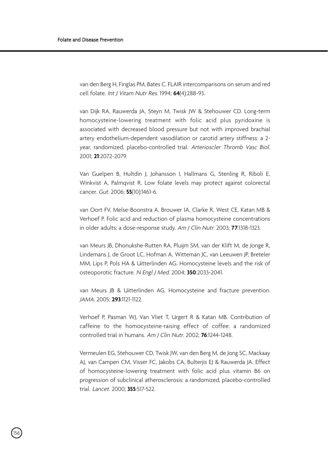.<br>156

van den Berg H, Finglas PM, Bates C. FLAIR intercomparisons on serum and red cell folate. Int J Vitam Nutr Res. 1994; **64**(4):288-93.

van Dijk RA, Rauwerda JA, Steyn M, Twisk JW & Stehouwer CD. Long-term homocysteine-lowering treatment with folic acid plus pyridoxine is associated with decreased blood pressure but not with improved brachial artery endothelium-dependent vasodilation or carotid artery stiffness: a 2 year, randomized, placebo-controlled trial. Arterioscler Thromb Vasc Biol. 2001; **21**:2072-2079.

Van Guelpen B, Hultdin J, Johansson I, Hallmans G, Stenling R, Riboli E, Winkvist A, Palmqvist R. Low folate levels may protect against colorectal cancer. Gut. 2006; **55**(10):1461-6.

van Oort FV, Melse-Boonstra A, Brouwer IA, Clarke R, West CE, Katan MB & Verhoef P. Folic acid and reduction of plasma homocysteine concentrations in older adults: a dose-response study. Am J Clin Nutr. 2003; **77**:1318-1323.

van Meurs JB, Dhonukshe-Rutten RA, Pluijm SM, van der Klift M, de Jonge R, Lindemans J, de Groot LC, Hofman A, Witteman JC, van Leeuwen JP, Breteler MM, Lips P, Pols HA & Uitterlinden AG. Homocysteine levels and the risk of osteoporotic fracture. N Engl J Med. 2004; **350**:2033-2041.

van Meurs JB & Uitterlinden AG. Homocysteine and fracture prevention. JAMA. 2005; **293**:1121-1122.

Verhoef P, Pasman WJ, Van Vliet T, Urgert R & Katan MB. Contribution of caffeine to the homocysteine-raising effect of coffee: a randomized controlled trial in humans. Am J Clin Nutr. 2002; **76**:1244-1248.

Vermeulen EG, Stehouwer CD, Twisk JW, van den Berg M, de Jong SC, Mackaay AJ, van Campen CM, Visser FC, Jakobs CA, Bulterjis EJ & Rauwerda JA. Effect of homocysteine-lowering treatment with folic acid plus vitamin B6 on progression of subclinical atherosclerosis: a randomized, placebo-controlled trial. Lancet. 2000; **355**:517-522.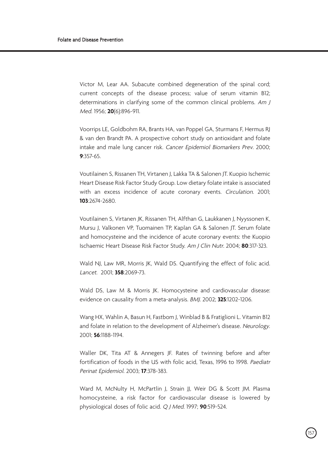Victor M, Lear AA. Subacute combined degeneration of the spinal cord; current concepts of the disease process; value of serum vitamin B12; determinations in clarifying some of the common clinical problems. Am J Med. 1956; **20**(6):896-911.

Voorrips LE, Goldbohm RA, Brants HA, van Poppel GA, Sturmans F, Hermus RJ & van den Brandt PA. A prospective cohort study on antioxidant and folate intake and male lung cancer risk. Cancer Epidemiol Biomarkers Prev. 2000; **9**:357-65.

Voutilainen S, Rissanen TH, Virtanen J, Lakka TA & Salonen JT. Kuopio Ischemic Heart Disease Risk Factor Study Group. Low dietary folate intake is associated with an excess incidence of acute coronary events. Circulation. 2001; **103**:2674-2680.

Voutilainen S, Virtanen JK, Rissanen TH, Alfthan G, Laukkanen J, Nyyssonen K, Mursu J, Valkonen VP, Tuomainen TP, Kaplan GA & Salonen JT. Serum folate and homocysteine and the incidence of acute coronary events: the Kuopio Ischaemic Heart Disease Risk Factor Study. Am J Clin Nutr. 2004; **80**:317-323.

Wald NJ, Law MR, Morris JK, Wald DS, Quantifying the effect of folic acid. Lancet. 2001; **358**:2069-73.

Wald DS, Law M & Morris JK. Homocysteine and cardiovascular disease: evidence on causality from a meta-analysis. BMJ. 2002; **325**:1202-1206.

Wang HX, Wahlin A, Basun H, Fastbom J, Winblad B & Fratiglioni L. Vitamin B12 and folate in relation to the development of Alzheimer's disease. Neurology. 2001; **56**:1188-1194.

Waller DK, Tita AT & Annegers JF. Rates of twinning before and after fortification of foods in the US with folic acid, Texas, 1996 to 1998. Paediatr Perinat Epidemiol. 2003; **17**:378-383.

Ward M, McNulty H, McPartlin J, Strain JJ, Weir DG & Scott JM, Plasma homocysteine, a risk factor for cardiovascular disease is lowered by physiological doses of folic acid. Q J Med. 1997; **90**:519-524.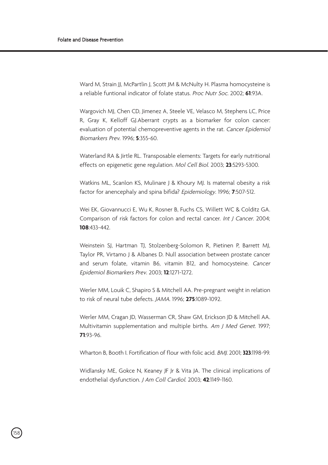Ward M, Strain JJ, McPartlin J, Scott JM & McNulty H. Plasma homocysteine is a reliable funtional indicator of folate status. Proc Nutr Soc. 2002; **61**:93A.

Wargovich MJ, Chen CD, Jimenez A, Steele VE, Velasco M, Stephens LC, Price R, Gray K, Kelloff GJ.Aberrant crypts as a biomarker for colon cancer: evaluation of potential chemopreventive agents in the rat. Cancer Epidemiol Biomarkers Prev. 1996; **5**:355-60.

Waterland RA & Jirtle RL. Transposable elements: Targets for early nutritional effects on epigenetic gene regulation. Mol Cell Biol. 2003; **23**:5293-5300.

Watkins ML, Scanlon KS, Mulinare J & Khoury MJ. Is maternal obesity a risk factor for anencephaly and spina bifida? Epidemiology. 1996; **7**:507-512.

Wei EK, Giovannucci E, Wu K, Rosner B, Fuchs CS, Willett WC & Colditz GA. Comparison of risk factors for colon and rectal cancer. Int J Cancer. 2004; **108**:433-442.

Weinstein SJ, Hartman TJ, Stolzenberg-Solomon R, Pietinen P, Barrett MJ, Taylor PR, Virtamo J & Albanes D. Null association between prostate cancer and serum folate, vitamin B6, vitamin B12, and homocysteine. Cancer Epidemiol Biomarkers Prev. 2003; **12**:1271-1272.

Werler MM, Louik C, Shapiro S & Mitchell AA. Pre-pregnant weight in relation to risk of neural tube defects. JAMA. 1996; **275**:1089-1092.

Werler MM, Cragan JD, Wasserman CR, Shaw GM, Erickson JD & Mitchell AA. Multivitamin supplementation and multiple births. Am J Med Genet. 1997; **71**:93-96.

Wharton B, Booth I. Fortification of flour with folic acid. BMJ. 2001; **323**:1198-99.

Widlansky ME, Gokce N, Keaney JF Jr & Vita JA. The clinical implications of endothelial dysfunction. J Am Coll Cardiol. 2003; **42**:1149-1160.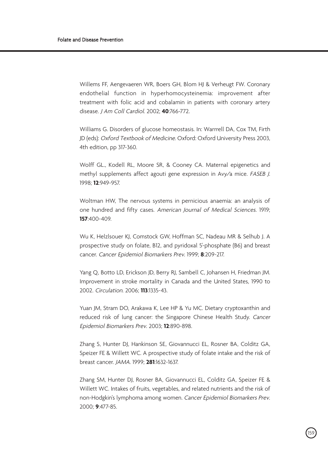Willems FF, Aengevaeren WR, Boers GH, Blom HJ & Verheugt FW. Coronary endothelial function in hyperhomocysteinemia: improvement after treatment with folic acid and cobalamin in patients with coronary artery disease. J Am Coll Cardiol. 2002; **40**:766-772.

Williams G. Disorders of glucose homeostasis. In: Warrrell DA, Cox TM, Firth JD (eds): Oxford Textbook of Medicine. Oxford: Oxford University Press 2003, 4th edition, pp 317-360.

Wolff GL., Kodell RL, Moore SR, & Cooney CA. Maternal epigenetics and methyl supplements affect agouti gene expression in Avy/a mice. FASEB J. 1998; **12**:949-957.

Woltman HW, The nervous systems in pernicious anaemia: an analysis of one hundred and fifty cases. American Journal of Medical Sciences. 1919; **157**:400-409.

Wu K, Helzlsouer KJ, Comstock GW, Hoffman SC, Nadeau MR & Selhub J. A prospective study on folate, B12, and pyridoxal 5'-phosphate (B6) and breast cancer. Cancer Epidemiol Biomarkers Prev. 1999; **8**:209-217.

Yang Q, Botto LD, Erickson JD, Berry RJ, Sambell C, Johansen H, Friedman JM. Improvement in stroke mortality in Canada and the United States, 1990 to 2002. Circulation. 2006; **113**:1335-43.

Yuan JM, Stram DO, Arakawa K, Lee HP & Yu MC. Dietary cryptoxanthin and reduced risk of lung cancer: the Singapore Chinese Health Study. Cancer Epidemiol Biomarkers Prev. 2003; **12**:890-898.

Zhang S, Hunter DJ, Hankinson SE, Giovannucci EL, Rosner BA, Colditz GA, Speizer FE & Willett WC. A prospective study of folate intake and the risk of breast cancer. JAMA. 1999; **281**:1632-1637.

Zhang SM, Hunter DJ, Rosner BA, Giovannucci EL, Colditz GA, Speizer FE & Willett WC. Intakes of fruits, vegetables, and related nutrients and the risk of non-Hodgkin's lymphoma among women. Cancer Epidemiol Biomarkers Prev. 2000; **9**:477-85.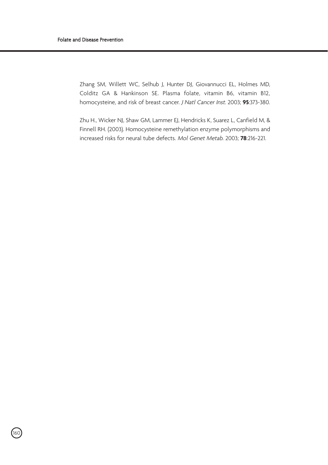160

Zhang SM, Willett WC, Selhub J, Hunter DJ, Giovannucci EL, Holmes MD, Colditz GA & Hankinson SE. Plasma folate, vitamin B6, vitamin B12, homocysteine, and risk of breast cancer. J Natl Cancer Inst. 2003; **95**:373-380.

Zhu H., Wicker NJ, Shaw GM, Lammer EJ, Hendricks K, Suarez L, Canfield M, & Finnell RH. (2003). Homocysteine remethylation enzyme polymorphisms and increased risks for neural tube defects. Mol Genet Metab. 2003; **78**:216-221.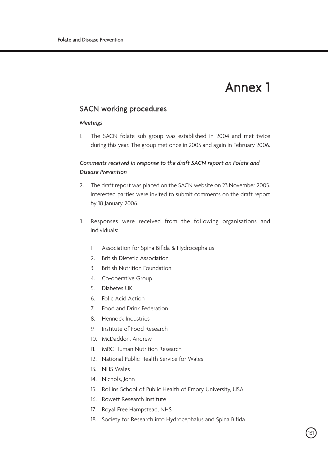# Annex 1

## SACN working procedures

#### *Meetings*

1. The SACN folate sub group was established in 2004 and met twice during this year. The group met once in 2005 and again in February 2006.

### *Comments received in response to the draft SACN report on Folate and Disease Prevention*

- 2. The draft report was placed on the SACN website on 23 November 2005. Interested parties were invited to submit comments on the draft report by 18 January 2006.
- 3. Responses were received from the following organisations and individuals:
	- 1. Association for Spina Bifida & Hydrocephalus
	- 2. British Dietetic Association
	- 3. British Nutrition Foundation
	- 4. Co-operative Group
	- 5. Diabetes UK
	- 6. Folic Acid Action
	- 7. Food and Drink Federation
	- 8. Hennock Industries
	- 9. Institute of Food Research
	- 10. McDaddon, Andrew
	- 11. MRC Human Nutrition Research
	- 12. National Public Health Service for Wales
	- 13. NHS Wales
	- 14. Nichols, John
	- 15. Rollins School of Public Health of Emory University, USA
	- 16. Rowett Research Institute
	- 17. Royal Free Hampstead, NHS
	- 18. Society for Research into Hydrocephalus and Spina Bifida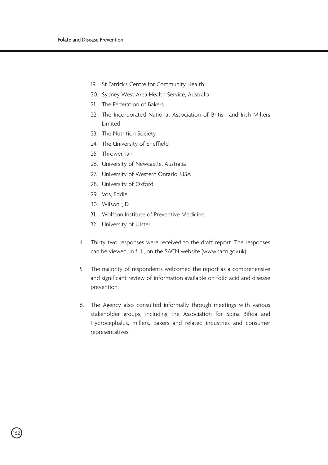- 19. St Patrick's Centre for Community Health
- 20. Sydney West Area Health Service, Australia
- 21. The Federation of Bakers
- 22. The Incorporated National Association of British and Irish Millers Limited
- 23. The Nutrition Society
- 24. The University of Sheffield
- 25. Thrower, Jan
- 26. University of Newcastle, Australia
- 27. University of Western Ontario, USA
- 28. University of Oxford
- 29. Vos, Eddie
- 30. Wilson, J.D

.<br>162

- 31. Wolfson Institute of Preventive Medicine
- 32. University of Ulster
- 4. Thirty two responses were received to the draft report. The responses can be viewed, in full, on the SACN website (www.sacn.gov.uk).
- 5. The majority of respondents welcomed the report as a comprehensive and significant review of information available on folic acid and disease prevention.
- 6. The Agency also consulted informally through meetings with various stakeholder groups, including the Association for Spina Bifida and Hydrocephalus, millers, bakers and related industries and consumer representatives.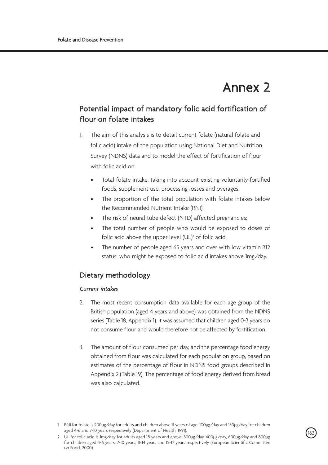# Annex 2

# Potential impact of mandatory folic acid fortification of flour on folate intakes

- 1. The aim of this analysis is to detail current folate (natural folate and folic acid) intake of the population using National Diet and Nutrition Survey (NDNS) data and to model the effect of fortification of flour with folic acid on:
	- Total folate intake, taking into account existing voluntarily fortified foods, supplement use, processing losses and overages.
	- The proportion of the total population with folate intakes below the Recommended Nutrient Intake (RNI)<sup>1</sup>. .
	- The risk of neural tube defect (NTD) affected pregnancies;
	- The total number of people who would be exposed to doses of folic acid above the upper level (UL)<sup>2</sup> of folic acid.
	- The number of people aged 65 years and over with low vitamin B12 status: who might be exposed to folic acid intakes above 1mg/day.

## Dietary methodology

### *Current intakes*

- 2. The most recent consumption data available for each age group of the British population (aged 4 years and above) was obtained from the NDNS series (Table 18, Appendix 1). It was assumed that children aged 0-3 years do not consume flour and would therefore not be affected by fortification.
- 3. The amount of flour consumed per day, and the percentage food energy obtained from flour was calculated for each population group, based on estimates of the percentage of flour in NDNS food groups described in Appendix 2 (Table 19). The percentage of food energy derived from bread was also calculated.

<sup>1</sup> RNI for folate is 200µg/day for adults and children above 11 years of age; 100µg/day and 150µg/day for children aged 4-6 and 7-10 years respectively (Department of Health, 1991).

<sup>2</sup> UL for folic acid is 1mg/day for adults aged 18 years and above; 300µg/day, 400µg/day, 600µg/day and 800µg for children aged 4-6 years, 7-10 years, 11-14 years and 15-17 years respectively (European Scientific Committee on Food, 2000).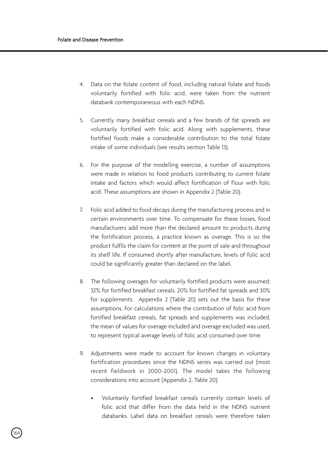.<br>164

- 4. Data on the folate content of food, including natural folate and foods voluntarily fortified with folic acid, were taken from the nutrient databank contemporaneous with each NDNS.
- 5. Currently many breakfast cereals and a few brands of fat spreads are voluntarily fortified with folic acid. Along with supplements, these fortified foods make a considerable contribution to the total folate intake of some individuals (see results section Table 13).
- 6. For the purpose of the modelling exercise, a number of assumptions were made in relation to food products contributing to current folate intake and factors which would affect fortification of flour with folic acid. These assumptions are shown in Appendix 2 (Table 20).
- 7. Folic acid added to food decays during the manufacturing process and in certain environments over time. To compensate for these losses, food manufacturers add more than the declared amount to products during the fortification process, a practice known as overage. This is so the product fulfils the claim for content at the point of sale and throughout its shelf life. If consumed shortly after manufacture, levels of folic acid could be significantly greater than declared on the label.
- 8. The following overages for voluntarily fortified products were assumed: 32% for fortified breakfast cereals, 20% for fortified fat spreads and 30% for supplements. Appendix 2 (Table 20) sets out the basis for these assumptions. For calculations where the contribution of folic acid from fortified breakfast cereals, fat spreads and supplements was included, the mean of values for overage included and overage excluded was used, to represent typical average levels of folic acid consumed over time.
- 9. Adjustments were made to account for known changes in voluntary fortification procedures since the NDNS series was carried out (most recent fieldwork in 2000-2001). The model takes the following considerations into account (Appendix 2, Table 20):
	- Voluntarily fortified breakfast cereals currently contain levels of folic acid that differ from the data held in the NDNS nutrient databanks. Label data on breakfast cereals were therefore taken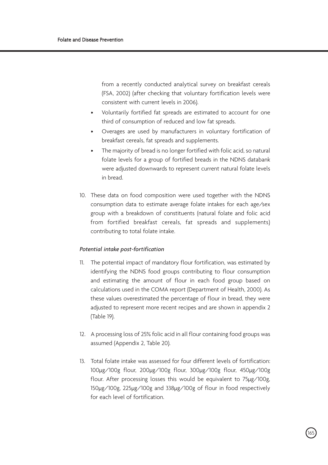from a recently conducted analytical survey on breakfast cereals (FSA, 2002) (after checking that voluntary fortification levels were consistent with current levels in 2006).

- Voluntarily fortified fat spreads are estimated to account for one third of consumption of reduced and low fat spreads.
- Overages are used by manufacturers in voluntary fortification of breakfast cereals, fat spreads and supplements.
- The majority of bread is no longer fortified with folic acid, so natural folate levels for a group of fortified breads in the NDNS databank were adjusted downwards to represent current natural folate levels in bread.
- 10. These data on food composition were used together with the NDNS consumption data to estimate average folate intakes for each age/sex group with a breakdown of constituents (natural folate and folic acid from fortified breakfast cereals, fat spreads and supplements) contributing to total folate intake.

#### *Potential intake post-fortification*

- 11. The potential impact of mandatory flour fortification, was estimated by identifying the NDNS food groups contributing to flour consumption and estimating the amount of flour in each food group based on calculations used in the COMA report (Department of Health, 2000). As these values overestimated the percentage of flour in bread, they were adjusted to represent more recent recipes and are shown in appendix 2 (Table 19).
- 12. A processing loss of 25% folic acid in all flour containing food groups was assumed (Appendix 2, Table 20).
- 13. Total folate intake was assessed for four different levels of fortification: 100µg/100g flour, 200µg/100g flour, 300µg/100g flour, 450µg/100g flour. After processing losses this would be equivalent to 75µg/100g, 150µg/100g, 225µg/100g and 338µg/100g of flour in food respectively for each level of fortification.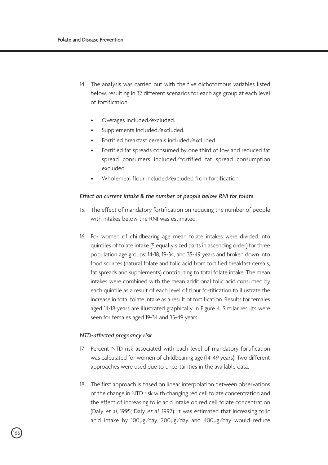- 14. The analysis was carried out with the five dichotomous variables listed below, resulting in 32 different scenarios for each age group at each level of fortification:
	- Overages included/excluded.
	- Supplements included/excluded.
	- Fortified breakfast cereals included/excluded.
	- Fortified fat spreads consumed by one third of low and reduced fat spread consumers included/fortified fat spread consumption excluded.
	- Wholemeal flour included/excluded from fortification.

#### *Effect on current intake & the number of people below RNI for folate*

- 15. The effect of mandatory fortification on reducing the number of people with intakes below the RNI was estimated.
- 16. For women of childbearing age mean folate intakes were divided into quintiles of folate intake (5 equally sized parts in ascending order) for three population age groups: 14-18, 19-34, and 35-49 years and broken down into food sources (natural folate and folic acid from fortified breakfast cereals, fat spreads and supplements) contributing to total folate intake. The mean intakes were combined with the mean additional folic acid consumed by each quintile as a result of each level of flour fortification to illustrate the increase in total folate intake as a result of fortification. Results for females aged 14-18 years are illustrated graphically in Figure 4. Similar results were seen for females aged 19-34 and 35-49 years.

#### *NTD-affected pregnancy risk*

.<br>166

- 17. Percent NTD risk associated with each level of mandatory fortification was calculated for women of childbearing age (14-49 years). Two different approaches were used due to uncertainties in the available data.
- 18. The first approach is based on linear interpolation between observations of the change in NTD risk with changing red cell folate concentration and the effect of increasing folic acid intake on red cell folate concentration (Daly et al, 1995; Daly et al, 1997). It was estimated that increasing folic acid intake by 100µg/day, 200µg/day and 400µg/day would reduce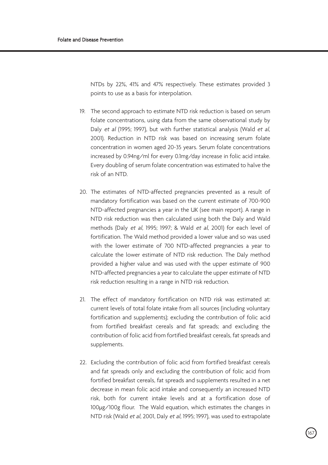NTDs by 22%, 41% and 47% respectively. These estimates provided 3 points to use as a basis for interpolation.

- 19. The second approach to estimate NTD risk reduction is based on serum folate concentrations, using data from the same observational study by Daly et al (1995; 1997), but with further statistical analysis (Wald et al, 2001). Reduction in NTD risk was based on increasing serum folate concentration in women aged 20-35 years. Serum folate concentrations increased by 0.94ng/ml for every 0.1mg/day increase in folic acid intake. Every doubling of serum folate concentration was estimated to halve the risk of an NTD.
- 20. The estimates of NTD-affected pregnancies prevented as a result of mandatory fortification was based on the current estimate of 700-900 NTD-affected pregnancies a year in the UK (see main report). A range in NTD risk reduction was then calculated using both the Daly and Wald methods (Daly et al, 1995; 1997; & Wald et al, 2001) for each level of fortification. The Wald method provided a lower value and so was used with the lower estimate of 700 NTD-affected pregnancies a year to calculate the lower estimate of NTD risk reduction. The Daly method provided a higher value and was used with the upper estimate of 900 NTD-affected pregnancies a year to calculate the upper estimate of NTD risk reduction resulting in a range in NTD risk reduction.
- 21. The effect of mandatory fortification on NTD risk was estimated at: current levels of total folate intake from all sources (including voluntary fortification and supplements); excluding the contribution of folic acid from fortified breakfast cereals and fat spreads; and excluding the contribution of folic acid from fortified breakfast cereals, fat spreads and supplements.
- 22. Excluding the contribution of folic acid from fortified breakfast cereals and fat spreads only and excluding the contribution of folic acid from fortified breakfast cereals, fat spreads and supplements resulted in a net decrease in mean folic acid intake and consequently an increased NTD risk, both for current intake levels and at a fortification dose of 100µg/100g flour. The Wald equation, which estimates the changes in NTD risk (Wald et al, 2001, Daly et al, 1995; 1997), was used to extrapolate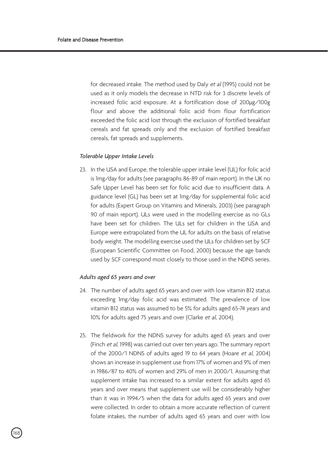for decreased intake. The method used by Daly et al (1995) could not be used as it only models the decrease in NTD risk for 3 discrete levels of increased folic acid exposure. At a fortification dose of 200µg/100g flour and above the additional folic acid from flour fortification exceeded the folic acid lost through the exclusion of fortified breakfast cereals and fat spreads only and the exclusion of fortified breakfast cereals, fat spreads and supplements.

#### *Tolerable Upper Intake Levels*

23. In the USA and Europe, the tolerable upper intake level (UL) for folic acid is 1mg/day for adults (see paragraphs 86-89 of main report). In the UK no Safe Upper Level has been set for folic acid due to insufficient data. A guidance level (GL) has been set at 1mg/day for supplemental folic acid for adults (Expert Group on Vitamins and Minerals, 2003) (see paragraph 90 of main report). ULs were used in the modelling exercise as no GLs have been set for children. The ULs set for children in the USA and Europe were extrapolated from the UL for adults on the basis of relative body weight. The modelling exercise used the ULs for children set by SCF (European Scientific Committee on Food, 2000) because the age bands used by SCF correspond most closely to those used in the NDNS series.

#### *Adults aged 65 years and over*

- 24. The number of adults aged 65 years and over with low vitamin B12 status exceeding 1mg/day folic acid was estimated. The prevalence of low vitamin B12 status was assumed to be 5% for adults aged 65-74 years and 10% for adults aged 75 years and over (Clarke et al, 2004).
- 25. The fieldwork for the NDNS survey for adults aged 65 years and over (Finch et al, 1998) was carried out over ten years ago. The summary report of the 2000/1 NDNS of adults aged 19 to 64 years (Hoare et al, 2004) shows an increase in supplement use from 17% of women and 9% of men in 1986/87 to 40% of women and 29% of men in 2000/1. Assuming that supplement intake has increased to a similar extent for adults aged 65 years and over means that supplement use will be considerably higher than it was in 1994/5 when the data for adults aged 65 years and over were collected. In order to obtain a more accurate reflection of current folate intakes, the number of adults aged 65 years and over with low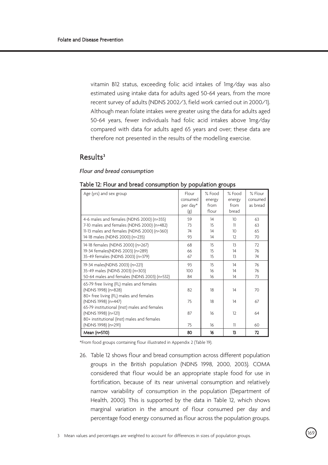vitamin B12 status, exceeding folic acid intakes of 1mg/day was also estimated using intake data for adults aged 50-64 years, from the more recent survey of adults (NDNS 2002/3, field work carried out in 2000/1). Although mean folate intakes were greater using the data for adults aged 50-64 years, fewer individuals had folic acid intakes above 1mg/day compared with data for adults aged 65 years and over; these data are therefore not presented in the results of the modelling exercise.

## Results3

*Flour and bread consumption* 

| Age (yrs) and sex group                                                                                                                                                   | Flour<br>consumed<br>per day*<br>(g) | % Food<br>energy<br>from<br>flour | $%$ Food<br>energy<br>from<br>bread            | % Flour<br>consumed<br>as bread |
|---------------------------------------------------------------------------------------------------------------------------------------------------------------------------|--------------------------------------|-----------------------------------|------------------------------------------------|---------------------------------|
| 4-6 males and females (NDNS 2000) (n=355)<br>7-10 males and females (NDNS 2000) (n=482)<br>11-13 males and females (NDNS 2000) (n=360)<br>14-18 males (NDNS 2000) (n=235) | 59<br>73<br>74<br>93                 | 14<br>15<br>14<br>14              | 10 <sup>2</sup><br>11<br>10 <sup>1</sup><br>12 | 63<br>63<br>65<br>70            |
| 14-18 females (NDNS 2000) (n=267)<br>19-34 females(NDNS 2003) (n=289)<br>35-49 females (NDNS 2003) (n=379)                                                                | 68<br>66<br>67                       | 15<br>15<br>15                    | 13<br>14<br>13                                 | 72<br>76<br>74                  |
| 19-34 males(NDNS 2003) (n=221)<br>35-49 males (NDNS 2003) (n=303)<br>50-64 males and females (NDNS 2003) (n=532)                                                          | 93<br>100<br>84                      | 15<br>16<br>16                    | 14<br>14<br>14                                 | 76<br>76<br>73                  |
| 65-79 free living (FL) males and females<br>(NDNS 1998) (n=828)<br>80+ free living (FL) males and females                                                                 | 82                                   | 18                                | 14                                             | 70                              |
| (NDNS 1998) (n=447)<br>65-79 institutional (Inst) males and females<br>(NDNS 1998) (n=121)                                                                                | 75<br>87                             | 18<br>16                          | 14<br>12                                       | 67<br>64                        |
| 80+ institutional (Inst) males and females<br>(NDNS 1998) (n=291)                                                                                                         | 75                                   | 16                                | 11                                             | 60                              |
| Mean (n=5110)                                                                                                                                                             | 80                                   | 16                                | 13                                             | 72                              |

#### Table 12: Flour and bread consumption by population groups

\*From food groups containing flour illustrated in Appendix 2 (Table 19).

26. Table 12 shows flour and bread consumption across different population groups in the British population (NDNS 1998, 2000, 2003). COMA considered that flour would be an appropriate staple food for use in fortification, because of its near universal consumption and relatively narrow variability of consumption in the population (Department of Health, 2000). This is supported by the data in Table 12, which shows marginal variation in the amount of flour consumed per day and percentage food energy consumed as flour across the population groups.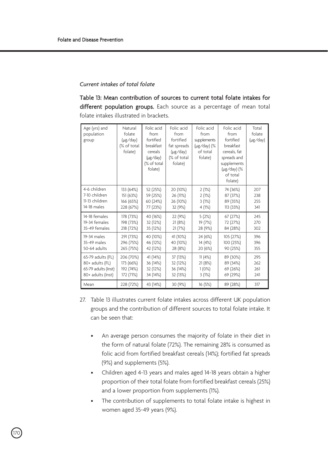### *Current intakes of total folate*

Table 13: Mean contribution of sources to current total folate intakes for different population groups. Each source as a percentage of mean total folate intakes illustrated in brackets.

| Age (yrs) and<br>population<br>group | Natural<br>folate<br>(µg/day)<br>(% of total<br>folate) | Folic acid<br>from<br>fortified<br>breakfast<br>cereals<br>$(\mu$ g/day)<br>(% of total<br>folate) | Folic acid<br>from<br>fortified<br>fat spreads<br>$(\mu$ g/day)<br>(% of total<br>folate) | Folic acid<br>from<br>supplements<br>(µg/day) (%<br>of total<br>folate) | Folic acid<br>from<br>fortified<br>breakfast<br>cereals, fat<br>spreads and<br>supplements<br>(µg/day) (%<br>of total<br>folate) | Total<br>folate<br>$(\mu$ g/day) |
|--------------------------------------|---------------------------------------------------------|----------------------------------------------------------------------------------------------------|-------------------------------------------------------------------------------------------|-------------------------------------------------------------------------|----------------------------------------------------------------------------------------------------------------------------------|----------------------------------|
| 4-6 children                         | 133 (64%)                                               | 52 (25%)                                                                                           | 20 (10%)                                                                                  | 2(1%)                                                                   | 74 (36%)                                                                                                                         | 207                              |
| 7-10 children                        | 151 (63%)                                               | 59 (25%)                                                                                           | 26 (11%)                                                                                  | 2(1%)                                                                   | 87 (37%)                                                                                                                         | 238                              |
| 11-13 children                       | 166 (65%)                                               | 60 (24%)                                                                                           | 26 (10%)                                                                                  | 3(1%)                                                                   | 89 (35%)                                                                                                                         | 255                              |
| 14-18 males                          | 228 (67%)                                               | 77 (23%)                                                                                           | 32 (9%)                                                                                   | 4(1%)                                                                   | 113 (33%)                                                                                                                        | 341                              |
| 14-18 females                        | 178 (73%)                                               | 40 (16%)                                                                                           | 22 (9%)                                                                                   | 5(2%)                                                                   | 67 (27%)                                                                                                                         | 245                              |
| 19-34 females                        | 198 (73%)                                               | 32 (12%)                                                                                           | 21 (8%)                                                                                   | 19 (7%)                                                                 | 72 (27%)                                                                                                                         | 270                              |
| 35-49 females                        | 218 (72%)                                               | 35 (12%)                                                                                           | 21(7%)                                                                                    | 28 (9%)                                                                 | 84 (28%)                                                                                                                         | 302                              |
| 19-34 males                          | 291 (73%)                                               | 40 (10%)                                                                                           | 41 (10%)                                                                                  | 24 (6%)                                                                 | 105 (27%)                                                                                                                        | 396                              |
| 35-49 males                          | 296 (75%)                                               | 46 (12%)                                                                                           | 40 (10%)                                                                                  | 14 (4%)                                                                 | 100 (25%)                                                                                                                        | 396                              |
| 50-64 adults                         | 265 (75%)                                               | 42 (12%)                                                                                           | 28 (8%)                                                                                   | 20 (6%)                                                                 | 90 (25%)                                                                                                                         | 355                              |
| 65-79 adults (FL)                    | 206 (70%)                                               | 41 (14%)                                                                                           | 37 (13%)                                                                                  | 11(4%                                                                   | 89 (30%)                                                                                                                         | 295                              |
| 80+ adults (FL)                      | 173 (66%)                                               | 36 (14%)                                                                                           | 32 (12%)                                                                                  | 21 (8%)                                                                 | 89 (34%)                                                                                                                         | 262                              |
| 65-79 adults (Inst)                  | 192 (74%)                                               | 32 (12%)                                                                                           | 36 (14%)                                                                                  | 1(0%)                                                                   | 69 (26%)                                                                                                                         | 261                              |
| 80+ adults (Inst)                    | 172 (71%)                                               | 34 (14%)                                                                                           | 32 (13%)                                                                                  | 3(1%)                                                                   | 69 (29%)                                                                                                                         | 241                              |
| Mean                                 | 228 (72%)                                               | 43 (14%)                                                                                           | 30 (9%)                                                                                   | 16 (5%)                                                                 | 89 (28%)                                                                                                                         | 317                              |

- 27. Table 13 illustrates current folate intakes across different UK population groups and the contribution of different sources to total folate intake. It can be seen that:
	- An average person consumes the majority of folate in their diet in the form of natural folate (72%). The remaining 28% is consumed as folic acid from fortified breakfast cereals (14%); fortified fat spreads (9%) and supplements (5%).
	- Children aged 4-13 years and males aged 14-18 years obtain a higher proportion of their total folate from fortified breakfast cereals (25%) and a lower proportion from supplements (1%).
	- The contribution of supplements to total folate intake is highest in women aged 35-49 years (9%).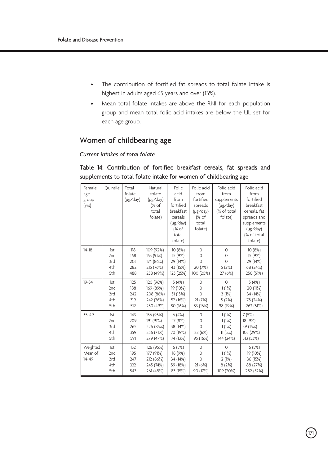- The contribution of fortified fat spreads to total folate intake is highest in adults aged 65 years and over (13%).
- Mean total folate intakes are above the RNI for each population group and mean total folic acid intakes are below the UL set for each age group.

### Women of childbearing age

### *Current intakes of total folate*

### Female age group (yrs) Quintile Total folate (µg/day) Natural folate (µg/day) (% of total folate) Folic acid from fortified breakfast cereals (µg/day) (% of total folate) Folic acid from fortified spreads (µg/day) (% of total folate) Folic acid from supplements (µg/day) (% of total folate) Folic acid from fortified breakfast cereals, fat spreads and supplements (µg/day) (% of total folate)  $14-18$   $1st$ 2nd  $3<sub>z</sub>$ 4th 5th 118 168  $203$ 282 488 109 (92%) 153 (91%) 174 (86%) 215 (76%) 238 (49%) 10 (8%) 15 (9%) 29 (14%) 43 (15%) 123 (25%)  $\Omega$  $\cap$  $\cap$ 20 (7%) 100 (20%)  $\overline{0}$ 0  $\cap$ 5 (2%) 27 (6%) 10 (8%) 15 (9%) 29 (14%) 68 (24%) 250 (51%)  $19-34$  1st 2nd 3rd 4th 5th 125 188  $242$ 319 512 120 (96%) 169 (89%) 208 (86%) 242 (76%) 250 (49%) 5 (4%) 19 (10%) 31 (13%) 52 (16%) 80 (16%)  $\Omega$  $\Omega$  $\Omega$ 21 (7%) 83 (16%)  $\Omega$ 1 (1%) 3 (1%) 5 (2%) 98 (19%) 5 (4%) 20 (11%) 34 (14%) 78 (24%) 262 (51%) 35-49 1st 2nd 3rd 4th 5th 143  $209$  $265$ 359 591 136 (95%) 191 (91%) 226 (85%) 256 (71%) 279 (47%) 6 (4%) 17 (8%) 38 (14%) 70 (19%) 74 (13%)  $\Omega$  $\overline{0}$  $\cap$ 22 (6%) 95 (16%) 1 (1%) 1 (1%) 1 (1%) 11 (3%) 144 (24%) 7 (5%) 18 (9%) 39 (15%) 103 (29%) 313 (53%) Weighted Mean of 14-49 1st 2nd 3rd 4th 5th 132 195 247 332 543 126 (95%) 177 (91%) 212 (86%) 245 (74%) 261 (48%) 6 (5%) 18 (9%) 34 (14%) 59 (18%) 83 (15%)  $\theta$  $\theta$  $\cap$ 21 (6%) 90 (17%)  $\Omega$ 1 (1%) 2 (1%) 8 (2%) 109 (20%) 6 (5%) 19 (10%) 36 (15%) 88 (27%) 282 (52%)

### Table 14: Contribution of fortified breakfast cereals, fat spreads and supplements to total folate intake for women of childbearing age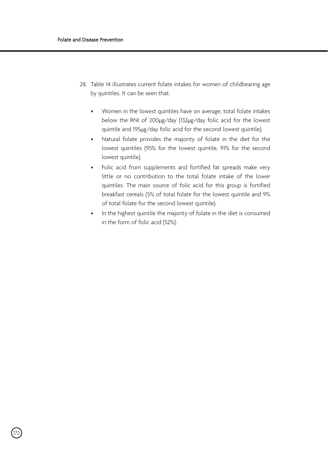.<br>172

- 28. Table 14 illustrates current folate intakes for women of childbearing age by quintiles. It can be seen that:
	- Women in the lowest quintiles have on average, total folate intakes below the RNI of 200µg/day (132µg/day folic acid for the lowest quintile and 195µg/day folic acid for the second lowest quintile).
	- Natural folate provides the majority of folate in the diet for the lowest quintiles (95% for the lowest quintile, 91% for the second lowest quintile).
	- Folic acid from supplements and fortified fat spreads make very little or no contribution to the total folate intake of the lower quintiles. The main source of folic acid for this group is fortified breakfast cereals (5% of total folate for the lowest quintile and 9% of total folate for the second lowest quintile).
	- In the highest quintile the majority of folate in the diet is consumed in the form of folic acid (52%).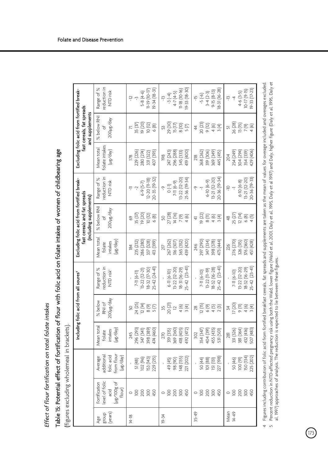Effect of flour fortification on total folate intakes *Effect of flour fortification on total folate intakes*

# Table IS: Potential effect of fortification of flour with folic acid on folate intakes of women of childbearing age Table 15: Potential effect of fortification of flour with folic acid on folate intakes of women of childbearing age

(figures excluding wholemeal in brackets). (figures excluding wholemeal in brackets).

|                         |                                                                |                                                               |                                                         | Including folic acid from all soures'                                                                                                                                                                                         |                                                                                  |                                                         | Excluding folic acid from fortified break-<br>fast cereals and fat spreads<br>(including supplements) |                                                                                              |                                                                      | Excluding folic acid from fortified break-<br>fast cereals, fat spreads<br>and supplements |                                                                                |
|-------------------------|----------------------------------------------------------------|---------------------------------------------------------------|---------------------------------------------------------|-------------------------------------------------------------------------------------------------------------------------------------------------------------------------------------------------------------------------------|----------------------------------------------------------------------------------|---------------------------------------------------------|-------------------------------------------------------------------------------------------------------|----------------------------------------------------------------------------------------------|----------------------------------------------------------------------|--------------------------------------------------------------------------------------------|--------------------------------------------------------------------------------|
| dnoug<br>(years)<br>Age | evel of folic<br>ug/100g of<br>Fortification<br>flour)<br>acid | From flour<br>additional<br>folic acid<br>(µg/day)<br>Average | Vean total<br>(µg/day)<br>ntakes<br>folate              | 200µg/day<br>% below<br>RNI of                                                                                                                                                                                                | eduction in<br>Range of %<br>NTD risk <sup>5</sup>                               | Vean total<br>(Hg/day)<br>intakes<br>folate             | % below RNI<br>yep/3rl00Z<br>p                                                                        | reduction in<br>Range of %<br>NTD risk                                                       | folate intakes<br>Mean total<br>(µg/day)                             | % below RNI<br>kep/3rlocz<br>$\sigma$                                                      | reduction in<br>Range of %<br>NTD risk                                         |
| 14-18                   | 200<br>300<br>450<br>$\overline{8}$<br>$\circ$                 | 229 (215)<br>153 (143)<br>102 (96)<br>51 (48)                 | 398 (389)<br>474 (460)<br>296 (293)<br>347 (341)<br>245 | 24 (25)<br>12(14)<br>$8(9)$<br>5(7)                                                                                                                                                                                           | $25 - 42$ $(24 - 4)$<br>8-32 (17-30)<br>$13 - 22$ $(12 - 2)$<br>7-11 (6-11)      | 286 (280)<br>337 (328)<br>413 (399)<br>235 (232)<br>184 | 19 (20)<br>35 (37)<br>10 (12)<br>$6(8)$<br>G9                                                         | 20-35 (19-32)<br>$12 - 20$ (11-18)<br>$6 - 9(5 - 7)$<br>$\sim$<br>투                          | 407 (393)<br>229 (226)<br>280 (274)<br>331 (322)<br>$\overline{178}$ | 35 <sub>(37)</sub><br>19 (20)<br>$\frac{10}{2}$<br>6(8)                                    | $19 - 34 (18 - 31)$<br>11-19 (10-17)<br>$5-8(4-6)$<br>$-12$<br>$\tilde{\zeta}$ |
| $19 - 34$               | 200<br>300<br>450<br>$\overline{100}$<br>$\circ$               | 221 (202)<br>148 (135)<br>98 (90)<br>49 (45)                  | 369 (360)<br>418 (405)<br>492 (472)<br>319 (315)<br>270 | 20 (21)<br>4(6)<br>3(4)<br>$\mathbf{r}$<br>35                                                                                                                                                                                 | $25-42$ $(23-41)$<br>18-31 (16-29)<br>$13 - 22$ $(12 - 20)$<br>$6 - 11 (6 - 10)$ | 439 (420)<br>365 (352)<br>267 (262)<br>316 (307)<br>217 | 27 (28)<br>14 (16)<br>7(9)<br>4(6)<br>SO.                                                             | 21-36 (19-34)<br>13-22 (12-20)<br>7-11 (6-9)<br>$\begin{pmatrix} -1 \\ 0 \end{pmatrix}$<br>ዯ | 419 (400)<br>296 (288)<br>247 (243)<br>345 (333)<br>98               | 29 (30)<br>15(17)<br>$\frac{10}{5}$<br>S                                                   | $9 - 33(18 - 30)$<br>$11-18(10-16)$<br>$4-7(4-5)$<br>$-3(-4)$<br>ņ             |
| $35 - 49$               | 200<br>300<br>$\overline{0}$<br>450<br>$\circ$                 | 227 (198)<br>50 (44)<br>101 (88)<br><b>151</b> (131)          | 455 (435)<br>354 (347)<br>404 [39]<br>531 (501)<br>302  | $(5)$<br>$(5)$<br>$(5)$<br>$(5)$<br>$(5)$<br>$(7)$<br>$(8)$<br>$(7)$<br>$\frac{8}{2}$                                                                                                                                         | $25-42$ $(23-41)$<br>18-32 (16-28)<br>$13 - 22$ $(11 - 19)$<br>7-11 (6-10)       | 297 (290)<br>473 (444)<br>347 (334)<br>398 (378)<br>246 | 19 (22)<br>$\frac{8}{11}$<br>$4 (6)$<br>3(4)<br>4                                                     | 20-36 (19-34)<br>13-21 (12-20)<br>$6-10(6-9)$<br>$\overline{1}$<br>ዓ                         | 268 (262)<br>369 (349)<br>319 (306)<br>445 (415)<br>$\frac{18}{2}$   | 20(23)<br>9(12)<br>$4 (6)$<br>3(4)<br>$\frac{4}{4}$                                        | $18-31(16-28)$<br>$9 - 15 (8 - 13)$<br>$3-4(2-3)$<br>$-5(-6)$<br>$\frac{5}{1}$ |
| Mean<br>$14 - 49$       | 200<br>300<br>$\overline{0}$<br>450<br>$\circ$                 | 150 (134)<br>225 (202)<br>100 (91)<br>50 (46)                 | 381 (364)<br>432 (416)<br>507 (483)<br>331 (326)<br>281 | 17(20)<br>$\begin{array}{c}\n\widehat{\mathbb{E}}\ \widehat{\mathbb{E}}\ \widehat{\mathbb{E}}\ \widehat{\mathbb{E}}\\ \circ \ \tau\ \stackrel{\scriptscriptstyle\mathsf{m}}{\scriptscriptstyle\mathsf{m}}\n\end{array}$<br>34 | $25-42$ $(23-41)$<br>18-32 (16-29)<br>$13 - 22$ $(12 - 20)$<br>7-11 (6-10)       | 276 (270)<br>376 (360)<br>326 (315)<br>451 (428)<br>226 | 25 (27)<br>12(14)<br>$6(8)$<br>4(5)<br>$rac{48}{4}$                                                   | 20-36 (19-33)<br>13-21 (12-20)<br>$6 - 10 (6 - 8)$<br>$\frac{1}{\sqrt{2}}$<br>7              | 429 (406)<br>254 (249)<br>354 (339)<br>304 (294<br>204               | 26 (28)<br>13(15)<br>$7 (9)$<br>4(6)<br>5                                                  | $19-33$ $(17-23)$<br>$10 - 17(9 - 15)$<br>$4-6(3-5)$<br>ņ<br>$\overline{4}$    |

4 Figures including contribution of folic acid from fortified breakfast cereals, fat spreads and supplements are taken as the mean of values for overage included and overages excluded. Figures including contribution of folic acid from fortified breakfast cereals, fat spreads and supplements are taken as the mean of values for overage included and overages excluded.  $\overline{5}$ 

Percent reduction in NTD-affected pregnancy risk using both the Wald, lower figure (Wald et al, 2001, Daly et al, 1995, Daly et al 1997) and Daly, higher figure (Daly et al, 1995, Daly bet Percent reduction in NTD-affected pregnancy risk using both the Wald, lower figure (Wald et al, 2001, Daly et al, 1995, Daly et al 1997) and Daly, higher figure (Daly et al, 1995, Daly et al, 1997) approaches of analysis. The reduction is expected to lie between these figures. al, 1997) approaches of analysis. The reduction is expected to lie between these figures.

 $\sqrt{173}$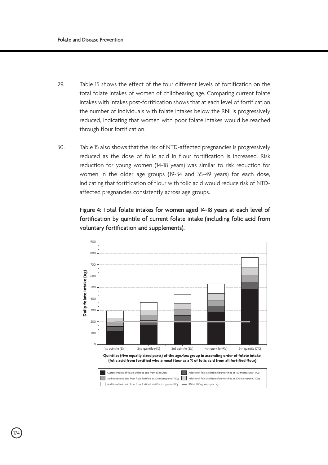- 29. Table 15 shows the effect of the four different levels of fortification on the total folate intakes of women of childbearing age. Comparing current folate intakes with intakes post-fortification shows that at each level of fortification the number of individuals with folate intakes below the RNI is progressively reduced, indicating that women with poor folate intakes would be reached through flour fortification.
- 30. Table 15 also shows that the risk of NTD-affected pregnancies is progressively reduced as the dose of folic acid in flour fortification is increased. Risk reduction for young women (14-18 years) was similar to risk reduction for women in the older age groups (19-34 and 35-49 years) for each dose, indicating that fortification of flour with folic acid would reduce risk of NTDaffected pregnancies consistently across age groups.

### Figure 4: Total folate intakes for women aged 14-18 years at each level of fortification by quintile of current folate intake (including folic acid from voluntary fortification and supplements).



.<br>174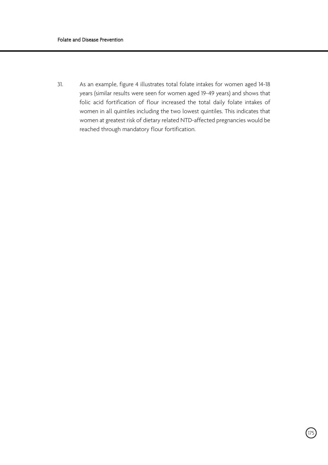31. As an example, figure 4 illustrates total folate intakes for women aged 14-18 years (similar results were seen for women aged 19-49 years) and shows that folic acid fortification of flour increased the total daily folate intakes of women in all quintiles including the two lowest quintiles. This indicates that women at greatest risk of dietary related NTD-affected pregnancies would be reached through mandatory flour fortification.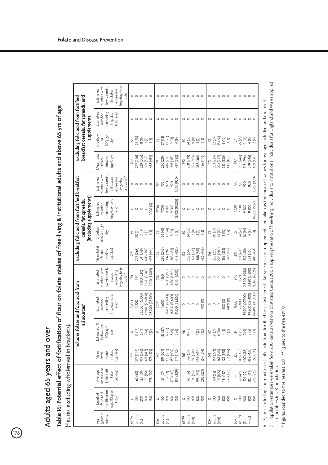Adults aged 65 years and over Adults aged 65 years and over

 $\bigcirc$ 

Table 16: Potential effect of fortification of flour on folate intakes of free-living & institutional adults and above 65 yrs of age Table 16: Potential effect of fortification of flour on folate intakes of free-living & institutional adults and above 65 yrs of age

(figures excluding wholemeal in brackets). (figures excluding wholemeal in brackets).

to numbers in UK population.

to numbers in UK population.

7

 $6$  Figures including contribution of folic acid from fortified breakfast cereals, fat spreads and supplements are taken as the mean of values for overage included and excluded.  $6$  Figures including contribution of folic acid from fortified breakfast cereals, fat spreads and supplements are taken as the mean of values for overage included and excluded.  $\,$ 

Population estimates were taken from 2001 census (National Statistics Census 2001), applying the ratio of free-living individuals to institutional individuals for England and Wales applied

Population estimates were taken from 2001 census (National Statistics Census 2001), applying the ratio of free-living individuals to institutional individuals for England and Wales applied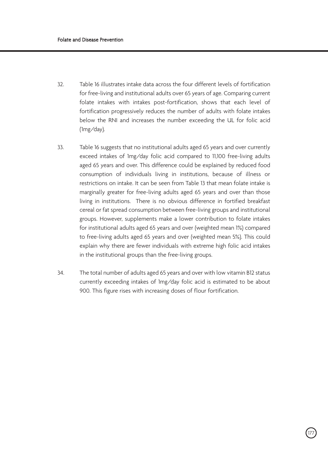- 32. Table 16 illustrates intake data across the four different levels of fortification for free-living and institutional adults over 65 years of age. Comparing current folate intakes with intakes post-fortification, shows that each level of fortification progressively reduces the number of adults with folate intakes below the RNI and increases the number exceeding the UL for folic acid (1mg/day).
- 33. Table 16 suggests that no institutional adults aged 65 years and over currently exceed intakes of 1mg/day folic acid compared to 11,100 free-living adults aged 65 years and over. This difference could be explained by reduced food consumption of individuals living in institutions, because of illness or restrictions on intake. It can be seen from Table 13 that mean folate intake is marginally greater for free-living adults aged 65 years and over than those living in institutions. There is no obvious difference in fortified breakfast cereal or fat spread consumption between free-living groups and institutional groups. However, supplements make a lower contribution to folate intakes for institutional adults aged 65 years and over (weighted mean 1%) compared to free-living adults aged 65 years and over (weighted mean 5%). This could explain why there are fewer individuals with extreme high folic acid intakes in the institutional groups than the free-living groups.
- 34. The total number of adults aged 65 years and over with low vitamin B12 status currently exceeding intakes of 1mg/day folic acid is estimated to be about 900. This figure rises with increasing doses of flour fortification.

.<br>177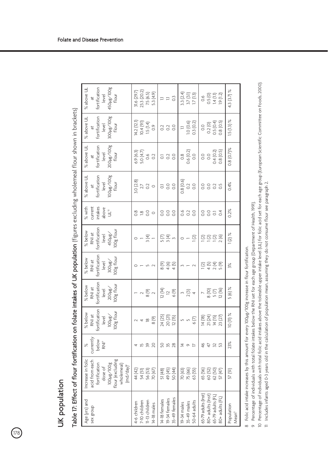178

| ֚֘֝                                             |  |
|-------------------------------------------------|--|
|                                                 |  |
|                                                 |  |
|                                                 |  |
|                                                 |  |
|                                                 |  |
|                                                 |  |
|                                                 |  |
|                                                 |  |
|                                                 |  |
|                                                 |  |
|                                                 |  |
|                                                 |  |
|                                                 |  |
|                                                 |  |
|                                                 |  |
|                                                 |  |
|                                                 |  |
|                                                 |  |
|                                                 |  |
|                                                 |  |
|                                                 |  |
|                                                 |  |
|                                                 |  |
|                                                 |  |
|                                                 |  |
|                                                 |  |
| ׇ֘֒                                             |  |
|                                                 |  |
|                                                 |  |
|                                                 |  |
|                                                 |  |
|                                                 |  |
|                                                 |  |
|                                                 |  |
|                                                 |  |
|                                                 |  |
| ׇ֚֕֡                                            |  |
|                                                 |  |
| ļ                                               |  |
|                                                 |  |
| ׇ֚֓֡                                            |  |
| ֦֖֖֖֖֚֚֚֚֚֘֝֬ <u>֓</u><br>í<br>ī<br>ׇ֖֖֚֚֚֚֚֚֞֝ |  |

| Age (yrs) and<br>sex group                                                       | Increase in folic<br>flour (excluding<br>acid from each<br>fortification<br>100µg/100g<br>wholemeal)<br>(md/day) <sup>8</sup><br>dose of | currentl <sub>)</sub><br>below<br>RNP<br>Z<br>$\geqslant$ | fortification<br>100µg/<br>100g flour<br>% below<br>RNI at<br>level | fortification<br>200µg/<br>100g flour<br>% below<br>RNI at<br>level | fortification<br>300µg/<br>100g flour<br>% below<br>RNI at<br>level                    | fortification<br>% below<br>$450 \mu g$ /<br>100g flour<br>RNI at<br>level | % with<br>intakes<br>current<br>above<br>Ë                               | fortification<br>800/8/100<br>% above UL<br>flour<br>level<br>$\ddot{a}$ | fortification<br>800H8V1008<br>% above UL<br>flour<br>level<br>$\ddot{a}$ | fortification<br>% above UL<br>300µg/100g<br>flour<br>level<br>$\ddot{a}$ | 450µg/100g<br>% above UL<br>fortification<br>flour<br>level<br>$\ddot{a}$ |
|----------------------------------------------------------------------------------|------------------------------------------------------------------------------------------------------------------------------------------|-----------------------------------------------------------|---------------------------------------------------------------------|---------------------------------------------------------------------|----------------------------------------------------------------------------------------|----------------------------------------------------------------------------|--------------------------------------------------------------------------|--------------------------------------------------------------------------|---------------------------------------------------------------------------|---------------------------------------------------------------------------|---------------------------------------------------------------------------|
| 11-13 children<br>7-10 children<br>4-6 children<br>14-18 males                   | 44 (42)<br>54 (51)<br>70 (67)<br>56 (53)                                                                                                 | 20<br>39<br>凹                                             | 8(9)<br>$\underline{\infty}$                                        | $\frac{8}{2}$ (9)<br>$\sim$                                         | $\sim$                                                                                 | 3(4)                                                                       | $\frac{8}{2}$<br>$\frac{8}{10}$<br>$\circ$                               | 3.0(2.8)<br>$2.7$ 0.2<br>$\circ$                                         | 6.9(6.3)<br>5.0(4.7)<br>0.6<br>$\Omega$                                   | 14.2 (12.1)<br>10.4 (9.1)<br>1.5(1.4)<br>$\overline{O}$                   | 23.3 (20.2)<br>31.6 (29.7)<br>7.5 (6.5)<br>5.3 (4.9)                      |
| 35-49 females<br>19-34 females<br>14-18 females                                  | 50 (44)<br>49 (45)<br>51 (48)                                                                                                            | 328<br>8                                                  | 24 (25)<br>20 (21)<br>12(15)                                        | 12 (14)<br>12<br>$6(9)$                                             | ∞ ⊄ ±<br>⊗ 4 ±                                                                         | 59 <sub>m</sub>                                                            | So<br>$_{\rm 0.0}$<br>S                                                  | $\overline{0}$<br>$_{\rm 0.0}$<br>5                                      | $_{\rm 0.0}$<br>$\overline{c}$<br>5                                       | $_{\circ}^{\circ}$<br>$\overline{0}$<br>$\sim$                            | $\ddot{\circ}$<br>$\equiv$ $\equiv$                                       |
| 50-64 adults<br>35-49 males<br>19-34 males                                       | 75 (66)<br>70 (63)<br>63 (55)                                                                                                            | 호<br>$\circ$<br>$\overline{a}$                            | $6(7)$                                                              | $\begin{array}{c} 2 \ (3) \\ 4 \end{array}$                         |                                                                                        | 1(2)<br>$\circ$                                                            | 0.6<br>$\overline{0}$<br>So                                              | 0.8(0.6)<br>$\overline{O}$<br>$_{\circ}^{\circ}$                         | 0.6(0.2)<br>$\overline{0}$<br>$\frac{8}{2}$                               | 1.0(0.6)<br>0.3(0.2)                                                      | 3.3(2.4)<br>$3.7(3.1)$<br>17(13)                                          |
| 65-79 adults (Inst)<br>80+ adults (Inst)<br>65-79 adults (FL)<br>80+ adults (FL) | 62 (50)<br>65 (56)<br>60 (52)<br>57 (47)                                                                                                 | $\frac{4}{6}$<br>$4.88$                                   | 21 (24)<br>14 (15)<br>14 (18)<br>23 (27)                            | $\frac{8}{5}$ (7)<br>12(16)                                         | $\overline{q}$ in $\overline{q}$ in $\overline{q}$ in $\overline{q}$ in $\overline{q}$ | 2220                                                                       | $\frac{0}{2}$<br>$_{\rm 0}^{\rm O}$ $_{\rm 0}^{\rm O}$<br>$\overline{6}$ | $\overline{0}$ .<br>0.0000<br>$\overline{0}$                             | 0.8(0.5)<br>0.4(0.2)<br>$\overline{0}$<br>$\overline{0}$                  | $0.2(0)$<br>0.5 $(0.4)$<br>0.8(0.5)<br>$\overline{0}$                     | 0.5(0)<br>1.4(1.1)<br>1.9(1.2)<br>$\frac{6}{10}$                          |
| Population<br>Mean <sup>11</sup>                                                 | 57(51)                                                                                                                                   | 23%                                                       | <b>10 (11) %</b>                                                    | $5(6)\%$                                                            | 3%                                                                                     | $1(2)$ %                                                                   | $0.2\%$                                                                  | 0.4%                                                                     | $0.8(0.7)\%$                                                              | $1.5(1.3)$ %                                                              | 4.3 (3.7) %                                                               |

8 Folic acid intake increases by this amount for every 100µg/100g increase in flour fortification. Folic acid intake increases by this amount for every 100µg/100g increase in flour fortification.

Percentage of individuals with total folate intakes below the RNI set for each age group (Department of Health, 1991).

9 Percentage of individuals with total folate intakes below the RNI set for each age group (Department of Health, 1991).<br>10 Percentage of individuals with total folic acid intakes above the tolerable upper intake level (UL 10 Percentage of individuals with total folic acid intakes above the tolerable upper intake level (UL) for folic acid set for each age group (European Scientific Committee on Foods, 2000). 11 Includes infants aged 0-3 years old in the calculation of population mean, assuming they do not consume flour see paragraph 2.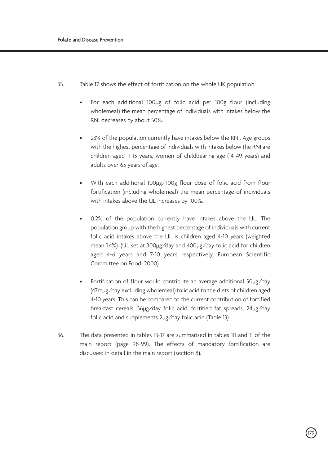- 35. Table 17 shows the effect of fortification on the whole UK population.
	- For each additional 100µg of folic acid per 100g flour (including wholemeal) the mean percentage of individuals with intakes below the RNI decreases by about 50%.
	- 23% of the population currently have intakes below the RNI. Age groups with the highest percentage of individuals with intakes below the RNI are children aged 11-13 years, women of childbearing age (14-49 years) and adults over 65 years of age.
	- With each additional 100µg/100g flour dose of folic acid from flour fortification (including wholemeal) the mean percentage of individuals with intakes above the UL increases by 100%.
	- 0.2% of the population currently have intakes above the UL. The population group with the highest percentage of individuals with current folic acid intakes above the UL is children aged 4-10 years (weighted mean 1.4%). (UL set at 300µg/day and 400µg/day folic acid for children aged 4-6 years and 7-10 years respectively, European Scientific Committee on Food, 2000).
	- Fortification of flour would contribute an average additional 50µg/day (47mµg/day excluding wholemeal) folic acid to the diets of children aged 4-10 years. This can be compared to the current contribution of fortified breakfast cereals, 56µg/day folic acid; fortified fat spreads, 24µg/day folic acid and supplements 2µg/day folic acid (Table 13).
- 36. The data presented in tables 13-17 are summarised in tables 10 and 11 of the main report (page 98-99). The effects of mandatory fortification are discussed in detail in the main report (section 8).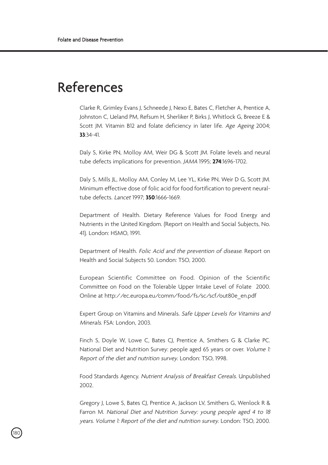### References

Clarke R, Grimley Evans J, Schneede J, Nexo E, Bates C, Fletcher A, Prentice A, Johnston C, Ueland PM, Refsum H, Sherliker P, Birks J, Whitlock G, Breeze E & Scott JM. Vitamin B12 and folate deficiency in later life. Age Ageing 2004; **33**:34-41.

Daly S, Kirke PN, Molloy AM, Weir DG & Scott JM. Folate levels and neural tube defects implications for prevention. JAMA 1995; **274**:1696-1702.

Daly S, Mills JL, Molloy AM, Conley M, Lee YL, Kirke PN, Weir D G, Scott JM. Minimum effective dose of folic acid for food fortification to prevent neuraltube defects. Lancet 1997; **350**:1666-1669.

Department of Health. Dietary Reference Values for Food Energy and Nutrients in the United Kingdom. (Report on Health and Social Subjects, No. 41). London: HSMO, 1991.

Department of Health. Folic Acid and the prevention of disease. Report on Health and Social Subjects 50. London: TSO, 2000.

European Scientific Committee on Food. Opinion of the Scientific Committee on Food on the Tolerable Upper Intake Level of Folate 2000. Online at http://ec.europa.eu/comm/food/fs/sc/scf/out80e\_en.pdf

Expert Group on Vitamins and Minerals. Safe Upper Levels for Vitamins and Minerals. FSA: London, 2003.

Finch S, Doyle W, Lowe C, Bates CJ, Prentice A, Smithers G & Clarke PC. National Diet and Nutrition Survey: people aged 65 years or over. Volume 1: Report of the diet and nutrition survey. London: TSO, 1998.

Food Standards Agency. Nutrient Analysis of Breakfast Cereals. Unpublished 2002.

Gregory J, Lowe S, Bates CJ, Prentice A, Jackson LV, Smithers G, Wenlock R & Farron M. National Diet and Nutrition Survey: young people aged 4 to 18 years. Volume 1: Report of the diet and nutrition survey. London: TSO, 2000.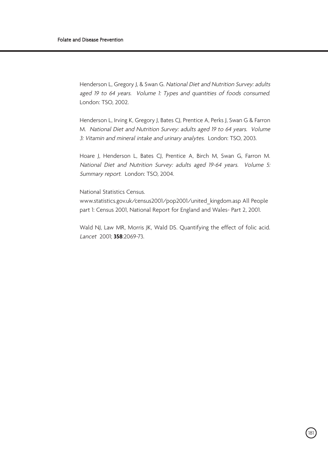Henderson L, Gregory J, & Swan G. National Diet and Nutrition Survey: adults aged 19 to 64 years. Volume 1: Types and quantities of foods consumed. London: TSO, 2002.

Henderson L, Irving K, Gregory J, Bates CJ, Prentice A, Perks J, Swan G & Farron M. National Diet and Nutrition Survey: adults aged 19 to 64 years. Volume 3: Vitamin and mineral intake and urinary analytes. London: TSO, 2003.

Hoare J, Henderson L, Bates CJ, Prentice A, Birch M, Swan G, Farron M. National Diet and Nutrition Survey: adults aged 19-64 years. Volume 5: Summary report. London: TSO, 2004.

National Statistics Census.

www.statistics.gov.uk/census2001/pop2001/united\_kingdom.asp All People part 1: Census 2001, National Report for England and Wales- Part 2, 2001.

Wald NJ, Law MR, Morris JK, Wald DS. Quantifying the effect of folic acid. Lancet 2001; **358**:2069-73.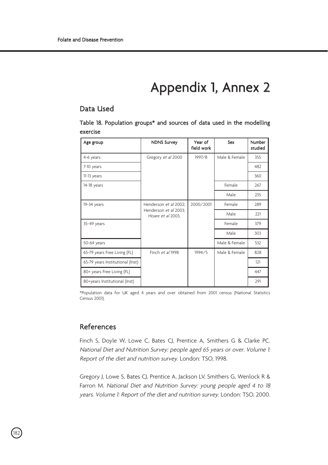### Appendix 1, Annex 2

### Data Used

Table 18. Population groups\* and sources of data used in the modelling exercise

| Age group                        | <b>NDNS Survey</b>                         | Year of<br>field work | Sex           | Number<br>studied |
|----------------------------------|--------------------------------------------|-----------------------|---------------|-------------------|
| 4-6 years                        | Gregory et al 2000                         | 1997/8                | Male & Female | 355               |
| 7-10 years                       |                                            |                       |               | 482               |
| 11-13 years                      |                                            |                       |               | 360               |
| 14-18 years                      |                                            |                       | Female        | 267               |
|                                  |                                            |                       | Male          | 235               |
| 19-34 years                      | Henderson et al 2002;                      | 2000/2001             | Female        | 289               |
|                                  | Henderson et al 2003;<br>Hoare et al 2003. |                       | Male          | 221               |
| 35-49 years                      |                                            |                       | Female        | 379               |
|                                  |                                            |                       | Male          | 303               |
| 50-64 years                      |                                            |                       | Male & Female | 532               |
| 65-79 years Free Living (FL)     | Finch et al 1998                           | 1994/5                | Male & Female | 828               |
| 65-79 years Institutional (Inst) |                                            |                       |               | 121               |
| 80+ years Free Living (FL)       |                                            |                       |               | 447               |
| 80+years Institutional (Inst)    |                                            |                       |               | 291               |

\*Population data for UK aged 4 years and over obtained from 2001 census (National Statistics Census 2001).

### References

.<br>182

Finch S, Doyle W, Lowe C, Bates CJ, Prentice A, Smithers G & Clarke PC. National Diet and Nutrition Survey: people aged 65 years or over. Volume 1: Report of the diet and nutrition survey. London: TSO, 1998.

Gregory J, Lowe S, Bates CJ, Prentice A, Jackson LV, Smithers G, Wenlock R & Farron M. National Diet and Nutrition Survey: young people aged 4 to 18 years. Volume 1: Report of the diet and nutrition survey. London: TSO, 2000.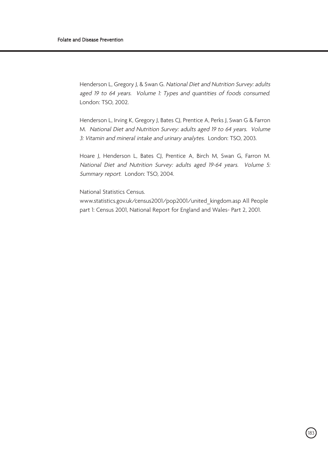Henderson L, Gregory J, & Swan G. National Diet and Nutrition Survey: adults aged 19 to 64 years. Volume 1: Types and quantities of foods consumed. London: TSO, 2002.

Henderson L, Irving K, Gregory J, Bates CJ, Prentice A, Perks J, Swan G & Farron M. National Diet and Nutrition Survey: adults aged 19 to 64 years. Volume 3: Vitamin and mineral intake and urinary analytes. London: TSO, 2003.

Hoare J, Henderson L, Bates CJ, Prentice A, Birch M, Swan G, Farron M. National Diet and Nutrition Survey: adults aged 19-64 years. Volume 5: Summary report. London: TSO, 2004.

National Statistics Census.

www.statistics.gov.uk/census2001/pop2001/united\_kingdom.asp All People part 1: Census 2001, National Report for England and Wales- Part 2, 2001.

.<br>183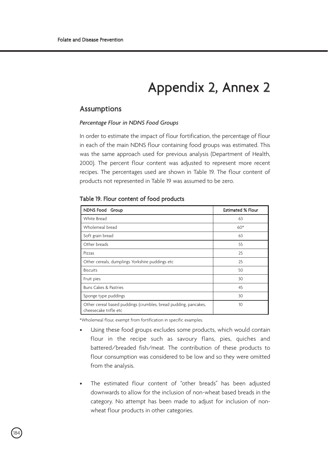### Appendix 2, Annex 2

### Assumptions

### *Percentage Flour in NDNS Food Groups*

In order to estimate the impact of flour fortification, the percentage of flour in each of the main NDNS flour containing food groups was estimated. This was the same approach used for previous analysis (Department of Health, 2000). The percent flour content was adjusted to represent more recent recipes. The percentages used are shown in Table 19. The flour content of products not represented in Table 19 was assumed to be zero.

### Table 19. Flour content of food products

| NDNS Food Group                                                                          | <b>Estimated % Flour</b> |
|------------------------------------------------------------------------------------------|--------------------------|
| White Bread                                                                              | 63                       |
| Wholemeal bread                                                                          | $60*$                    |
| Soft grain bread                                                                         | 63                       |
| Other breads                                                                             | 55                       |
| Pizzas                                                                                   | 25                       |
| Other cereals, dumplings Yorkshire puddings etc                                          | 25                       |
| <b>Biscuits</b>                                                                          | 50                       |
| Fruit pies                                                                               | 30                       |
| Buns Cakes & Pastries                                                                    | 45                       |
| Sponge type puddings                                                                     | 30                       |
| Other cereal based puddings (crumbles, bread pudding, pancakes,<br>cheesecake trifle etc | 10                       |

\*Wholemeal flour, exempt from fortification in specific examples.

.<br>184

- Using these food groups excludes some products, which would contain flour in the recipe such as savoury flans, pies, quiches and battered/breaded fish/meat. The contribution of these products to flour consumption was considered to be low and so they were omitted from the analysis.
- The estimated flour content of "other breads" has been adjusted downwards to allow for the inclusion of non-wheat based breads in the category. No attempt has been made to adjust for inclusion of nonwheat flour products in other categories.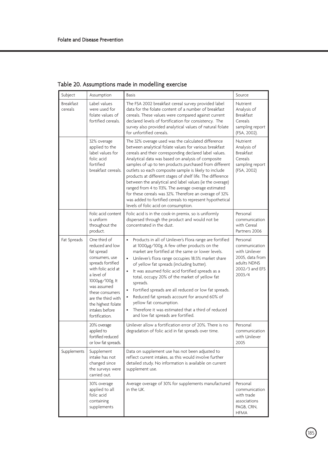| Subject                     | Assumption                                                                                                                                                                                                                                                    | <b>Basis</b>                                                                                                                                                                                                                                                                                                                                                                                                                                                                                                                                                                                                                                                                                    | Source                                                                                                   |
|-----------------------------|---------------------------------------------------------------------------------------------------------------------------------------------------------------------------------------------------------------------------------------------------------------|-------------------------------------------------------------------------------------------------------------------------------------------------------------------------------------------------------------------------------------------------------------------------------------------------------------------------------------------------------------------------------------------------------------------------------------------------------------------------------------------------------------------------------------------------------------------------------------------------------------------------------------------------------------------------------------------------|----------------------------------------------------------------------------------------------------------|
| <b>Breakfast</b><br>cereals | Label values<br>were used for<br>folate values of<br>fortified cereals.                                                                                                                                                                                       | The FSA 2002 breakfast cereal survey provided label<br>data for the folate content of a number of breakfast<br>cereals. These values were compared against current<br>declared levels of fortification for consistency. The<br>survey also provided analytical values of natural folate<br>for unfortified cereals.                                                                                                                                                                                                                                                                                                                                                                             | Nutrient<br>Analysis of<br><b>Breakfast</b><br>Cereals<br>sampling report<br>(FSA, 2002).                |
|                             | 32% overage<br>applied to the<br>label values for<br>folic acid<br>fortified<br>breakfast cereals.                                                                                                                                                            | The 32% overage used was the calculated difference<br>between analytical folate values for various breakfast<br>cereals and their corresponding declared label values.<br>Analytical data was based on analysis of composite<br>samples of up to ten products purchased from different<br>outlets so each composite sample is likely to include<br>products at different stages of shelf life. The difference<br>between the analytical and label values (ie the overage)<br>ranged from 4 to 113%. The average overage estimated<br>for these cereals was 32%. Therefore an overage of 32%<br>was added to fortified cereals to represent hypothetical<br>levels of folic acid on consumption. | Nutrient<br>Analysis of<br><b>Breakfast</b><br>Cereals<br>sampling report<br>(FSA, 2002)                 |
|                             | Folic acid content<br>is uniform<br>throughout the<br>product.                                                                                                                                                                                                | Folic acid is in the cook-in premix, so is uniformly<br>dispersed through the product and would not be<br>concentrated in the dust.                                                                                                                                                                                                                                                                                                                                                                                                                                                                                                                                                             | Personal<br>communication<br>with Cereal<br>Partners 2006                                                |
| Fat Spreads                 | One third of<br>reduced and low<br>fat spread<br>consumers, use<br>spreads fortified<br>with folic acid at<br>a level of<br>1000µg/100g. lt<br>was assumed<br>these consumers<br>are the third with<br>the highest folate<br>intakes before<br>fortification. | Products in all of Unilever's Flora range are fortified<br>$\bullet$<br>at 1000µg/100g. A few other products on the<br>market are fortified at the same or lower levels.<br>Unilever's flora range occupies 18.5% market share<br>of yellow fat spreads (including butter).<br>×.<br>It was assumed folic acid fortified spreads as a<br>total, occupy 20% of the market of yellow fat<br>spreads.<br>Fortified spreads are all reduced or low fat spreads.<br>Reduced fat spreads account for around 60% of<br>yellow fat consumption.<br>Therefore it was estimated that a third of reduced<br>and low fat spreads are fortified.                                                             | Personal<br>communication<br>with Unilever<br>2005, data from<br>adults NDNS<br>2002/3 and EFS<br>2003/4 |
|                             | 20% overage<br>applied to<br>fortified reduced<br>or low fat spreads.                                                                                                                                                                                         | Unilever allow a fortification error of 20%. There is no<br>degradation of folic acid in fat spreads over time.                                                                                                                                                                                                                                                                                                                                                                                                                                                                                                                                                                                 | Personal<br>communication<br>with Unilever<br>2005                                                       |
| Supplements                 | Supplement<br>intake has not<br>changed since<br>the surveys were<br>carried out.                                                                                                                                                                             | Data on supplement use has not been adjusted to<br>reflect current intakes, as this would involve further<br>detailed study. No information is available on current<br>supplement use.                                                                                                                                                                                                                                                                                                                                                                                                                                                                                                          |                                                                                                          |
|                             | 30% overage<br>applied to all<br>folic acid<br>containing<br>supplements                                                                                                                                                                                      | Average overage of 30% for supplements manufactured<br>in the UK.                                                                                                                                                                                                                                                                                                                                                                                                                                                                                                                                                                                                                               | Personal<br>communication<br>with trade<br>associations<br>PAGB, CRN.<br><b>HFMA</b>                     |

Table 20. Assumptions made in modelling exercise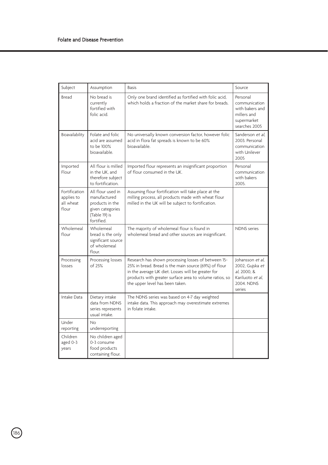| Subject                                           | Assumption                                                                                              | <b>Basis</b>                                                                                                                                                                                                                                                                                                                                                              | Source                                                                                      |
|---------------------------------------------------|---------------------------------------------------------------------------------------------------------|---------------------------------------------------------------------------------------------------------------------------------------------------------------------------------------------------------------------------------------------------------------------------------------------------------------------------------------------------------------------------|---------------------------------------------------------------------------------------------|
| Bread                                             | No bread is<br>currently<br>fortified with<br>folic acid.                                               | Only one brand identified as fortified with folic acid,<br>which holds a fraction of the market share for breads.                                                                                                                                                                                                                                                         | Personal<br>communication<br>with bakers and<br>millers and<br>supermarket<br>searches 2005 |
| Bioavailability                                   | Folate and folic<br>acid are assumed<br>to be 100%<br>bioavailable.                                     | No universally known conversion factor, however folic<br>acid in flora fat spreads is known to be 60%<br>bioavailable.                                                                                                                                                                                                                                                    | Sanderson et al.<br>2003. Personal<br>communication<br>with Unilever<br>2005                |
| Imported<br>Flour                                 | All flour is milled<br>in the UK, and<br>therefore subject<br>to fortification.                         | Imported flour represents an insignificant proportion<br>of flour consumed in the UK.                                                                                                                                                                                                                                                                                     | Personal<br>communication<br>with bakers<br>2005.                                           |
| Fortification<br>applies to<br>all wheat<br>flour | All flour used in<br>manufactured<br>products in the<br>given categories<br>(Table 19) is<br>fortified. | Assuming flour fortification will take place at the<br>milling process, all products made with wheat flour<br>milled in the UK will be subject to fortification.                                                                                                                                                                                                          |                                                                                             |
| Wholemeal<br>flour                                | Wholemeal<br>bread is the only<br>significant source<br>of wholemeal<br>flour.                          | The majority of wholemeal flour is found in<br>wholemeal bread and other sources are insignificant.                                                                                                                                                                                                                                                                       | <b>NDNS</b> series                                                                          |
| Processing<br>losses                              | Processing losses<br>of 25%                                                                             | Research has shown processing losses of between 15-<br>Johansson et al.<br>25% in bread. Bread is the main source (69%) of flour<br>2002, Gujska et<br>in the average UK diet. Losses will be greater for<br>al. 2000. &<br>Kariluoto et al.<br>products with greater surface area to volume ratios, so<br><b>2004. NDNS</b><br>the upper level has been taken.<br>series |                                                                                             |
| Intake Data                                       | Dietary intake<br>data from NDNS<br>series represents<br>usual intake.                                  | The NDNS series was based on 4-7 day weighted<br>intake data. This approach may overestimate extremes<br>in folate intake.                                                                                                                                                                                                                                                |                                                                                             |
| Under<br>reporting                                | No<br>underreporting                                                                                    |                                                                                                                                                                                                                                                                                                                                                                           |                                                                                             |
| Children<br>aged 0-3<br>years                     | No children aged<br>0-3 consume<br>food products<br>containing flour.                                   |                                                                                                                                                                                                                                                                                                                                                                           |                                                                                             |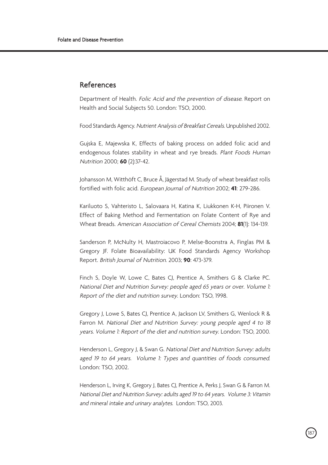### References

Department of Health. Folic Acid and the prevention of disease. Report on Health and Social Subjects 50. London: TSO, 2000.

Food Standards Agency. Nutrient Analysis of Breakfast Cereals. Unpublished 2002.

Gujska E, Majewska K, Effects of baking process on added folic acid and endogenous folates stability in wheat and rye breads. Plant Foods Human Nutrition 2000; **60** (2):37-42.

Johansson M, Witthöft C, Bruce Å, Jägerstad M. Study of wheat breakfast rolls fortified with folic acid. European Journal of Nutrition 2002; **41**: 279-286.

Kariluoto S, Vahteristo L, Salovaara H, Katina K, Liukkonen K-H, Piironen V. Effect of Baking Method and Fermentation on Folate Content of Rye and Wheat Breads. American Association of Cereal Chemists 2004; **81**(1): 134-139.

Sanderson P, McNulty H, Mastroiacovo P, Melse-Boonstra A, Finglas PM & Gregory JF. Folate Bioavailability: UK Food Standards Agency Workshop Report. British Journal of Nutrition. 2003; **90**: 473-379.

Finch S, Doyle W, Lowe C, Bates CJ, Prentice A, Smithers G & Clarke PC. National Diet and Nutrition Survey: people aged 65 years or over. Volume 1: Report of the diet and nutrition survey. London: TSO, 1998.

Gregory J, Lowe S, Bates CJ, Prentice A, Jackson LV, Smithers G, Wenlock R & Farron M. National Diet and Nutrition Survey: young people aged 4 to 18 years. Volume 1: Report of the diet and nutrition survey. London: TSO, 2000.

Henderson L, Gregory J, & Swan G. National Diet and Nutrition Survey: adults aged 19 to 64 years. Volume 1: Types and quantities of foods consumed. London: TSO, 2002.

Henderson L, Irving K, Gregory J, Bates CJ, Prentice A, Perks J, Swan G & Farron M. National Diet and Nutrition Survey: adults aged 19 to 64 years. Volume 3: Vitamin and mineral intake and urinary analytes. London: TSO, 2003.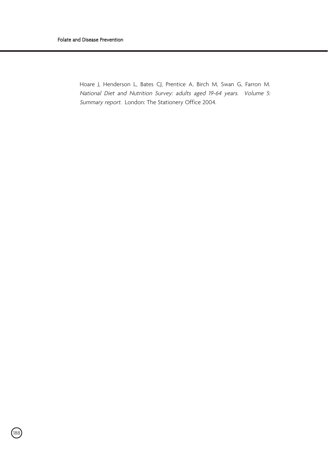Hoare J, Henderson L, Bates CJ, Prentice A, Birch M, Swan G, Farron M. National Diet and Nutrition Survey: adults aged 19-64 years. Volume 5: Summary report. London: The Stationery Office 2004.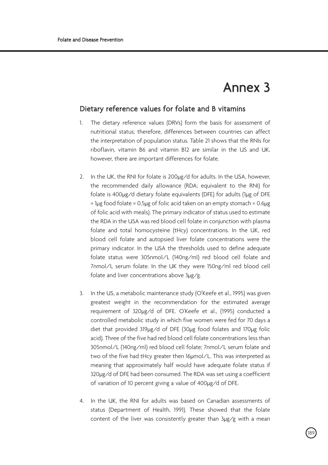### Annex 3

r<br>189

### Dietary reference values for folate and B vitamins

- 1. The dietary reference values (DRVs) form the basis for assessment of nutritional status; therefore, differences between countries can affect the interpretation of population status. Table 21 shows that the RNIs for riboflavin, vitamin B6 and vitamin B12 are similar in the US and UK, however, there are important differences for folate.
- 2. In the UK, the RNI for folate is 200µg/d for adults. In the USA, however, the recommended daily allowance (RDA; equivalent to the RNI) for folate is 400µg/d dietary folate equivalents (DFE) for adults (1µg of DFE = 1µg food folate = 0.5µg of folic acid taken on an empty stomach = 0.6µg of folic acid with meals). The primary indicator of status used to estimate the RDA in the USA was red blood cell folate in conjunction with plasma folate and total homocysteine (tHcy) concentrations. In the UK, red blood cell folate and autopsied liver folate concentrations were the primary indicator. In the USA the thresholds used to define adequate folate status were 305nmol/L (140ng/ml) red blood cell folate and 7nmol/L serum folate. In the UK they were 150ng/ml red blood cell folate and liver concentrations above 3µg/g.
- 3. In the US, a metabolic maintenance study (O'Keefe et al., 1995) was given greatest weight in the recommendation for the estimated average requirement of 320µg/d of DFE. O'Keefe et al., (1995) conducted a controlled metabolic study in which five women were fed for 70 days a diet that provided 319µg/d of DFE (30µg food folates and 170µg folic acid). Three of the five had red blood cell folate concentrations less than 305nmol/L (140ng/ml) red blood cell folate; 7nmol/L serum folate and two of the five had tHcy greater then 16µmol/L. This was interpreted as meaning that approximately half would have adequate folate status if 320µg/d of DFE had been consumed. The RDA was set using a coefficient of variation of 10 percent giving a value of 400µg/d of DFE.
- 4. In the UK, the RNI for adults was based on Canadian assessments of status (Department of Health, 1991). These showed that the folate content of the liver was consistently greater than 3µg/g with a mean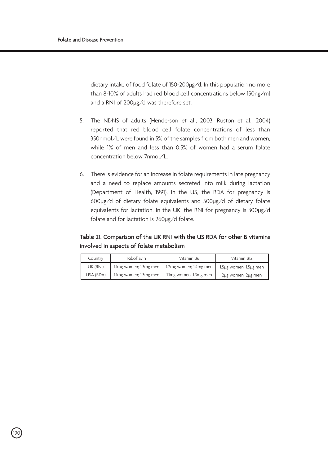dietary intake of food folate of 150-200µg/d. In this population no more than 8-10% of adults had red blood cell concentrations below 150ng/ml and a RNI of 200µg/d was therefore set.

- 5. The NDNS of adults (Henderson et al., 2003; Ruston et al., 2004) reported that red blood cell folate concentrations of less than 350nmol/L were found in 5% of the samples from both men and women, while 1% of men and less than 0.5% of women had a serum folate concentration below 7nmol/L.
- 6. There is evidence for an increase in folate requirements in late pregnancy and a need to replace amounts secreted into milk during lactation (Department of Health, 1991). In the US, the RDA for pregnancy is 600µg/d of dietary folate equivalents and 500µg/d of dietary folate equivalents for lactation. In the UK, the RNI for pregnancy is 300µg/d folate and for lactation is 260µg/d folate.

### Table 21. Comparison of the UK RNI with the US RDA for other B vitamins involved in aspects of folate metabolism

| Country   | Riboflavin             | Vitamin B6             | Vitamin B12            |
|-----------|------------------------|------------------------|------------------------|
| UK (RNI)  | 1.1mg women; 1.3mg men | 1.2mg women; 1.4mg men | 1.5µg women; 1.5µg men |
| USA (RDA) | 1.1mg women; 1.3mg men | 1.1mg women; 1.3mg men | 2µg women; 2µg men     |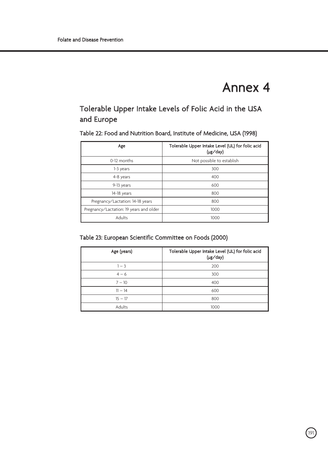### Annex 4

### Tolerable Upper Intake Levels of Folic Acid in the USA and Europe

Table 22: Food and Nutrition Board, Institute of Medicine, USA (1998)

| Age                                     | Tolerable Upper Intake Level (UL) for folic acid<br>(µg/day) |
|-----------------------------------------|--------------------------------------------------------------|
| 0-12 months                             | Not possible to establish                                    |
| 1-3 years                               | 300                                                          |
| 4-8 years                               | 400                                                          |
| 9-13 years                              | 600                                                          |
| 14-18 years                             | 800                                                          |
| Pregnancy/Lactation: 14-18 years        | 800                                                          |
| Pregnancy/Lactation: 19 years and older | 1000                                                         |
| Adults                                  | 1000                                                         |

### Table 23: European Scientific Committee on Foods (2000)

| Age (years) | Tolerable Upper Intake Level (UL) for folic acid<br>(µg/day) |
|-------------|--------------------------------------------------------------|
| $1 - 3$     | 200                                                          |
| $4 - 6$     | 300                                                          |
| $7 - 10$    | 400                                                          |
| $11 - 14$   | 600                                                          |
| $15 - 17$   | 800                                                          |
| Adults      | 1000                                                         |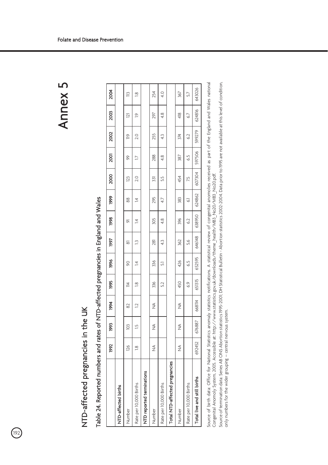### Annex 5

### NTD-affected pregnancies in the UK NTD-affected pregnancies in the UK

 $\bigcirc$ 

## Table 24. Reported numbers and rates of NTD-affected pregnancies in England and Wales Table 24. Reported numbers and rates of NTD-affected pregnancies in England and Wales

|                                | 1992          | Ş8            | 1994   | ğ6                 | 1996   | 1997           | 1998        | 1999   | 2000          | <b>2001</b> | 2002          | 2003        | 2004   |
|--------------------------------|---------------|---------------|--------|--------------------|--------|----------------|-------------|--------|---------------|-------------|---------------|-------------|--------|
| NTD-affected births            |               |               |        |                    |        |                |             |        |               |             |               |             |        |
| Number                         | 126           | $\frac{1}{2}$ | 82     | $\overline{4}$     | ର      | 5              | 능           | 88     | $\mathbb{Z}$  | ଚ୍ଚ         | ≌             | $\bar{\Xi}$ | ≌      |
| Rate per 10,000 Births         | $\frac{8}{1}$ | $\frac{5}{2}$ | ⊇      | $\frac{\infty}{2}$ | 4      | ≏              | 4           | 4      | $\frac{0}{2}$ |             | $\frac{0}{2}$ | ë           | $\leq$ |
| NTD reported terminations      |               |               |        |                    |        |                |             |        |               |             |               |             |        |
| Number                         | $\frac{4}{2}$ | ₹             | ₹      | 336                | 336    | $\overline{8}$ | 305         | 295    | 331           | 288         | 255           | 297         | 254    |
| Rate per 10,000 Births         |               |               |        | 5.2                | 문      | 43             | $rac{8}{4}$ | 4.7    | 5.5           | $rac{8}{4}$ | $\ddot{4}$    | 48          | 4.0    |
| Total NTD-affected pregnancies |               |               |        |                    |        |                |             |        |               |             |               |             |        |
| Number                         | $\frac{4}{2}$ | ₹             | ₹      | 450                | 426    | 362            | 396         | 383    | 454           | 387         | 374           | 418         | 367    |
| Rate per 10,000 Births         |               |               |        | 6.9                | 65     | 5.6            | 6.2         | 3      | 75            | 6.5         | 6.2           | 6.7         | 5.7    |
| Total live and still births    | 692452        | 676887        | 668114 | 651315             | 652595 | 646148         | 638950      | 624862 | 607304        | 597506      | 599279        | 624816      | 643026 |
|                                |               |               |        |                    |        |                |             |        |               |             |               |             |        |

Source of birth data: Office for National Statistics anomaly statistics notifications. A statistical review of congenital anomolies received as part of the England and Wales national Source of birth data: Office for National Statistics anomaly statistics notifications. A statistical review of congenital anomolies received as part of the England and Wales national Congenital Anomoly System, 2005. Accessible at: http://www.statistics.gov.uk/downloads/theme\_health/MB3\_No20/MB3\_No20.pdf. Congenital Anomoly System, 2005. Accessible at: http://www.statistics.gov.uk/downloads/theme\_health/MB3\_No20/MB3\_No20.pdf.

Source of termination data: Series AB ONS Abortion statistics 1995-2001; DH Statistical Bulletin - Abortion statistics 2002-2004. Data prior to 1995 are not available at this level of condition, Source of termination data: Series AB ONS Abortion statistics 1995-2001; DH Statistical Bulletin - Abortion statistics 2002-2004. Data prior to 1995 are not available at this level of condition, only numbers for the wider grouping - central nervous system. only numbers for the wider grouping – central nervous system.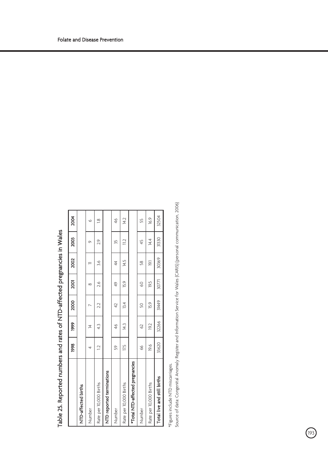|                                 | 1998           | 1999           | 2000 | 2001     | 2002           | 2003          | 2004           |
|---------------------------------|----------------|----------------|------|----------|----------------|---------------|----------------|
| NTD-affected births             |                |                |      |          |                |               |                |
| Number                          |                | $\overline{4}$ |      | $\infty$ |                | σ             | Ó              |
| Rate per 10,000 Births          | $\overline{C}$ | 43             | 2.2  | 2.6      | 3.6            | 2.9           | $\frac{8}{10}$ |
| NTD reported terminations       |                |                |      |          |                |               |                |
| Number                          | S9             | 46             | 42   | 49       | 44             | 5ĥ            | 46             |
| Rate per 10,000 Births          | 17.5           | 14.3           | 13.4 | 15.9     | 14.5           | $\frac{1}{2}$ | 14.2           |
| *Total NTD-affected pregnancies |                |                |      |          |                |               |                |
| Number                          | 66             | Q              | S0   | 8        | $\frac{8}{3}$  | 45            | 55             |
| Rate per 10,000 Births          | 19.6           | 19.2           | 15.9 | 19.5     | $\overline{5}$ | 14.4          | 16.9           |

### Table 25. Reported numbers and rates of NTD-affected pregnancies in Wales Table 25. Reported numbers and rates of NTD-affected pregnancies in Wales

\*Figures include NTD miscarriages. \*Figures include NTD miscarriages.

193

Source of data: Congenital Anomaly Register and Information Service for Wales (CARIS) (personal communication, 2006) Source of data: Congenital Anomaly Register and Information Service for Wales (CARIS) (personal communication, 2006)

**Total live and still births**  $\qquad$  **33620** 32266 31449 30771 30369 31330 31330 32504

32266

33620

Total live and still births

31449

31330

30369

30771

T 32504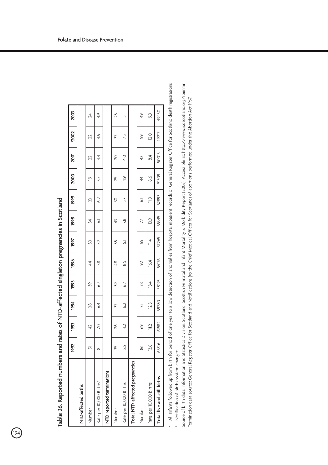|                                     | 1992  | Ş8                       | 1994  | 1995  | 1996          | 1997           | 1998  | 1999            | 2000          | 2001  | 2002  | 2003          |
|-------------------------------------|-------|--------------------------|-------|-------|---------------|----------------|-------|-----------------|---------------|-------|-------|---------------|
| NTD-affected births                 |       |                          |       |       |               |                |       |                 |               |       |       |               |
| Number                              | 5     | ą                        | 38    | 99    | 4             | õ              | 24    | 33              | 으             | 22    | 22    | 24            |
| Rate per 10,000 Births <sup>®</sup> | ಷ     | 20                       | 64    | 6.7   | 28            | 52             | 3     | $\overline{62}$ | 57            | 44    | 4.5   | 4.9           |
| NTD reported terminations           |       |                          |       |       |               |                |       |                 |               |       |       |               |
| Number                              | 35    | 26                       | 37    | 39    | $\frac{8}{4}$ | 35             | 43    | ŠÕ              | 25            | 20    | 27    | 25            |
| Rate per 10,000 Births              | 5.5   | 4.2                      | 62    | 67    | 85            | 3              | 7.8   | 5.7             | 49            | 4.0   | 7.5   | 문             |
| Total NTD-affected pregnancies      |       |                          |       |       |               |                |       |                 |               |       |       |               |
| Number                              | 86    | 69                       | Ю     | P8    | $\approx$     | 65             | 77    | 3               | 44            | 42    | S     | $\frac{4}{9}$ |
| Rate per 10,000 Births              | 13.6  | $\overline{\phantom{0}}$ | 12.5  | 13.4  | 16.4          | $\mathbb{I}^4$ | 13.9  | $\frac{9}{11}$  | $\frac{8}{6}$ | 84    | 12.0  | 93            |
| Total live and still births         | 63316 | 61582                    | 59780 | 58193 | 56176         | 57265          | 55345 | 52893           | 51309         | 50013 | 49217 | 49430         |
|                                     |       |                          |       |       |               |                |       |                 |               |       |       |               |

| ֚֬֕                                                                                                                |
|--------------------------------------------------------------------------------------------------------------------|
|                                                                                                                    |
|                                                                                                                    |
|                                                                                                                    |
| .<br>.<br>.                                                                                                        |
|                                                                                                                    |
|                                                                                                                    |
|                                                                                                                    |
|                                                                                                                    |
| j                                                                                                                  |
|                                                                                                                    |
|                                                                                                                    |
|                                                                                                                    |
|                                                                                                                    |
|                                                                                                                    |
|                                                                                                                    |
| ֚֘֝֬                                                                                                               |
|                                                                                                                    |
|                                                                                                                    |
|                                                                                                                    |
|                                                                                                                    |
| l                                                                                                                  |
|                                                                                                                    |
|                                                                                                                    |
|                                                                                                                    |
|                                                                                                                    |
|                                                                                                                    |
|                                                                                                                    |
|                                                                                                                    |
|                                                                                                                    |
| -<br>-<br>-<br>-<br>-<br>-<br>-<br>-<br>-<br><br>-<br><br><br><br><br><br><br><br><br><br><br><br><br><br><br><br> |
|                                                                                                                    |
|                                                                                                                    |
|                                                                                                                    |
|                                                                                                                    |
|                                                                                                                    |
|                                                                                                                    |
|                                                                                                                    |
|                                                                                                                    |
|                                                                                                                    |
| <b>Part in the Area And A</b>                                                                                      |
|                                                                                                                    |
|                                                                                                                    |
|                                                                                                                    |
|                                                                                                                    |
|                                                                                                                    |
|                                                                                                                    |
|                                                                                                                    |
|                                                                                                                    |
|                                                                                                                    |
|                                                                                                                    |
|                                                                                                                    |
|                                                                                                                    |
|                                                                                                                    |

194

All Infants followed up from birth for period of one year to allow detection of anomalies from hospital inpatient records or General Register Office for Scotland death registrations All Infants followed up from birth for period of one year to allow detection of anomalies from hospital inpatient records or General Register Office for Scotland death registrations Notification of births system changed. Notification of births system changed. b

Source of birth data: Information and Statistics Division: Scotland. Scottish Perinatal and Infant Mortality & Morbidity Report (2003). Accessible at: http://www.isdscotland.org/spimmr Source of birth data: Information and Statistics Division: Scotland. Scottish Perinatal and Infant Mortality & Morbidity Report (2003). Accessible at: http://www.isdscotland.org/spimmr Termination data source: General Register Office for Scotland and Notifications (to the Chief Medical Officer for Scotland) of abortions performed under the Abortion Act 1967. Termination data source: General Register Office for Scotland and Notifications (to the Chief Medical Officer for Scotland) of abortions performed under the Abortion Act 1967.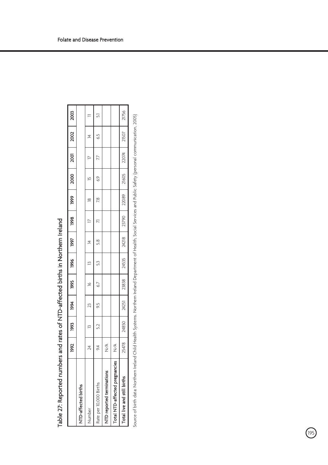|                                | 1992   | 88             | 1994  | 1995  | 1996          | 1997          | 1998             | 1999          | 2000          | 2001   | $\frac{1}{2002}$ | 2003           |
|--------------------------------|--------|----------------|-------|-------|---------------|---------------|------------------|---------------|---------------|--------|------------------|----------------|
| NTD-affected births            |        |                |       |       |               |               |                  |               |               |        |                  |                |
| Number                         | 24     | $\overline{a}$ | 23    | ۱é    | $\mathbb{E}$  | $\frac{4}{3}$ | $\triangleright$ | $\frac{8}{2}$ | $\frac{1}{2}$ | $\geq$ | $\overline{4}$   |                |
| Rate per 10,000 Births         | 94     | 52             | 95    | 6.7   | $\frac{5}{3}$ | 5.8           | R                | 7.8           | 69            | 77     | 6.5              | $\overline{5}$ |
| NTD reported terminations      | Ş      |                |       |       |               |               |                  |               |               |        |                  |                |
| Total NTD-affected pregnancies | ≶<br>N |                |       |       |               |               |                  |               |               |        |                  |                |
| Total live and still births    | 25478  | 24850          | 24251 | 23838 | 24535         | 24218         | 23790            | 22089         | 21605         | 22074  | 21507            | 21756          |
|                                |        |                |       |       |               |               |                  |               |               |        |                  |                |

| ֖֖֖֪ׅ֪ׅ֪ׅׅׅׅ֧֚֚֚֚֚֚֚֚֚֚֚֚֚֡֝֝֓֝֬֝֬֝֬֓֬֝֓֬֝֓֬֝֓֬֓֬֓֬֓֓֬֝֓֬֓֝֬ |
|--------------------------------------------------------------|
|                                                              |
|                                                              |
|                                                              |
| $\ddot{\phantom{a}}$<br><b>Common</b>                        |
| י<br>ו<br>ׇ֚֬֓֕֓֡֡                                           |
| :                                                            |
|                                                              |
|                                                              |
|                                                              |

Source of birth data: Northern Ireland Child Health Systems. Northern Ireland Department of Health, Social Services and Public Safety (personal communication, 2005) Source of birth data: Northern Ireland Child Health Systems. Northern Ireland Department of Health, Social Services and Public Safety (personal communication, 2005)

י<br>195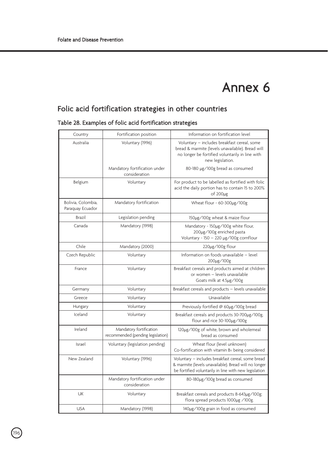### Annex 6

### Folic acid fortification strategies in other countries

|  | Table 28. Examples of folic acid fortification strategies |  |  |  |  |
|--|-----------------------------------------------------------|--|--|--|--|
|--|-----------------------------------------------------------|--|--|--|--|

| Country                                | Fortification position                                       | Information on fortification level                                                                                                                                     |  |
|----------------------------------------|--------------------------------------------------------------|------------------------------------------------------------------------------------------------------------------------------------------------------------------------|--|
| Australia                              | Voluntary (1996)                                             | Voluntary - includes breakfast cereal, some<br>bread & marmite (levels unavailable). Bread will<br>no longer be fortified voluntarily in line with<br>new legislation. |  |
|                                        | Mandatory fortification under<br>consideration               | 80-180 µg/100g bread as consumed                                                                                                                                       |  |
| Belgium                                | Voluntary                                                    | For product to be labelled as fortified with folic<br>acid the daily portion has to contain 15 to 200%<br>of 200µg                                                     |  |
| Bolivia, Colombia,<br>Paraquay Ecuador | Mandatory fortification                                      | Wheat flour - 60-300µg/100g                                                                                                                                            |  |
| Brazil                                 | Legislation pending                                          | 150µg/100g wheat & maize flour                                                                                                                                         |  |
| Canada                                 | Mandatory (1998)                                             | Mandatory - 150µg/100g white flour,<br>200µg/100g enriched pasta<br>Voluntary - 150 - 220 µg/100g cornflour                                                            |  |
| Chile                                  | Mandatory (2000)                                             | $220\mu$ g/100g flour                                                                                                                                                  |  |
| Czech Republic                         | Voluntary                                                    | Information on foods unavailable - level<br>200µg/100g                                                                                                                 |  |
| France                                 | Voluntary                                                    | Breakfast cereals and products aimed at children<br>or women - levels unavailable<br>Goats milk at 4.5µg/100g                                                          |  |
| Germany                                | Voluntary                                                    | Breakfast cereals and products - levels unavailable                                                                                                                    |  |
| Greece                                 | Voluntary                                                    | Unavailable                                                                                                                                                            |  |
| Hungary                                | Voluntary                                                    | Previously fortified @ 60µg/100g bread                                                                                                                                 |  |
| Iceland                                | Voluntary                                                    | Breakfast cereals and products 30-700µg/100g,<br>flour and rice 30-100µg/100g                                                                                          |  |
| Ireland                                | Mandatory fortification<br>recommended (pending legislation) | 120µg/100g of white, brown and wholemeal<br>bread as consumed                                                                                                          |  |
| Israel                                 | Voluntary (legislation pending)                              | Wheat flour (level unknown)<br>Co-fortification with vitamin B <sub>2</sub> being considered                                                                           |  |
| New Zealand                            | Voluntary (1996)                                             | Voluntary - includes breakfast cereal, some bread<br>& marmite (levels unavailable). Bread will no longer<br>be fortified voluntarily in line with new legislation     |  |
|                                        | Mandatory fortification under<br>consideration               | 80-180µg/100g bread as consumed                                                                                                                                        |  |
| <b>UK</b>                              | Voluntary                                                    | Breakfast cereals and products 8-643µg/100g;<br>flora spread products 1000µg /100g.                                                                                    |  |
| <b>USA</b>                             | Mandatory (1998)                                             | 140µg/100g grain in food as consumed                                                                                                                                   |  |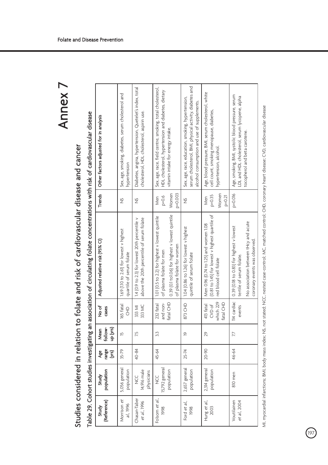# Studies considered in relation to folate and risk of cardiovascular disease and cancer Studies considered in relation to folate and risk of cardiovascular disease and cancer

# Table 29. Cohort studies investigating an association of circulating folate concentrations with risk of cardiovascular disease Table 29. Cohort studies investigating an association of circulating folate concentrations with risk of cardiovascular disease

| (Reference)<br>Study               | population<br>Study                    | range<br>(Xrs)<br>Age | follow-<br>ւր (yrs)<br>Mean | र्व<br>२<br>cases                             | Adjusted relative risk (95% CI)                                                                                                                               | <b>Trends</b>                          | Other factors adjusted for in analysis                                                                                                                      |
|------------------------------------|----------------------------------------|-----------------------|-----------------------------|-----------------------------------------------|---------------------------------------------------------------------------------------------------------------------------------------------------------------|----------------------------------------|-------------------------------------------------------------------------------------------------------------------------------------------------------------|
| Morrison et<br>al., 1996           | 5,056 general<br>population            | 35-79                 | Ľ                           | I65 fatal<br>$\frac{1}{5}$                    | 1.69 (1.10 to 2.61) for lowest v highest<br>quartile of serum folate                                                                                          | $\frac{5}{2}$                          | Sex, age, smoking, diabetes, serum cholesterol and<br>hypertension                                                                                          |
| Chasan-Taber<br>et al., 1996       | 14,916 male<br>physicians<br>U<br>V    | 40-84                 | 75                          | 333 MC<br>333 MI                              | 1.4 (0.9 to 2.3) for lowest 20th percentile v<br>above the 20th percentile of serum folate                                                                    | $\frac{5}{2}$                          | Diabetes, angina, hypertension, Quetelet's index, total<br>cholesterol, HDL cholesterol, aspirin use.                                                       |
| Folsom et al.,<br>1998             | 15,792 general<br>population<br>U<br>Z | 45-64                 | 33                          | and non-<br>fatal CHD<br>232 fatal            | 0.39 (0.1 to 1.06) for highest v lowest quintile<br>1.01 (0.5 to 2.2) for highest v lowest quintile<br>of plasma folate for women<br>of plasma folate for men | Women<br>$6 - 0.6$<br>$p=0.003$<br>Men | Sex, age, race, field centre, smoking, total cholesterol,<br>HDL cholesterol, hypertension and diabetes, dietary<br>vitamin intake for energy intake.       |
| Ford et al.,<br>1998               | 2,657 general<br>population            | 25-74                 | <u>ው</u>                    | 873 CHD                                       | 1.04 (0.86 to 1.26) for lowest v highest<br>quintile of serum folate                                                                                          | $\frac{5}{2}$                          | serum cholesterol, BMI, physical activity, diabetes and<br>Sex, age, race, education, smoking, hypertension,<br>alcohol consumption and use of supplements. |
| Hung et al.,<br>2003               | 2,314 general<br>population            | 20-90                 | 29                          | which 229<br>413 fatal<br>fatal CHD<br>CVD of | (0.81 to 1.45) for lowest v highest quartile of<br>Men 0.96 (0.74 to 1.25) and women 1.08<br>red blood cell folate                                            | $p = 0.35$<br>Women<br>$p=0.21$<br>Men | Age, blood pressure, BMI, serum cholesterol, white<br>cell count, smoking menopause, diabetes,<br>hypertension, alcohol                                     |
| <b>/outilainen</b><br>et al., 2004 | 810 men                                | 46-64                 | 17                          | 114 cardiac<br>events                         | No association between tHcy and acute<br>0.39 (0.18 to 0.83) for highest v lowest<br>coronary events was observed.<br>tertile of serum folate.                | $p = 0.016$                            | Age, smoking, BMI, systolic blood pressure, serum<br>LDL and HDL cholesterol, serum lycopene, alpha<br>tocopherol and beta carotene.                        |

MI, myocardial infarctions; BMI, body mass index; NS, not stated; NCC, nested case-control; MC, matched control; CHD, coronary heart disease; CVD, cardiovascular disease MI, myocardial infarctions; BMI, body mass index; NS, not stated; NCC, nested case-control; MC, matched control; CHD, coronary heart disease; CVD, cardiovascular disease

 $\widehat{P}$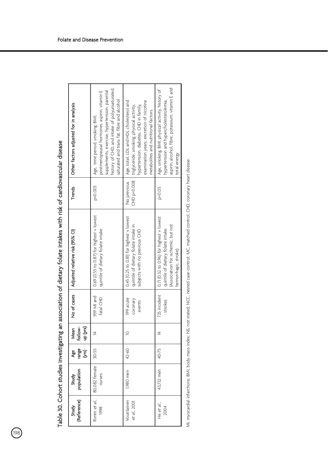| Other factors adjusted for in analysis | history of CHD, and intake of polyunsaturated,<br>postmenopausal hormones, aspirin, vitamin E<br>supplements, exercise, hypertension, parental<br>saturated and trans fat, fibre and alcohol<br>Age, time period, smoking, BMI, | Age, total, LDL and HDL cholesterol and<br>examination years, excretion of nicotine<br>rypertension, diabetes, CHD in family,<br>triglyceride, smoking, physical activity,<br>metabolites and nutritional factors. | aspirin, alcohol, fibre, potassium, vitamin E and<br>Age, smoking, BMI, physical activity, history of<br>hypertension and hypercholesterolemia,<br>total energy |
|----------------------------------------|---------------------------------------------------------------------------------------------------------------------------------------------------------------------------------------------------------------------------------|--------------------------------------------------------------------------------------------------------------------------------------------------------------------------------------------------------------------|-----------------------------------------------------------------------------------------------------------------------------------------------------------------|
| Trends                                 | $P = 0.003$                                                                                                                                                                                                                     | No previous<br>CHD p=0.008                                                                                                                                                                                         | $P = 0.05$                                                                                                                                                      |
| Adjusted relative risk (95% CI)        | 0.69 (0.55 to 0.87) for highest v lowest<br>quintile of dietary folate intake                                                                                                                                                   | 0.45 (0.25 to 0.81) for highest v lowest<br>quintile of dietary folate intake in<br>subjects with no previous CHD                                                                                                  | 0.71 (0.52 to 0.96) for highest v lowest<br>(Association for ischemic, but not<br>quintile of dietary folate intake.<br>hemorrhagic, stroke).                   |
| No of cases                            | 939 MI and<br>fatal CHD                                                                                                                                                                                                         | 199 acute<br>coronary<br>events                                                                                                                                                                                    | 725 incident<br>strokes                                                                                                                                         |
| follow-<br>up (yrs)<br>Mean            | 호                                                                                                                                                                                                                               | $\subseteq$                                                                                                                                                                                                        | 호                                                                                                                                                               |
| range<br>(yrs)<br>ge<br>P              | $30 - 55$                                                                                                                                                                                                                       | $42 - 60$                                                                                                                                                                                                          | 40-75                                                                                                                                                           |
| population<br>Study                    | 80,082 female<br>nurses                                                                                                                                                                                                         | 1,980 men                                                                                                                                                                                                          | 43,732 men                                                                                                                                                      |
| (Reference)<br>Study                   | Rimm et al.,<br>1998                                                                                                                                                                                                            | Voutilainen<br><i>et al.</i> , 2001                                                                                                                                                                                | He et al.,<br>2004                                                                                                                                              |

Table 30. Cohort studies investigating an association of dietary folate intakes with risk of cardiovascular disease Table 30. Cohort studies investigating an association of dietary folate intakes with risk of cardiovascular disease

 $\bigcirc$ 

MI, myocardial infarctions; BMI, body mass index; NS, not stated; NCC, nested case-control; MC, matched control; CHD, coronary heart disease. MI, myocardial infarctions; BMI, body mass index; NS, not stated; NCC, nested case-control; MC, matched control; CHD, coronary heart disease.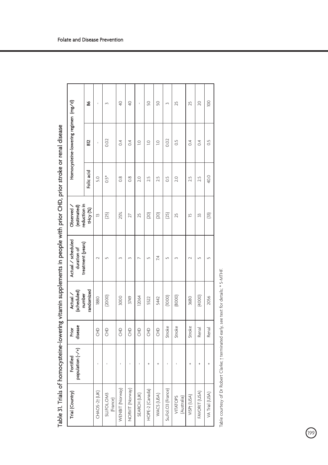|                                                        | \$.        |                |                        | $\frac{1}{4}$   | $\frac{1}{4}$   |             | S               | S              | $\sim$             | 25                      | 25               | $\overline{20}$ | $\overline{0}$ |
|--------------------------------------------------------|------------|----------------|------------------------|-----------------|-----------------|-------------|-----------------|----------------|--------------------|-------------------------|------------------|-----------------|----------------|
| Homocysteine-lowering regimen (mg/d)                   | 52         |                | 0.02                   | $\ddot{\circ}$  | $\ddot{\circ}$  | $\supseteq$ | $\supseteq$     | $\overline{a}$ | 0.02               | $\frac{5}{2}$           | $\overline{0.4}$ | $\ddot{\circ}$  | $\frac{5}{2}$  |
|                                                        | Folic acid | S.O            | $0.5*$                 | $\frac{8}{2}$   | $\frac{8}{3}$   | 2.0         | 2.5             | 2.5            | S.O                | 2.0                     | 2.5              | 2.5             | 40.0           |
| reduction in<br>(estimated)<br>Observed                | tHcy (%)   | $\overline{2}$ | (25)                   | 25%             | 27              | 25          | (20)            | (20)           | (25)               | 25                      | Ю                | 33              | (33)           |
| Actual / scheduled<br>treatment (years)<br>duration of |            | $\sim$         | $\sqrt{2}$             |                 |                 |             | LO.             | 74             | LO <sub>1</sub>    |                         |                  | $\sqrt{2}$      |                |
| (scheduled)<br>number<br>Actual                        | randomized | 1880           | (2000)                 | 3000            | 3749            | 12064       | 5522            | 5442           | (1000)             | (8000)                  | 3680             | (4000)          | 2056           |
| disease<br>Prior                                       |            | 운              | 운                      | 운               | 운               | 운           | 운               | E              | Stroke             | Stroke                  | Stroke           | Renal           | Renal          |
| population (-/+)<br>Fortified                          |            |                |                        |                 |                 |             |                 |                |                    |                         |                  |                 |                |
| Trial (Country)                                        |            | CHAOS-2T (UK)  | SU.FOL.OM3<br>(France) | WENBIT (Norway) | NORVIT (Norway) | SEARCH (UK) | HOPE-2 (Canada) | WACS (USA)     | Su.Fol.O3 (France) | VITATOPS<br>(Australia) | VISP) (USA)      | FAVORIT (USA)   | VA Trial (USA) |

Table 31. Trials of homocysteine-lowering vitamin supplements in people with prior CHD, prior stroke or renal disease Table 31. Trials of homocysteine-lowering vitamin supplements in people with prior CHD, prior stroke or renal disease

199

Table courtesy of Dr Robert Clarke; † terminated early, see text for details; \* 5-MTHF. Table courtesy of Dr Robert Clarke; † terminated early, see text for details; \* 5-MTHF.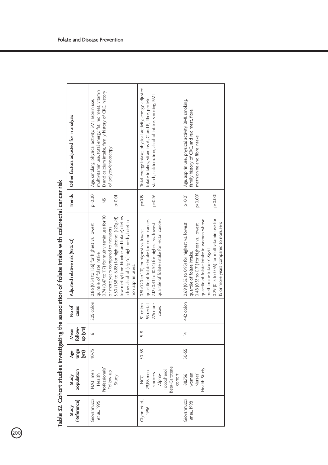| Other factors adjusted for in analysis | multivitamin use, total energy, fat, red meat, vitamin<br>D and calcium intake, family history of CRC, history<br>Age, smoking, physical activity, BMI, aspirin use,<br>of polyps/endoscopy                                                                                         | Total energy intake, physical activity, energy-adjusted<br>starch, calcium. iron, alcohol intake, smoking, BMI<br>folate intakes, vitamins A, C and E, fibre, protein,                   | Age, aspirin use, physical activity, BMI, smoking,<br>family history of CRC, and red meat, fibre,<br>methionine and fibre intake                                                                                                                                                          |
|----------------------------------------|-------------------------------------------------------------------------------------------------------------------------------------------------------------------------------------------------------------------------------------------------------------------------------------|------------------------------------------------------------------------------------------------------------------------------------------------------------------------------------------|-------------------------------------------------------------------------------------------------------------------------------------------------------------------------------------------------------------------------------------------------------------------------------------------|
| Trends                                 | $p=0.30$<br>$P^{\times}$ O.OI<br>$\frac{5}{2}$                                                                                                                                                                                                                                      | $p = 0.15$<br>$p=0.26$                                                                                                                                                                   | p<0.001<br>$P = 0.01$<br>p<0.001                                                                                                                                                                                                                                                          |
| Adjusted relative risk (95% CI)        | 0.74 (0.47 to 117) for multivitamin use for 10<br>low methyl (methionine and folate) diet vs<br>3.30 (1.58 to 6.88) for high alcohol (>20g/d)<br>a low alcohol (<5g/d) high methyl diet in<br>or more years compared to nonusers<br>quintile of folate intake<br>non aspirin users. | quartile of folate intake for colon cancer.<br>quartile of folate intake for rectal cancer.<br>2.12 (0.43 to 10.54) for highest vs. lowest<br>0.51 (0.20 to 1.31) for highest vs. lowest | 0.29 (0.15 to 0.56) for multivitamin use for<br>quartile of folate intake in women whose<br>15 or more years compared to nonusers<br>0.69 (0.52 to 0.93) for highest vs. lowest<br>0.48 (0.33 to 0.71) for highest vs. lowest<br>methionine intake <1.8g/d.<br>quartile of folate intake. |
| र्व<br>२<br>cases                      |                                                                                                                                                                                                                                                                                     | 276 non-<br>91 colon<br>53 rectal<br>cases                                                                                                                                               | 442 colon                                                                                                                                                                                                                                                                                 |
| follow-<br>up (yrs)<br>Mean            | o                                                                                                                                                                                                                                                                                   | $5-8$                                                                                                                                                                                    | $\overline{4}$                                                                                                                                                                                                                                                                            |
| nge<br>S<br>Age                        | 40-75                                                                                                                                                                                                                                                                               | $50 - 69$                                                                                                                                                                                | $30 - 55$                                                                                                                                                                                                                                                                                 |
| population<br>Study                    | Professionals'<br>14,931 men<br>Follow-up<br>Health<br>Study                                                                                                                                                                                                                        | Beta-Carotene<br>Tocopherol<br>29,133 men<br>smokers<br>Alpha-<br>cohort<br>U<br>Z                                                                                                       | Health Study<br>women<br>Nurses <sup>'</sup><br>88,756                                                                                                                                                                                                                                    |
| (Reference)<br><b>Study</b>            | Giovannucci<br>et al., 1995                                                                                                                                                                                                                                                         | Glynn et al,<br>1996                                                                                                                                                                     | Giovannucci<br>et al., 1998                                                                                                                                                                                                                                                               |
|                                        |                                                                                                                                                                                                                                                                                     | 205 colon   0.86 (0.54 to 1.36) for highest vs. lowest                                                                                                                                   |                                                                                                                                                                                                                                                                                           |

|            | $\ddot{\phantom{a}}$                                                                                                       |
|------------|----------------------------------------------------------------------------------------------------------------------------|
|            | De Salary Salary De Salary De Salary De Salary De Salary De Salary De Salary De Salary De Salary De Salary De Sa           |
|            |                                                                                                                            |
|            |                                                                                                                            |
|            |                                                                                                                            |
|            |                                                                                                                            |
|            |                                                                                                                            |
|            |                                                                                                                            |
|            |                                                                                                                            |
|            |                                                                                                                            |
|            |                                                                                                                            |
|            |                                                                                                                            |
|            |                                                                                                                            |
|            | <b>1.1.2 フィスコンコンコンコーニー</b>                                                                                                 |
|            |                                                                                                                            |
|            |                                                                                                                            |
|            |                                                                                                                            |
|            |                                                                                                                            |
|            |                                                                                                                            |
|            |                                                                                                                            |
|            |                                                                                                                            |
|            |                                                                                                                            |
|            |                                                                                                                            |
|            |                                                                                                                            |
|            |                                                                                                                            |
|            | <b>CONTRACTOR</b><br>- 10月1日 - 10月11日 - 10月11日 - 10月11日 - 10月12日 - 10月12日 - 10月12日 - 10月12日 - 10月12日 - 10月12日 - 10月12日 - 1 |
|            |                                                                                                                            |
|            | י<br>ו                                                                                                                     |
|            |                                                                                                                            |
|            | $\vdots$                                                                                                                   |
|            |                                                                                                                            |
|            |                                                                                                                            |
|            |                                                                                                                            |
|            |                                                                                                                            |
|            |                                                                                                                            |
|            |                                                                                                                            |
|            |                                                                                                                            |
|            |                                                                                                                            |
|            | ו<br>ווי הוא ה                                                                                                             |
|            | i                                                                                                                          |
|            | ֧֦֧֦֦֧֦֦֦֧֦֧֧֦֧ׅ֦֧ׅ֧֦֧֦֧ׅ֧ׅ֧֛֪֦֧֛֛֪֪֦֪֛֪֪֦֧֪֦֧֪֪֪֪֪֪֪֪֪֪֪֪֪֪֪֪֛֓֝֝֝֝֝֬֝֬֝֜֜֜֓֟֓֜֓֜֓֜֜֜֜֝֟֓֟֓                               |
|            |                                                                                                                            |
|            |                                                                                                                            |
|            |                                                                                                                            |
|            | )<br>)<br>)                                                                                                                |
|            |                                                                                                                            |
|            |                                                                                                                            |
| سمام وويات | <br> <br> <br> <br>                                                                                                        |

 $\bigcirc$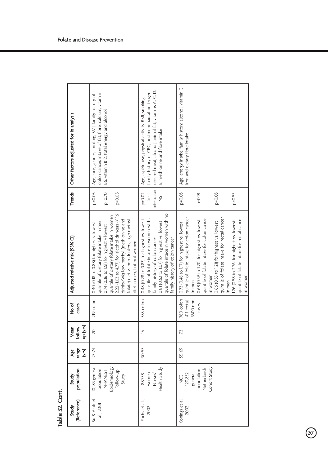| Trends   Other factors adjusted for in analysis | colon cancer, intake of fat, fibre, calcium, vitamin<br>Age, race, gender, smoking, BMI, family history of<br>B6, vitamin B12, total energy and alcohol                                                                                                                                                                                                | use, red meat, alcohol, animal fat, vitamins A, C, D,<br>family history of CRC, postmenopausal oestrogen<br>Age, aspirin use, physical activity, BMI, smoking,<br>E, methionine and fibre intake                                                        | Age, energy intake, family history, alcohol, vitamin C,<br>iron and dietary fibre intake                                                                                                                                                                                                                                                                                                                                   |
|-------------------------------------------------|--------------------------------------------------------------------------------------------------------------------------------------------------------------------------------------------------------------------------------------------------------------------------------------------------------------------------------------------------------|---------------------------------------------------------------------------------------------------------------------------------------------------------------------------------------------------------------------------------------------------------|----------------------------------------------------------------------------------------------------------------------------------------------------------------------------------------------------------------------------------------------------------------------------------------------------------------------------------------------------------------------------------------------------------------------------|
|                                                 | $p=0.03$<br>$p=0.70$<br>$P = 0.05$                                                                                                                                                                                                                                                                                                                     | nteraction<br>$p = 0.02$<br>$f$ or<br>$\frac{5}{2}$                                                                                                                                                                                                     | $p = 0.03$<br>$p=0.03$<br>$p = 0.55$<br>$p = 0.18$                                                                                                                                                                                                                                                                                                                                                                         |
| Adjusted relative risk (95% CI)                 | 2.22 (1.03 to 4.77) for alcohol drinkers (>1.16<br>quartile of dietary folate intake in women<br>drinks/wk) low methyl (methionine and<br>folate) diet vs non-drinkers, high methyl<br>quartile of dietary folate intake in men<br>0.40 (0.18 to 0.88) for highest v lowest<br>0.74 (0.36 to 1.51) for highest v lowest<br>diet in men, but not women. | quartile of folate intake in women with no<br>quartile of folate intake in women with a<br>0.48 (0.28 to 0.83) for highest vs. lowest<br>0.81 (0.62 to 1.07) for highest vs. lowest<br>family history of colon cancer<br>family history of colon cancer | quintile of folate intake for colon cancer<br>quintile of folate intake for rectal cancer<br>quintile of folate intake for colon cancer<br>quintile of folate intake for rectal cancer<br>0.68 (0.39 to 1.20) for highest vs. lowest<br>1.26 (0.58 to 2.76) for highest vs. lowest<br>0.66 (0.35 to 1.21) for highest vs. lowest<br>0.73 (0.46 to 1.17) for highest vs. lowest<br>in women<br>in women<br>in men<br>in men |
| षे<br>१०<br>cases                               | 219 colon                                                                                                                                                                                                                                                                                                                                              | 535 colon                                                                                                                                                                                                                                               | 760 colon<br>411 rectal<br>3500 non<br>cases                                                                                                                                                                                                                                                                                                                                                                               |
| up (yrs)<br>follow-<br>Mean                     | 20                                                                                                                                                                                                                                                                                                                                                     | $\approx$                                                                                                                                                                                                                                               | 73                                                                                                                                                                                                                                                                                                                                                                                                                         |
| range<br>Age<br>ζŝ                              | 25-74                                                                                                                                                                                                                                                                                                                                                  | $30 - 55$                                                                                                                                                                                                                                               | 55-69                                                                                                                                                                                                                                                                                                                                                                                                                      |
| population<br><b>Study</b>                      | 10,183 general<br>Epidemiology<br>population<br>NHANES <sub>1</sub><br>Follow-up<br>Study                                                                                                                                                                                                                                                              | Health Study<br>women<br>Nurses <sup>'</sup><br>88,758                                                                                                                                                                                                  | Cohort Study<br>Netherlands<br>population<br>general<br>120,852<br>š                                                                                                                                                                                                                                                                                                                                                       |
| (Reference)<br><b>Study</b>                     | Su & Arab et<br>al., 2001                                                                                                                                                                                                                                                                                                                              | Fuchs et al.,<br>2002                                                                                                                                                                                                                                   | Konings et al.,<br>2002                                                                                                                                                                                                                                                                                                                                                                                                    |
|                                                 |                                                                                                                                                                                                                                                                                                                                                        |                                                                                                                                                                                                                                                         |                                                                                                                                                                                                                                                                                                                                                                                                                            |

 $\bigcirc$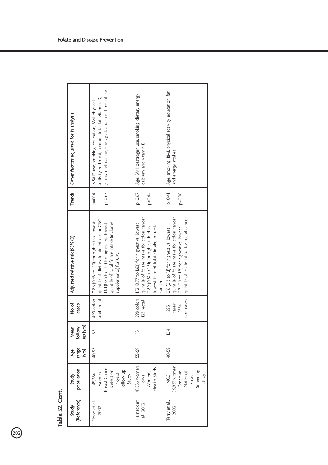| (Reference)<br><b>Study</b> | population<br><b>Study</b>                                                            | range<br>(yrs)<br>ge<br>P | up (yrs)<br>follow-<br><b>Mean</b> | No of<br><b>Cases</b>             | Adjusted relative risk (95% CI)                                                                                                                                                                                       | Trends                 | Other factors adjusted for in analysis                                                                                                                      |
|-----------------------------|---------------------------------------------------------------------------------------|---------------------------|------------------------------------|-----------------------------------|-----------------------------------------------------------------------------------------------------------------------------------------------------------------------------------------------------------------------|------------------------|-------------------------------------------------------------------------------------------------------------------------------------------------------------|
| Flood et al.,<br>2002       | Breast Cancer<br>Follow-up<br>Detection<br>women<br>Project<br>45,264<br>Study        | 40-93                     | 3.5                                | and rectal                        | quintile of dietary folate intake for CRC<br>490 colon   0.86 (0.65 to 1.13) for highest vs. lowest<br>quintile of total folate intake (includes<br>.01 (0.75 to 1.35) for highest vs. lowest<br>supplements) for CRC | p=0.67<br>$p = 0.14$   | grains, methionine, energy, alcohol and fibre intake<br>activity, red meat, alcohol, total fat, vitamins D,<br>NSAID use, smoking, education, BMI, physical |
| Harnack et<br>al., 2002     | 41,836 women<br>Health Study<br>Women's<br>lowa                                       | 55-69                     | $\tilde{=}$                        | 123 rectal                        | quintile of folate intake for colon cancer<br>598 colon   1.12 (0.77 to 1.63) for highest vs. lowest<br>lowest third of folate intake for rectal<br>0.89 (0.52 to 1.51) for highest third vs<br>cancer                | p=0.67<br>$b=0.44$     | Age, BMI, oestrogen use, smoking, dietary energy,<br>calcium, and vitamin E                                                                                 |
| Terry et al.,<br>2002       | 56,837 women<br>Screening<br>Canadian<br>National<br><b>Breast</b><br>Study<br>U<br>Z | 40-59                     | 10.4                               | non-cases<br>cases<br>295<br>5334 | quintile of folate intake for colon cancer<br>quintile of folate intake for rectal cancer<br>0.7 (0.3 to 1.8) for highest vs. lowest<br>0.6 (0.3 to 11) for highest vs. lowest                                        | $P = 0.41$<br>$p=0.36$ | Age, smoking, BMI, physical activity, education, fat<br>and energy intakes                                                                                  |

| l |
|---|
|   |
|   |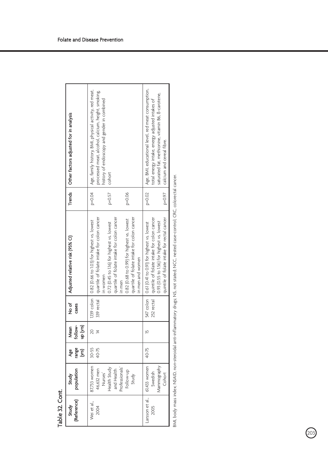| Trends   Other factors adjusted for in analysis | Age, family history, BMI, physical activity, red meat,<br>processed meat, alcohol, calcium, height, smoking,<br>history of endoscopy and gender in combined<br>cohort<br>$p=0.04$<br>$p=0.06$<br>$p = 0.57$                                                                                                                         | Age, BMI, educational level, red meat consumption,<br>saturated fat, methionine, vitamin B6, B-carotene,<br>total energy intake, energy adjusted intakes of<br>calcium and cereal fibre.<br>$p=0.02$<br>$p = 0.97$ |
|-------------------------------------------------|-------------------------------------------------------------------------------------------------------------------------------------------------------------------------------------------------------------------------------------------------------------------------------------------------------------------------------------|--------------------------------------------------------------------------------------------------------------------------------------------------------------------------------------------------------------------|
|                                                 |                                                                                                                                                                                                                                                                                                                                     |                                                                                                                                                                                                                    |
| Adjusted relative risk (95% CI)                 | quartile of folate intake for colon cancer<br>quartile of folate intake for colon cancer<br>quartile of folate intake for colon cancer<br>0.82 (0.68 to 0.99) for highest vs. lowest<br>[139 colon   0.82 (0.66 to 1.03) for highest vs. lowest<br>0.72 (0.45 to 116) for highest vs. lowest<br>n men and women<br>n women<br>n men | quintile of folate intake for rectal cancer<br>quintile of folate intake for colon cancer<br>0.93 (0.55 to 1.56) for highest vs. lowest<br>  0.61 (0.41 to 0.91) for highest vs. lowest                            |
| No of<br>cases                                  | 339 rectal                                                                                                                                                                                                                                                                                                                          | 547 colon<br>252 rectal                                                                                                                                                                                            |
| follow-<br>up (yrs)<br>Mean                     | č                                                                                                                                                                                                                                                                                                                                   | Ľ                                                                                                                                                                                                                  |
| ange<br>S<br>Age                                | $30 - 55$<br>40-75                                                                                                                                                                                                                                                                                                                  | 40-75                                                                                                                                                                                                              |
| population<br><b>Study</b>                      | 87,733 women<br>Professionals'<br>Health Study<br>46,632 men<br>and Health<br>Follow-up<br>Nurses<br>Study                                                                                                                                                                                                                          | 61,433 women<br>Mammography<br>Swedish<br>Cohort                                                                                                                                                                   |
| (Reference)<br><b>Study</b>                     | Wei et al.<br>2004                                                                                                                                                                                                                                                                                                                  | Larsson et al.,<br>2005                                                                                                                                                                                            |

Table 32. Cont.

Table 32. Cont.

BMI, body mass index, NSAID, non-steroidal anti-inflammatory drugs; NS, not stated; NCC, nested case-control; CRC, colorectal cancer. BMI, body mass index; NSAID, non-steroidal anti-inflammatory drugs; NS, not stated; NCC, nested case-control; CRC, colorectal cancer.

203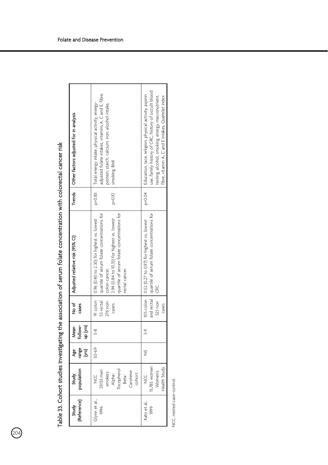| Trends   Other factors adjusted for in analysis | adjusted folate intakes, vitamins A, C and E, fibre,<br>Total energy intake, physical activity, energy-<br>protein, starch, calcium. iron, alcohol intake,<br>smoking, BMI                                                            | use, family history of CRC, history of occult blood<br>Education, race, religion, physical activity, aspirin<br>esting, alcohol, smoking, energy, macronutrient,<br>fibre, vitamin A, C and E intakes, Quetelet index |
|-------------------------------------------------|---------------------------------------------------------------------------------------------------------------------------------------------------------------------------------------------------------------------------------------|-----------------------------------------------------------------------------------------------------------------------------------------------------------------------------------------------------------------------|
|                                                 | $p=0.83$<br>$P = 0.10$                                                                                                                                                                                                                | $P = 0.04$                                                                                                                                                                                                            |
| Adjusted relative risk (95% CI)                 | quartile of serum folate concentrations for<br>quartile of serum folate concentrations for<br>2.94 (0.84 to 10.33) for highest vs. lowest<br>91 colon   0.96 (0.40 to 2.30) for highest vs. lowest<br>colon cancer.<br>rectal cancer. | and rectal   quartile of serum folate concentrations for<br>105 colon   0.52 (0.27 to 0.97) for highest vs. lowest<br>ن<br>گ                                                                                          |
| No of<br>cases                                  | 53 rectal<br>276 non-<br>cases                                                                                                                                                                                                        | $523$ non<br>cases                                                                                                                                                                                                    |
| follow-<br>up (yrs)<br>Mean                     | s<br>S                                                                                                                                                                                                                                | $\frac{9}{2}$                                                                                                                                                                                                         |
| e<br>E<br>S<br>ge<br>P                          | $50 - 69$                                                                                                                                                                                                                             | ž                                                                                                                                                                                                                     |
| population<br><b>Study</b>                      | Tocopherol<br>29,133 men<br>Carotene<br>smokers<br>Alpha-<br>cohort<br>Beta-<br>U<br>Z                                                                                                                                                | 15,785 women<br>Health Study<br>Women's<br>UU<br>Z                                                                                                                                                                    |
| (Reference)<br><b>Study</b>                     | Glynn et al.,<br>1996                                                                                                                                                                                                                 | Kato et al.<br>1999                                                                                                                                                                                                   |

Table 33. Cohort studies investigating the association of serum folate concentration with colorectal cancer risk Table 33. Cohort studies investigating the association of serum folate concentration with colorectal cancer risk

204

NCC, nested case-control. NCC, nested case-control.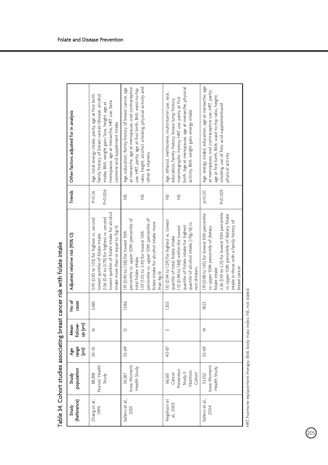| (Reference)<br>Study           | population<br>Study                                               | nare<br>S<br>Ąee | up (yrs)<br>follow-<br>Mean | रे<br>२०<br>cases | Adjusted relative risk (95% CI)                                                                                                                                                                                                                                      | Trends                         | Other factors adjusted for in analysis                                                                                                                                                                                                                    |
|--------------------------------|-------------------------------------------------------------------|------------------|-----------------------------|-------------------|----------------------------------------------------------------------------------------------------------------------------------------------------------------------------------------------------------------------------------------------------------------------|--------------------------------|-----------------------------------------------------------------------------------------------------------------------------------------------------------------------------------------------------------------------------------------------------------|
| Zhang et al.,<br>1999          | Nurses' Health<br>88,818<br>Study                                 | $30 - 55$        | $\geq$                      | 3,483             | owest quintile of folate intake for alcohol<br>0.56 (0.41 to 0.79) for highest vs. second<br>0.93 (0.83 to 1.03) for highest vs. second<br>ntake more than or equal to 15g/d<br>lowest quintile of folate intake                                                     | P=0.006<br>$P = 0.26$          | Age, total energy intake, parity, age at first birth,<br>family history of breast cancer/disease, alcohol<br>menopause, age at menarche, HRT use, beta<br>intake, BMI, weight gain/loss, height, age at<br>carotene and supplement intake                 |
| Sellers et al.,<br><b>2001</b> | lowa Women's<br>Health Study<br>34,387                            | 55-69            | $\overline{\mathbf{r}}$     | 1,586             | percentile vs. upper 50th percentile of<br>percentile vs. upper 50th percentile of<br>folate intake for alcohol intake more<br>119 (0.90 to 1.58) for lowest 10th<br>.59 (1.05 to 2.41) for lowest 10th<br>otal folate intake<br>than 4g/d                           | $\frac{5}{2}$<br>ž             | ratio, height, alcohol, smoking, physical activity and<br>at menarche, age at menopause, oral contraceptive<br>Age, education, family history of breast cancer, age<br>use, HRT, parity, age at first birth, BMI, waist-to-hip<br>other B vitamins        |
| Feigelson et<br>al., 2003      | Prevention<br>Nutrition<br>Study II<br>Cancer<br>Cohort<br>66,561 | 40-87            |                             | 1,303             | 110 (0.94 to 1.29) for highest vs. lowest<br>quartile of alcohol intake (>15g/d) vs.<br>quartile of folate intake for highest<br>133 (0.94 to 1.88) within the lowest<br>quartile of total folate intake<br>on drinkers.                                             | $\frac{5}{2}$<br>$\frac{5}{2}$ | birth. Age at menopause, age at menarche, physical<br>Age, ethanol, methionine, multivitamin use, race,<br>mammographic history, HRT use, parity at first<br>education, family history, breast lump history,<br>activity, BMI, weight gain, energy intake |
| Sellers et al.,<br>2004        | lowa Women's<br>Health Study<br>33,552                            | 55-69            | ᅺ                           | 1823              | 2.26 (1.59 to 3.21) for lowest 10th percentile<br>119 (0.98 to 1.45) for lowest 10th percentile<br>vs. upper 50th percentile of dietary folate<br>intake in those with a family history of<br>vs. upper 50th percentile of dietary<br>breast cancer<br>folate intake | $P = 0.005$<br>$p=0.20$        | Age, energy intake, education, age at menarche, age<br>at menopause, oral contraceptive use, HRT, parity,<br>age at first birth, BMI, waist-to-hip ratio, height,<br>smoking, use of folic acid supplementsand<br>physical activity                       |

Table 34. Cohort studies associating breast cancer risk with folate intake Table 34. Cohort studies associating breast cancer risk with folate intake

HRT, hormone replacement therapy; BMI, body mass index; NS, not stated. HRT, hormone replacement therapy; BMI, body mass index; NS, not stated.

 $\widehat{\mathbb{Q}_5}$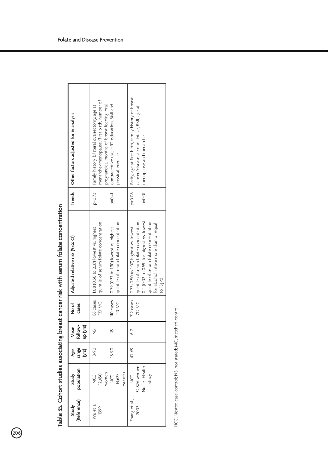| Trends   Other factors adjusted for in analysis | menarche/menopause/first birth, number of<br>contraceptive use, HRT, education, BMI and<br>pregnancies, months of breast feeding, oral<br>Family history, bilateral ovariectomy, age at<br>physical exercise | Parity, age at first birth, family history of breast<br>cancer/disease, alcohol intake, BMI, age at<br>menopause and menarche                                                                                                             |
|-------------------------------------------------|--------------------------------------------------------------------------------------------------------------------------------------------------------------------------------------------------------------|-------------------------------------------------------------------------------------------------------------------------------------------------------------------------------------------------------------------------------------------|
|                                                 | $p = 0.73$<br>$p = 0.41$                                                                                                                                                                                     | $p = 0.01$<br>$p=0.06$                                                                                                                                                                                                                    |
| Adjusted relative risk (95% CI)                 | I quintile of serum folate concentration<br>quintile of serum folate concentration<br>110 cases   0.79 (0.33 to 1.90) lowest vs. highest<br>1.08 (0.50 to 2.37) lowest vs. highest                           | 0.11 (0.02 to 0.59) for highest vs. lowest<br>quintile of serum folate concentration<br>quintile of serum folate concentration<br>for alcohol intake more than or equal<br>712 cases   0.73 (0.50 to 1.07) highest vs. lowest<br>to 15g/d |
| रे<br>२<br>cases                                | 133 cases<br>133 MC<br><b>TIO MC</b>                                                                                                                                                                         | 712 MC                                                                                                                                                                                                                                    |
| follow-<br>up (yrs)<br>Mean                     | $\frac{5}{2}$<br>$\frac{5}{2}$                                                                                                                                                                               | $-9$                                                                                                                                                                                                                                      |
| range<br>&e<br>ζg                               | $06 - 81$<br>$18 - 90$                                                                                                                                                                                       | 43-69                                                                                                                                                                                                                                     |
| population<br>Study                             | women<br>women<br>12,450<br>14,625<br>U<br>V<br>U<br>Z                                                                                                                                                       | 32,826 women<br>Nurses Health<br>Study<br>U<br>Z                                                                                                                                                                                          |
| (Reference)<br>Study                            | Wu et al.,<br>1999                                                                                                                                                                                           | Zhang et al.<br>2003                                                                                                                                                                                                                      |

Table 35. Cohort studies associating breast cancer risk with serum folate concentration Table 35. Cohort studies associating breast cancer risk with serum folate concentration

 $\circledcirc$ 

NCC, Nested case-control; NS, not stated; MC, matched-control. NCC, Nested case-control; NS, not stated; MC, matched-control.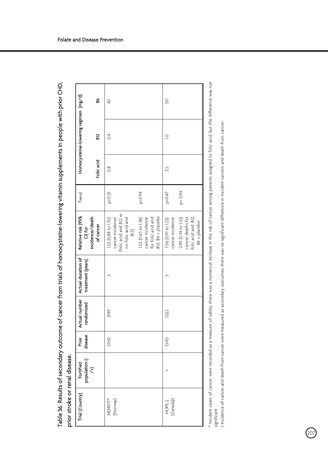Table 36. Results of secondary outcome of cancer from trials of homocysteine-lowering vitamin supplements in people with prior CHD, Table 36. Results of secondary outcome of cancer from trials of homocysteine-lowering vitamin supplements in people with prior CHD, prior stroke or renal disease. prior stroke or renal disease.

| Trial (Country)     | Fortified | disease<br>Prior | randomized | Actual number   Actual duration of<br>treatment (years) | Relative risk (95%<br>$\frac{1}{2}$                                                                      | Trend      |               | Homocysteine-lowering regimen (mg/d) |                 |
|---------------------|-----------|------------------|------------|---------------------------------------------------------|----------------------------------------------------------------------------------------------------------|------------|---------------|--------------------------------------|-----------------|
|                     |           |                  |            |                                                         | incidence/death<br>of cancer                                                                             |            | Folic acid    | g                                    | S               |
| (Norway)<br>NORVIT* |           | E                | 3749       |                                                         | folic acid and B12 vs<br>cancer incidence<br>no folic acid and<br>1.22 (0.88 to 1.70)<br>B <sub>12</sub> | $p = 0.23$ | $\frac{8}{3}$ | 0.4                                  | $\overline{40}$ |
|                     |           |                  |            |                                                         | for folic acid and<br>1.02 (0.65 to 1.58)<br>B12, B6 v placebo<br>cancer incidence                       | $p = 0.94$ |               |                                      |                 |
| (Canada)<br>HOPE-2  |           | 운                | 5522       |                                                         | cancer incidence<br>1.06 (0.91 to 1.23)                                                                  | $P = 0.47$ | 2.5           | $\overline{a}$                       | SO              |
|                     |           |                  |            |                                                         | folic acid and ,B12,<br>0.99 (0.74 to 1.33)<br>cancer deaths for<br>B6 v placebo                         | $P = 0.94$ |               |                                      |                 |

\* Incident cases of cancer were recorded as a measure of safety, there was a numerical increase in the risk of cancer among patients assigned to folic acid, but this difference was not Incident cases of cancer were recorded as a measure of safety, there was a numerical increase in the risk of cancer among patients assigned to folic acid, but this difference was not significant

† Incidence of cancer and death from cancer were measured as secondary outcomes, there was no significant difference in incident cancers and death from cancer. Incidence of cancer and death from cancer were measured as secondary outcomes, there was no significant difference in incident cancers and death from cancer.

 $\widehat{\mathbb{Q}_{2}}$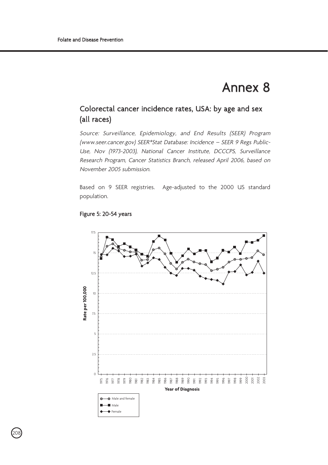## Annex 8

## Colorectal cancer incidence rates, USA: by age and sex (all races)

Source: Surveillance, Epidemiology, and End Results (SEER) Program (www.seer.cancer.gov) SEER\*Stat Database: Incidence – SEER 9 Regs Public-Use, Nov (1973-2003), National Cancer Institute, DCCCPS, Surveillance Research Program, Cancer Statistics Branch, released April 2006, based on November 2005 submission.

Based on 9 SEER registries. Age-adjusted to the 2000 US standard population.



## Figure 5: 20-54 years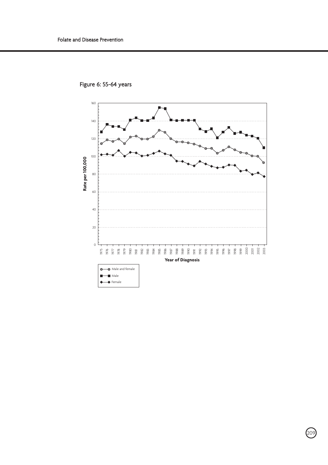

Figure 6: 55-64 years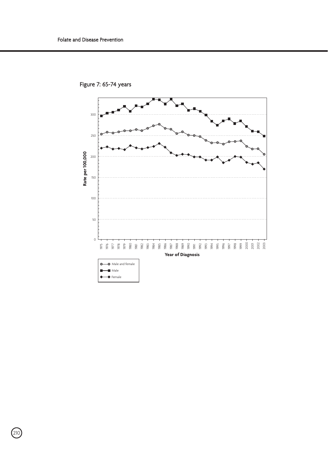

Figure 7: 65-74 years